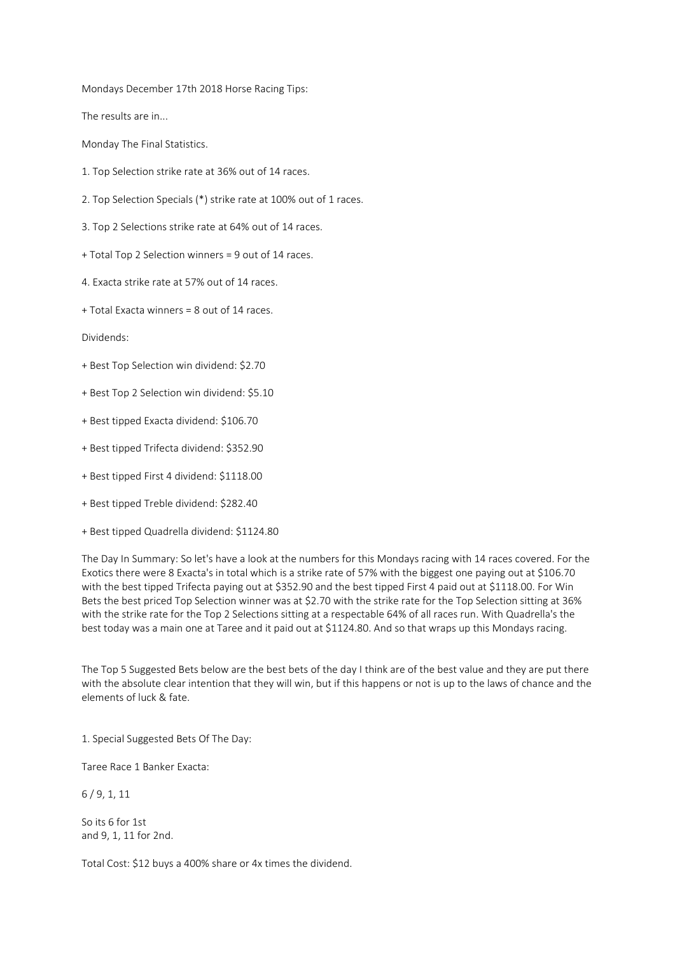Mondays December 17th 2018 Horse Racing Tips:

The results are in...

Monday The Final Statistics.

- 1. Top Selection strike rate at 36% out of 14 races.
- 2. Top Selection Specials (\*) strike rate at 100% out of 1 races.
- 3. Top 2 Selections strike rate at 64% out of 14 races.
- + Total Top 2 Selection winners = 9 out of 14 races.
- 4. Exacta strike rate at 57% out of 14 races.
- + Total Exacta winners = 8 out of 14 races.

Dividends:

- + Best Top Selection win dividend: \$2.70
- + Best Top 2 Selection win dividend: \$5.10
- + Best tipped Exacta dividend: \$106.70
- + Best tipped Trifecta dividend: \$352.90
- + Best tipped First 4 dividend: \$1118.00
- + Best tipped Treble dividend: \$282.40
- + Best tipped Quadrella dividend: \$1124.80

The Day In Summary: So let's have a look at the numbers for this Mondays racing with 14 races covered. For the Exotics there were 8 Exacta's in total which is a strike rate of 57% with the biggest one paying out at \$106.70 with the best tipped Trifecta paying out at \$352.90 and the best tipped First 4 paid out at \$1118.00. For Win Bets the best priced Top Selection winner was at \$2.70 with the strike rate for the Top Selection sitting at 36% with the strike rate for the Top 2 Selections sitting at a respectable 64% of all races run. With Quadrella's the best today was a main one at Taree and it paid out at \$1124.80. And so that wraps up this Mondays racing.

The Top 5 Suggested Bets below are the best bets of the day I think are of the best value and they are put there with the absolute clear intention that they will win, but if this happens or not is up to the laws of chance and the elements of luck & fate.

1. Special Suggested Bets Of The Day:

Taree Race 1 Banker Exacta:

6 / 9, 1, 11

So its 6 for 1st and 9, 1, 11 for 2nd.

Total Cost: \$12 buys a 400% share or 4x times the dividend.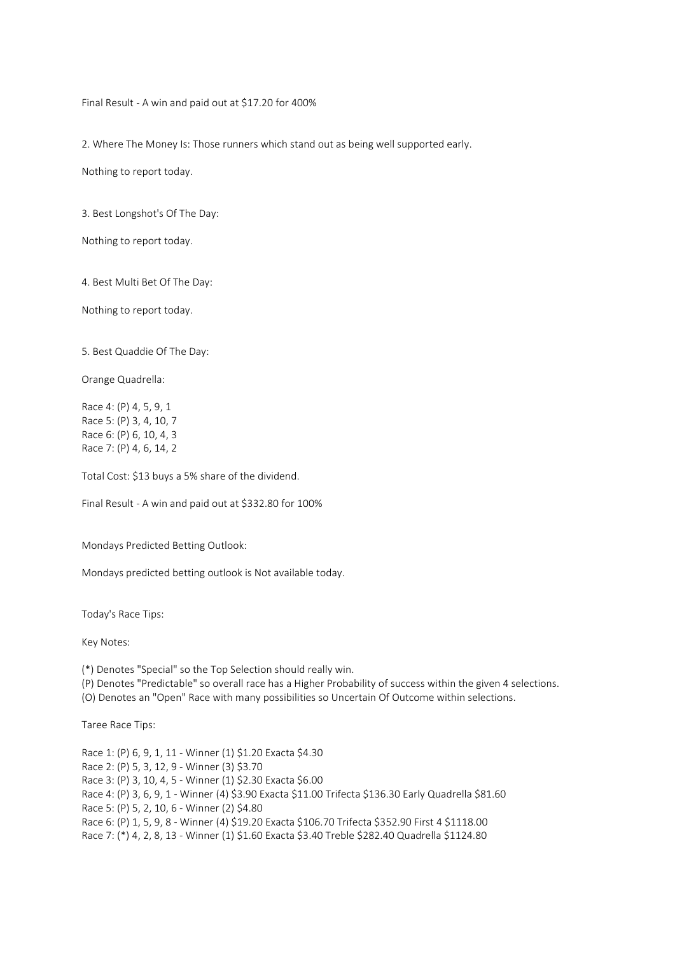Final Result - A win and paid out at \$17.20 for 400%

2. Where The Money Is: Those runners which stand out as being well supported early.

Nothing to report today.

3. Best Longshot's Of The Day:

Nothing to report today.

4. Best Multi Bet Of The Day:

Nothing to report today.

5. Best Quaddie Of The Day:

Orange Quadrella:

Race 4: (P) 4, 5, 9, 1 Race 5: (P) 3, 4, 10, 7 Race 6: (P) 6, 10, 4, 3 Race 7: (P) 4, 6, 14, 2

Total Cost: \$13 buys a 5% share of the dividend.

Final Result - A win and paid out at \$332.80 for 100%

Mondays Predicted Betting Outlook:

Mondays predicted betting outlook is Not available today.

Today's Race Tips:

Key Notes:

(\*) Denotes "Special" so the Top Selection should really win.

(P) Denotes "Predictable" so overall race has a Higher Probability of success within the given 4 selections.

(O) Denotes an "Open" Race with many possibilities so Uncertain Of Outcome within selections.

Taree Race Tips:

Race 1: (P) 6, 9, 1, 11 - Winner (1) \$1.20 Exacta \$4.30 Race 2: (P) 5, 3, 12, 9 - Winner (3) \$3.70 Race 3: (P) 3, 10, 4, 5 - Winner (1) \$2.30 Exacta \$6.00 Race 4: (P) 3, 6, 9, 1 - Winner (4) \$3.90 Exacta \$11.00 Trifecta \$136.30 Early Quadrella \$81.60 Race 5: (P) 5, 2, 10, 6 - Winner (2) \$4.80 Race 6: (P) 1, 5, 9, 8 - Winner (4) \$19.20 Exacta \$106.70 Trifecta \$352.90 First 4 \$1118.00 Race 7: (\*) 4, 2, 8, 13 - Winner (1) \$1.60 Exacta \$3.40 Treble \$282.40 Quadrella \$1124.80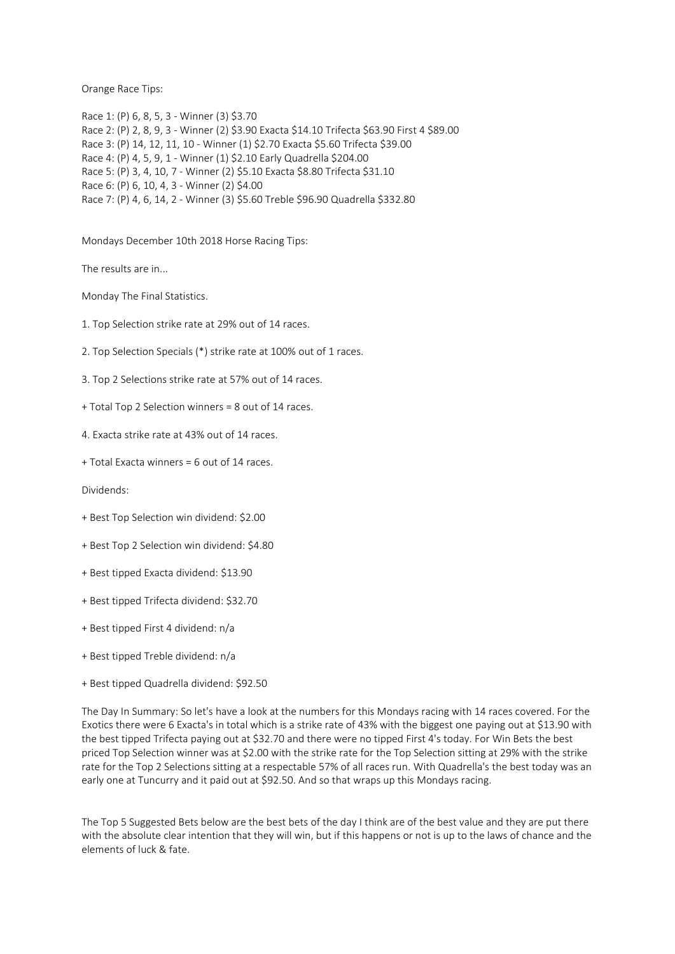Orange Race Tips:

Race 1: (P) 6, 8, 5, 3 - Winner (3) \$3.70 Race 2: (P) 2, 8, 9, 3 - Winner (2) \$3.90 Exacta \$14.10 Trifecta \$63.90 First 4 \$89.00 Race 3: (P) 14, 12, 11, 10 - Winner (1) \$2.70 Exacta \$5.60 Trifecta \$39.00 Race 4: (P) 4, 5, 9, 1 - Winner (1) \$2.10 Early Quadrella \$204.00 Race 5: (P) 3, 4, 10, 7 - Winner (2) \$5.10 Exacta \$8.80 Trifecta \$31.10 Race 6: (P) 6, 10, 4, 3 - Winner (2) \$4.00 Race 7: (P) 4, 6, 14, 2 - Winner (3) \$5.60 Treble \$96.90 Quadrella \$332.80

Mondays December 10th 2018 Horse Racing Tips:

The results are in...

Monday The Final Statistics.

- 1. Top Selection strike rate at 29% out of 14 races.
- 2. Top Selection Specials (\*) strike rate at 100% out of 1 races.
- 3. Top 2 Selections strike rate at 57% out of 14 races.
- + Total Top 2 Selection winners = 8 out of 14 races.
- 4. Exacta strike rate at 43% out of 14 races.
- + Total Exacta winners = 6 out of 14 races.

Dividends:

- + Best Top Selection win dividend: \$2.00
- + Best Top 2 Selection win dividend: \$4.80
- + Best tipped Exacta dividend: \$13.90
- + Best tipped Trifecta dividend: \$32.70
- + Best tipped First 4 dividend: n/a
- + Best tipped Treble dividend: n/a
- + Best tipped Quadrella dividend: \$92.50

The Day In Summary: So let's have a look at the numbers for this Mondays racing with 14 races covered. For the Exotics there were 6 Exacta's in total which is a strike rate of 43% with the biggest one paying out at \$13.90 with the best tipped Trifecta paying out at \$32.70 and there were no tipped First 4's today. For Win Bets the best priced Top Selection winner was at \$2.00 with the strike rate for the Top Selection sitting at 29% with the strike rate for the Top 2 Selections sitting at a respectable 57% of all races run. With Quadrella's the best today was an early one at Tuncurry and it paid out at \$92.50. And so that wraps up this Mondays racing.

The Top 5 Suggested Bets below are the best bets of the day I think are of the best value and they are put there with the absolute clear intention that they will win, but if this happens or not is up to the laws of chance and the elements of luck & fate.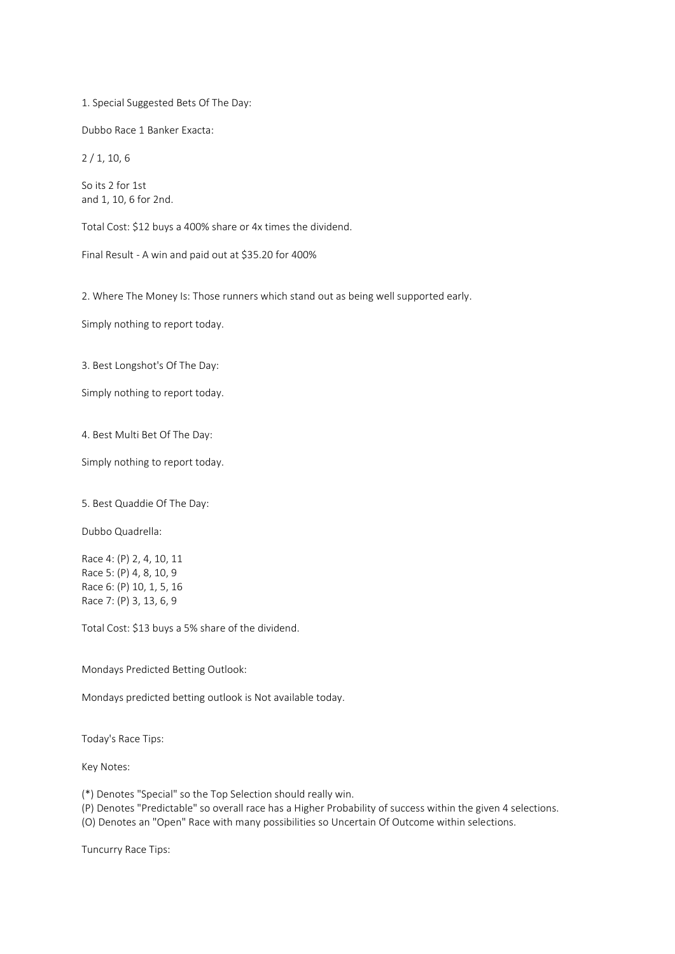1. Special Suggested Bets Of The Day:

Dubbo Race 1 Banker Exacta:

2 / 1, 10, 6

So its 2 for 1st and 1, 10, 6 for 2nd.

Total Cost: \$12 buys a 400% share or 4x times the dividend.

Final Result - A win and paid out at \$35.20 for 400%

2. Where The Money Is: Those runners which stand out as being well supported early.

Simply nothing to report today.

3. Best Longshot's Of The Day:

Simply nothing to report today.

4. Best Multi Bet Of The Day:

Simply nothing to report today.

5. Best Quaddie Of The Day:

Dubbo Quadrella:

Race 4: (P) 2, 4, 10, 11 Race 5: (P) 4, 8, 10, 9 Race 6: (P) 10, 1, 5, 16 Race 7: (P) 3, 13, 6, 9

Total Cost: \$13 buys a 5% share of the dividend.

Mondays Predicted Betting Outlook:

Mondays predicted betting outlook is Not available today.

Today's Race Tips:

Key Notes:

(\*) Denotes "Special" so the Top Selection should really win.

(P) Denotes "Predictable" so overall race has a Higher Probability of success within the given 4 selections.

(O) Denotes an "Open" Race with many possibilities so Uncertain Of Outcome within selections.

Tuncurry Race Tips: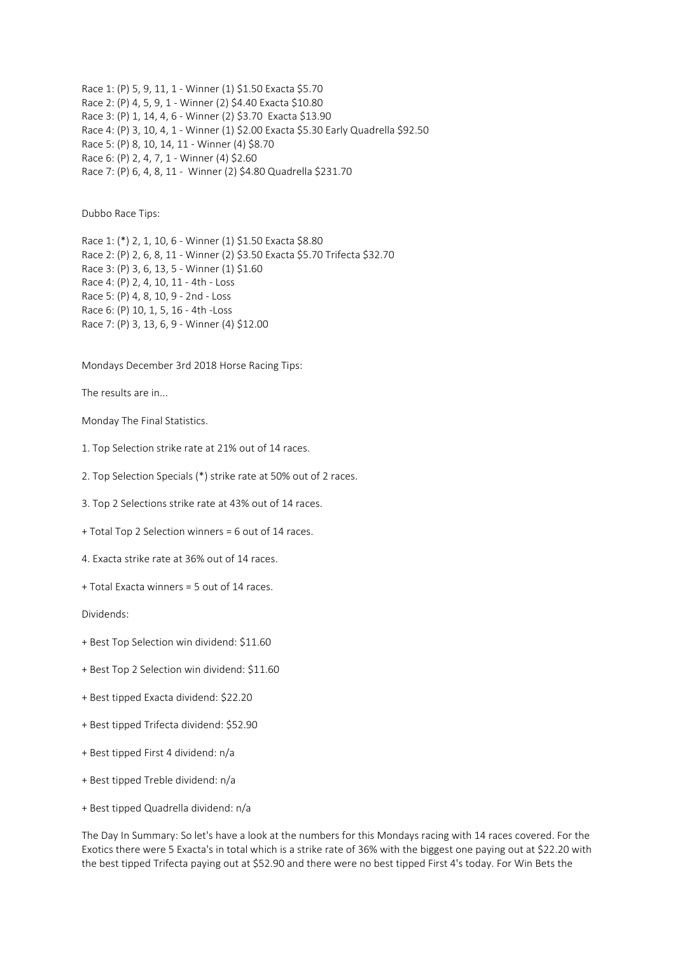Race 1: (P) 5, 9, 11, 1 - Winner (1) \$1.50 Exacta \$5.70 Race 2: (P) 4, 5, 9, 1 - Winner (2) \$4.40 Exacta \$10.80 Race 3: (P) 1, 14, 4, 6 - Winner (2) \$3.70 Exacta \$13.90 Race 4: (P) 3, 10, 4, 1 - Winner (1) \$2.00 Exacta \$5.30 Early Quadrella \$92.50 Race 5: (P) 8, 10, 14, 11 - Winner (4) \$8.70 Race 6: (P) 2, 4, 7, 1 - Winner (4) \$2.60 Race 7: (P) 6, 4, 8, 11 - Winner (2) \$4.80 Quadrella \$231.70

Dubbo Race Tips:

Race 1: (\*) 2, 1, 10, 6 - Winner (1) \$1.50 Exacta \$8.80 Race 2: (P) 2, 6, 8, 11 - Winner (2) \$3.50 Exacta \$5.70 Trifecta \$32.70 Race 3: (P) 3, 6, 13, 5 - Winner (1) \$1.60 Race 4: (P) 2, 4, 10, 11 - 4th - Loss Race 5: (P) 4, 8, 10, 9 - 2nd - Loss Race 6: (P) 10, 1, 5, 16 - 4th -Loss Race 7: (P) 3, 13, 6, 9 - Winner (4) \$12.00

Mondays December 3rd 2018 Horse Racing Tips:

The results are in...

Monday The Final Statistics.

1. Top Selection strike rate at 21% out of 14 races.

2. Top Selection Specials (\*) strike rate at 50% out of 2 races.

3. Top 2 Selections strike rate at 43% out of 14 races.

+ Total Top 2 Selection winners = 6 out of 14 races.

4. Exacta strike rate at 36% out of 14 races.

+ Total Exacta winners = 5 out of 14 races.

Dividends:

+ Best Top Selection win dividend: \$11.60

+ Best Top 2 Selection win dividend: \$11.60

+ Best tipped Exacta dividend: \$22.20

+ Best tipped Trifecta dividend: \$52.90

+ Best tipped First 4 dividend: n/a

+ Best tipped Treble dividend: n/a

+ Best tipped Quadrella dividend: n/a

The Day In Summary: So let's have a look at the numbers for this Mondays racing with 14 races covered. For the Exotics there were 5 Exacta's in total which is a strike rate of 36% with the biggest one paying out at \$22.20 with the best tipped Trifecta paying out at \$52.90 and there were no best tipped First 4's today. For Win Bets the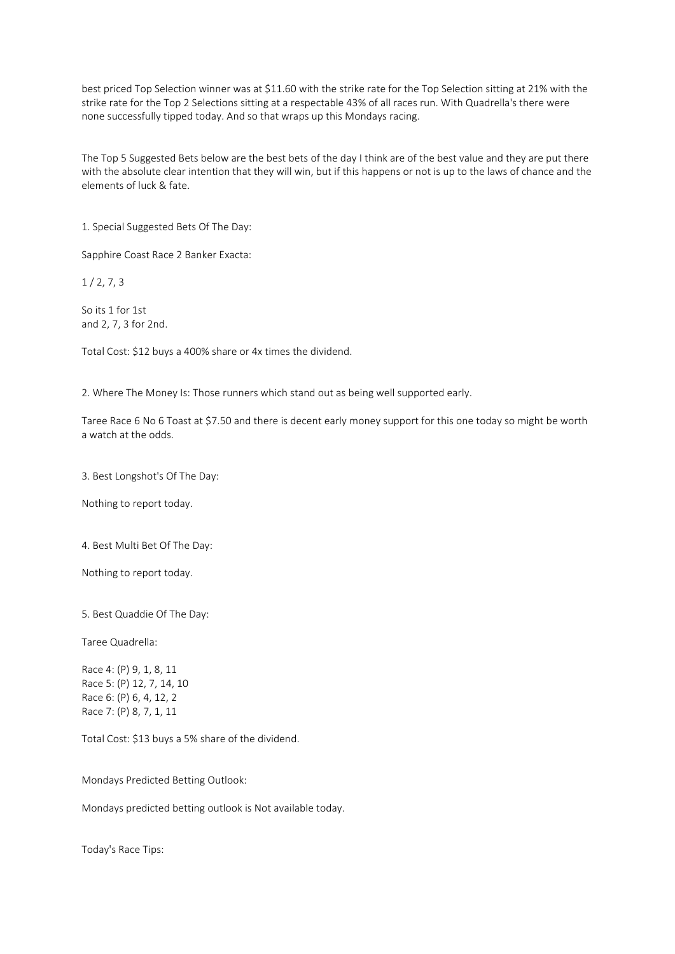best priced Top Selection winner was at \$11.60 with the strike rate for the Top Selection sitting at 21% with the strike rate for the Top 2 Selections sitting at a respectable 43% of all races run. With Quadrella's there were none successfully tipped today. And so that wraps up this Mondays racing.

The Top 5 Suggested Bets below are the best bets of the day I think are of the best value and they are put there with the absolute clear intention that they will win, but if this happens or not is up to the laws of chance and the elements of luck & fate.

1. Special Suggested Bets Of The Day:

Sapphire Coast Race 2 Banker Exacta:

 $1/2, 7, 3$ 

So its 1 for 1st and 2, 7, 3 for 2nd.

Total Cost: \$12 buys a 400% share or 4x times the dividend.

2. Where The Money Is: Those runners which stand out as being well supported early.

Taree Race 6 No 6 Toast at \$7.50 and there is decent early money support for this one today so might be worth a watch at the odds.

3. Best Longshot's Of The Day:

Nothing to report today.

4. Best Multi Bet Of The Day:

Nothing to report today.

5. Best Quaddie Of The Day:

Taree Quadrella:

Race 4: (P) 9, 1, 8, 11 Race 5: (P) 12, 7, 14, 10 Race 6: (P) 6, 4, 12, 2 Race 7: (P) 8, 7, 1, 11

Total Cost: \$13 buys a 5% share of the dividend.

Mondays Predicted Betting Outlook:

Mondays predicted betting outlook is Not available today.

Today's Race Tips: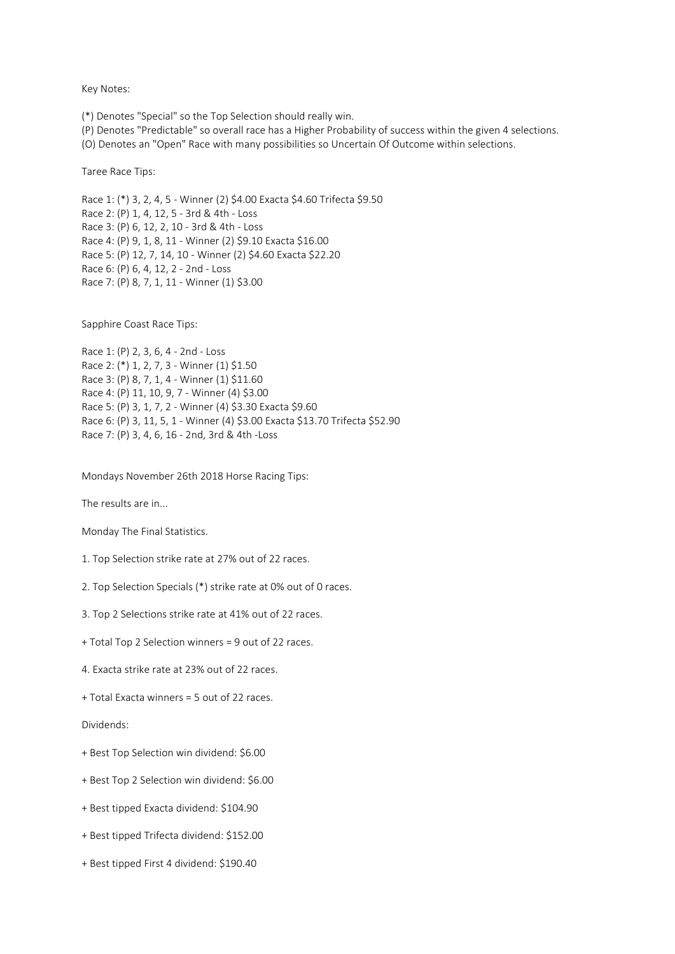Key Notes:

(\*) Denotes "Special" so the Top Selection should really win.

(P) Denotes "Predictable" so overall race has a Higher Probability of success within the given 4 selections.

(O) Denotes an "Open" Race with many possibilities so Uncertain Of Outcome within selections.

Taree Race Tips:

Race 1: (\*) 3, 2, 4, 5 - Winner (2) \$4.00 Exacta \$4.60 Trifecta \$9.50 Race 2: (P) 1, 4, 12, 5 - 3rd & 4th - Loss Race 3: (P) 6, 12, 2, 10 - 3rd & 4th - Loss Race 4: (P) 9, 1, 8, 11 - Winner (2) \$9.10 Exacta \$16.00 Race 5: (P) 12, 7, 14, 10 - Winner (2) \$4.60 Exacta \$22.20 Race 6: (P) 6, 4, 12, 2 - 2nd - Loss Race 7: (P) 8, 7, 1, 11 - Winner (1) \$3.00

Sapphire Coast Race Tips:

Race 1: (P) 2, 3, 6, 4 - 2nd - Loss Race 2: (\*) 1, 2, 7, 3 - Winner (1) \$1.50 Race 3: (P) 8, 7, 1, 4 - Winner (1) \$11.60 Race 4: (P) 11, 10, 9, 7 - Winner (4) \$3.00 Race 5: (P) 3, 1, 7, 2 - Winner (4) \$3.30 Exacta \$9.60 Race 6: (P) 3, 11, 5, 1 - Winner (4) \$3.00 Exacta \$13.70 Trifecta \$52.90 Race 7: (P) 3, 4, 6, 16 - 2nd, 3rd & 4th -Loss

Mondays November 26th 2018 Horse Racing Tips:

The results are in...

Monday The Final Statistics.

- 1. Top Selection strike rate at 27% out of 22 races.
- 2. Top Selection Specials (\*) strike rate at 0% out of 0 races.
- 3. Top 2 Selections strike rate at 41% out of 22 races.
- + Total Top 2 Selection winners = 9 out of 22 races.
- 4. Exacta strike rate at 23% out of 22 races.
- + Total Exacta winners = 5 out of 22 races.

Dividends:

- + Best Top Selection win dividend: \$6.00
- + Best Top 2 Selection win dividend: \$6.00
- + Best tipped Exacta dividend: \$104.90
- + Best tipped Trifecta dividend: \$152.00
- + Best tipped First 4 dividend: \$190.40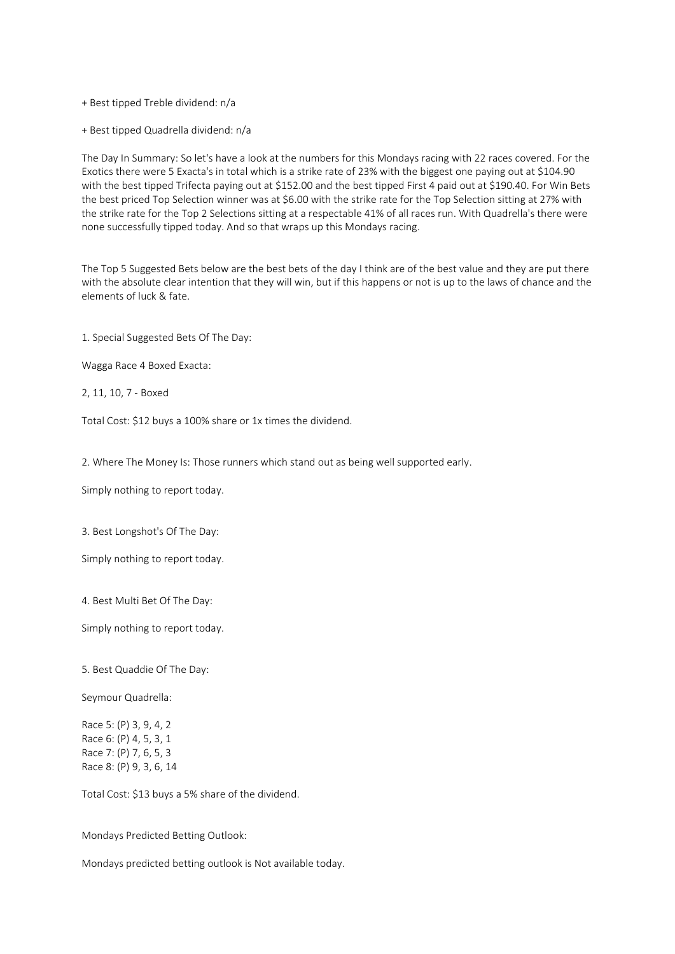+ Best tipped Treble dividend: n/a

+ Best tipped Quadrella dividend: n/a

The Day In Summary: So let's have a look at the numbers for this Mondays racing with 22 races covered. For the Exotics there were 5 Exacta's in total which is a strike rate of 23% with the biggest one paying out at \$104.90 with the best tipped Trifecta paying out at \$152.00 and the best tipped First 4 paid out at \$190.40. For Win Bets the best priced Top Selection winner was at \$6.00 with the strike rate for the Top Selection sitting at 27% with the strike rate for the Top 2 Selections sitting at a respectable 41% of all races run. With Quadrella's there were none successfully tipped today. And so that wraps up this Mondays racing.

The Top 5 Suggested Bets below are the best bets of the day I think are of the best value and they are put there with the absolute clear intention that they will win, but if this happens or not is up to the laws of chance and the elements of luck & fate.

1. Special Suggested Bets Of The Day:

Wagga Race 4 Boxed Exacta:

2, 11, 10, 7 - Boxed

Total Cost: \$12 buys a 100% share or 1x times the dividend.

2. Where The Money Is: Those runners which stand out as being well supported early.

Simply nothing to report today.

3. Best Longshot's Of The Day:

Simply nothing to report today.

4. Best Multi Bet Of The Day:

Simply nothing to report today.

5. Best Quaddie Of The Day:

Seymour Quadrella:

Race 5: (P) 3, 9, 4, 2 Race 6: (P) 4, 5, 3, 1 Race 7: (P) 7, 6, 5, 3 Race 8: (P) 9, 3, 6, 14

Total Cost: \$13 buys a 5% share of the dividend.

Mondays Predicted Betting Outlook:

Mondays predicted betting outlook is Not available today.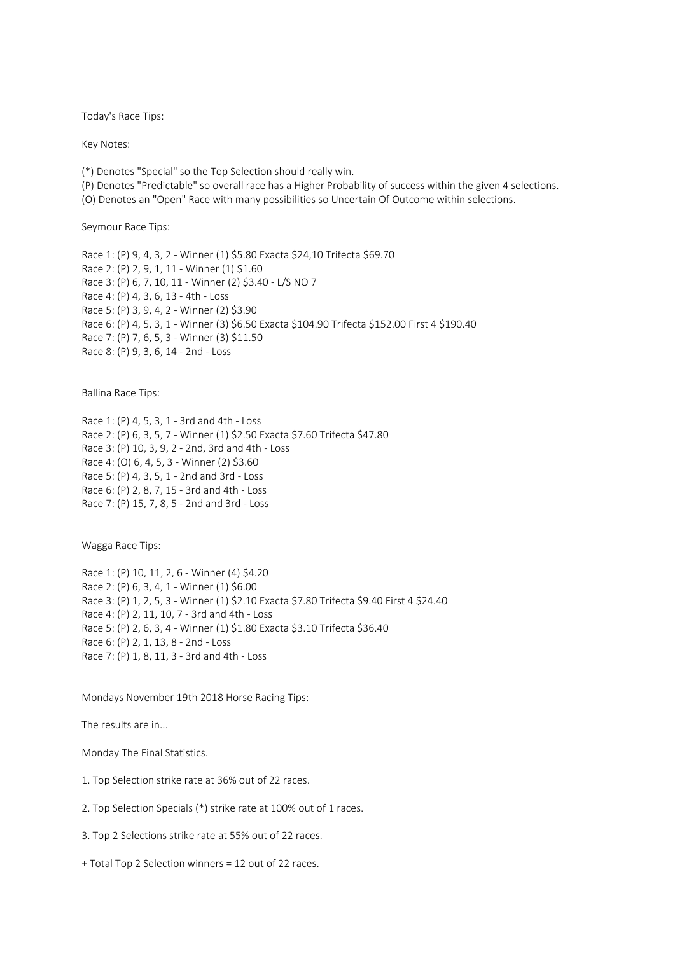Today's Race Tips:

Key Notes:

(\*) Denotes "Special" so the Top Selection should really win.

(P) Denotes "Predictable" so overall race has a Higher Probability of success within the given 4 selections.

(O) Denotes an "Open" Race with many possibilities so Uncertain Of Outcome within selections.

Seymour Race Tips:

Race 1: (P) 9, 4, 3, 2 - Winner (1) \$5.80 Exacta \$24,10 Trifecta \$69.70 Race 2: (P) 2, 9, 1, 11 - Winner (1) \$1.60 Race 3: (P) 6, 7, 10, 11 - Winner (2) \$3.40 - L/S NO 7 Race 4: (P) 4, 3, 6, 13 - 4th - Loss Race 5: (P) 3, 9, 4, 2 - Winner (2) \$3.90 Race 6: (P) 4, 5, 3, 1 - Winner (3) \$6.50 Exacta \$104.90 Trifecta \$152.00 First 4 \$190.40 Race 7: (P) 7, 6, 5, 3 - Winner (3) \$11.50 Race 8: (P) 9, 3, 6, 14 - 2nd - Loss

Ballina Race Tips:

Race 1: (P) 4, 5, 3, 1 - 3rd and 4th - Loss Race 2: (P) 6, 3, 5, 7 - Winner (1) \$2.50 Exacta \$7.60 Trifecta \$47.80 Race 3: (P) 10, 3, 9, 2 - 2nd, 3rd and 4th - Loss Race 4: (O) 6, 4, 5, 3 - Winner (2) \$3.60 Race 5: (P) 4, 3, 5, 1 - 2nd and 3rd - Loss Race 6: (P) 2, 8, 7, 15 - 3rd and 4th - Loss Race 7: (P) 15, 7, 8, 5 - 2nd and 3rd - Loss

Wagga Race Tips:

Race 1: (P) 10, 11, 2, 6 - Winner (4) \$4.20 Race 2: (P) 6, 3, 4, 1 - Winner (1) \$6.00 Race 3: (P) 1, 2, 5, 3 - Winner (1) \$2.10 Exacta \$7.80 Trifecta \$9.40 First 4 \$24.40 Race 4: (P) 2, 11, 10, 7 - 3rd and 4th - Loss Race 5: (P) 2, 6, 3, 4 - Winner (1) \$1.80 Exacta \$3.10 Trifecta \$36.40 Race 6: (P) 2, 1, 13, 8 - 2nd - Loss Race 7: (P) 1, 8, 11, 3 - 3rd and 4th - Loss

Mondays November 19th 2018 Horse Racing Tips:

The results are in...

Monday The Final Statistics.

1. Top Selection strike rate at 36% out of 22 races.

2. Top Selection Specials (\*) strike rate at 100% out of 1 races.

3. Top 2 Selections strike rate at 55% out of 22 races.

+ Total Top 2 Selection winners = 12 out of 22 races.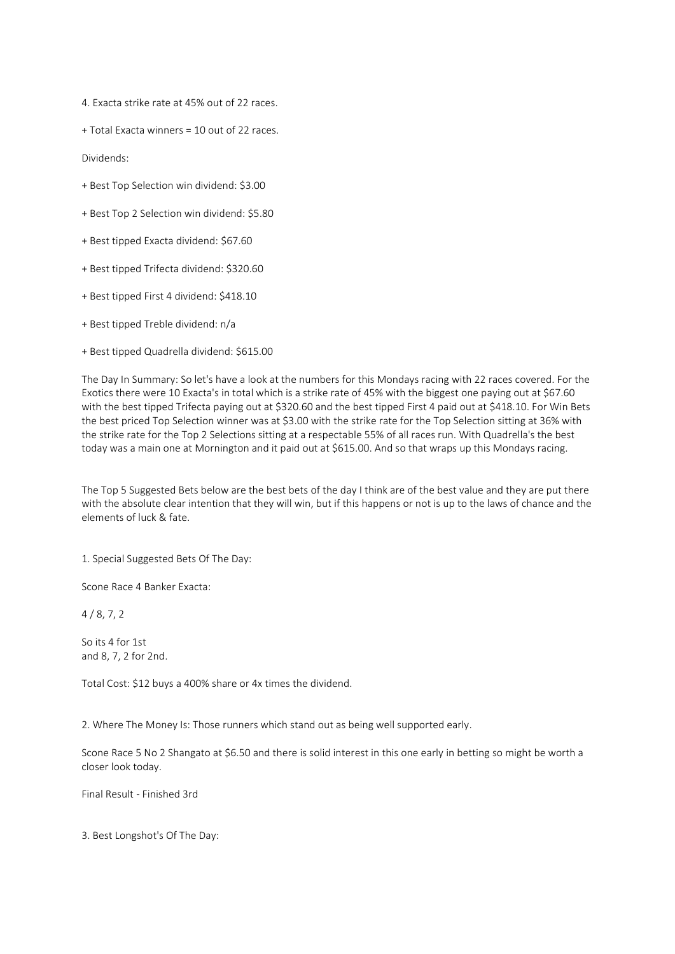4. Exacta strike rate at 45% out of 22 races.

+ Total Exacta winners = 10 out of 22 races.

Dividends:

- + Best Top Selection win dividend: \$3.00
- + Best Top 2 Selection win dividend: \$5.80
- + Best tipped Exacta dividend: \$67.60
- + Best tipped Trifecta dividend: \$320.60
- + Best tipped First 4 dividend: \$418.10
- + Best tipped Treble dividend: n/a
- + Best tipped Quadrella dividend: \$615.00

The Day In Summary: So let's have a look at the numbers for this Mondays racing with 22 races covered. For the Exotics there were 10 Exacta's in total which is a strike rate of 45% with the biggest one paying out at \$67.60 with the best tipped Trifecta paying out at \$320.60 and the best tipped First 4 paid out at \$418.10. For Win Bets the best priced Top Selection winner was at \$3.00 with the strike rate for the Top Selection sitting at 36% with the strike rate for the Top 2 Selections sitting at a respectable 55% of all races run. With Quadrella's the best today was a main one at Mornington and it paid out at \$615.00. And so that wraps up this Mondays racing.

The Top 5 Suggested Bets below are the best bets of the day I think are of the best value and they are put there with the absolute clear intention that they will win, but if this happens or not is up to the laws of chance and the elements of luck & fate.

1. Special Suggested Bets Of The Day:

Scone Race 4 Banker Exacta:

 $4 / 8, 7, 2$ 

So its 4 for 1st and 8, 7, 2 for 2nd.

Total Cost: \$12 buys a 400% share or 4x times the dividend.

2. Where The Money Is: Those runners which stand out as being well supported early.

Scone Race 5 No 2 Shangato at \$6.50 and there is solid interest in this one early in betting so might be worth a closer look today.

Final Result - Finished 3rd

3. Best Longshot's Of The Day: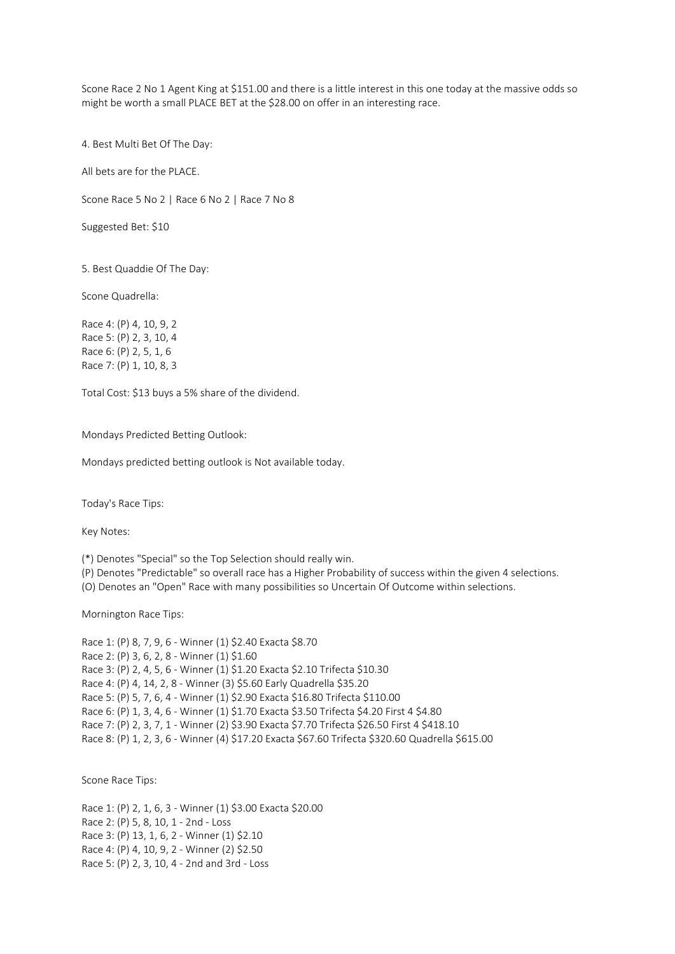Scone Race 2 No 1 Agent King at \$151.00 and there is a little interest in this one today at the massive odds so might be worth a small PLACE BET at the \$28.00 on offer in an interesting race.

4. Best Multi Bet Of The Day:

All bets are for the PLACE.

Scone Race 5 No 2 | Race 6 No 2 | Race 7 No 8

Suggested Bet: \$10

5. Best Quaddie Of The Day:

Scone Quadrella:

Race 4: (P) 4, 10, 9, 2 Race 5: (P) 2, 3, 10, 4 Race 6: (P) 2, 5, 1, 6 Race 7: (P) 1, 10, 8, 3

Total Cost: \$13 buys a 5% share of the dividend.

Mondays Predicted Betting Outlook:

Mondays predicted betting outlook is Not available today.

Today's Race Tips:

Key Notes:

(\*) Denotes "Special" so the Top Selection should really win.

(P) Denotes "Predictable" so overall race has a Higher Probability of success within the given 4 selections.

(O) Denotes an "Open" Race with many possibilities so Uncertain Of Outcome within selections.

Mornington Race Tips:

Race 1: (P) 8, 7, 9, 6 - Winner (1) \$2.40 Exacta \$8.70 Race 2: (P) 3, 6, 2, 8 - Winner (1) \$1.60 Race 3: (P) 2, 4, 5, 6 - Winner (1) \$1.20 Exacta \$2.10 Trifecta \$10.30 Race 4: (P) 4, 14, 2, 8 - Winner (3) \$5.60 Early Quadrella \$35.20 Race 5: (P) 5, 7, 6, 4 - Winner (1) \$2.90 Exacta \$16.80 Trifecta \$110.00 Race 6: (P) 1, 3, 4, 6 - Winner (1) \$1.70 Exacta \$3.50 Trifecta \$4.20 First 4 \$4.80 Race 7: (P) 2, 3, 7, 1 - Winner (2) \$3.90 Exacta \$7.70 Trifecta \$26.50 First 4 \$418.10 Race 8: (P) 1, 2, 3, 6 - Winner (4) \$17.20 Exacta \$67.60 Trifecta \$320.60 Quadrella \$615.00

Scone Race Tips:

Race 1: (P) 2, 1, 6, 3 - Winner (1) \$3.00 Exacta \$20.00 Race 2: (P) 5, 8, 10, 1 - 2nd - Loss Race 3: (P) 13, 1, 6, 2 - Winner (1) \$2.10 Race 4: (P) 4, 10, 9, 2 - Winner (2) \$2.50 Race 5: (P) 2, 3, 10, 4 - 2nd and 3rd - Loss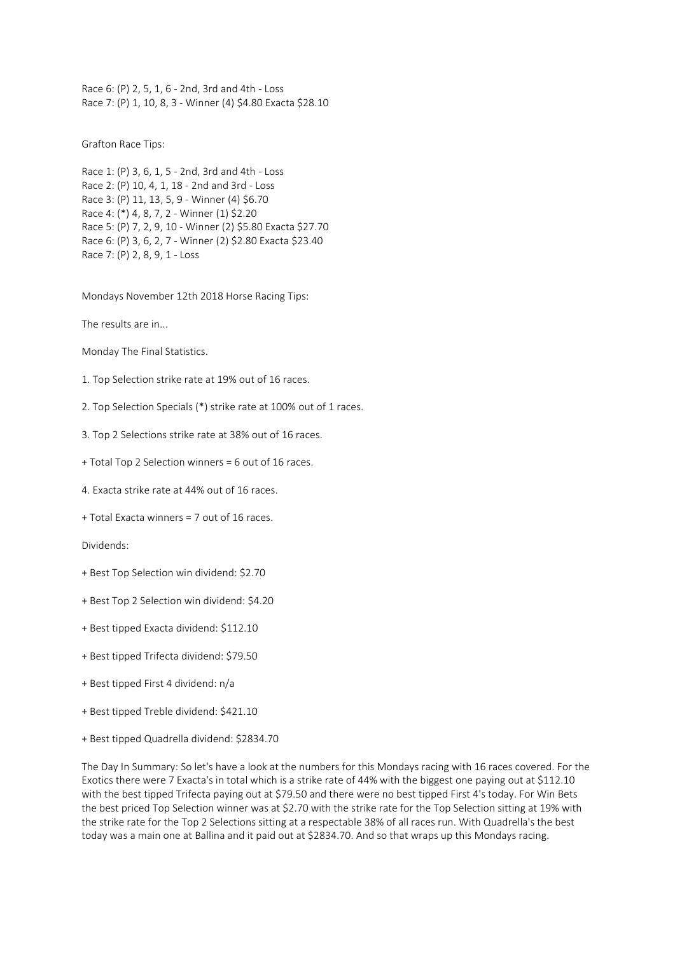Race 6: (P) 2, 5, 1, 6 - 2nd, 3rd and 4th - Loss Race 7: (P) 1, 10, 8, 3 - Winner (4) \$4.80 Exacta \$28.10

Grafton Race Tips:

```
Race 1: (P) 3, 6, 1, 5 - 2nd, 3rd and 4th - Loss
Race 2: (P) 10, 4, 1, 18 - 2nd and 3rd - Loss
Race 3: (P) 11, 13, 5, 9 - Winner (4) $6.70
Race 4: (*) 4, 8, 7, 2 - Winner (1) $2.20
Race 5: (P) 7, 2, 9, 10 - Winner (2) $5.80 Exacta $27.70
Race 6: (P) 3, 6, 2, 7 - Winner (2) $2.80 Exacta $23.40
Race 7: (P) 2, 8, 9, 1 - Loss
```
Mondays November 12th 2018 Horse Racing Tips:

The results are in...

Monday The Final Statistics.

- 1. Top Selection strike rate at 19% out of 16 races.
- 2. Top Selection Specials (\*) strike rate at 100% out of 1 races.
- 3. Top 2 Selections strike rate at 38% out of 16 races.
- + Total Top 2 Selection winners = 6 out of 16 races.
- 4. Exacta strike rate at 44% out of 16 races.
- + Total Exacta winners = 7 out of 16 races.

Dividends:

- + Best Top Selection win dividend: \$2.70
- + Best Top 2 Selection win dividend: \$4.20
- + Best tipped Exacta dividend: \$112.10
- + Best tipped Trifecta dividend: \$79.50
- + Best tipped First 4 dividend: n/a
- + Best tipped Treble dividend: \$421.10
- + Best tipped Quadrella dividend: \$2834.70

The Day In Summary: So let's have a look at the numbers for this Mondays racing with 16 races covered. For the Exotics there were 7 Exacta's in total which is a strike rate of 44% with the biggest one paying out at \$112.10 with the best tipped Trifecta paying out at \$79.50 and there were no best tipped First 4's today. For Win Bets the best priced Top Selection winner was at \$2.70 with the strike rate for the Top Selection sitting at 19% with the strike rate for the Top 2 Selections sitting at a respectable 38% of all races run. With Quadrella's the best today was a main one at Ballina and it paid out at \$2834.70. And so that wraps up this Mondays racing.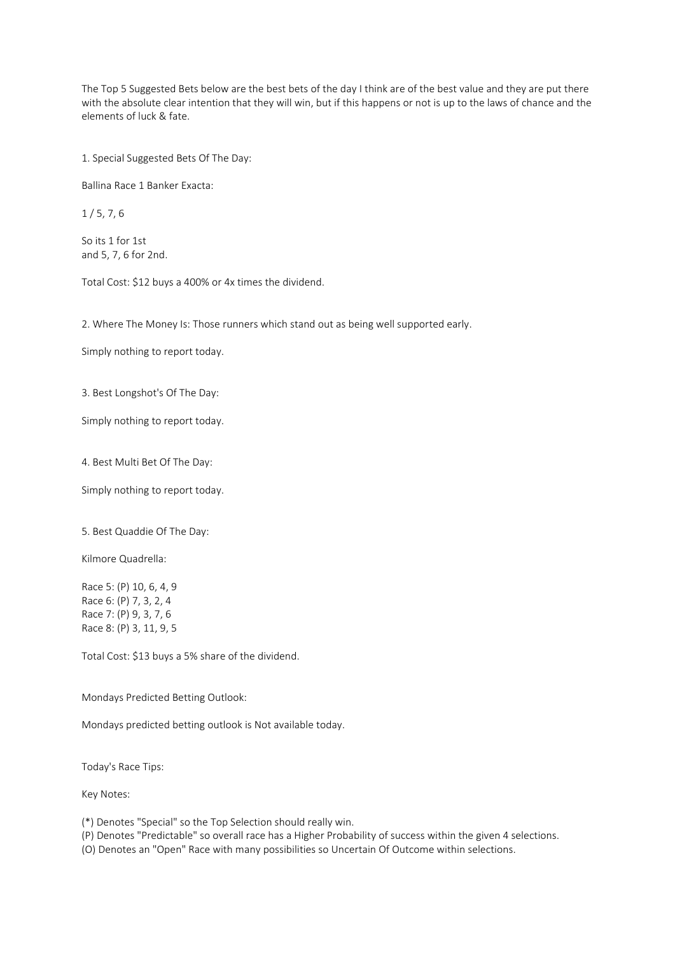The Top 5 Suggested Bets below are the best bets of the day I think are of the best value and they are put there with the absolute clear intention that they will win, but if this happens or not is up to the laws of chance and the elements of luck & fate.

1. Special Suggested Bets Of The Day:

Ballina Race 1 Banker Exacta:

 $1/5.7.6$ 

So its 1 for 1st and 5, 7, 6 for 2nd.

Total Cost: \$12 buys a 400% or 4x times the dividend.

2. Where The Money Is: Those runners which stand out as being well supported early.

Simply nothing to report today.

3. Best Longshot's Of The Day:

Simply nothing to report today.

4. Best Multi Bet Of The Day:

Simply nothing to report today.

5. Best Quaddie Of The Day:

Kilmore Quadrella:

Race 5: (P) 10, 6, 4, 9 Race 6: (P) 7, 3, 2, 4 Race 7: (P) 9, 3, 7, 6 Race 8: (P) 3, 11, 9, 5

Total Cost: \$13 buys a 5% share of the dividend.

Mondays Predicted Betting Outlook:

Mondays predicted betting outlook is Not available today.

Today's Race Tips:

Key Notes:

(\*) Denotes "Special" so the Top Selection should really win.

(P) Denotes "Predictable" so overall race has a Higher Probability of success within the given 4 selections.

(O) Denotes an "Open" Race with many possibilities so Uncertain Of Outcome within selections.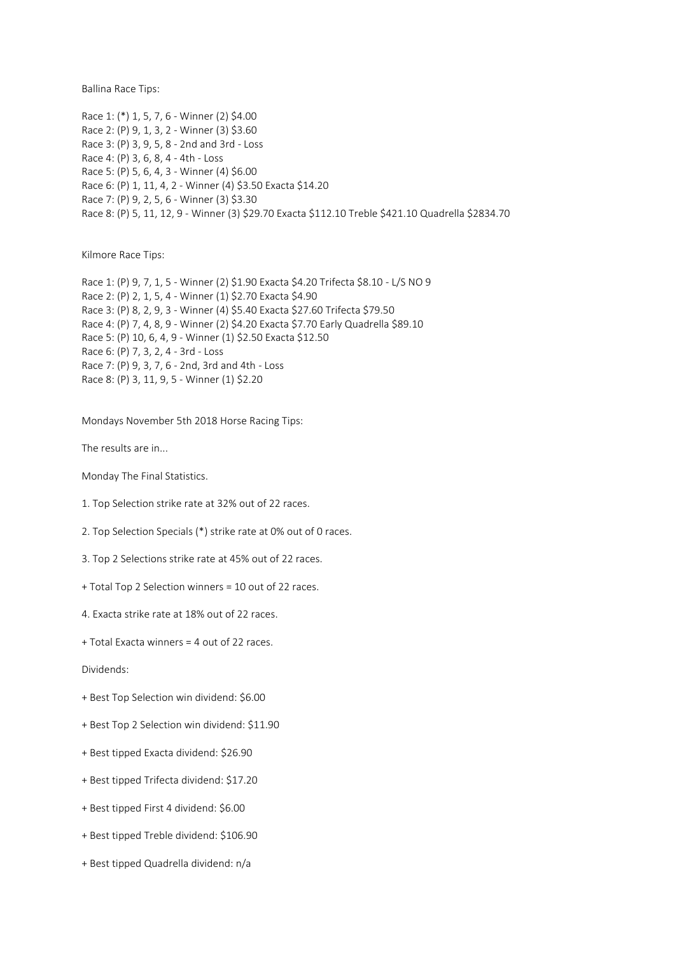Ballina Race Tips:

Race 1: (\*) 1, 5, 7, 6 - Winner (2) \$4.00 Race 2: (P) 9, 1, 3, 2 - Winner (3) \$3.60 Race 3: (P) 3, 9, 5, 8 - 2nd and 3rd - Loss Race 4: (P) 3, 6, 8, 4 - 4th - Loss Race 5: (P) 5, 6, 4, 3 - Winner (4) \$6.00 Race 6: (P) 1, 11, 4, 2 - Winner (4) \$3.50 Exacta \$14.20 Race 7: (P) 9, 2, 5, 6 - Winner (3) \$3.30 Race 8: (P) 5, 11, 12, 9 - Winner (3) \$29.70 Exacta \$112.10 Treble \$421.10 Quadrella \$2834.70

Kilmore Race Tips:

Race 1: (P) 9, 7, 1, 5 - Winner (2) \$1.90 Exacta \$4.20 Trifecta \$8.10 - L/S NO 9 Race 2: (P) 2, 1, 5, 4 - Winner (1) \$2.70 Exacta \$4.90 Race 3: (P) 8, 2, 9, 3 - Winner (4) \$5.40 Exacta \$27.60 Trifecta \$79.50 Race 4: (P) 7, 4, 8, 9 - Winner (2) \$4.20 Exacta \$7.70 Early Quadrella \$89.10 Race 5: (P) 10, 6, 4, 9 - Winner (1) \$2.50 Exacta \$12.50 Race 6: (P) 7, 3, 2, 4 - 3rd - Loss Race 7: (P) 9, 3, 7, 6 - 2nd, 3rd and 4th - Loss Race 8: (P) 3, 11, 9, 5 - Winner (1) \$2.20

Mondays November 5th 2018 Horse Racing Tips:

The results are in...

Monday The Final Statistics.

- 1. Top Selection strike rate at 32% out of 22 races.
- 2. Top Selection Specials (\*) strike rate at 0% out of 0 races.
- 3. Top 2 Selections strike rate at 45% out of 22 races.
- + Total Top 2 Selection winners = 10 out of 22 races.
- 4. Exacta strike rate at 18% out of 22 races.
- + Total Exacta winners = 4 out of 22 races.

Dividends:

- + Best Top Selection win dividend: \$6.00
- + Best Top 2 Selection win dividend: \$11.90
- + Best tipped Exacta dividend: \$26.90
- + Best tipped Trifecta dividend: \$17.20
- + Best tipped First 4 dividend: \$6.00
- + Best tipped Treble dividend: \$106.90
- + Best tipped Quadrella dividend: n/a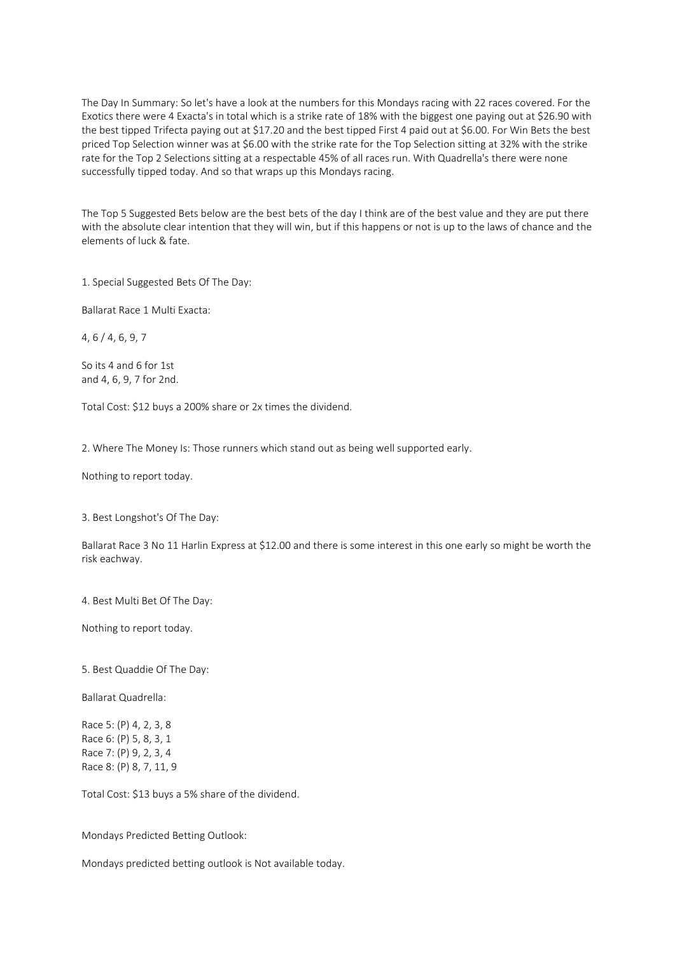The Day In Summary: So let's have a look at the numbers for this Mondays racing with 22 races covered. For the Exotics there were 4 Exacta's in total which is a strike rate of 18% with the biggest one paying out at \$26.90 with the best tipped Trifecta paying out at \$17.20 and the best tipped First 4 paid out at \$6.00. For Win Bets the best priced Top Selection winner was at \$6.00 with the strike rate for the Top Selection sitting at 32% with the strike rate for the Top 2 Selections sitting at a respectable 45% of all races run. With Quadrella's there were none successfully tipped today. And so that wraps up this Mondays racing.

The Top 5 Suggested Bets below are the best bets of the day I think are of the best value and they are put there with the absolute clear intention that they will win, but if this happens or not is up to the laws of chance and the elements of luck & fate.

1. Special Suggested Bets Of The Day:

Ballarat Race 1 Multi Exacta:

4, 6 / 4, 6, 9, 7

So its 4 and 6 for 1st and 4, 6, 9, 7 for 2nd.

Total Cost: \$12 buys a 200% share or 2x times the dividend.

2. Where The Money Is: Those runners which stand out as being well supported early.

Nothing to report today.

3. Best Longshot's Of The Day:

Ballarat Race 3 No 11 Harlin Express at \$12.00 and there is some interest in this one early so might be worth the risk eachway.

4. Best Multi Bet Of The Day:

Nothing to report today.

5. Best Quaddie Of The Day:

Ballarat Quadrella:

Race 5: (P) 4, 2, 3, 8 Race 6: (P) 5, 8, 3, 1 Race 7: (P) 9, 2, 3, 4 Race 8: (P) 8, 7, 11, 9

Total Cost: \$13 buys a 5% share of the dividend.

Mondays Predicted Betting Outlook:

Mondays predicted betting outlook is Not available today.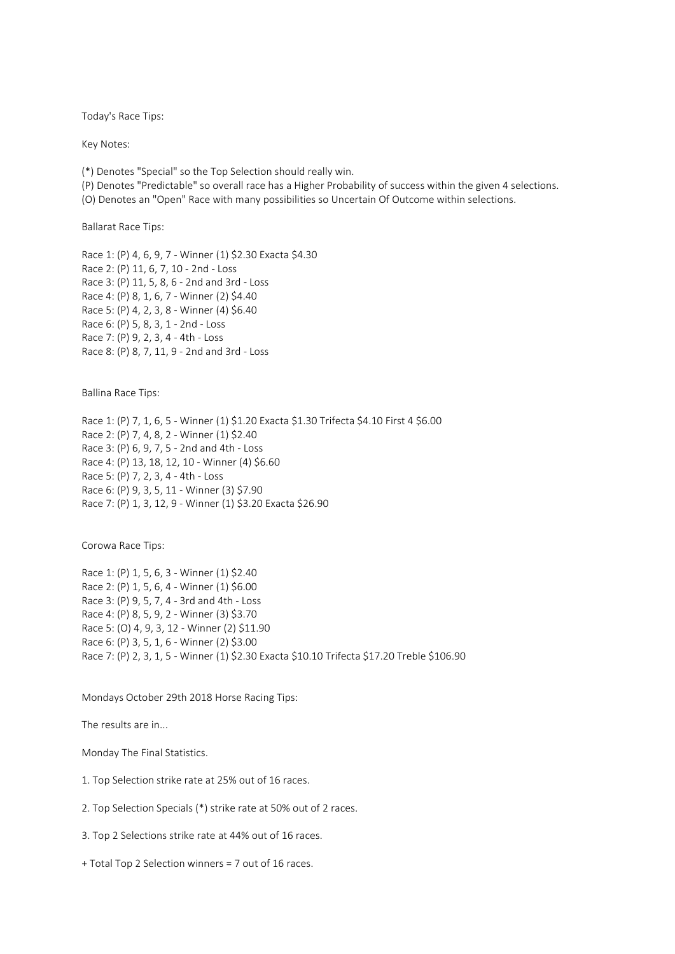Today's Race Tips:

Key Notes:

(\*) Denotes "Special" so the Top Selection should really win.

(P) Denotes "Predictable" so overall race has a Higher Probability of success within the given 4 selections.

(O) Denotes an "Open" Race with many possibilities so Uncertain Of Outcome within selections.

Ballarat Race Tips:

Race 1: (P) 4, 6, 9, 7 - Winner (1) \$2.30 Exacta \$4.30 Race 2: (P) 11, 6, 7, 10 - 2nd - Loss Race 3: (P) 11, 5, 8, 6 - 2nd and 3rd - Loss Race 4: (P) 8, 1, 6, 7 - Winner (2) \$4.40 Race 5: (P) 4, 2, 3, 8 - Winner (4) \$6.40 Race 6: (P) 5, 8, 3, 1 - 2nd - Loss Race 7: (P) 9, 2, 3, 4 - 4th - Loss Race 8: (P) 8, 7, 11, 9 - 2nd and 3rd - Loss

Ballina Race Tips:

Race 1: (P) 7, 1, 6, 5 - Winner (1) \$1.20 Exacta \$1.30 Trifecta \$4.10 First 4 \$6.00 Race 2: (P) 7, 4, 8, 2 - Winner (1) \$2.40 Race 3: (P) 6, 9, 7, 5 - 2nd and 4th - Loss Race 4: (P) 13, 18, 12, 10 - Winner (4) \$6.60 Race 5: (P) 7, 2, 3, 4 - 4th - Loss Race 6: (P) 9, 3, 5, 11 - Winner (3) \$7.90 Race 7: (P) 1, 3, 12, 9 - Winner (1) \$3.20 Exacta \$26.90

Corowa Race Tips:

Race 1: (P) 1, 5, 6, 3 - Winner (1) \$2.40 Race 2: (P) 1, 5, 6, 4 - Winner (1) \$6.00 Race 3: (P) 9, 5, 7, 4 - 3rd and 4th - Loss Race 4: (P) 8, 5, 9, 2 - Winner (3) \$3.70 Race 5: (O) 4, 9, 3, 12 - Winner (2) \$11.90 Race 6: (P) 3, 5, 1, 6 - Winner (2) \$3.00 Race 7: (P) 2, 3, 1, 5 - Winner (1) \$2.30 Exacta \$10.10 Trifecta \$17.20 Treble \$106.90

Mondays October 29th 2018 Horse Racing Tips:

The results are in...

Monday The Final Statistics.

1. Top Selection strike rate at 25% out of 16 races.

2. Top Selection Specials (\*) strike rate at 50% out of 2 races.

3. Top 2 Selections strike rate at 44% out of 16 races.

+ Total Top 2 Selection winners = 7 out of 16 races.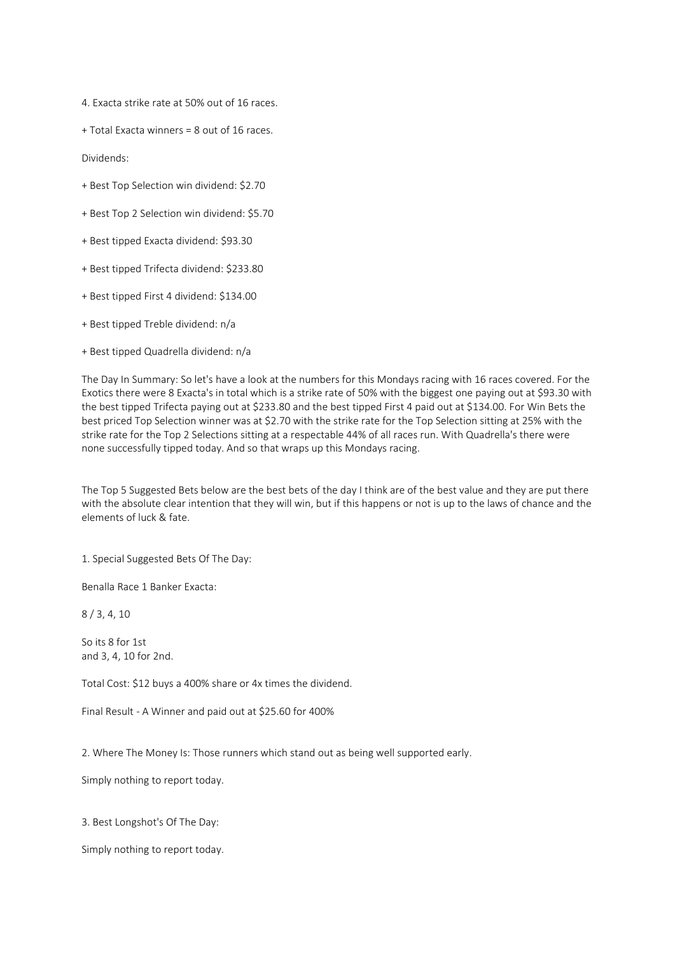4. Exacta strike rate at 50% out of 16 races.

+ Total Exacta winners = 8 out of 16 races.

Dividends:

- + Best Top Selection win dividend: \$2.70
- + Best Top 2 Selection win dividend: \$5.70
- + Best tipped Exacta dividend: \$93.30
- + Best tipped Trifecta dividend: \$233.80
- + Best tipped First 4 dividend: \$134.00
- + Best tipped Treble dividend: n/a
- + Best tipped Quadrella dividend: n/a

The Day In Summary: So let's have a look at the numbers for this Mondays racing with 16 races covered. For the Exotics there were 8 Exacta's in total which is a strike rate of 50% with the biggest one paying out at \$93.30 with the best tipped Trifecta paying out at \$233.80 and the best tipped First 4 paid out at \$134.00. For Win Bets the best priced Top Selection winner was at \$2.70 with the strike rate for the Top Selection sitting at 25% with the strike rate for the Top 2 Selections sitting at a respectable 44% of all races run. With Quadrella's there were none successfully tipped today. And so that wraps up this Mondays racing.

The Top 5 Suggested Bets below are the best bets of the day I think are of the best value and they are put there with the absolute clear intention that they will win, but if this happens or not is up to the laws of chance and the elements of luck & fate.

1. Special Suggested Bets Of The Day:

Benalla Race 1 Banker Exacta:

8 / 3, 4, 10

So its 8 for 1st and 3, 4, 10 for 2nd.

Total Cost: \$12 buys a 400% share or 4x times the dividend.

Final Result - A Winner and paid out at \$25.60 for 400%

2. Where The Money Is: Those runners which stand out as being well supported early.

Simply nothing to report today.

3. Best Longshot's Of The Day:

Simply nothing to report today.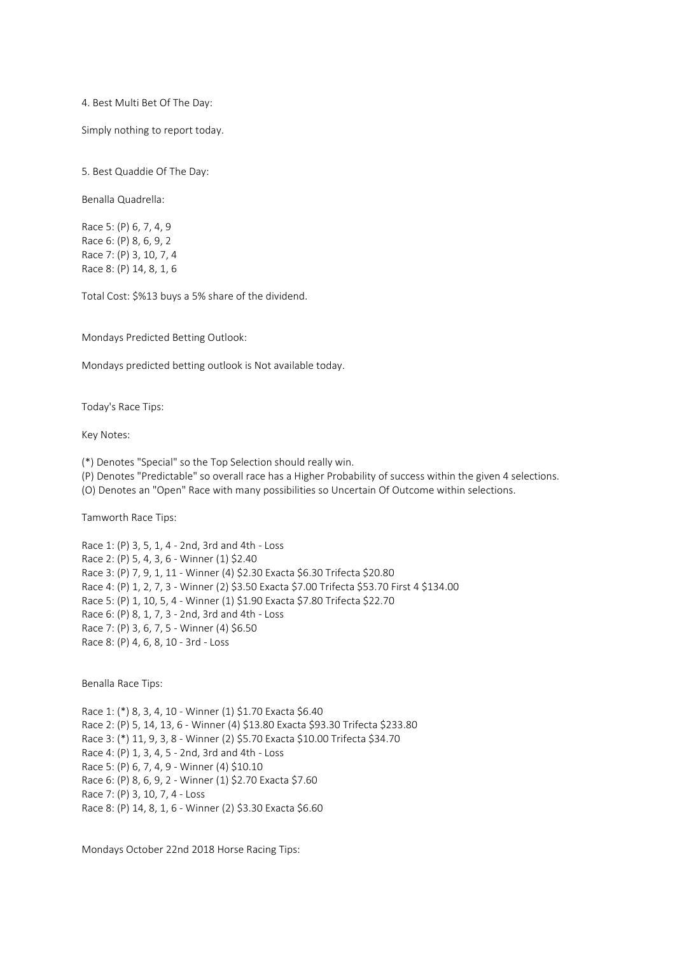4. Best Multi Bet Of The Day:

Simply nothing to report today.

5. Best Quaddie Of The Day:

Benalla Quadrella:

Race 5: (P) 6, 7, 4, 9 Race 6: (P) 8, 6, 9, 2 Race 7: (P) 3, 10, 7, 4 Race 8: (P) 14, 8, 1, 6

Total Cost: \$%13 buys a 5% share of the dividend.

Mondays Predicted Betting Outlook:

Mondays predicted betting outlook is Not available today.

Today's Race Tips:

Key Notes:

(\*) Denotes "Special" so the Top Selection should really win.

(P) Denotes "Predictable" so overall race has a Higher Probability of success within the given 4 selections.

(O) Denotes an "Open" Race with many possibilities so Uncertain Of Outcome within selections.

Tamworth Race Tips:

Race 1: (P) 3, 5, 1, 4 - 2nd, 3rd and 4th - Loss Race 2: (P) 5, 4, 3, 6 - Winner (1) \$2.40 Race 3: (P) 7, 9, 1, 11 - Winner (4) \$2.30 Exacta \$6.30 Trifecta \$20.80 Race 4: (P) 1, 2, 7, 3 - Winner (2) \$3.50 Exacta \$7.00 Trifecta \$53.70 First 4 \$134.00 Race 5: (P) 1, 10, 5, 4 - Winner (1) \$1.90 Exacta \$7.80 Trifecta \$22.70 Race 6: (P) 8, 1, 7, 3 - 2nd, 3rd and 4th - Loss Race 7: (P) 3, 6, 7, 5 - Winner (4) \$6.50 Race 8: (P) 4, 6, 8, 10 - 3rd - Loss

Benalla Race Tips:

Race 1: (\*) 8, 3, 4, 10 - Winner (1) \$1.70 Exacta \$6.40 Race 2: (P) 5, 14, 13, 6 - Winner (4) \$13.80 Exacta \$93.30 Trifecta \$233.80 Race 3: (\*) 11, 9, 3, 8 - Winner (2) \$5.70 Exacta \$10.00 Trifecta \$34.70 Race 4: (P) 1, 3, 4, 5 - 2nd, 3rd and 4th - Loss Race 5: (P) 6, 7, 4, 9 - Winner (4) \$10.10 Race 6: (P) 8, 6, 9, 2 - Winner (1) \$2.70 Exacta \$7.60 Race 7: (P) 3, 10, 7, 4 - Loss Race 8: (P) 14, 8, 1, 6 - Winner (2) \$3.30 Exacta \$6.60

Mondays October 22nd 2018 Horse Racing Tips: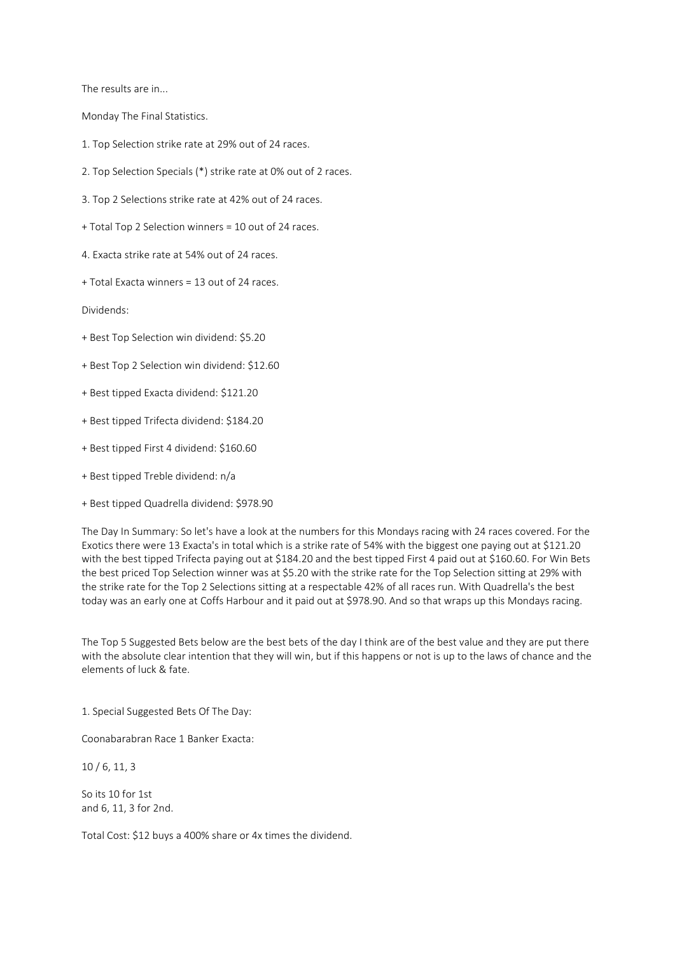The results are in...

Monday The Final Statistics.

- 1. Top Selection strike rate at 29% out of 24 races.
- 2. Top Selection Specials (\*) strike rate at 0% out of 2 races.
- 3. Top 2 Selections strike rate at 42% out of 24 races.
- + Total Top 2 Selection winners = 10 out of 24 races.
- 4. Exacta strike rate at 54% out of 24 races.
- + Total Exacta winners = 13 out of 24 races.

Dividends:

- + Best Top Selection win dividend: \$5.20
- + Best Top 2 Selection win dividend: \$12.60
- + Best tipped Exacta dividend: \$121.20
- + Best tipped Trifecta dividend: \$184.20
- + Best tipped First 4 dividend: \$160.60
- + Best tipped Treble dividend: n/a
- + Best tipped Quadrella dividend: \$978.90

The Day In Summary: So let's have a look at the numbers for this Mondays racing with 24 races covered. For the Exotics there were 13 Exacta's in total which is a strike rate of 54% with the biggest one paying out at \$121.20 with the best tipped Trifecta paying out at \$184.20 and the best tipped First 4 paid out at \$160.60. For Win Bets the best priced Top Selection winner was at \$5.20 with the strike rate for the Top Selection sitting at 29% with the strike rate for the Top 2 Selections sitting at a respectable 42% of all races run. With Quadrella's the best today was an early one at Coffs Harbour and it paid out at \$978.90. And so that wraps up this Mondays racing.

The Top 5 Suggested Bets below are the best bets of the day I think are of the best value and they are put there with the absolute clear intention that they will win, but if this happens or not is up to the laws of chance and the elements of luck & fate.

1. Special Suggested Bets Of The Day:

Coonabarabran Race 1 Banker Exacta:

10 / 6, 11, 3

So its 10 for 1st and 6, 11, 3 for 2nd.

Total Cost: \$12 buys a 400% share or 4x times the dividend.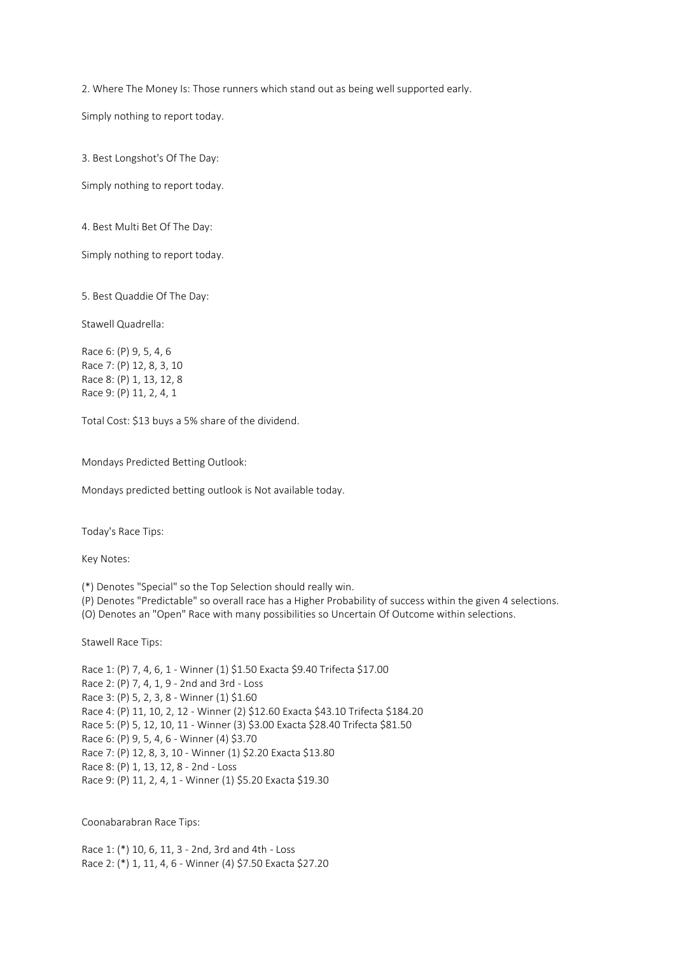2. Where The Money Is: Those runners which stand out as being well supported early.

Simply nothing to report today.

3. Best Longshot's Of The Day:

Simply nothing to report today.

4. Best Multi Bet Of The Day:

Simply nothing to report today.

5. Best Quaddie Of The Day:

Stawell Quadrella:

Race 6: (P) 9, 5, 4, 6 Race 7: (P) 12, 8, 3, 10 Race 8: (P) 1, 13, 12, 8 Race 9: (P) 11, 2, 4, 1

Total Cost: \$13 buys a 5% share of the dividend.

Mondays Predicted Betting Outlook:

Mondays predicted betting outlook is Not available today.

Today's Race Tips:

Key Notes:

(\*) Denotes "Special" so the Top Selection should really win.

(P) Denotes "Predictable" so overall race has a Higher Probability of success within the given 4 selections.

(O) Denotes an "Open" Race with many possibilities so Uncertain Of Outcome within selections.

Stawell Race Tips:

Race 1: (P) 7, 4, 6, 1 - Winner (1) \$1.50 Exacta \$9.40 Trifecta \$17.00 Race 2: (P) 7, 4, 1, 9 - 2nd and 3rd - Loss Race 3: (P) 5, 2, 3, 8 - Winner (1) \$1.60 Race 4: (P) 11, 10, 2, 12 - Winner (2) \$12.60 Exacta \$43.10 Trifecta \$184.20 Race 5: (P) 5, 12, 10, 11 - Winner (3) \$3.00 Exacta \$28.40 Trifecta \$81.50 Race 6: (P) 9, 5, 4, 6 - Winner (4) \$3.70 Race 7: (P) 12, 8, 3, 10 - Winner (1) \$2.20 Exacta \$13.80 Race 8: (P) 1, 13, 12, 8 - 2nd - Loss Race 9: (P) 11, 2, 4, 1 - Winner (1) \$5.20 Exacta \$19.30

Coonabarabran Race Tips:

Race 1: (\*) 10, 6, 11, 3 - 2nd, 3rd and 4th - Loss Race 2: (\*) 1, 11, 4, 6 - Winner (4) \$7.50 Exacta \$27.20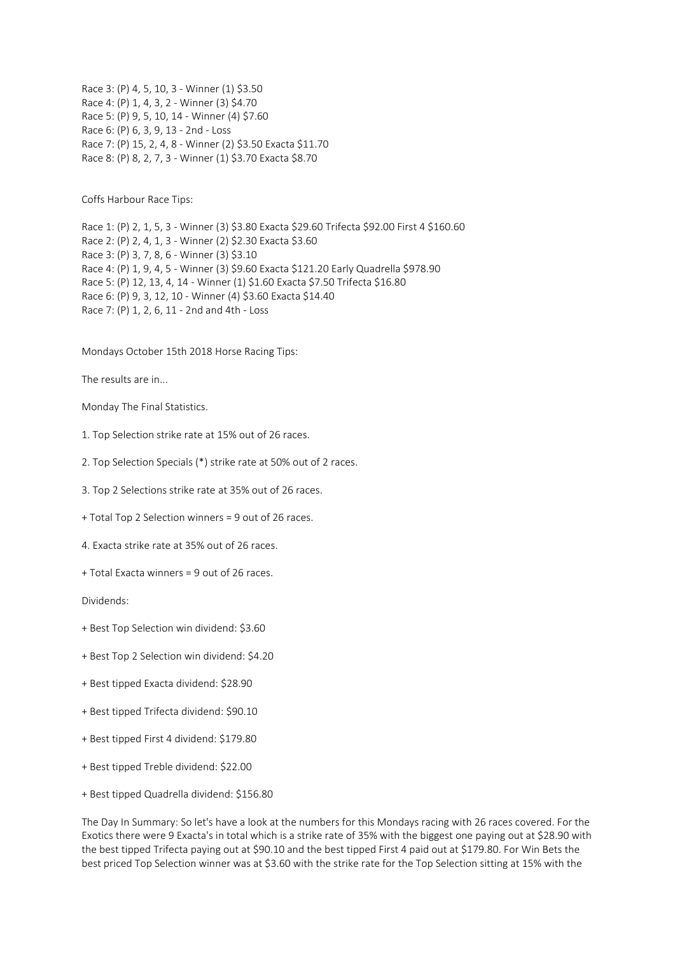Race 3: (P) 4, 5, 10, 3 - Winner (1) \$3.50 Race 4: (P) 1, 4, 3, 2 - Winner (3) \$4.70 Race 5: (P) 9, 5, 10, 14 - Winner (4) \$7.60 Race 6: (P) 6, 3, 9, 13 - 2nd - Loss Race 7: (P) 15, 2, 4, 8 - Winner (2) \$3.50 Exacta \$11.70 Race 8: (P) 8, 2, 7, 3 - Winner (1) \$3.70 Exacta \$8.70

Coffs Harbour Race Tips:

Race 1: (P) 2, 1, 5, 3 - Winner (3) \$3.80 Exacta \$29.60 Trifecta \$92.00 First 4 \$160.60 Race 2: (P) 2, 4, 1, 3 - Winner (2) \$2.30 Exacta \$3.60 Race 3: (P) 3, 7, 8, 6 - Winner (3) \$3.10 Race 4: (P) 1, 9, 4, 5 - Winner (3) \$9.60 Exacta \$121.20 Early Quadrella \$978.90 Race 5: (P) 12, 13, 4, 14 - Winner (1) \$1.60 Exacta \$7.50 Trifecta \$16.80 Race 6: (P) 9, 3, 12, 10 - Winner (4) \$3.60 Exacta \$14.40 Race 7: (P) 1, 2, 6, 11 - 2nd and 4th - Loss

Mondays October 15th 2018 Horse Racing Tips:

The results are in...

Monday The Final Statistics.

- 1. Top Selection strike rate at 15% out of 26 races.
- 2. Top Selection Specials (\*) strike rate at 50% out of 2 races.
- 3. Top 2 Selections strike rate at 35% out of 26 races.
- + Total Top 2 Selection winners = 9 out of 26 races.
- 4. Exacta strike rate at 35% out of 26 races.
- + Total Exacta winners = 9 out of 26 races.

Dividends:

- + Best Top Selection win dividend: \$3.60
- + Best Top 2 Selection win dividend: \$4.20
- + Best tipped Exacta dividend: \$28.90
- + Best tipped Trifecta dividend: \$90.10
- + Best tipped First 4 dividend: \$179.80
- + Best tipped Treble dividend: \$22.00
- + Best tipped Quadrella dividend: \$156.80

The Day In Summary: So let's have a look at the numbers for this Mondays racing with 26 races covered. For the Exotics there were 9 Exacta's in total which is a strike rate of 35% with the biggest one paying out at \$28.90 with the best tipped Trifecta paying out at \$90.10 and the best tipped First 4 paid out at \$179.80. For Win Bets the best priced Top Selection winner was at \$3.60 with the strike rate for the Top Selection sitting at 15% with the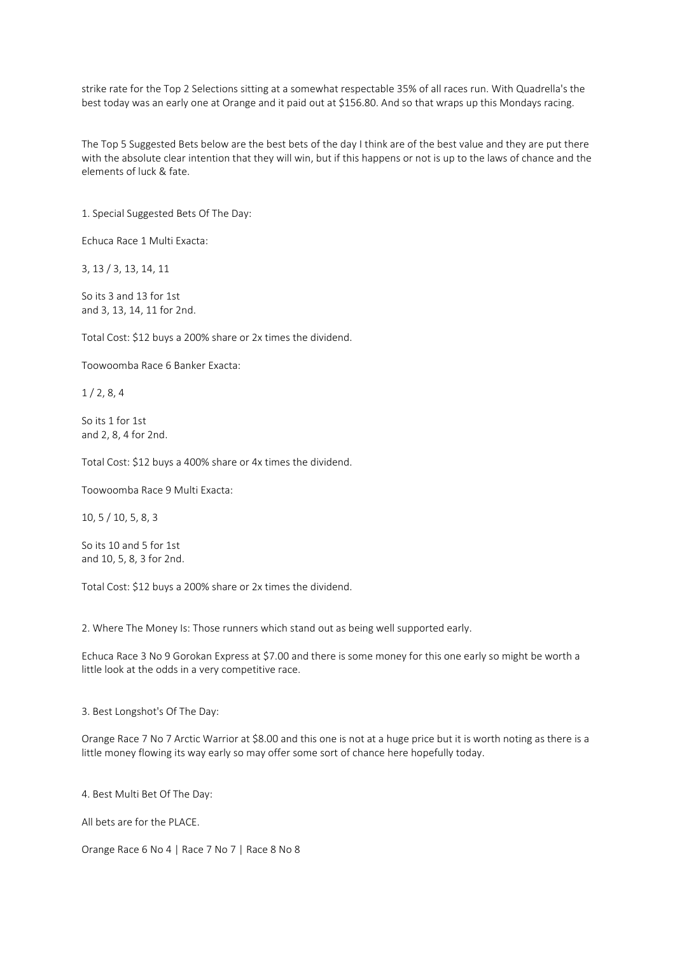strike rate for the Top 2 Selections sitting at a somewhat respectable 35% of all races run. With Quadrella's the best today was an early one at Orange and it paid out at \$156.80. And so that wraps up this Mondays racing.

The Top 5 Suggested Bets below are the best bets of the day I think are of the best value and they are put there with the absolute clear intention that they will win, but if this happens or not is up to the laws of chance and the elements of luck & fate.

1. Special Suggested Bets Of The Day:

Echuca Race 1 Multi Exacta:

3, 13 / 3, 13, 14, 11

So its 3 and 13 for 1st and 3, 13, 14, 11 for 2nd.

Total Cost: \$12 buys a 200% share or 2x times the dividend.

Toowoomba Race 6 Banker Exacta:

1 / 2, 8, 4

So its 1 for 1st and 2, 8, 4 for 2nd.

Total Cost: \$12 buys a 400% share or 4x times the dividend.

Toowoomba Race 9 Multi Exacta:

10, 5 / 10, 5, 8, 3

So its 10 and 5 for 1st and 10, 5, 8, 3 for 2nd.

Total Cost: \$12 buys a 200% share or 2x times the dividend.

2. Where The Money Is: Those runners which stand out as being well supported early.

Echuca Race 3 No 9 Gorokan Express at \$7.00 and there is some money for this one early so might be worth a little look at the odds in a very competitive race.

3. Best Longshot's Of The Day:

Orange Race 7 No 7 Arctic Warrior at \$8.00 and this one is not at a huge price but it is worth noting as there is a little money flowing its way early so may offer some sort of chance here hopefully today.

4. Best Multi Bet Of The Day:

All bets are for the PLACE.

Orange Race 6 No 4 | Race 7 No 7 | Race 8 No 8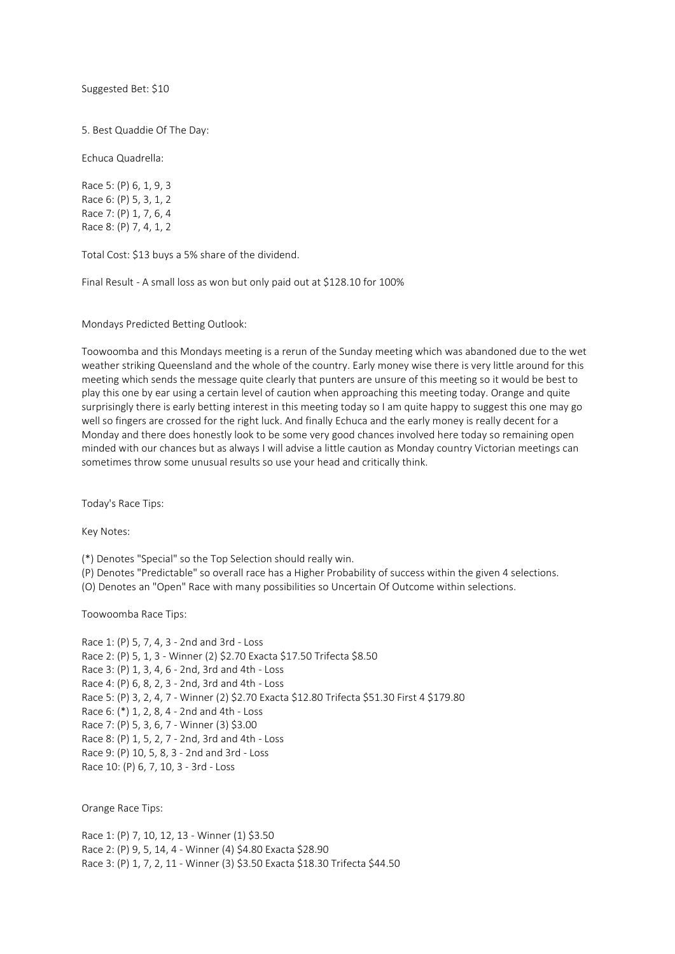Suggested Bet: \$10

5. Best Quaddie Of The Day:

Echuca Quadrella:

Race 5: (P) 6, 1, 9, 3 Race 6: (P) 5, 3, 1, 2 Race 7: (P) 1, 7, 6, 4 Race 8: (P) 7, 4, 1, 2

Total Cost: \$13 buys a 5% share of the dividend.

Final Result - A small loss as won but only paid out at \$128.10 for 100%

Mondays Predicted Betting Outlook:

Toowoomba and this Mondays meeting is a rerun of the Sunday meeting which was abandoned due to the wet weather striking Queensland and the whole of the country. Early money wise there is very little around for this meeting which sends the message quite clearly that punters are unsure of this meeting so it would be best to play this one by ear using a certain level of caution when approaching this meeting today. Orange and quite surprisingly there is early betting interest in this meeting today so I am quite happy to suggest this one may go well so fingers are crossed for the right luck. And finally Echuca and the early money is really decent for a Monday and there does honestly look to be some very good chances involved here today so remaining open minded with our chances but as always I will advise a little caution as Monday country Victorian meetings can sometimes throw some unusual results so use your head and critically think.

Today's Race Tips:

Key Notes:

(\*) Denotes "Special" so the Top Selection should really win.

(P) Denotes "Predictable" so overall race has a Higher Probability of success within the given 4 selections.

(O) Denotes an "Open" Race with many possibilities so Uncertain Of Outcome within selections.

Toowoomba Race Tips:

Race 1: (P) 5, 7, 4, 3 - 2nd and 3rd - Loss Race 2: (P) 5, 1, 3 - Winner (2) \$2.70 Exacta \$17.50 Trifecta \$8.50 Race 3: (P) 1, 3, 4, 6 - 2nd, 3rd and 4th - Loss Race 4: (P) 6, 8, 2, 3 - 2nd, 3rd and 4th - Loss Race 5: (P) 3, 2, 4, 7 - Winner (2) \$2.70 Exacta \$12.80 Trifecta \$51.30 First 4 \$179.80 Race 6: (\*) 1, 2, 8, 4 - 2nd and 4th - Loss Race 7: (P) 5, 3, 6, 7 - Winner (3) \$3.00 Race 8: (P) 1, 5, 2, 7 - 2nd, 3rd and 4th - Loss Race 9: (P) 10, 5, 8, 3 - 2nd and 3rd - Loss Race 10: (P) 6, 7, 10, 3 - 3rd - Loss

Orange Race Tips:

Race 1: (P) 7, 10, 12, 13 - Winner (1) \$3.50 Race 2: (P) 9, 5, 14, 4 - Winner (4) \$4.80 Exacta \$28.90 Race 3: (P) 1, 7, 2, 11 - Winner (3) \$3.50 Exacta \$18.30 Trifecta \$44.50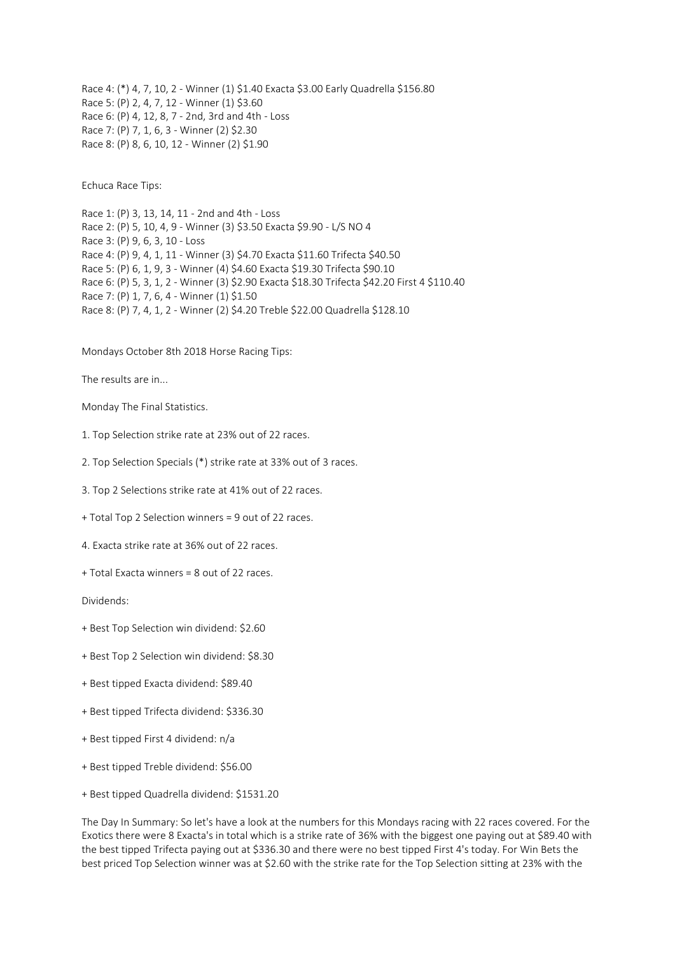Race 4: (\*) 4, 7, 10, 2 - Winner (1) \$1.40 Exacta \$3.00 Early Quadrella \$156.80 Race 5: (P) 2, 4, 7, 12 - Winner (1) \$3.60 Race 6: (P) 4, 12, 8, 7 - 2nd, 3rd and 4th - Loss Race 7: (P) 7, 1, 6, 3 - Winner (2) \$2.30 Race 8: (P) 8, 6, 10, 12 - Winner (2) \$1.90

Echuca Race Tips:

Race 1: (P) 3, 13, 14, 11 - 2nd and 4th - Loss Race 2: (P) 5, 10, 4, 9 - Winner (3) \$3.50 Exacta \$9.90 - L/S NO 4 Race 3: (P) 9, 6, 3, 10 - Loss Race 4: (P) 9, 4, 1, 11 - Winner (3) \$4.70 Exacta \$11.60 Trifecta \$40.50 Race 5: (P) 6, 1, 9, 3 - Winner (4) \$4.60 Exacta \$19.30 Trifecta \$90.10 Race 6: (P) 5, 3, 1, 2 - Winner (3) \$2.90 Exacta \$18.30 Trifecta \$42.20 First 4 \$110.40 Race 7: (P) 1, 7, 6, 4 - Winner (1) \$1.50 Race 8: (P) 7, 4, 1, 2 - Winner (2) \$4.20 Treble \$22.00 Quadrella \$128.10

Mondays October 8th 2018 Horse Racing Tips:

The results are in...

Monday The Final Statistics.

- 1. Top Selection strike rate at 23% out of 22 races.
- 2. Top Selection Specials (\*) strike rate at 33% out of 3 races.
- 3. Top 2 Selections strike rate at 41% out of 22 races.
- + Total Top 2 Selection winners = 9 out of 22 races.
- 4. Exacta strike rate at 36% out of 22 races.
- + Total Exacta winners = 8 out of 22 races.

Dividends:

- + Best Top Selection win dividend: \$2.60
- + Best Top 2 Selection win dividend: \$8.30
- + Best tipped Exacta dividend: \$89.40
- + Best tipped Trifecta dividend: \$336.30
- + Best tipped First 4 dividend: n/a
- + Best tipped Treble dividend: \$56.00
- + Best tipped Quadrella dividend: \$1531.20

The Day In Summary: So let's have a look at the numbers for this Mondays racing with 22 races covered. For the Exotics there were 8 Exacta's in total which is a strike rate of 36% with the biggest one paying out at \$89.40 with the best tipped Trifecta paying out at \$336.30 and there were no best tipped First 4's today. For Win Bets the best priced Top Selection winner was at \$2.60 with the strike rate for the Top Selection sitting at 23% with the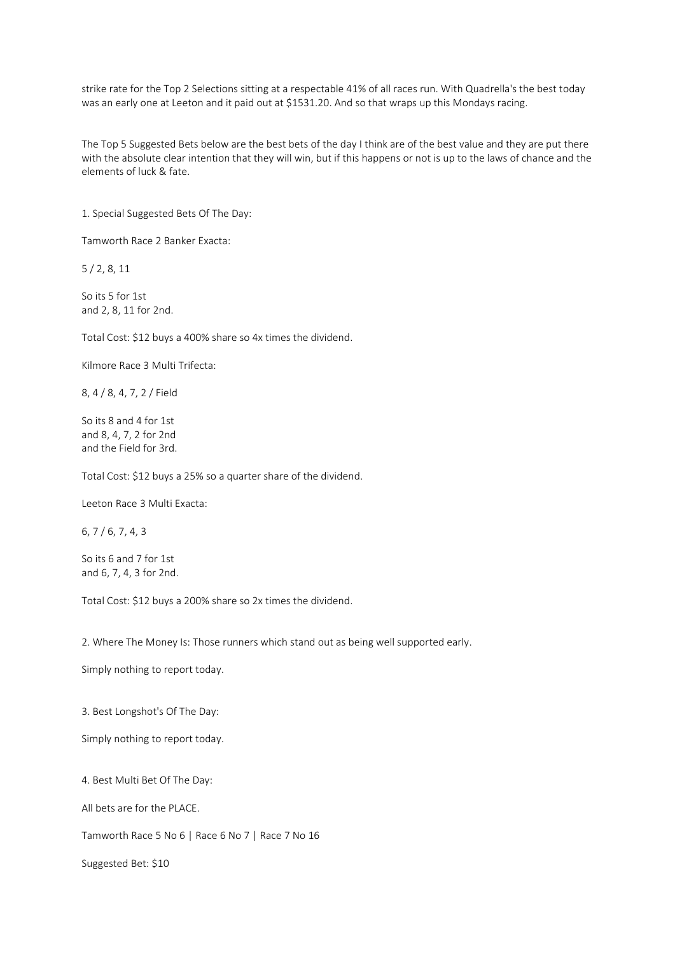strike rate for the Top 2 Selections sitting at a respectable 41% of all races run. With Quadrella's the best today was an early one at Leeton and it paid out at \$1531.20. And so that wraps up this Mondays racing.

The Top 5 Suggested Bets below are the best bets of the day I think are of the best value and they are put there with the absolute clear intention that they will win, but if this happens or not is up to the laws of chance and the elements of luck & fate.

1. Special Suggested Bets Of The Day:

Tamworth Race 2 Banker Exacta:

5 / 2, 8, 11

So its 5 for 1st and 2, 8, 11 for 2nd.

Total Cost: \$12 buys a 400% share so 4x times the dividend.

Kilmore Race 3 Multi Trifecta:

8, 4 / 8, 4, 7, 2 / Field

So its 8 and 4 for 1st and 8, 4, 7, 2 for 2nd and the Field for 3rd.

Total Cost: \$12 buys a 25% so a quarter share of the dividend.

Leeton Race 3 Multi Exacta:

6, 7 / 6, 7, 4, 3

So its 6 and 7 for 1st and 6, 7, 4, 3 for 2nd.

Total Cost: \$12 buys a 200% share so 2x times the dividend.

2. Where The Money Is: Those runners which stand out as being well supported early.

Simply nothing to report today.

3. Best Longshot's Of The Day:

Simply nothing to report today.

4. Best Multi Bet Of The Day:

All bets are for the PLACE.

Tamworth Race 5 No 6 | Race 6 No 7 | Race 7 No 16

Suggested Bet: \$10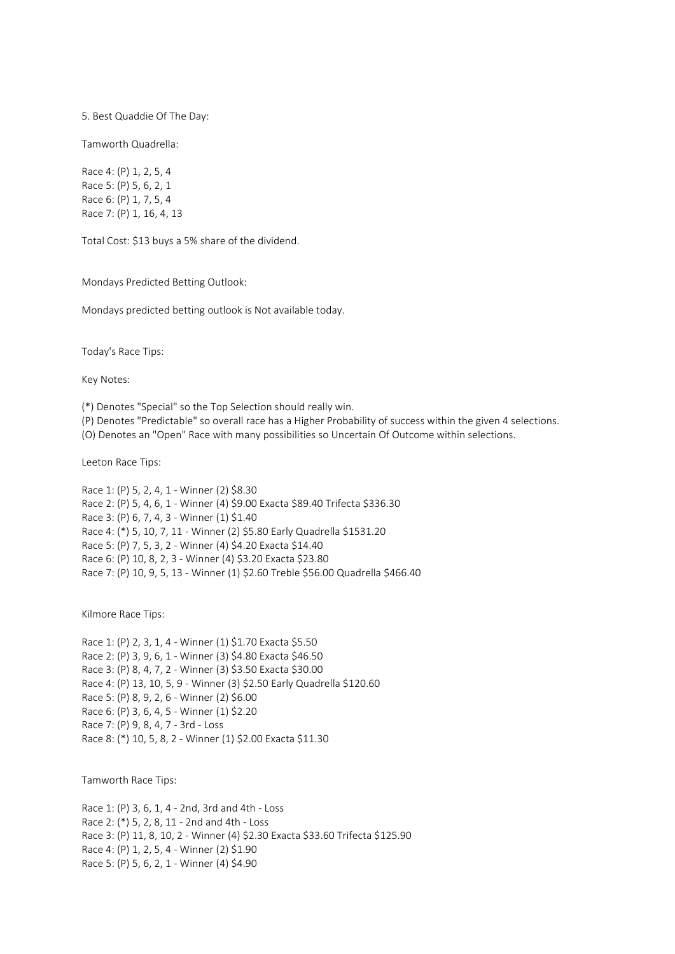5. Best Quaddie Of The Day:

Tamworth Quadrella:

Race 4: (P) 1, 2, 5, 4 Race 5: (P) 5, 6, 2, 1 Race 6: (P) 1, 7, 5, 4 Race 7: (P) 1, 16, 4, 13

Total Cost: \$13 buys a 5% share of the dividend.

Mondays Predicted Betting Outlook:

Mondays predicted betting outlook is Not available today.

Today's Race Tips:

Key Notes:

(\*) Denotes "Special" so the Top Selection should really win.

(P) Denotes "Predictable" so overall race has a Higher Probability of success within the given 4 selections.

(O) Denotes an "Open" Race with many possibilities so Uncertain Of Outcome within selections.

Leeton Race Tips:

Race 1: (P) 5, 2, 4, 1 - Winner (2) \$8.30 Race 2: (P) 5, 4, 6, 1 - Winner (4) \$9.00 Exacta \$89.40 Trifecta \$336.30 Race 3: (P) 6, 7, 4, 3 - Winner (1) \$1.40 Race 4: (\*) 5, 10, 7, 11 - Winner (2) \$5.80 Early Quadrella \$1531.20 Race 5: (P) 7, 5, 3, 2 - Winner (4) \$4.20 Exacta \$14.40 Race 6: (P) 10, 8, 2, 3 - Winner (4) \$3.20 Exacta \$23.80 Race 7: (P) 10, 9, 5, 13 - Winner (1) \$2.60 Treble \$56.00 Quadrella \$466.40

Kilmore Race Tips:

Race 1: (P) 2, 3, 1, 4 - Winner (1) \$1.70 Exacta \$5.50 Race 2: (P) 3, 9, 6, 1 - Winner (3) \$4.80 Exacta \$46.50 Race 3: (P) 8, 4, 7, 2 - Winner (3) \$3.50 Exacta \$30.00 Race 4: (P) 13, 10, 5, 9 - Winner (3) \$2.50 Early Quadrella \$120.60 Race 5: (P) 8, 9, 2, 6 - Winner (2) \$6.00 Race 6: (P) 3, 6, 4, 5 - Winner (1) \$2.20 Race 7: (P) 9, 8, 4, 7 - 3rd - Loss Race 8: (\*) 10, 5, 8, 2 - Winner (1) \$2.00 Exacta \$11.30

Tamworth Race Tips:

Race 1: (P) 3, 6, 1, 4 - 2nd, 3rd and 4th - Loss Race 2: (\*) 5, 2, 8, 11 - 2nd and 4th - Loss Race 3: (P) 11, 8, 10, 2 - Winner (4) \$2.30 Exacta \$33.60 Trifecta \$125.90 Race 4: (P) 1, 2, 5, 4 - Winner (2) \$1.90 Race 5: (P) 5, 6, 2, 1 - Winner (4) \$4.90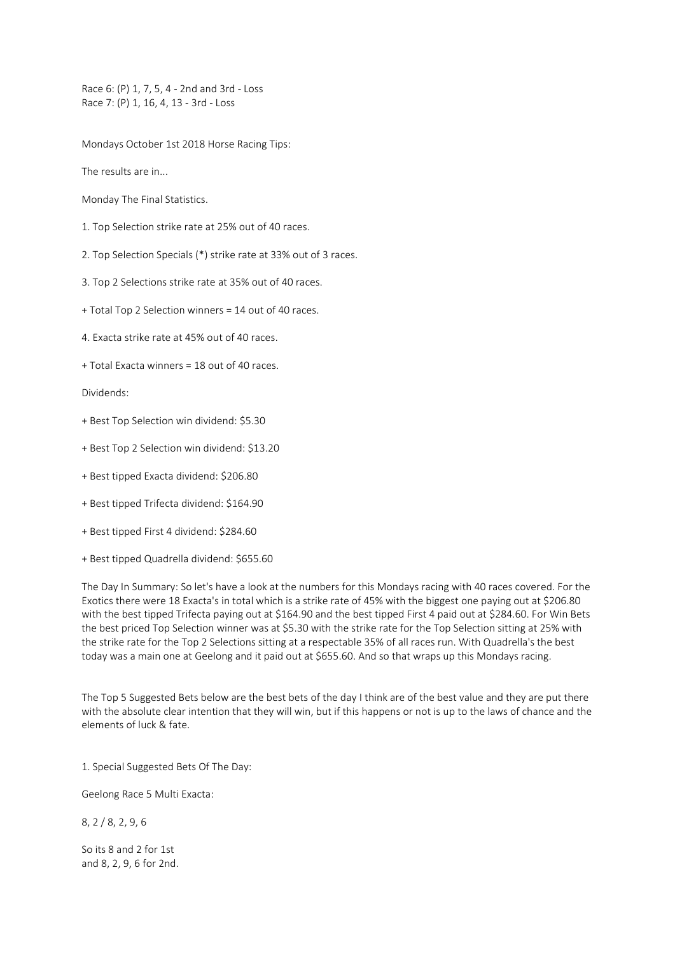Race 6: (P) 1, 7, 5, 4 - 2nd and 3rd - Loss Race 7: (P) 1, 16, 4, 13 - 3rd - Loss

Mondays October 1st 2018 Horse Racing Tips:

The results are in...

- Monday The Final Statistics.
- 1. Top Selection strike rate at 25% out of 40 races.
- 2. Top Selection Specials (\*) strike rate at 33% out of 3 races.
- 3. Top 2 Selections strike rate at 35% out of 40 races.
- + Total Top 2 Selection winners = 14 out of 40 races.
- 4. Exacta strike rate at 45% out of 40 races.
- + Total Exacta winners = 18 out of 40 races.

Dividends:

- + Best Top Selection win dividend: \$5.30
- + Best Top 2 Selection win dividend: \$13.20
- + Best tipped Exacta dividend: \$206.80
- + Best tipped Trifecta dividend: \$164.90
- + Best tipped First 4 dividend: \$284.60
- + Best tipped Quadrella dividend: \$655.60

The Day In Summary: So let's have a look at the numbers for this Mondays racing with 40 races covered. For the Exotics there were 18 Exacta's in total which is a strike rate of 45% with the biggest one paying out at \$206.80 with the best tipped Trifecta paying out at \$164.90 and the best tipped First 4 paid out at \$284.60. For Win Bets the best priced Top Selection winner was at \$5.30 with the strike rate for the Top Selection sitting at 25% with the strike rate for the Top 2 Selections sitting at a respectable 35% of all races run. With Quadrella's the best today was a main one at Geelong and it paid out at \$655.60. And so that wraps up this Mondays racing.

The Top 5 Suggested Bets below are the best bets of the day I think are of the best value and they are put there with the absolute clear intention that they will win, but if this happens or not is up to the laws of chance and the elements of luck & fate.

1. Special Suggested Bets Of The Day:

Geelong Race 5 Multi Exacta:

8, 2 / 8, 2, 9, 6

So its 8 and 2 for 1st and 8, 2, 9, 6 for 2nd.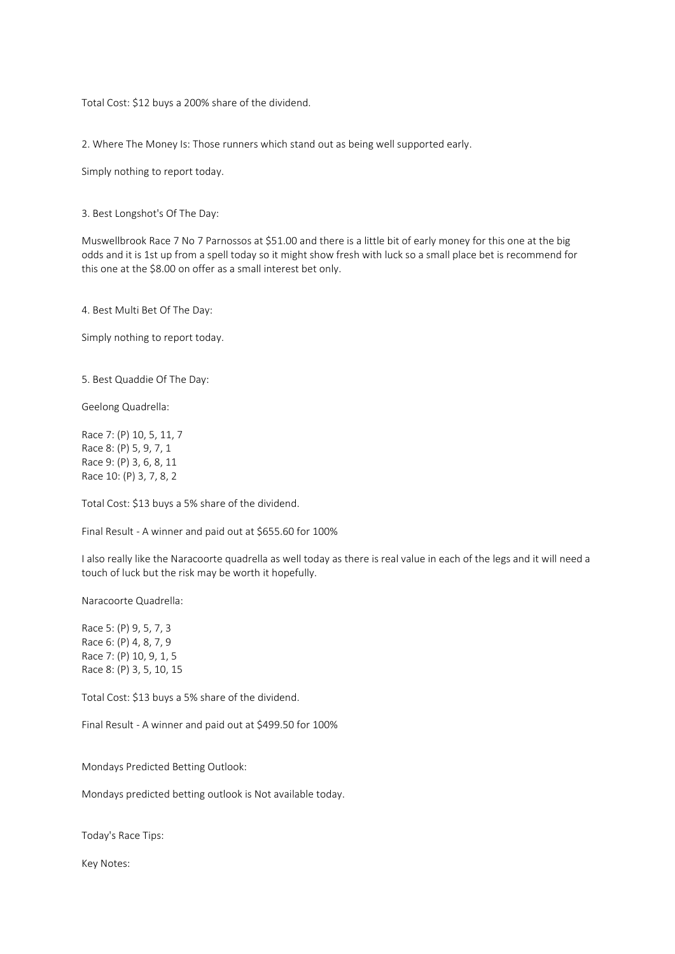Total Cost: \$12 buys a 200% share of the dividend.

2. Where The Money Is: Those runners which stand out as being well supported early.

Simply nothing to report today.

3. Best Longshot's Of The Day:

Muswellbrook Race 7 No 7 Parnossos at \$51.00 and there is a little bit of early money for this one at the big odds and it is 1st up from a spell today so it might show fresh with luck so a small place bet is recommend for this one at the \$8.00 on offer as a small interest bet only.

4. Best Multi Bet Of The Day:

Simply nothing to report today.

5. Best Quaddie Of The Day:

Geelong Quadrella:

Race 7: (P) 10, 5, 11, 7 Race 8: (P) 5, 9, 7, 1 Race 9: (P) 3, 6, 8, 11 Race 10: (P) 3, 7, 8, 2

Total Cost: \$13 buys a 5% share of the dividend.

Final Result - A winner and paid out at \$655.60 for 100%

I also really like the Naracoorte quadrella as well today as there is real value in each of the legs and it will need a touch of luck but the risk may be worth it hopefully.

Naracoorte Quadrella:

Race 5: (P) 9, 5, 7, 3 Race 6: (P) 4, 8, 7, 9 Race 7: (P) 10, 9, 1, 5 Race 8: (P) 3, 5, 10, 15

Total Cost: \$13 buys a 5% share of the dividend.

Final Result - A winner and paid out at \$499.50 for 100%

Mondays Predicted Betting Outlook:

Mondays predicted betting outlook is Not available today.

Today's Race Tips:

Key Notes: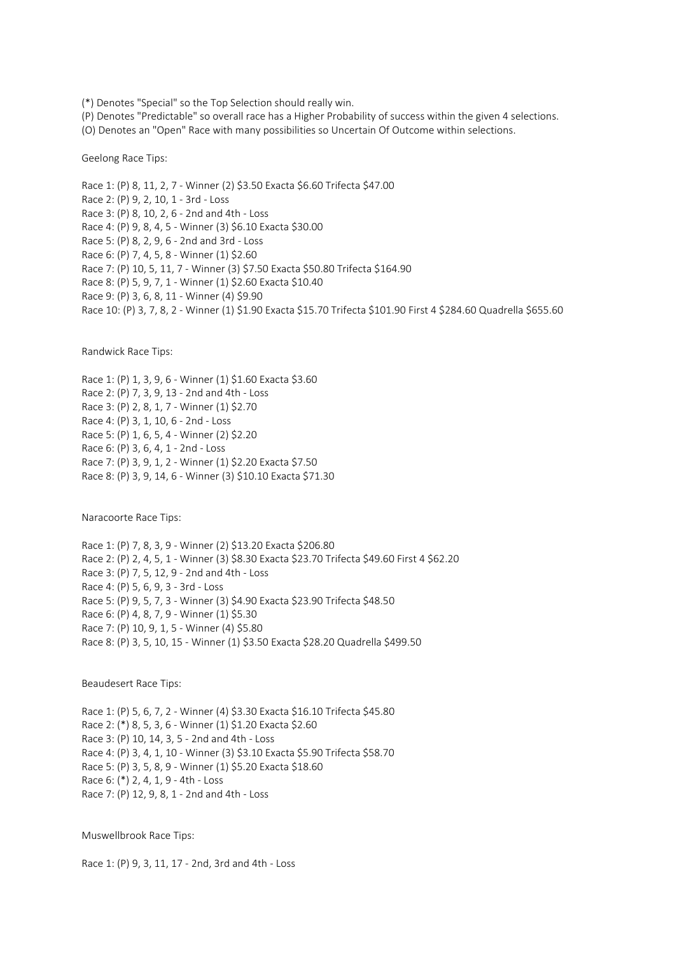(\*) Denotes "Special" so the Top Selection should really win.

(P) Denotes "Predictable" so overall race has a Higher Probability of success within the given 4 selections.

(O) Denotes an "Open" Race with many possibilities so Uncertain Of Outcome within selections.

Geelong Race Tips:

Race 1: (P) 8, 11, 2, 7 - Winner (2) \$3.50 Exacta \$6.60 Trifecta \$47.00 Race 2: (P) 9, 2, 10, 1 - 3rd - Loss Race 3: (P) 8, 10, 2, 6 - 2nd and 4th - Loss Race 4: (P) 9, 8, 4, 5 - Winner (3) \$6.10 Exacta \$30.00 Race 5: (P) 8, 2, 9, 6 - 2nd and 3rd - Loss Race 6: (P) 7, 4, 5, 8 - Winner (1) \$2.60 Race 7: (P) 10, 5, 11, 7 - Winner (3) \$7.50 Exacta \$50.80 Trifecta \$164.90 Race 8: (P) 5, 9, 7, 1 - Winner (1) \$2.60 Exacta \$10.40 Race 9: (P) 3, 6, 8, 11 - Winner (4) \$9.90 Race 10: (P) 3, 7, 8, 2 - Winner (1) \$1.90 Exacta \$15.70 Trifecta \$101.90 First 4 \$284.60 Quadrella \$655.60

Randwick Race Tips:

Race 1: (P) 1, 3, 9, 6 - Winner (1) \$1.60 Exacta \$3.60 Race 2: (P) 7, 3, 9, 13 - 2nd and 4th - Loss Race 3: (P) 2, 8, 1, 7 - Winner (1) \$2.70 Race 4: (P) 3, 1, 10, 6 - 2nd - Loss Race 5: (P) 1, 6, 5, 4 - Winner (2) \$2.20 Race 6: (P) 3, 6, 4, 1 - 2nd - Loss Race 7: (P) 3, 9, 1, 2 - Winner (1) \$2.20 Exacta \$7.50 Race 8: (P) 3, 9, 14, 6 - Winner (3) \$10.10 Exacta \$71.30

Naracoorte Race Tips:

Race 1: (P) 7, 8, 3, 9 - Winner (2) \$13.20 Exacta \$206.80 Race 2: (P) 2, 4, 5, 1 - Winner (3) \$8.30 Exacta \$23.70 Trifecta \$49.60 First 4 \$62.20 Race 3: (P) 7, 5, 12, 9 - 2nd and 4th - Loss Race 4: (P) 5, 6, 9, 3 - 3rd - Loss Race 5: (P) 9, 5, 7, 3 - Winner (3) \$4.90 Exacta \$23.90 Trifecta \$48.50 Race 6: (P) 4, 8, 7, 9 - Winner (1) \$5.30 Race 7: (P) 10, 9, 1, 5 - Winner (4) \$5.80 Race 8: (P) 3, 5, 10, 15 - Winner (1) \$3.50 Exacta \$28.20 Quadrella \$499.50

Beaudesert Race Tips:

Race 1: (P) 5, 6, 7, 2 - Winner (4) \$3.30 Exacta \$16.10 Trifecta \$45.80 Race 2: (\*) 8, 5, 3, 6 - Winner (1) \$1.20 Exacta \$2.60 Race 3: (P) 10, 14, 3, 5 - 2nd and 4th - Loss Race 4: (P) 3, 4, 1, 10 - Winner (3) \$3.10 Exacta \$5.90 Trifecta \$58.70 Race 5: (P) 3, 5, 8, 9 - Winner (1) \$5.20 Exacta \$18.60 Race 6: (\*) 2, 4, 1, 9 - 4th - Loss Race 7: (P) 12, 9, 8, 1 - 2nd and 4th - Loss

Muswellbrook Race Tips:

Race 1: (P) 9, 3, 11, 17 - 2nd, 3rd and 4th - Loss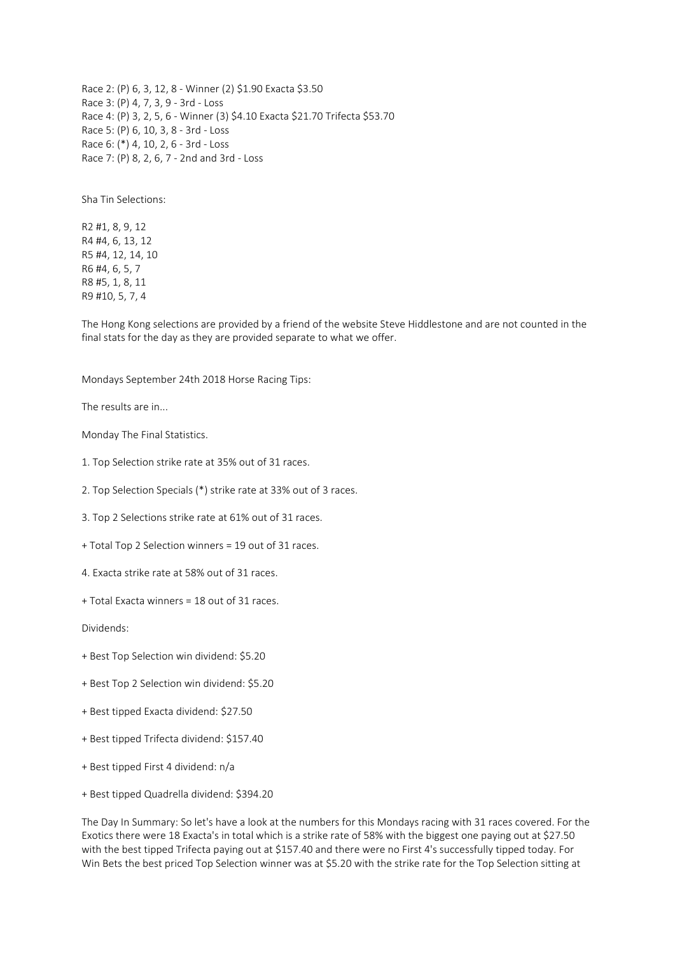Race 2: (P) 6, 3, 12, 8 - Winner (2) \$1.90 Exacta \$3.50 Race 3: (P) 4, 7, 3, 9 - 3rd - Loss Race 4: (P) 3, 2, 5, 6 - Winner (3) \$4.10 Exacta \$21.70 Trifecta \$53.70 Race 5: (P) 6, 10, 3, 8 - 3rd - Loss Race 6: (\*) 4, 10, 2, 6 - 3rd - Loss Race 7: (P) 8, 2, 6, 7 - 2nd and 3rd - Loss

Sha Tin Selections:

R2 #1, 8, 9, 12 R4 #4, 6, 13, 12 R5 #4, 12, 14, 10 R6 #4, 6, 5, 7 R8 #5, 1, 8, 11 R9 #10, 5, 7, 4

The Hong Kong selections are provided by a friend of the website Steve Hiddlestone and are not counted in the final stats for the day as they are provided separate to what we offer.

Mondays September 24th 2018 Horse Racing Tips:

The results are in...

Monday The Final Statistics.

- 1. Top Selection strike rate at 35% out of 31 races.
- 2. Top Selection Specials (\*) strike rate at 33% out of 3 races.
- 3. Top 2 Selections strike rate at 61% out of 31 races.
- + Total Top 2 Selection winners = 19 out of 31 races.
- 4. Exacta strike rate at 58% out of 31 races.
- + Total Exacta winners = 18 out of 31 races.

Dividends:

- + Best Top Selection win dividend: \$5.20
- + Best Top 2 Selection win dividend: \$5.20
- + Best tipped Exacta dividend: \$27.50
- + Best tipped Trifecta dividend: \$157.40
- + Best tipped First 4 dividend: n/a
- + Best tipped Quadrella dividend: \$394.20

The Day In Summary: So let's have a look at the numbers for this Mondays racing with 31 races covered. For the Exotics there were 18 Exacta's in total which is a strike rate of 58% with the biggest one paying out at \$27.50 with the best tipped Trifecta paying out at \$157.40 and there were no First 4's successfully tipped today. For Win Bets the best priced Top Selection winner was at \$5.20 with the strike rate for the Top Selection sitting at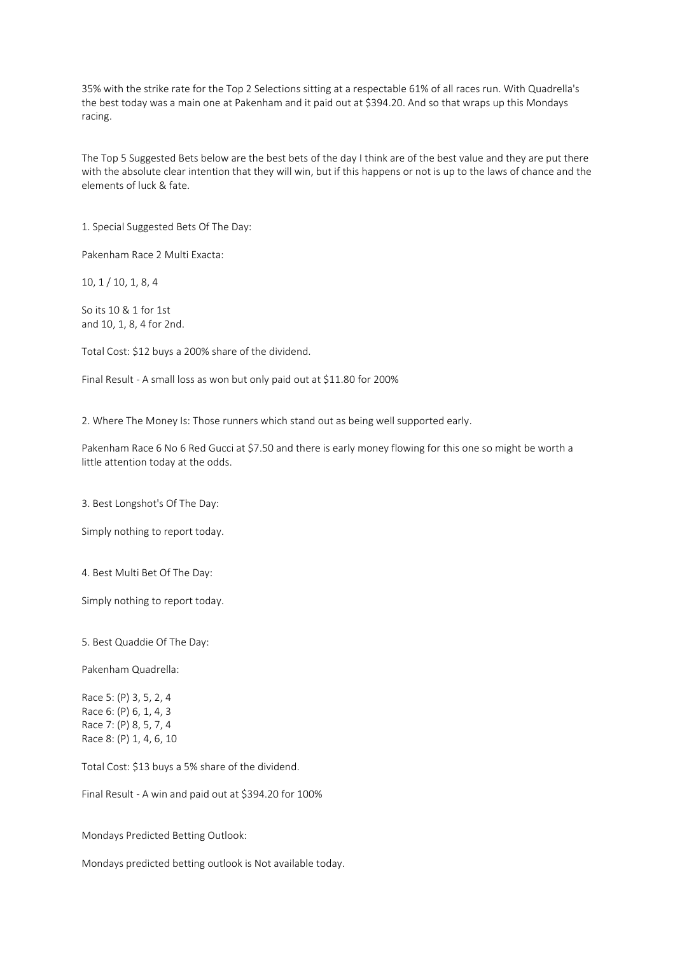35% with the strike rate for the Top 2 Selections sitting at a respectable 61% of all races run. With Quadrella's the best today was a main one at Pakenham and it paid out at \$394.20. And so that wraps up this Mondays racing.

The Top 5 Suggested Bets below are the best bets of the day I think are of the best value and they are put there with the absolute clear intention that they will win, but if this happens or not is up to the laws of chance and the elements of luck & fate.

1. Special Suggested Bets Of The Day:

Pakenham Race 2 Multi Exacta:

10, 1 / 10, 1, 8, 4

So its 10 & 1 for 1st and 10, 1, 8, 4 for 2nd.

Total Cost: \$12 buys a 200% share of the dividend.

Final Result - A small loss as won but only paid out at \$11.80 for 200%

2. Where The Money Is: Those runners which stand out as being well supported early.

Pakenham Race 6 No 6 Red Gucci at \$7.50 and there is early money flowing for this one so might be worth a little attention today at the odds.

3. Best Longshot's Of The Day:

Simply nothing to report today.

4. Best Multi Bet Of The Day:

Simply nothing to report today.

5. Best Quaddie Of The Day:

Pakenham Quadrella:

Race 5: (P) 3, 5, 2, 4 Race 6: (P) 6, 1, 4, 3 Race 7: (P) 8, 5, 7, 4 Race 8: (P) 1, 4, 6, 10

Total Cost: \$13 buys a 5% share of the dividend.

Final Result - A win and paid out at \$394.20 for 100%

Mondays Predicted Betting Outlook:

Mondays predicted betting outlook is Not available today.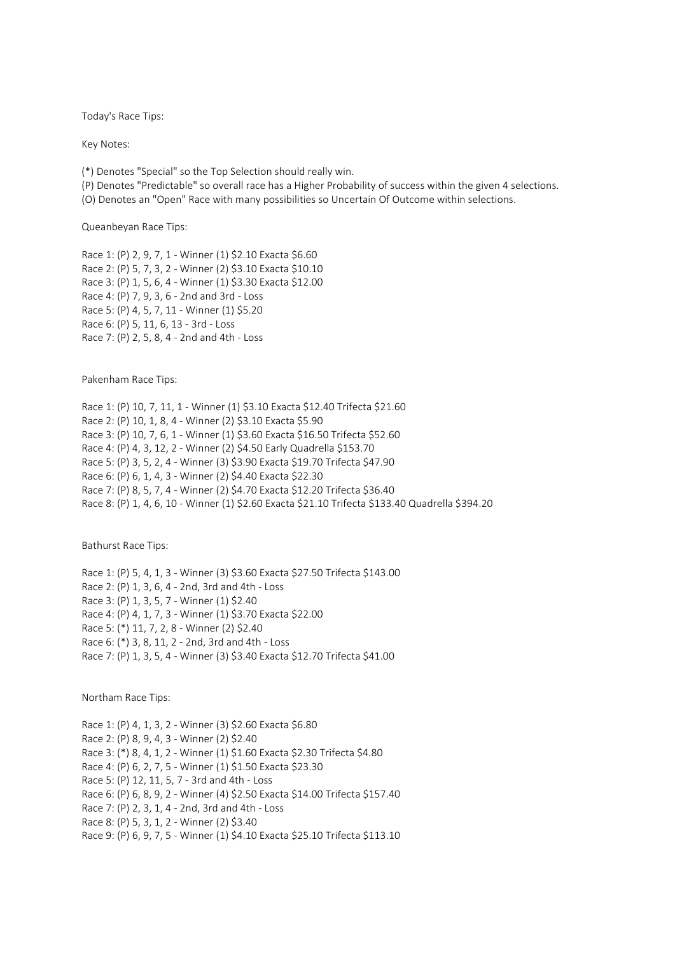Today's Race Tips:

Key Notes:

(\*) Denotes "Special" so the Top Selection should really win.

(P) Denotes "Predictable" so overall race has a Higher Probability of success within the given 4 selections.

(O) Denotes an "Open" Race with many possibilities so Uncertain Of Outcome within selections.

Queanbeyan Race Tips:

Race 1: (P) 2, 9, 7, 1 - Winner (1) \$2.10 Exacta \$6.60 Race 2: (P) 5, 7, 3, 2 - Winner (2) \$3.10 Exacta \$10.10 Race 3: (P) 1, 5, 6, 4 - Winner (1) \$3.30 Exacta \$12.00 Race 4: (P) 7, 9, 3, 6 - 2nd and 3rd - Loss Race 5: (P) 4, 5, 7, 11 - Winner (1) \$5.20 Race 6: (P) 5, 11, 6, 13 - 3rd - Loss Race 7: (P) 2, 5, 8, 4 - 2nd and 4th - Loss

Pakenham Race Tips:

Race 1: (P) 10, 7, 11, 1 - Winner (1) \$3.10 Exacta \$12.40 Trifecta \$21.60 Race 2: (P) 10, 1, 8, 4 - Winner (2) \$3.10 Exacta \$5.90 Race 3: (P) 10, 7, 6, 1 - Winner (1) \$3.60 Exacta \$16.50 Trifecta \$52.60 Race 4: (P) 4, 3, 12, 2 - Winner (2) \$4.50 Early Quadrella \$153.70 Race 5: (P) 3, 5, 2, 4 - Winner (3) \$3.90 Exacta \$19.70 Trifecta \$47.90 Race 6: (P) 6, 1, 4, 3 - Winner (2) \$4.40 Exacta \$22.30 Race 7: (P) 8, 5, 7, 4 - Winner (2) \$4.70 Exacta \$12.20 Trifecta \$36.40 Race 8: (P) 1, 4, 6, 10 - Winner (1) \$2.60 Exacta \$21.10 Trifecta \$133.40 Quadrella \$394.20

Bathurst Race Tips:

Race 1: (P) 5, 4, 1, 3 - Winner (3) \$3.60 Exacta \$27.50 Trifecta \$143.00 Race 2: (P) 1, 3, 6, 4 - 2nd, 3rd and 4th - Loss Race 3: (P) 1, 3, 5, 7 - Winner (1) \$2.40 Race 4: (P) 4, 1, 7, 3 - Winner (1) \$3.70 Exacta \$22.00 Race 5: (\*) 11, 7, 2, 8 - Winner (2) \$2.40 Race 6: (\*) 3, 8, 11, 2 - 2nd, 3rd and 4th - Loss Race 7: (P) 1, 3, 5, 4 - Winner (3) \$3.40 Exacta \$12.70 Trifecta \$41.00

Northam Race Tips:

Race 1: (P) 4, 1, 3, 2 - Winner (3) \$2.60 Exacta \$6.80 Race 2: (P) 8, 9, 4, 3 - Winner (2) \$2.40 Race 3: (\*) 8, 4, 1, 2 - Winner (1) \$1.60 Exacta \$2.30 Trifecta \$4.80 Race 4: (P) 6, 2, 7, 5 - Winner (1) \$1.50 Exacta \$23.30 Race 5: (P) 12, 11, 5, 7 - 3rd and 4th - Loss Race 6: (P) 6, 8, 9, 2 - Winner (4) \$2.50 Exacta \$14.00 Trifecta \$157.40 Race 7: (P) 2, 3, 1, 4 - 2nd, 3rd and 4th - Loss Race 8: (P) 5, 3, 1, 2 - Winner (2) \$3.40 Race 9: (P) 6, 9, 7, 5 - Winner (1) \$4.10 Exacta \$25.10 Trifecta \$113.10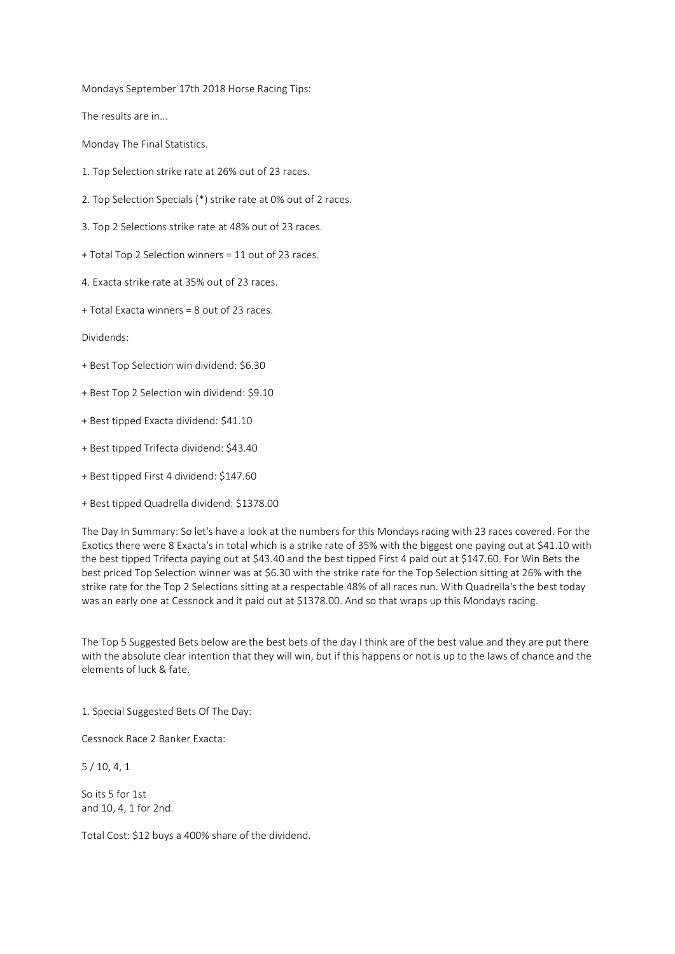Mondays September 17th 2018 Horse Racing Tips:

The results are in...

Monday The Final Statistics.

- 1. Top Selection strike rate at 26% out of 23 races.
- 2. Top Selection Specials (\*) strike rate at 0% out of 2 races.
- 3. Top 2 Selections strike rate at 48% out of 23 races.
- + Total Top 2 Selection winners = 11 out of 23 races.
- 4. Exacta strike rate at 35% out of 23 races.
- + Total Exacta winners = 8 out of 23 races.

Dividends:

- + Best Top Selection win dividend: \$6.30
- + Best Top 2 Selection win dividend: \$9.10
- + Best tipped Exacta dividend: \$41.10
- + Best tipped Trifecta dividend: \$43.40
- + Best tipped First 4 dividend: \$147.60
- + Best tipped Quadrella dividend: \$1378.00

The Day In Summary: So let's have a look at the numbers for this Mondays racing with 23 races covered. For the Exotics there were 8 Exacta's in total which is a strike rate of 35% with the biggest one paying out at \$41.10 with the best tipped Trifecta paying out at \$43.40 and the best tipped First 4 paid out at \$147.60. For Win Bets the best priced Top Selection winner was at \$6.30 with the strike rate for the Top Selection sitting at 26% with the strike rate for the Top 2 Selections sitting at a respectable 48% of all races run. With Quadrella's the best today was an early one at Cessnock and it paid out at \$1378.00. And so that wraps up this Mondays racing.

The Top 5 Suggested Bets below are the best bets of the day I think are of the best value and they are put there with the absolute clear intention that they will win, but if this happens or not is up to the laws of chance and the elements of luck & fate.

1. Special Suggested Bets Of The Day:

Cessnock Race 2 Banker Exacta:

5 / 10, 4, 1

So its 5 for 1st and 10, 4, 1 for 2nd.

Total Cost: \$12 buys a 400% share of the dividend.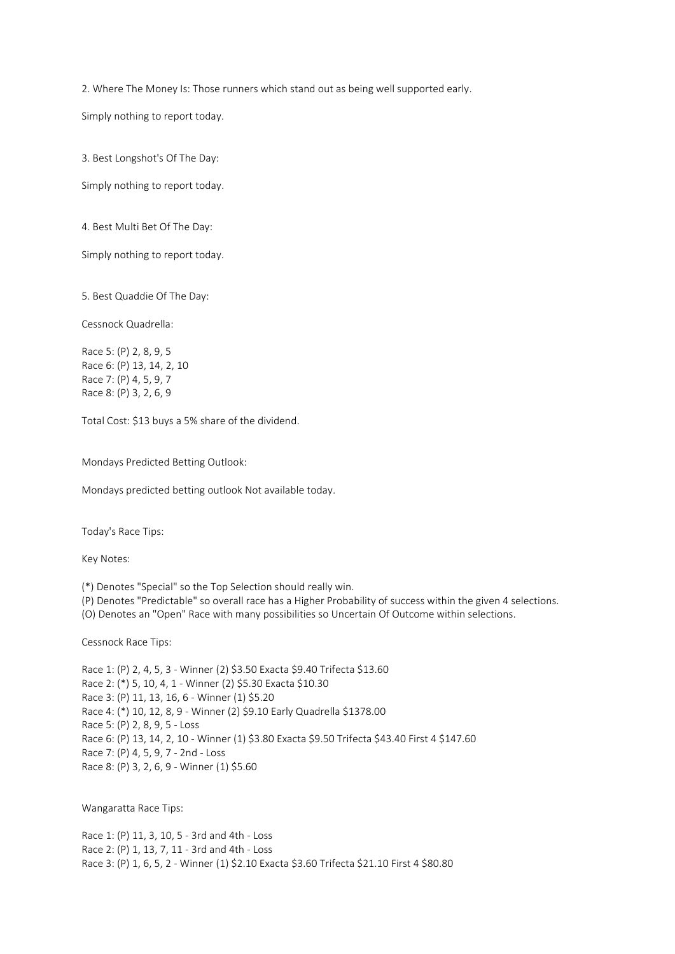2. Where The Money Is: Those runners which stand out as being well supported early.

Simply nothing to report today.

3. Best Longshot's Of The Day:

Simply nothing to report today.

4. Best Multi Bet Of The Day:

Simply nothing to report today.

5. Best Quaddie Of The Day:

Cessnock Quadrella:

Race 5: (P) 2, 8, 9, 5 Race 6: (P) 13, 14, 2, 10 Race 7: (P) 4, 5, 9, 7 Race 8: (P) 3, 2, 6, 9

Total Cost: \$13 buys a 5% share of the dividend.

Mondays Predicted Betting Outlook:

Mondays predicted betting outlook Not available today.

Today's Race Tips:

Key Notes:

(\*) Denotes "Special" so the Top Selection should really win.

(P) Denotes "Predictable" so overall race has a Higher Probability of success within the given 4 selections.

(O) Denotes an "Open" Race with many possibilities so Uncertain Of Outcome within selections.

Cessnock Race Tips:

Race 1: (P) 2, 4, 5, 3 - Winner (2) \$3.50 Exacta \$9.40 Trifecta \$13.60 Race 2: (\*) 5, 10, 4, 1 - Winner (2) \$5.30 Exacta \$10.30 Race 3: (P) 11, 13, 16, 6 - Winner (1) \$5.20 Race 4: (\*) 10, 12, 8, 9 - Winner (2) \$9.10 Early Quadrella \$1378.00 Race 5: (P) 2, 8, 9, 5 - Loss Race 6: (P) 13, 14, 2, 10 - Winner (1) \$3.80 Exacta \$9.50 Trifecta \$43.40 First 4 \$147.60 Race 7: (P) 4, 5, 9, 7 - 2nd - Loss Race 8: (P) 3, 2, 6, 9 - Winner (1) \$5.60

Wangaratta Race Tips:

Race 1: (P) 11, 3, 10, 5 - 3rd and 4th - Loss Race 2: (P) 1, 13, 7, 11 - 3rd and 4th - Loss Race 3: (P) 1, 6, 5, 2 - Winner (1) \$2.10 Exacta \$3.60 Trifecta \$21.10 First 4 \$80.80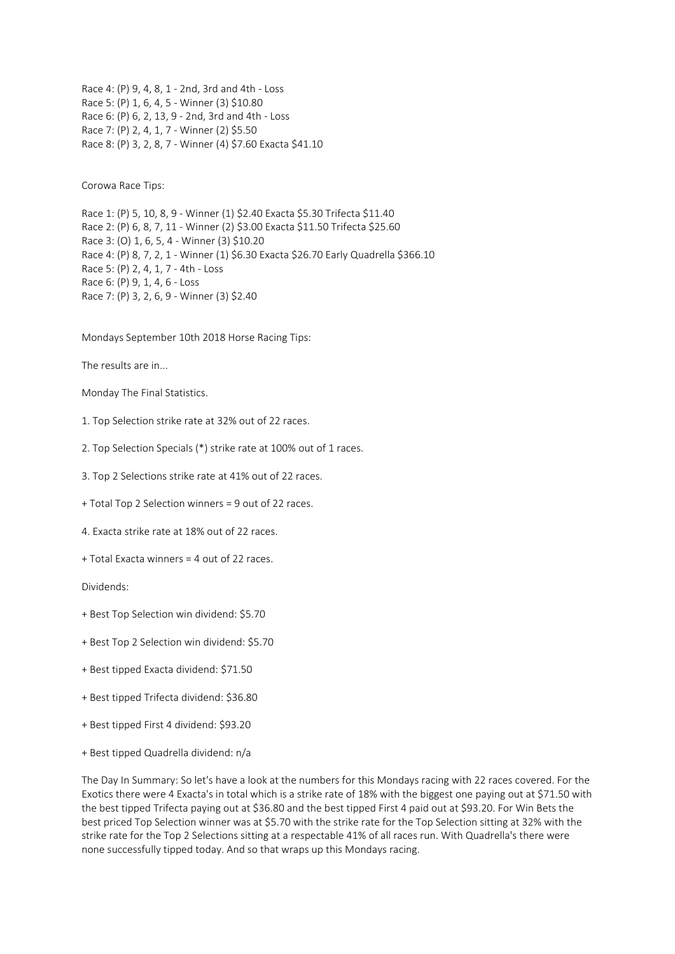Race 4: (P) 9, 4, 8, 1 - 2nd, 3rd and 4th - Loss Race 5: (P) 1, 6, 4, 5 - Winner (3) \$10.80 Race 6: (P) 6, 2, 13, 9 - 2nd, 3rd and 4th - Loss Race 7: (P) 2, 4, 1, 7 - Winner (2) \$5.50 Race 8: (P) 3, 2, 8, 7 - Winner (4) \$7.60 Exacta \$41.10

Corowa Race Tips:

Race 1: (P) 5, 10, 8, 9 - Winner (1) \$2.40 Exacta \$5.30 Trifecta \$11.40 Race 2: (P) 6, 8, 7, 11 - Winner (2) \$3.00 Exacta \$11.50 Trifecta \$25.60 Race 3: (O) 1, 6, 5, 4 - Winner (3) \$10.20 Race 4: (P) 8, 7, 2, 1 - Winner (1) \$6.30 Exacta \$26.70 Early Quadrella \$366.10 Race 5: (P) 2, 4, 1, 7 - 4th - Loss Race 6: (P) 9, 1, 4, 6 - Loss Race 7: (P) 3, 2, 6, 9 - Winner (3) \$2.40

Mondays September 10th 2018 Horse Racing Tips:

The results are in...

Monday The Final Statistics.

- 1. Top Selection strike rate at 32% out of 22 races.
- 2. Top Selection Specials (\*) strike rate at 100% out of 1 races.
- 3. Top 2 Selections strike rate at 41% out of 22 races.
- + Total Top 2 Selection winners = 9 out of 22 races.
- 4. Exacta strike rate at 18% out of 22 races.
- + Total Exacta winners = 4 out of 22 races.

Dividends:

- + Best Top Selection win dividend: \$5.70
- + Best Top 2 Selection win dividend: \$5.70
- + Best tipped Exacta dividend: \$71.50
- + Best tipped Trifecta dividend: \$36.80
- + Best tipped First 4 dividend: \$93.20
- + Best tipped Quadrella dividend: n/a

The Day In Summary: So let's have a look at the numbers for this Mondays racing with 22 races covered. For the Exotics there were 4 Exacta's in total which is a strike rate of 18% with the biggest one paying out at \$71.50 with the best tipped Trifecta paying out at \$36.80 and the best tipped First 4 paid out at \$93.20. For Win Bets the best priced Top Selection winner was at \$5.70 with the strike rate for the Top Selection sitting at 32% with the strike rate for the Top 2 Selections sitting at a respectable 41% of all races run. With Quadrella's there were none successfully tipped today. And so that wraps up this Mondays racing.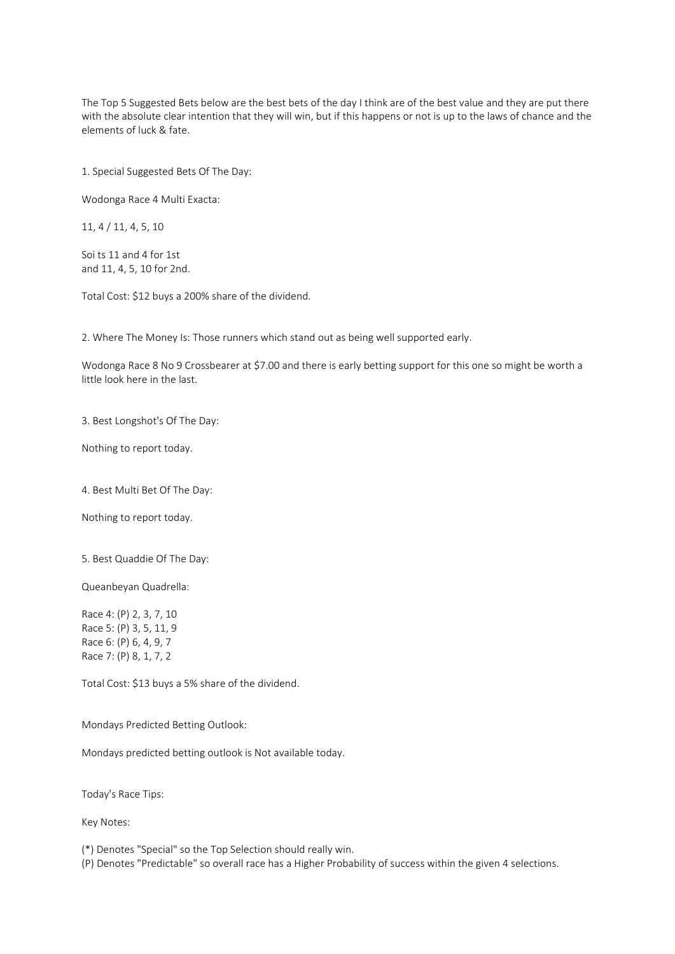The Top 5 Suggested Bets below are the best bets of the day I think are of the best value and they are put there with the absolute clear intention that they will win, but if this happens or not is up to the laws of chance and the elements of luck & fate.

1. Special Suggested Bets Of The Day:

Wodonga Race 4 Multi Exacta:

11, 4 / 11, 4, 5, 10

Soi ts 11 and 4 for 1st and 11, 4, 5, 10 for 2nd.

Total Cost: \$12 buys a 200% share of the dividend.

2. Where The Money Is: Those runners which stand out as being well supported early.

Wodonga Race 8 No 9 Crossbearer at \$7.00 and there is early betting support for this one so might be worth a little look here in the last.

3. Best Longshot's Of The Day:

Nothing to report today.

4. Best Multi Bet Of The Day:

Nothing to report today.

5. Best Quaddie Of The Day:

Queanbeyan Quadrella:

Race 4: (P) 2, 3, 7, 10 Race 5: (P) 3, 5, 11, 9 Race 6: (P) 6, 4, 9, 7 Race 7: (P) 8, 1, 7, 2

Total Cost: \$13 buys a 5% share of the dividend.

Mondays Predicted Betting Outlook:

Mondays predicted betting outlook is Not available today.

Today's Race Tips:

Key Notes:

(\*) Denotes "Special" so the Top Selection should really win.

(P) Denotes "Predictable" so overall race has a Higher Probability of success within the given 4 selections.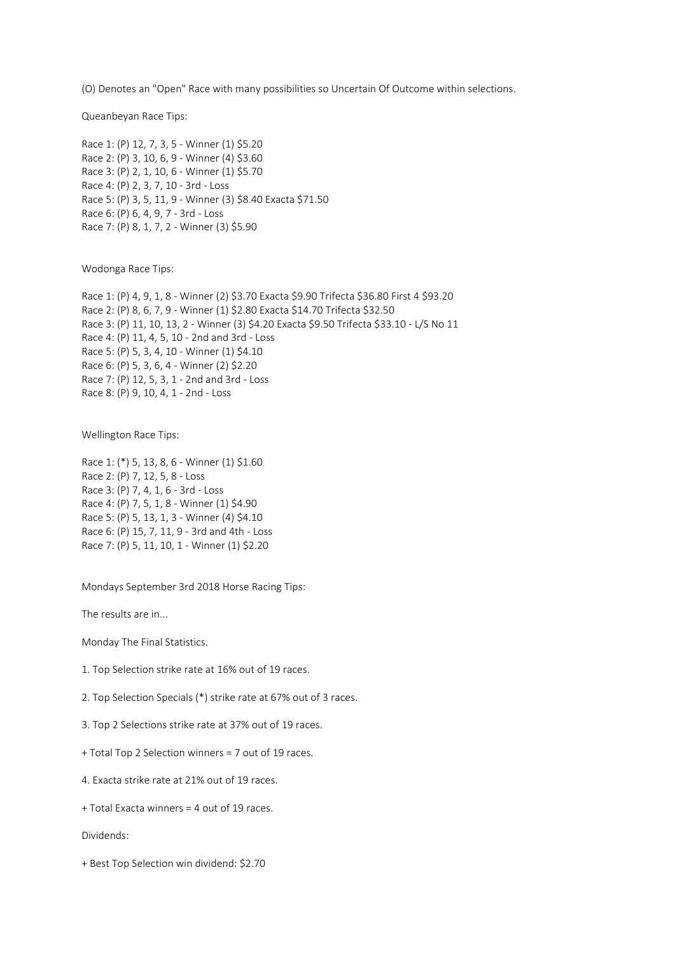(O) Denotes an "Open" Race with many possibilities so Uncertain Of Outcome within selections.

Queanbeyan Race Tips:

Race 1: (P) 12, 7, 3, 5 - Winner (1) \$5.20 Race 2: (P) 3, 10, 6, 9 - Winner (4) \$3.60 Race 3: (P) 2, 1, 10, 6 - Winner (1) \$5.70 Race 4: (P) 2, 3, 7, 10 - 3rd - Loss Race 5: (P) 3, 5, 11, 9 - Winner (3) \$8.40 Exacta \$71.50 Race 6: (P) 6, 4, 9, 7 - 3rd - Loss Race 7: (P) 8, 1, 7, 2 - Winner (3) \$5.90

Wodonga Race Tips:

Race 1: (P) 4, 9, 1, 8 - Winner (2) \$3.70 Exacta \$9.90 Trifecta \$36.80 First 4 \$93.20 Race 2: (P) 8, 6, 7, 9 - Winner (1) \$2.80 Exacta \$14.70 Trifecta \$32.50 Race 3: (P) 11, 10, 13, 2 - Winner (3) \$4.20 Exacta \$9.50 Trifecta \$33.10 - L/S No 11 Race 4: (P) 11, 4, 5, 10 - 2nd and 3rd - Loss Race 5: (P) 5, 3, 4, 10 - Winner (1) \$4.10 Race 6: (P) 5, 3, 6, 4 - Winner (2) \$2.20 Race 7: (P) 12, 5, 3, 1 - 2nd and 3rd - Loss Race 8: (P) 9, 10, 4, 1 - 2nd - Loss

Wellington Race Tips:

Race 1: (\*) 5, 13, 8, 6 - Winner (1) \$1.60 Race 2: (P) 7, 12, 5, 8 - Loss Race 3: (P) 7, 4, 1, 6 - 3rd - Loss Race 4: (P) 7, 5, 1, 8 - Winner (1) \$4.90 Race 5: (P) 5, 13, 1, 3 - Winner (4) \$4.10 Race 6: (P) 15, 7, 11, 9 - 3rd and 4th - Loss Race 7: (P) 5, 11, 10, 1 - Winner (1) \$2.20

Mondays September 3rd 2018 Horse Racing Tips:

The results are in...

Monday The Final Statistics.

1. Top Selection strike rate at 16% out of 19 races.

2. Top Selection Specials (\*) strike rate at 67% out of 3 races.

3. Top 2 Selections strike rate at 37% out of 19 races.

+ Total Top 2 Selection winners = 7 out of 19 races.

4. Exacta strike rate at 21% out of 19 races.

+ Total Exacta winners = 4 out of 19 races.

Dividends:

+ Best Top Selection win dividend: \$2.70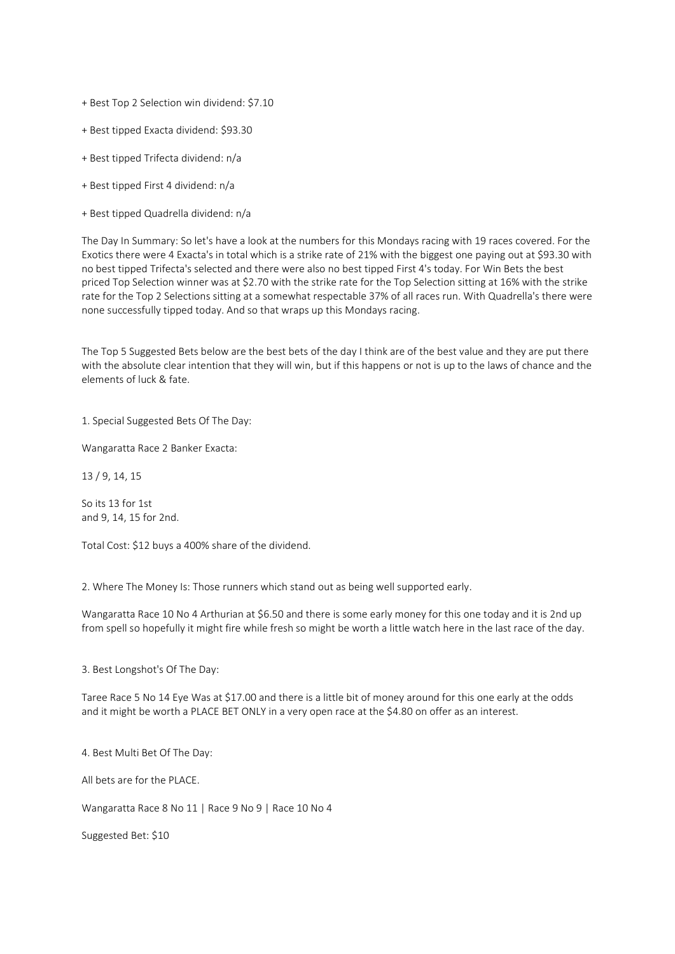- + Best Top 2 Selection win dividend: \$7.10
- + Best tipped Exacta dividend: \$93.30
- + Best tipped Trifecta dividend: n/a
- + Best tipped First 4 dividend: n/a
- + Best tipped Quadrella dividend: n/a

The Day In Summary: So let's have a look at the numbers for this Mondays racing with 19 races covered. For the Exotics there were 4 Exacta's in total which is a strike rate of 21% with the biggest one paying out at \$93.30 with no best tipped Trifecta's selected and there were also no best tipped First 4's today. For Win Bets the best priced Top Selection winner was at \$2.70 with the strike rate for the Top Selection sitting at 16% with the strike rate for the Top 2 Selections sitting at a somewhat respectable 37% of all races run. With Quadrella's there were none successfully tipped today. And so that wraps up this Mondays racing.

The Top 5 Suggested Bets below are the best bets of the day I think are of the best value and they are put there with the absolute clear intention that they will win, but if this happens or not is up to the laws of chance and the elements of luck & fate.

1. Special Suggested Bets Of The Day:

Wangaratta Race 2 Banker Exacta:

13 / 9, 14, 15

So its 13 for 1st and 9, 14, 15 for 2nd.

Total Cost: \$12 buys a 400% share of the dividend.

2. Where The Money Is: Those runners which stand out as being well supported early.

Wangaratta Race 10 No 4 Arthurian at \$6.50 and there is some early money for this one today and it is 2nd up from spell so hopefully it might fire while fresh so might be worth a little watch here in the last race of the day.

3. Best Longshot's Of The Day:

Taree Race 5 No 14 Eye Was at \$17.00 and there is a little bit of money around for this one early at the odds and it might be worth a PLACE BET ONLY in a very open race at the \$4.80 on offer as an interest.

4. Best Multi Bet Of The Day:

All bets are for the PLACE.

Wangaratta Race 8 No 11 | Race 9 No 9 | Race 10 No 4

Suggested Bet: \$10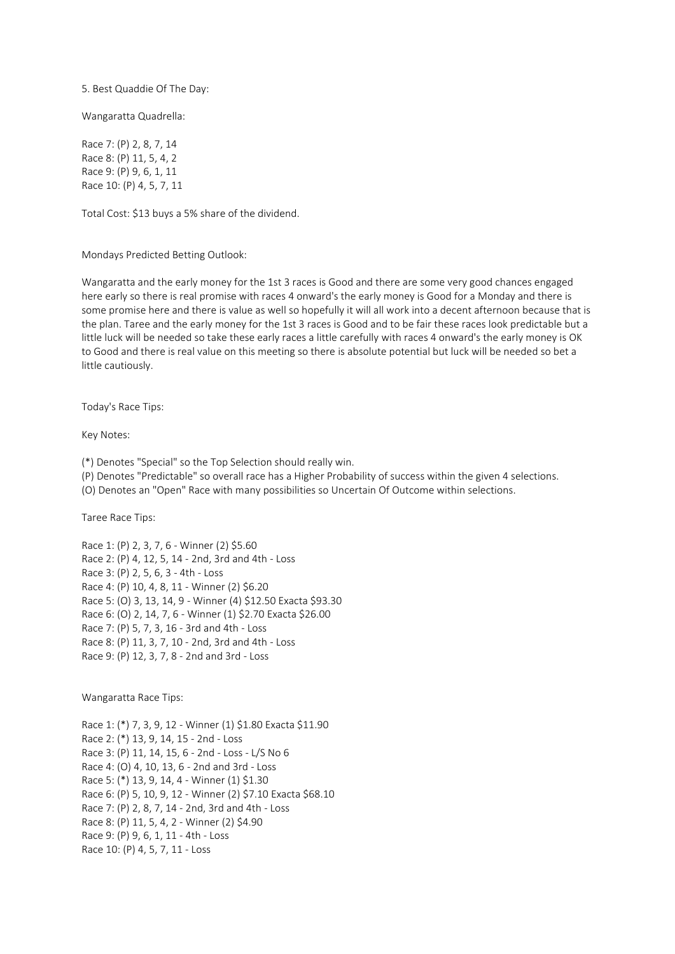5. Best Quaddie Of The Day:

Wangaratta Quadrella:

Race 7: (P) 2, 8, 7, 14 Race 8: (P) 11, 5, 4, 2 Race 9: (P) 9, 6, 1, 11 Race 10: (P) 4, 5, 7, 11

Total Cost: \$13 buys a 5% share of the dividend.

Mondays Predicted Betting Outlook:

Wangaratta and the early money for the 1st 3 races is Good and there are some very good chances engaged here early so there is real promise with races 4 onward's the early money is Good for a Monday and there is some promise here and there is value as well so hopefully it will all work into a decent afternoon because that is the plan. Taree and the early money for the 1st 3 races is Good and to be fair these races look predictable but a little luck will be needed so take these early races a little carefully with races 4 onward's the early money is OK to Good and there is real value on this meeting so there is absolute potential but luck will be needed so bet a little cautiously.

Today's Race Tips:

Key Notes:

(\*) Denotes "Special" so the Top Selection should really win.

(P) Denotes "Predictable" so overall race has a Higher Probability of success within the given 4 selections.

(O) Denotes an "Open" Race with many possibilities so Uncertain Of Outcome within selections.

Taree Race Tips:

Race 1: (P) 2, 3, 7, 6 - Winner (2) \$5.60 Race 2: (P) 4, 12, 5, 14 - 2nd, 3rd and 4th - Loss Race 3: (P) 2, 5, 6, 3 - 4th - Loss Race 4: (P) 10, 4, 8, 11 - Winner (2) \$6.20 Race 5: (O) 3, 13, 14, 9 - Winner (4) \$12.50 Exacta \$93.30 Race 6: (O) 2, 14, 7, 6 - Winner (1) \$2.70 Exacta \$26.00 Race 7: (P) 5, 7, 3, 16 - 3rd and 4th - Loss Race 8: (P) 11, 3, 7, 10 - 2nd, 3rd and 4th - Loss Race 9: (P) 12, 3, 7, 8 - 2nd and 3rd - Loss

Wangaratta Race Tips:

Race 1: (\*) 7, 3, 9, 12 - Winner (1) \$1.80 Exacta \$11.90 Race 2: (\*) 13, 9, 14, 15 - 2nd - Loss Race 3: (P) 11, 14, 15, 6 - 2nd - Loss - L/S No 6 Race 4: (O) 4, 10, 13, 6 - 2nd and 3rd - Loss Race 5: (\*) 13, 9, 14, 4 - Winner (1) \$1.30 Race 6: (P) 5, 10, 9, 12 - Winner (2) \$7.10 Exacta \$68.10 Race 7: (P) 2, 8, 7, 14 - 2nd, 3rd and 4th - Loss Race 8: (P) 11, 5, 4, 2 - Winner (2) \$4.90 Race 9: (P) 9, 6, 1, 11 - 4th - Loss Race 10: (P) 4, 5, 7, 11 - Loss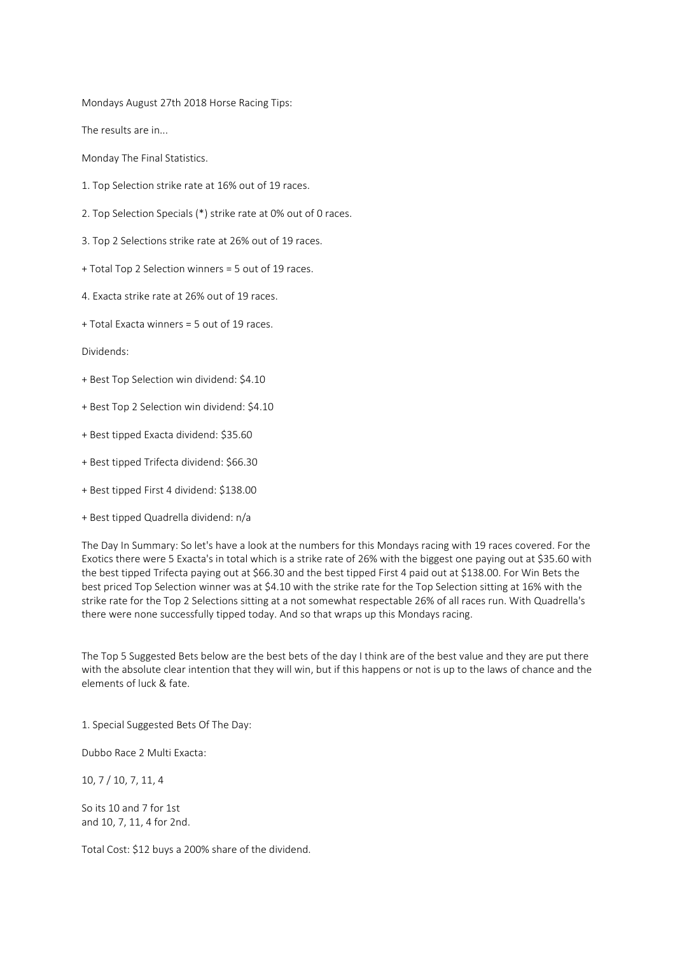Mondays August 27th 2018 Horse Racing Tips:

The results are in...

Monday The Final Statistics.

- 1. Top Selection strike rate at 16% out of 19 races.
- 2. Top Selection Specials (\*) strike rate at 0% out of 0 races.
- 3. Top 2 Selections strike rate at 26% out of 19 races.
- + Total Top 2 Selection winners = 5 out of 19 races.
- 4. Exacta strike rate at 26% out of 19 races.
- + Total Exacta winners = 5 out of 19 races.

Dividends:

- + Best Top Selection win dividend: \$4.10
- + Best Top 2 Selection win dividend: \$4.10
- + Best tipped Exacta dividend: \$35.60
- + Best tipped Trifecta dividend: \$66.30
- + Best tipped First 4 dividend: \$138.00
- + Best tipped Quadrella dividend: n/a

The Day In Summary: So let's have a look at the numbers for this Mondays racing with 19 races covered. For the Exotics there were 5 Exacta's in total which is a strike rate of 26% with the biggest one paying out at \$35.60 with the best tipped Trifecta paying out at \$66.30 and the best tipped First 4 paid out at \$138.00. For Win Bets the best priced Top Selection winner was at \$4.10 with the strike rate for the Top Selection sitting at 16% with the strike rate for the Top 2 Selections sitting at a not somewhat respectable 26% of all races run. With Quadrella's there were none successfully tipped today. And so that wraps up this Mondays racing.

The Top 5 Suggested Bets below are the best bets of the day I think are of the best value and they are put there with the absolute clear intention that they will win, but if this happens or not is up to the laws of chance and the elements of luck & fate.

1. Special Suggested Bets Of The Day:

Dubbo Race 2 Multi Exacta:

10, 7 / 10, 7, 11, 4

So its 10 and 7 for 1st and 10, 7, 11, 4 for 2nd.

Total Cost: \$12 buys a 200% share of the dividend.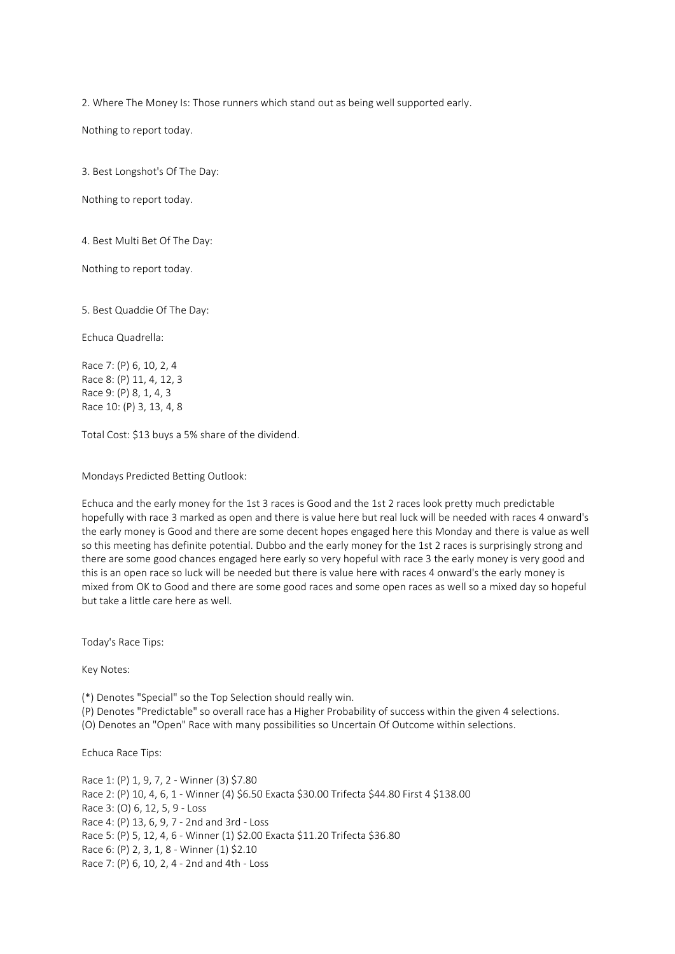2. Where The Money Is: Those runners which stand out as being well supported early.

Nothing to report today.

3. Best Longshot's Of The Day:

Nothing to report today.

4. Best Multi Bet Of The Day:

Nothing to report today.

5. Best Quaddie Of The Day:

Echuca Quadrella:

Race 7: (P) 6, 10, 2, 4 Race 8: (P) 11, 4, 12, 3 Race 9: (P) 8, 1, 4, 3 Race 10: (P) 3, 13, 4, 8

Total Cost: \$13 buys a 5% share of the dividend.

Mondays Predicted Betting Outlook:

Echuca and the early money for the 1st 3 races is Good and the 1st 2 races look pretty much predictable hopefully with race 3 marked as open and there is value here but real luck will be needed with races 4 onward's the early money is Good and there are some decent hopes engaged here this Monday and there is value as well so this meeting has definite potential. Dubbo and the early money for the 1st 2 races is surprisingly strong and there are some good chances engaged here early so very hopeful with race 3 the early money is very good and this is an open race so luck will be needed but there is value here with races 4 onward's the early money is mixed from OK to Good and there are some good races and some open races as well so a mixed day so hopeful but take a little care here as well.

Today's Race Tips:

Key Notes:

(\*) Denotes "Special" so the Top Selection should really win.

(P) Denotes "Predictable" so overall race has a Higher Probability of success within the given 4 selections.

(O) Denotes an "Open" Race with many possibilities so Uncertain Of Outcome within selections.

Echuca Race Tips:

Race 1: (P) 1, 9, 7, 2 - Winner (3) \$7.80 Race 2: (P) 10, 4, 6, 1 - Winner (4) \$6.50 Exacta \$30.00 Trifecta \$44.80 First 4 \$138.00 Race 3: (O) 6, 12, 5, 9 - Loss Race 4: (P) 13, 6, 9, 7 - 2nd and 3rd - Loss Race 5: (P) 5, 12, 4, 6 - Winner (1) \$2.00 Exacta \$11.20 Trifecta \$36.80 Race 6: (P) 2, 3, 1, 8 - Winner (1) \$2.10 Race 7: (P) 6, 10, 2, 4 - 2nd and 4th - Loss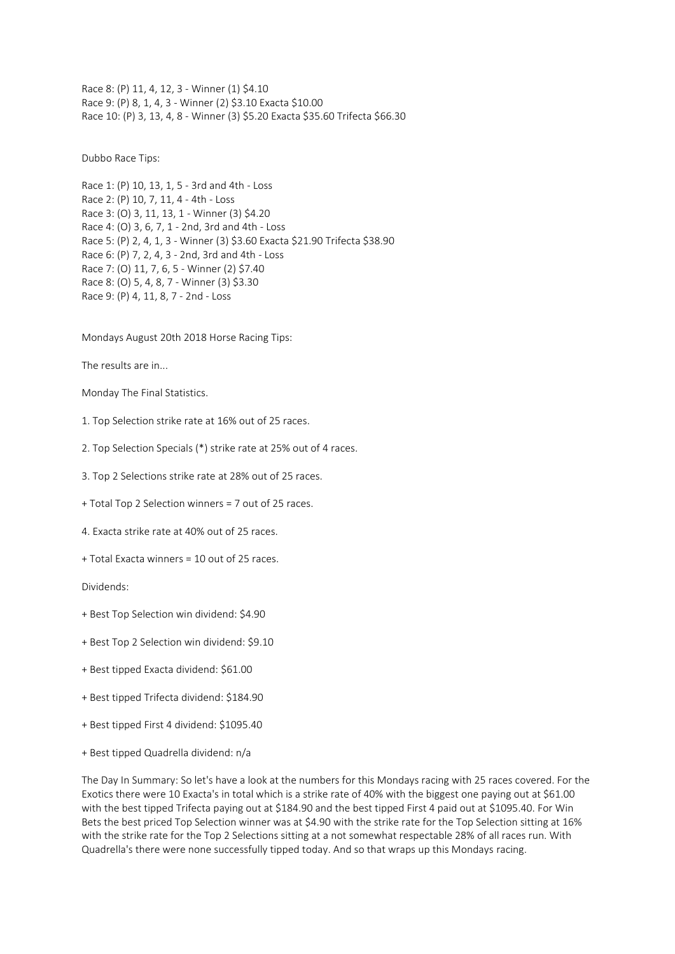Race 8: (P) 11, 4, 12, 3 - Winner (1) \$4.10 Race 9: (P) 8, 1, 4, 3 - Winner (2) \$3.10 Exacta \$10.00 Race 10: (P) 3, 13, 4, 8 - Winner (3) \$5.20 Exacta \$35.60 Trifecta \$66.30

Dubbo Race Tips:

Race 1: (P) 10, 13, 1, 5 - 3rd and 4th - Loss Race 2: (P) 10, 7, 11, 4 - 4th - Loss Race 3: (O) 3, 11, 13, 1 - Winner (3) \$4.20 Race 4: (O) 3, 6, 7, 1 - 2nd, 3rd and 4th - Loss Race 5: (P) 2, 4, 1, 3 - Winner (3) \$3.60 Exacta \$21.90 Trifecta \$38.90 Race 6: (P) 7, 2, 4, 3 - 2nd, 3rd and 4th - Loss Race 7: (O) 11, 7, 6, 5 - Winner (2) \$7.40 Race 8: (O) 5, 4, 8, 7 - Winner (3) \$3.30 Race 9: (P) 4, 11, 8, 7 - 2nd - Loss

Mondays August 20th 2018 Horse Racing Tips:

The results are in...

Monday The Final Statistics.

- 1. Top Selection strike rate at 16% out of 25 races.
- 2. Top Selection Specials (\*) strike rate at 25% out of 4 races.
- 3. Top 2 Selections strike rate at 28% out of 25 races.
- + Total Top 2 Selection winners = 7 out of 25 races.
- 4. Exacta strike rate at 40% out of 25 races.
- + Total Exacta winners = 10 out of 25 races.

Dividends:

- + Best Top Selection win dividend: \$4.90
- + Best Top 2 Selection win dividend: \$9.10
- + Best tipped Exacta dividend: \$61.00
- + Best tipped Trifecta dividend: \$184.90
- + Best tipped First 4 dividend: \$1095.40
- + Best tipped Quadrella dividend: n/a

The Day In Summary: So let's have a look at the numbers for this Mondays racing with 25 races covered. For the Exotics there were 10 Exacta's in total which is a strike rate of 40% with the biggest one paying out at \$61.00 with the best tipped Trifecta paying out at \$184.90 and the best tipped First 4 paid out at \$1095.40. For Win Bets the best priced Top Selection winner was at \$4.90 with the strike rate for the Top Selection sitting at 16% with the strike rate for the Top 2 Selections sitting at a not somewhat respectable 28% of all races run. With Quadrella's there were none successfully tipped today. And so that wraps up this Mondays racing.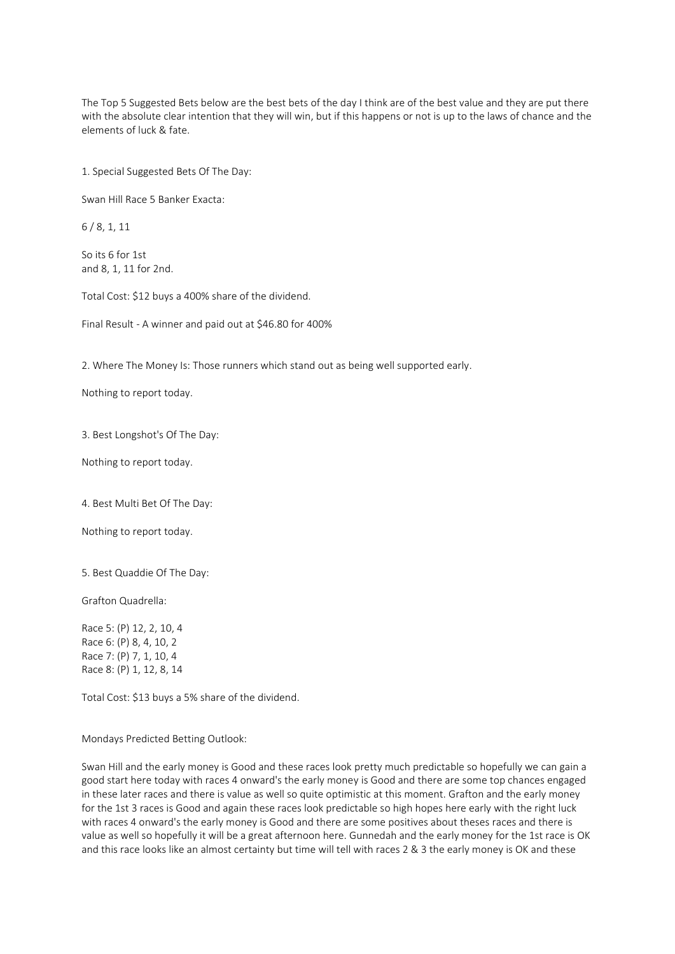The Top 5 Suggested Bets below are the best bets of the day I think are of the best value and they are put there with the absolute clear intention that they will win, but if this happens or not is up to the laws of chance and the elements of luck & fate.

1. Special Suggested Bets Of The Day:

Swan Hill Race 5 Banker Exacta:

6 / 8, 1, 11

So its 6 for 1st and 8, 1, 11 for 2nd.

Total Cost: \$12 buys a 400% share of the dividend.

Final Result - A winner and paid out at \$46.80 for 400%

2. Where The Money Is: Those runners which stand out as being well supported early.

Nothing to report today.

3. Best Longshot's Of The Day:

Nothing to report today.

4. Best Multi Bet Of The Day:

Nothing to report today.

5. Best Quaddie Of The Day:

Grafton Quadrella:

Race 5: (P) 12, 2, 10, 4 Race 6: (P) 8, 4, 10, 2 Race 7: (P) 7, 1, 10, 4 Race 8: (P) 1, 12, 8, 14

Total Cost: \$13 buys a 5% share of the dividend.

Mondays Predicted Betting Outlook:

Swan Hill and the early money is Good and these races look pretty much predictable so hopefully we can gain a good start here today with races 4 onward's the early money is Good and there are some top chances engaged in these later races and there is value as well so quite optimistic at this moment. Grafton and the early money for the 1st 3 races is Good and again these races look predictable so high hopes here early with the right luck with races 4 onward's the early money is Good and there are some positives about theses races and there is value as well so hopefully it will be a great afternoon here. Gunnedah and the early money for the 1st race is OK and this race looks like an almost certainty but time will tell with races 2 & 3 the early money is OK and these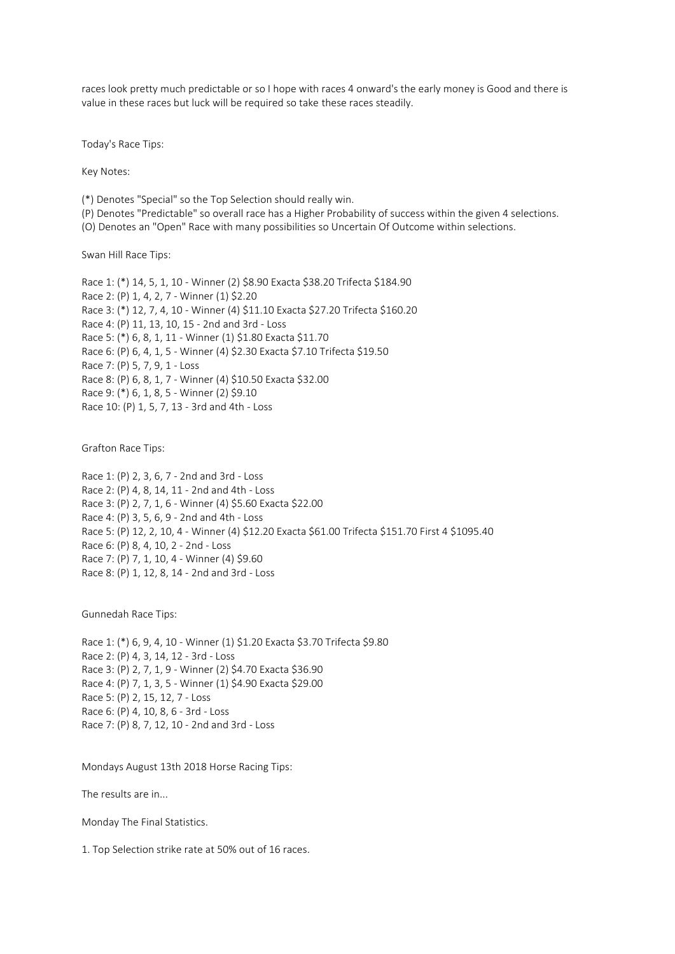races look pretty much predictable or so I hope with races 4 onward's the early money is Good and there is value in these races but luck will be required so take these races steadily.

Today's Race Tips:

Key Notes:

(\*) Denotes "Special" so the Top Selection should really win.

(P) Denotes "Predictable" so overall race has a Higher Probability of success within the given 4 selections.

(O) Denotes an "Open" Race with many possibilities so Uncertain Of Outcome within selections.

Swan Hill Race Tips:

Race 1: (\*) 14, 5, 1, 10 - Winner (2) \$8.90 Exacta \$38.20 Trifecta \$184.90 Race 2: (P) 1, 4, 2, 7 - Winner (1) \$2.20 Race 3: (\*) 12, 7, 4, 10 - Winner (4) \$11.10 Exacta \$27.20 Trifecta \$160.20 Race 4: (P) 11, 13, 10, 15 - 2nd and 3rd - Loss Race 5: (\*) 6, 8, 1, 11 - Winner (1) \$1.80 Exacta \$11.70 Race 6: (P) 6, 4, 1, 5 - Winner (4) \$2.30 Exacta \$7.10 Trifecta \$19.50 Race 7: (P) 5, 7, 9, 1 - Loss Race 8: (P) 6, 8, 1, 7 - Winner (4) \$10.50 Exacta \$32.00 Race 9: (\*) 6, 1, 8, 5 - Winner (2) \$9.10 Race 10: (P) 1, 5, 7, 13 - 3rd and 4th - Loss

Grafton Race Tips:

Race 1: (P) 2, 3, 6, 7 - 2nd and 3rd - Loss Race 2: (P) 4, 8, 14, 11 - 2nd and 4th - Loss Race 3: (P) 2, 7, 1, 6 - Winner (4) \$5.60 Exacta \$22.00 Race 4: (P) 3, 5, 6, 9 - 2nd and 4th - Loss Race 5: (P) 12, 2, 10, 4 - Winner (4) \$12.20 Exacta \$61.00 Trifecta \$151.70 First 4 \$1095.40 Race 6: (P) 8, 4, 10, 2 - 2nd - Loss Race 7: (P) 7, 1, 10, 4 - Winner (4) \$9.60 Race 8: (P) 1, 12, 8, 14 - 2nd and 3rd - Loss

Gunnedah Race Tips:

Race 1: (\*) 6, 9, 4, 10 - Winner (1) \$1.20 Exacta \$3.70 Trifecta \$9.80 Race 2: (P) 4, 3, 14, 12 - 3rd - Loss Race 3: (P) 2, 7, 1, 9 - Winner (2) \$4.70 Exacta \$36.90 Race 4: (P) 7, 1, 3, 5 - Winner (1) \$4.90 Exacta \$29.00 Race 5: (P) 2, 15, 12, 7 - Loss Race 6: (P) 4, 10, 8, 6 - 3rd - Loss Race 7: (P) 8, 7, 12, 10 - 2nd and 3rd - Loss

Mondays August 13th 2018 Horse Racing Tips:

The results are in...

Monday The Final Statistics.

1. Top Selection strike rate at 50% out of 16 races.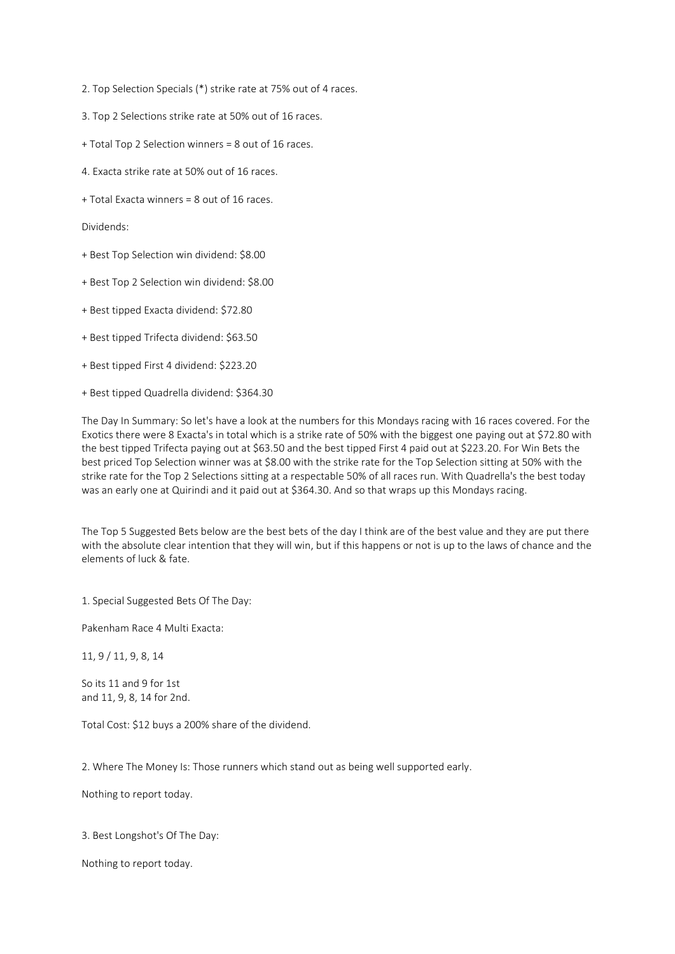2. Top Selection Specials (\*) strike rate at 75% out of 4 races.

- 3. Top 2 Selections strike rate at 50% out of 16 races.
- + Total Top 2 Selection winners = 8 out of 16 races.
- 4. Exacta strike rate at 50% out of 16 races.
- + Total Exacta winners = 8 out of 16 races.

Dividends:

- + Best Top Selection win dividend: \$8.00
- + Best Top 2 Selection win dividend: \$8.00
- + Best tipped Exacta dividend: \$72.80
- + Best tipped Trifecta dividend: \$63.50
- + Best tipped First 4 dividend: \$223.20
- + Best tipped Quadrella dividend: \$364.30

The Day In Summary: So let's have a look at the numbers for this Mondays racing with 16 races covered. For the Exotics there were 8 Exacta's in total which is a strike rate of 50% with the biggest one paying out at \$72.80 with the best tipped Trifecta paying out at \$63.50 and the best tipped First 4 paid out at \$223.20. For Win Bets the best priced Top Selection winner was at \$8.00 with the strike rate for the Top Selection sitting at 50% with the strike rate for the Top 2 Selections sitting at a respectable 50% of all races run. With Quadrella's the best today was an early one at Quirindi and it paid out at \$364.30. And so that wraps up this Mondays racing.

The Top 5 Suggested Bets below are the best bets of the day I think are of the best value and they are put there with the absolute clear intention that they will win, but if this happens or not is up to the laws of chance and the elements of luck & fate.

1. Special Suggested Bets Of The Day:

Pakenham Race 4 Multi Exacta:

11, 9 / 11, 9, 8, 14

So its 11 and 9 for 1st and 11, 9, 8, 14 for 2nd.

Total Cost: \$12 buys a 200% share of the dividend.

2. Where The Money Is: Those runners which stand out as being well supported early.

Nothing to report today.

3. Best Longshot's Of The Day:

Nothing to report today.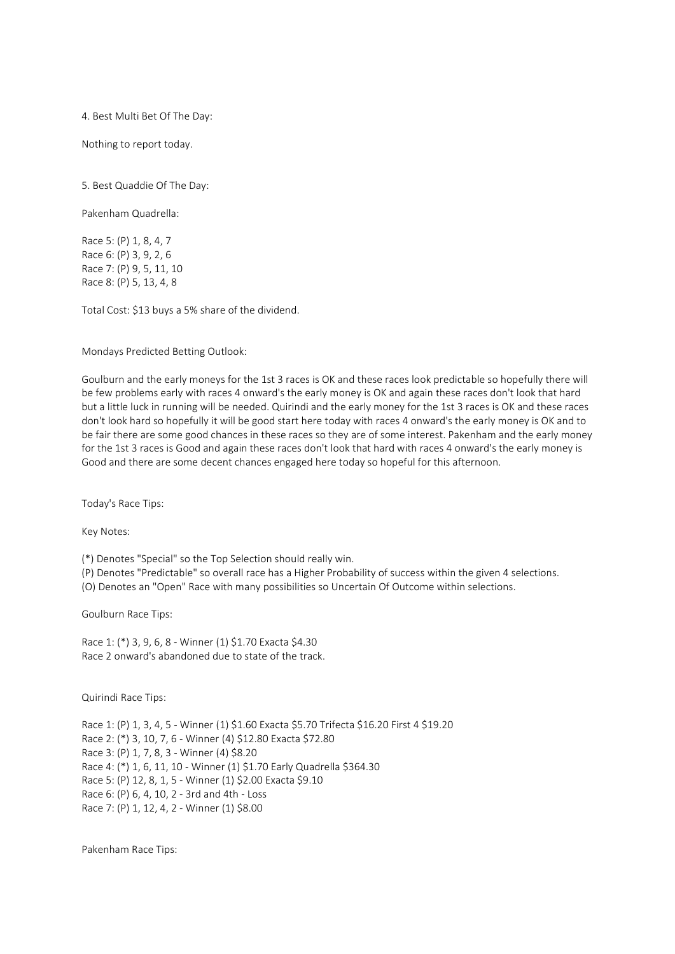4. Best Multi Bet Of The Day:

Nothing to report today.

5. Best Quaddie Of The Day:

Pakenham Quadrella:

Race 5: (P) 1, 8, 4, 7 Race 6: (P) 3, 9, 2, 6 Race 7: (P) 9, 5, 11, 10 Race 8: (P) 5, 13, 4, 8

Total Cost: \$13 buys a 5% share of the dividend.

Mondays Predicted Betting Outlook:

Goulburn and the early moneys for the 1st 3 races is OK and these races look predictable so hopefully there will be few problems early with races 4 onward's the early money is OK and again these races don't look that hard but a little luck in running will be needed. Quirindi and the early money for the 1st 3 races is OK and these races don't look hard so hopefully it will be good start here today with races 4 onward's the early money is OK and to be fair there are some good chances in these races so they are of some interest. Pakenham and the early money for the 1st 3 races is Good and again these races don't look that hard with races 4 onward's the early money is Good and there are some decent chances engaged here today so hopeful for this afternoon.

Today's Race Tips:

Key Notes:

(\*) Denotes "Special" so the Top Selection should really win.

(P) Denotes "Predictable" so overall race has a Higher Probability of success within the given 4 selections.

(O) Denotes an "Open" Race with many possibilities so Uncertain Of Outcome within selections.

Goulburn Race Tips:

Race 1: (\*) 3, 9, 6, 8 - Winner (1) \$1.70 Exacta \$4.30 Race 2 onward's abandoned due to state of the track.

Quirindi Race Tips:

Race 1: (P) 1, 3, 4, 5 - Winner (1) \$1.60 Exacta \$5.70 Trifecta \$16.20 First 4 \$19.20 Race 2: (\*) 3, 10, 7, 6 - Winner (4) \$12.80 Exacta \$72.80 Race 3: (P) 1, 7, 8, 3 - Winner (4) \$8.20 Race 4: (\*) 1, 6, 11, 10 - Winner (1) \$1.70 Early Quadrella \$364.30 Race 5: (P) 12, 8, 1, 5 - Winner (1) \$2.00 Exacta \$9.10 Race 6: (P) 6, 4, 10, 2 - 3rd and 4th - Loss Race 7: (P) 1, 12, 4, 2 - Winner (1) \$8.00

Pakenham Race Tips: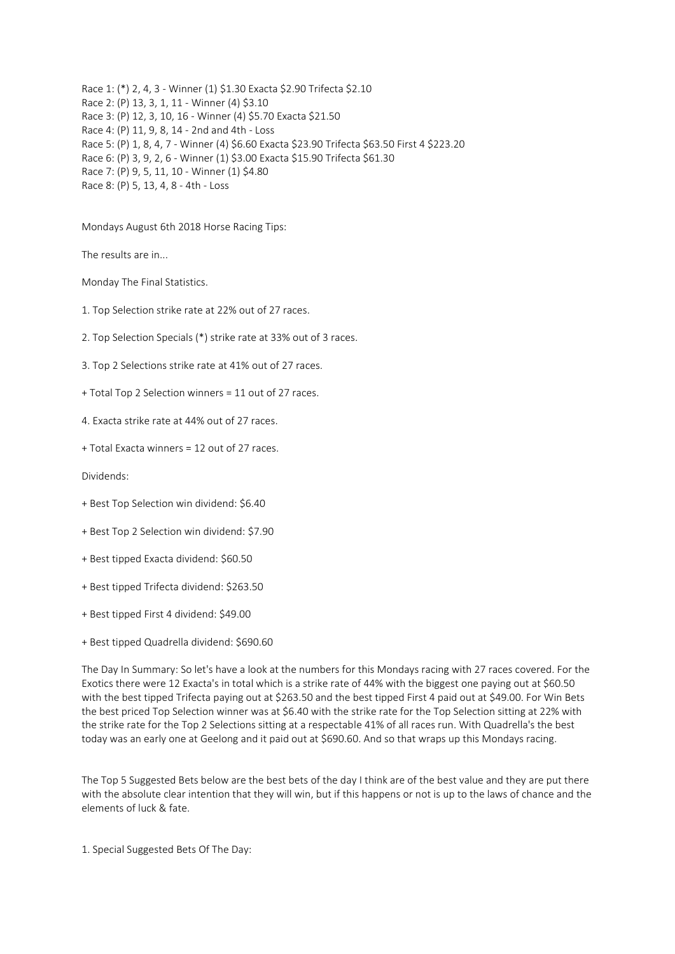Race 1: (\*) 2, 4, 3 - Winner (1) \$1.30 Exacta \$2.90 Trifecta \$2.10 Race 2: (P) 13, 3, 1, 11 - Winner (4) \$3.10 Race 3: (P) 12, 3, 10, 16 - Winner (4) \$5.70 Exacta \$21.50 Race 4: (P) 11, 9, 8, 14 - 2nd and 4th - Loss Race 5: (P) 1, 8, 4, 7 - Winner (4) \$6.60 Exacta \$23.90 Trifecta \$63.50 First 4 \$223.20 Race 6: (P) 3, 9, 2, 6 - Winner (1) \$3.00 Exacta \$15.90 Trifecta \$61.30 Race 7: (P) 9, 5, 11, 10 - Winner (1) \$4.80 Race 8: (P) 5, 13, 4, 8 - 4th - Loss

Mondays August 6th 2018 Horse Racing Tips:

The results are in...

Monday The Final Statistics.

- 1. Top Selection strike rate at 22% out of 27 races.
- 2. Top Selection Specials (\*) strike rate at 33% out of 3 races.
- 3. Top 2 Selections strike rate at 41% out of 27 races.
- + Total Top 2 Selection winners = 11 out of 27 races.
- 4. Exacta strike rate at 44% out of 27 races.
- + Total Exacta winners = 12 out of 27 races.

Dividends:

- + Best Top Selection win dividend: \$6.40
- + Best Top 2 Selection win dividend: \$7.90
- + Best tipped Exacta dividend: \$60.50
- + Best tipped Trifecta dividend: \$263.50
- + Best tipped First 4 dividend: \$49.00
- + Best tipped Quadrella dividend: \$690.60

The Day In Summary: So let's have a look at the numbers for this Mondays racing with 27 races covered. For the Exotics there were 12 Exacta's in total which is a strike rate of 44% with the biggest one paying out at \$60.50 with the best tipped Trifecta paying out at \$263.50 and the best tipped First 4 paid out at \$49.00. For Win Bets the best priced Top Selection winner was at \$6.40 with the strike rate for the Top Selection sitting at 22% with the strike rate for the Top 2 Selections sitting at a respectable 41% of all races run. With Quadrella's the best today was an early one at Geelong and it paid out at \$690.60. And so that wraps up this Mondays racing.

The Top 5 Suggested Bets below are the best bets of the day I think are of the best value and they are put there with the absolute clear intention that they will win, but if this happens or not is up to the laws of chance and the elements of luck & fate.

1. Special Suggested Bets Of The Day: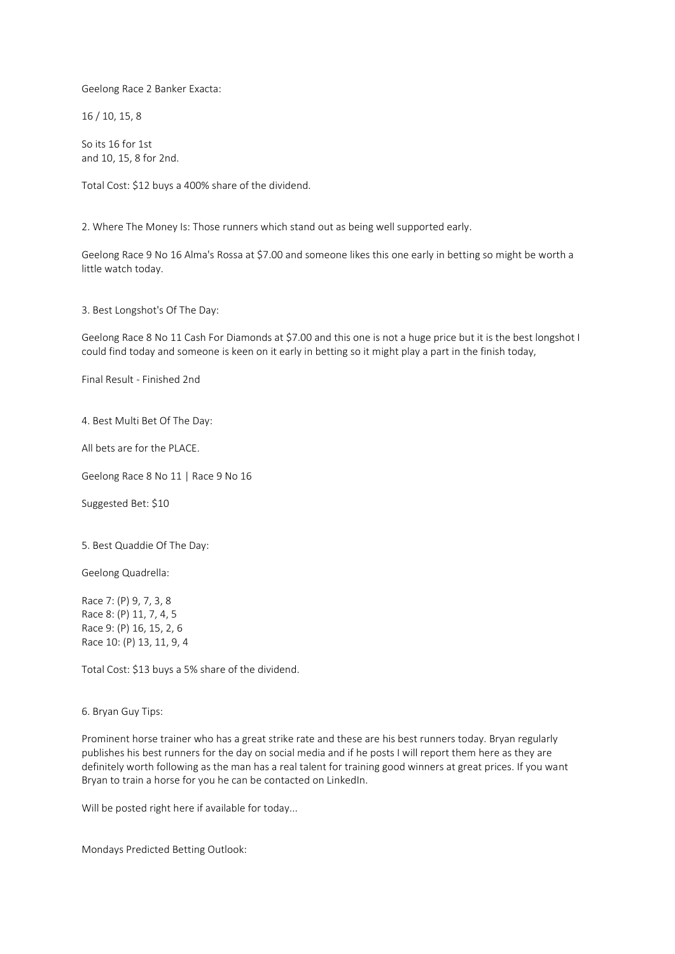Geelong Race 2 Banker Exacta:

16 / 10, 15, 8

So its 16 for 1st and 10, 15, 8 for 2nd.

Total Cost: \$12 buys a 400% share of the dividend.

2. Where The Money Is: Those runners which stand out as being well supported early.

Geelong Race 9 No 16 Alma's Rossa at \$7.00 and someone likes this one early in betting so might be worth a little watch today.

3. Best Longshot's Of The Day:

Geelong Race 8 No 11 Cash For Diamonds at \$7.00 and this one is not a huge price but it is the best longshot I could find today and someone is keen on it early in betting so it might play a part in the finish today,

Final Result - Finished 2nd

4. Best Multi Bet Of The Day:

All bets are for the PLACE.

Geelong Race 8 No 11 | Race 9 No 16

Suggested Bet: \$10

5. Best Quaddie Of The Day:

Geelong Quadrella:

Race 7: (P) 9, 7, 3, 8 Race 8: (P) 11, 7, 4, 5 Race 9: (P) 16, 15, 2, 6 Race 10: (P) 13, 11, 9, 4

Total Cost: \$13 buys a 5% share of the dividend.

6. Bryan Guy Tips:

Prominent horse trainer who has a great strike rate and these are his best runners today. Bryan regularly publishes his best runners for the day on social media and if he posts I will report them here as they are definitely worth following as the man has a real talent for training good winners at great prices. If you want Bryan to train a horse for you he can be contacted on LinkedIn.

Will be posted right here if available for today...

Mondays Predicted Betting Outlook: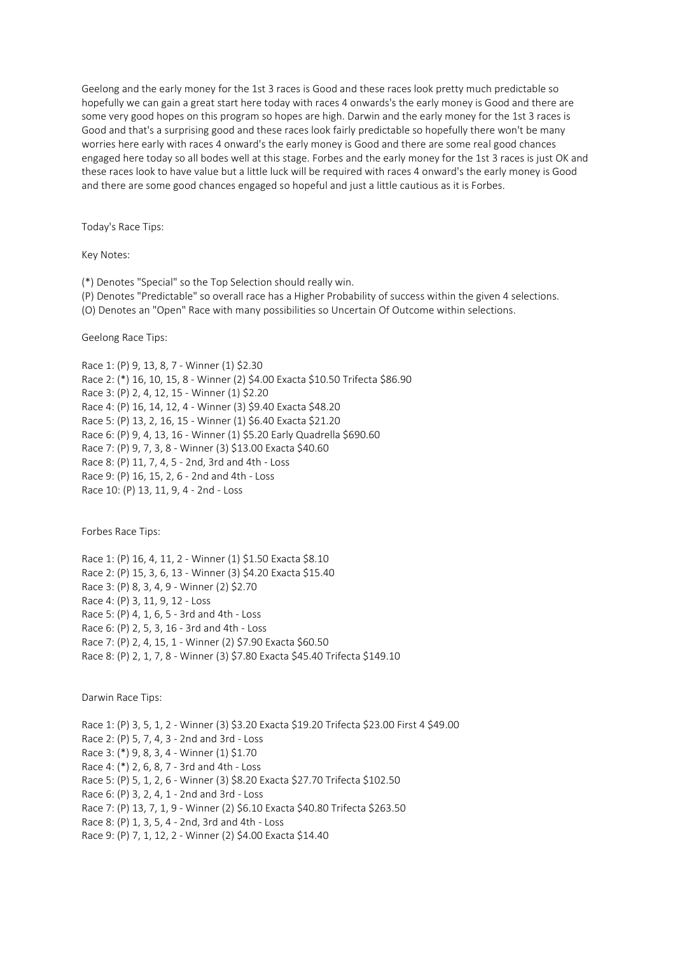Geelong and the early money for the 1st 3 races is Good and these races look pretty much predictable so hopefully we can gain a great start here today with races 4 onwards's the early money is Good and there are some very good hopes on this program so hopes are high. Darwin and the early money for the 1st 3 races is Good and that's a surprising good and these races look fairly predictable so hopefully there won't be many worries here early with races 4 onward's the early money is Good and there are some real good chances engaged here today so all bodes well at this stage. Forbes and the early money for the 1st 3 races is just OK and these races look to have value but a little luck will be required with races 4 onward's the early money is Good and there are some good chances engaged so hopeful and just a little cautious as it is Forbes.

Today's Race Tips:

Key Notes:

(\*) Denotes "Special" so the Top Selection should really win.

(P) Denotes "Predictable" so overall race has a Higher Probability of success within the given 4 selections.

(O) Denotes an "Open" Race with many possibilities so Uncertain Of Outcome within selections.

Geelong Race Tips:

Race 1: (P) 9, 13, 8, 7 - Winner (1) \$2.30 Race 2: (\*) 16, 10, 15, 8 - Winner (2) \$4.00 Exacta \$10.50 Trifecta \$86.90 Race 3: (P) 2, 4, 12, 15 - Winner (1) \$2.20 Race 4: (P) 16, 14, 12, 4 - Winner (3) \$9.40 Exacta \$48.20 Race 5: (P) 13, 2, 16, 15 - Winner (1) \$6.40 Exacta \$21.20 Race 6: (P) 9, 4, 13, 16 - Winner (1) \$5.20 Early Quadrella \$690.60 Race 7: (P) 9, 7, 3, 8 - Winner (3) \$13.00 Exacta \$40.60 Race 8: (P) 11, 7, 4, 5 - 2nd, 3rd and 4th - Loss Race 9: (P) 16, 15, 2, 6 - 2nd and 4th - Loss Race 10: (P) 13, 11, 9, 4 - 2nd - Loss

Forbes Race Tips:

Race 1: (P) 16, 4, 11, 2 - Winner (1) \$1.50 Exacta \$8.10 Race 2: (P) 15, 3, 6, 13 - Winner (3) \$4.20 Exacta \$15.40 Race 3: (P) 8, 3, 4, 9 - Winner (2) \$2.70 Race 4: (P) 3, 11, 9, 12 - Loss Race 5: (P) 4, 1, 6, 5 - 3rd and 4th - Loss Race 6: (P) 2, 5, 3, 16 - 3rd and 4th - Loss Race 7: (P) 2, 4, 15, 1 - Winner (2) \$7.90 Exacta \$60.50 Race 8: (P) 2, 1, 7, 8 - Winner (3) \$7.80 Exacta \$45.40 Trifecta \$149.10

Darwin Race Tips:

Race 1: (P) 3, 5, 1, 2 - Winner (3) \$3.20 Exacta \$19.20 Trifecta \$23.00 First 4 \$49.00 Race 2: (P) 5, 7, 4, 3 - 2nd and 3rd - Loss Race 3: (\*) 9, 8, 3, 4 - Winner (1) \$1.70 Race 4: (\*) 2, 6, 8, 7 - 3rd and 4th - Loss Race 5: (P) 5, 1, 2, 6 - Winner (3) \$8.20 Exacta \$27.70 Trifecta \$102.50 Race 6: (P) 3, 2, 4, 1 - 2nd and 3rd - Loss Race 7: (P) 13, 7, 1, 9 - Winner (2) \$6.10 Exacta \$40.80 Trifecta \$263.50 Race 8: (P) 1, 3, 5, 4 - 2nd, 3rd and 4th - Loss Race 9: (P) 7, 1, 12, 2 - Winner (2) \$4.00 Exacta \$14.40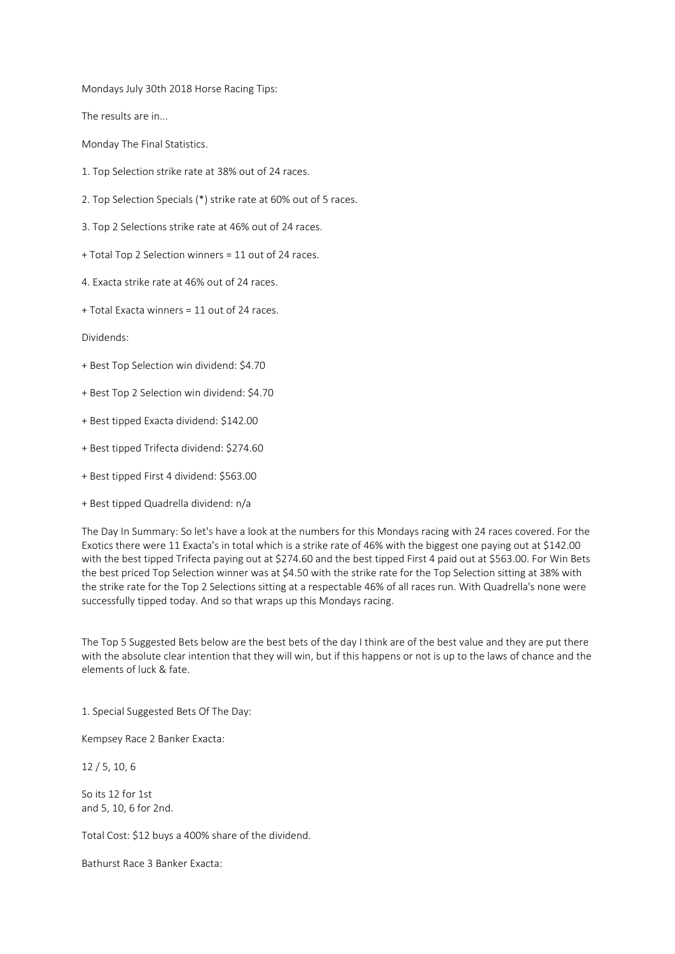Mondays July 30th 2018 Horse Racing Tips:

The results are in...

Monday The Final Statistics.

- 1. Top Selection strike rate at 38% out of 24 races.
- 2. Top Selection Specials (\*) strike rate at 60% out of 5 races.
- 3. Top 2 Selections strike rate at 46% out of 24 races.
- + Total Top 2 Selection winners = 11 out of 24 races.
- 4. Exacta strike rate at 46% out of 24 races.
- + Total Exacta winners = 11 out of 24 races.

Dividends:

- + Best Top Selection win dividend: \$4.70
- + Best Top 2 Selection win dividend: \$4.70
- + Best tipped Exacta dividend: \$142.00
- + Best tipped Trifecta dividend: \$274.60
- + Best tipped First 4 dividend: \$563.00
- + Best tipped Quadrella dividend: n/a

The Day In Summary: So let's have a look at the numbers for this Mondays racing with 24 races covered. For the Exotics there were 11 Exacta's in total which is a strike rate of 46% with the biggest one paying out at \$142.00 with the best tipped Trifecta paying out at \$274.60 and the best tipped First 4 paid out at \$563.00. For Win Bets the best priced Top Selection winner was at \$4.50 with the strike rate for the Top Selection sitting at 38% with the strike rate for the Top 2 Selections sitting at a respectable 46% of all races run. With Quadrella's none were successfully tipped today. And so that wraps up this Mondays racing.

The Top 5 Suggested Bets below are the best bets of the day I think are of the best value and they are put there with the absolute clear intention that they will win, but if this happens or not is up to the laws of chance and the elements of luck & fate.

1. Special Suggested Bets Of The Day:

Kempsey Race 2 Banker Exacta:

12 / 5, 10, 6

So its 12 for 1st and 5, 10, 6 for 2nd.

Total Cost: \$12 buys a 400% share of the dividend.

Bathurst Race 3 Banker Exacta: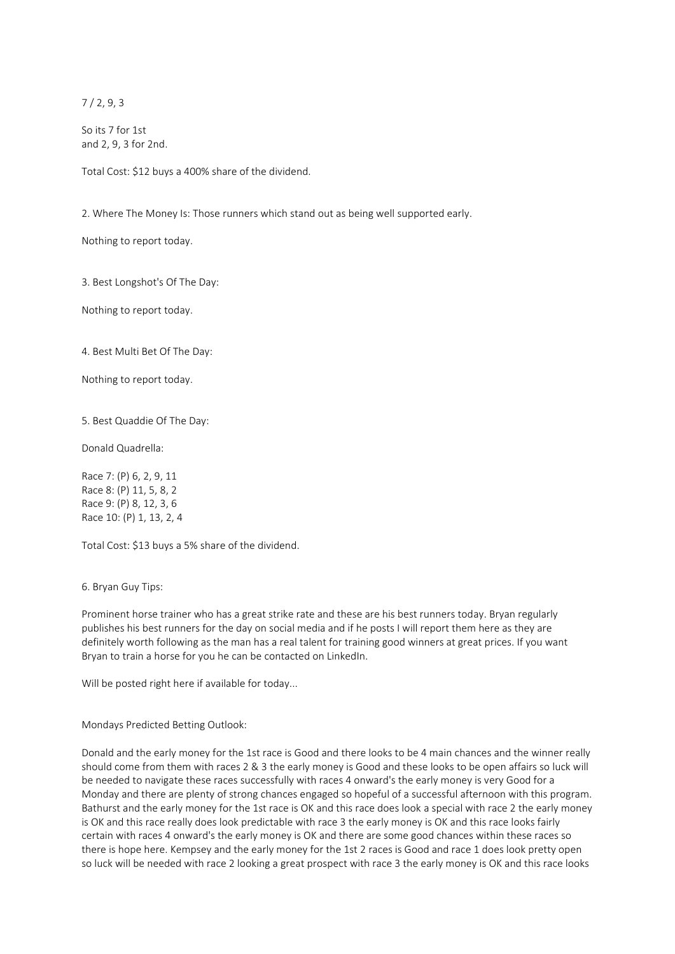7 / 2, 9, 3

So its 7 for 1st and 2, 9, 3 for 2nd.

Total Cost: \$12 buys a 400% share of the dividend.

2. Where The Money Is: Those runners which stand out as being well supported early.

Nothing to report today.

3. Best Longshot's Of The Day:

Nothing to report today.

4. Best Multi Bet Of The Day:

Nothing to report today.

5. Best Quaddie Of The Day:

Donald Quadrella:

Race 7: (P) 6, 2, 9, 11 Race 8: (P) 11, 5, 8, 2 Race 9: (P) 8, 12, 3, 6 Race 10: (P) 1, 13, 2, 4

Total Cost: \$13 buys a 5% share of the dividend.

6. Bryan Guy Tips:

Prominent horse trainer who has a great strike rate and these are his best runners today. Bryan regularly publishes his best runners for the day on social media and if he posts I will report them here as they are definitely worth following as the man has a real talent for training good winners at great prices. If you want Bryan to train a horse for you he can be contacted on LinkedIn.

Will be posted right here if available for today...

Mondays Predicted Betting Outlook:

Donald and the early money for the 1st race is Good and there looks to be 4 main chances and the winner really should come from them with races 2 & 3 the early money is Good and these looks to be open affairs so luck will be needed to navigate these races successfully with races 4 onward's the early money is very Good for a Monday and there are plenty of strong chances engaged so hopeful of a successful afternoon with this program. Bathurst and the early money for the 1st race is OK and this race does look a special with race 2 the early money is OK and this race really does look predictable with race 3 the early money is OK and this race looks fairly certain with races 4 onward's the early money is OK and there are some good chances within these races so there is hope here. Kempsey and the early money for the 1st 2 races is Good and race 1 does look pretty open so luck will be needed with race 2 looking a great prospect with race 3 the early money is OK and this race looks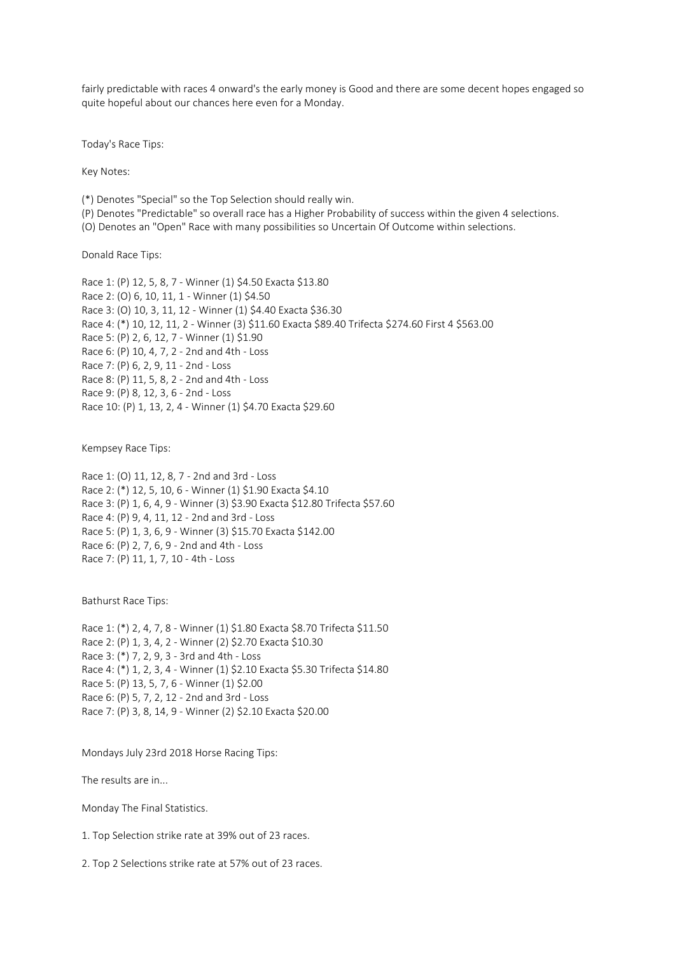fairly predictable with races 4 onward's the early money is Good and there are some decent hopes engaged so quite hopeful about our chances here even for a Monday.

Today's Race Tips:

Key Notes:

(\*) Denotes "Special" so the Top Selection should really win.

(P) Denotes "Predictable" so overall race has a Higher Probability of success within the given 4 selections.

(O) Denotes an "Open" Race with many possibilities so Uncertain Of Outcome within selections.

Donald Race Tips:

Race 1: (P) 12, 5, 8, 7 - Winner (1) \$4.50 Exacta \$13.80 Race 2: (O) 6, 10, 11, 1 - Winner (1) \$4.50 Race 3: (O) 10, 3, 11, 12 - Winner (1) \$4.40 Exacta \$36.30 Race 4: (\*) 10, 12, 11, 2 - Winner (3) \$11.60 Exacta \$89.40 Trifecta \$274.60 First 4 \$563.00 Race 5: (P) 2, 6, 12, 7 - Winner (1) \$1.90 Race 6: (P) 10, 4, 7, 2 - 2nd and 4th - Loss Race 7: (P) 6, 2, 9, 11 - 2nd - Loss Race 8: (P) 11, 5, 8, 2 - 2nd and 4th - Loss Race 9: (P) 8, 12, 3, 6 - 2nd - Loss Race 10: (P) 1, 13, 2, 4 - Winner (1) \$4.70 Exacta \$29.60

Kempsey Race Tips:

Race 1: (O) 11, 12, 8, 7 - 2nd and 3rd - Loss Race 2: (\*) 12, 5, 10, 6 - Winner (1) \$1.90 Exacta \$4.10 Race 3: (P) 1, 6, 4, 9 - Winner (3) \$3.90 Exacta \$12.80 Trifecta \$57.60 Race 4: (P) 9, 4, 11, 12 - 2nd and 3rd - Loss Race 5: (P) 1, 3, 6, 9 - Winner (3) \$15.70 Exacta \$142.00 Race 6: (P) 2, 7, 6, 9 - 2nd and 4th - Loss Race 7: (P) 11, 1, 7, 10 - 4th - Loss

Bathurst Race Tips:

Race 1: (\*) 2, 4, 7, 8 - Winner (1) \$1.80 Exacta \$8.70 Trifecta \$11.50 Race 2: (P) 1, 3, 4, 2 - Winner (2) \$2.70 Exacta \$10.30 Race 3: (\*) 7, 2, 9, 3 - 3rd and 4th - Loss Race 4: (\*) 1, 2, 3, 4 - Winner (1) \$2.10 Exacta \$5.30 Trifecta \$14.80 Race 5: (P) 13, 5, 7, 6 - Winner (1) \$2.00 Race 6: (P) 5, 7, 2, 12 - 2nd and 3rd - Loss Race 7: (P) 3, 8, 14, 9 - Winner (2) \$2.10 Exacta \$20.00

Mondays July 23rd 2018 Horse Racing Tips:

The results are in...

Monday The Final Statistics.

1. Top Selection strike rate at 39% out of 23 races.

2. Top 2 Selections strike rate at 57% out of 23 races.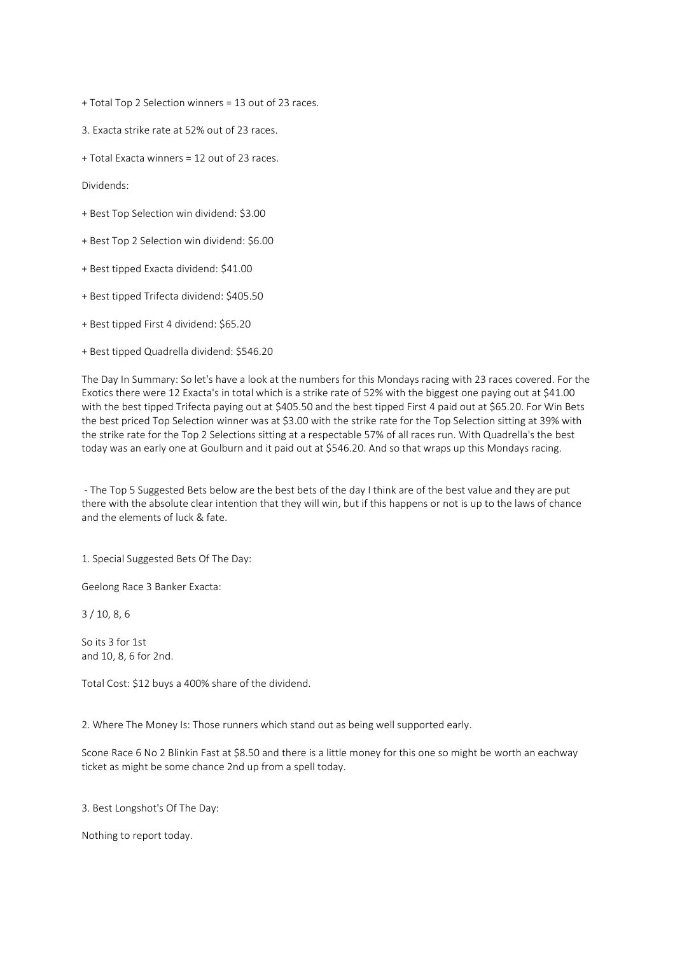+ Total Top 2 Selection winners = 13 out of 23 races.

3. Exacta strike rate at 52% out of 23 races.

+ Total Exacta winners = 12 out of 23 races.

Dividends:

- + Best Top Selection win dividend: \$3.00
- + Best Top 2 Selection win dividend: \$6.00
- + Best tipped Exacta dividend: \$41.00
- + Best tipped Trifecta dividend: \$405.50
- + Best tipped First 4 dividend: \$65.20
- + Best tipped Quadrella dividend: \$546.20

The Day In Summary: So let's have a look at the numbers for this Mondays racing with 23 races covered. For the Exotics there were 12 Exacta's in total which is a strike rate of 52% with the biggest one paying out at \$41.00 with the best tipped Trifecta paying out at \$405.50 and the best tipped First 4 paid out at \$65.20. For Win Bets the best priced Top Selection winner was at \$3.00 with the strike rate for the Top Selection sitting at 39% with the strike rate for the Top 2 Selections sitting at a respectable 57% of all races run. With Quadrella's the best today was an early one at Goulburn and it paid out at \$546.20. And so that wraps up this Mondays racing.

- The Top 5 Suggested Bets below are the best bets of the day I think are of the best value and they are put there with the absolute clear intention that they will win, but if this happens or not is up to the laws of chance and the elements of luck & fate.

1. Special Suggested Bets Of The Day:

Geelong Race 3 Banker Exacta:

3 / 10, 8, 6

So its 3 for 1st and 10, 8, 6 for 2nd.

Total Cost: \$12 buys a 400% share of the dividend.

2. Where The Money Is: Those runners which stand out as being well supported early.

Scone Race 6 No 2 Blinkin Fast at \$8.50 and there is a little money for this one so might be worth an eachway ticket as might be some chance 2nd up from a spell today.

3. Best Longshot's Of The Day:

Nothing to report today.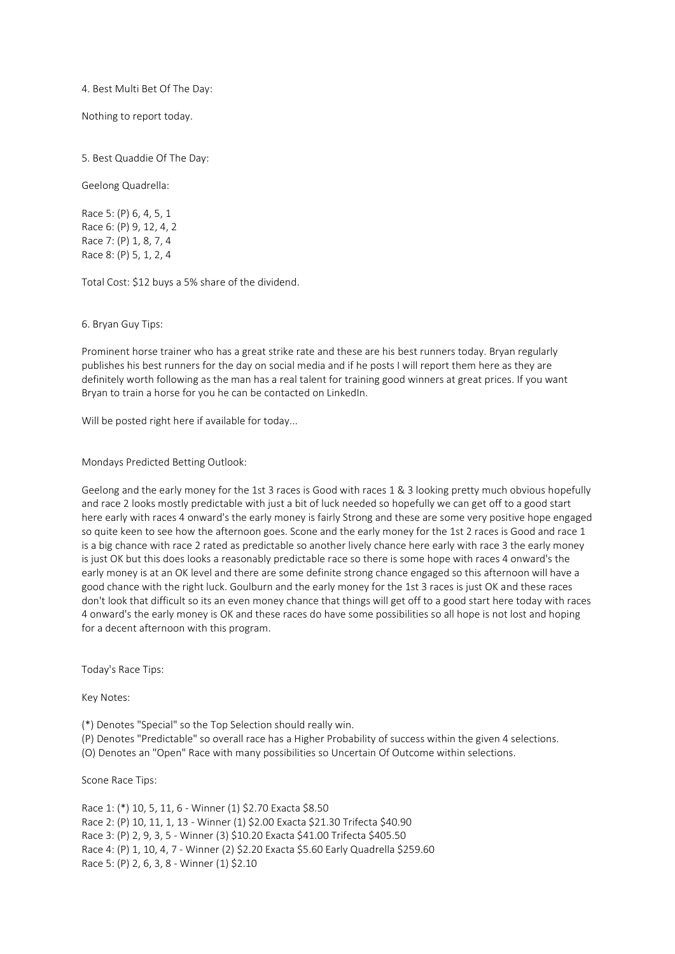## 4. Best Multi Bet Of The Day:

Nothing to report today.

5. Best Quaddie Of The Day:

Geelong Quadrella:

Race 5: (P) 6, 4, 5, 1 Race 6: (P) 9, 12, 4, 2 Race 7: (P) 1, 8, 7, 4 Race 8: (P) 5, 1, 2, 4

Total Cost: \$12 buys a 5% share of the dividend.

6. Bryan Guy Tips:

Prominent horse trainer who has a great strike rate and these are his best runners today. Bryan regularly publishes his best runners for the day on social media and if he posts I will report them here as they are definitely worth following as the man has a real talent for training good winners at great prices. If you want Bryan to train a horse for you he can be contacted on LinkedIn.

Will be posted right here if available for today...

Mondays Predicted Betting Outlook:

Geelong and the early money for the 1st 3 races is Good with races 1 & 3 looking pretty much obvious hopefully and race 2 looks mostly predictable with just a bit of luck needed so hopefully we can get off to a good start here early with races 4 onward's the early money is fairly Strong and these are some very positive hope engaged so quite keen to see how the afternoon goes. Scone and the early money for the 1st 2 races is Good and race 1 is a big chance with race 2 rated as predictable so another lively chance here early with race 3 the early money is just OK but this does looks a reasonably predictable race so there is some hope with races 4 onward's the early money is at an OK level and there are some definite strong chance engaged so this afternoon will have a good chance with the right luck. Goulburn and the early money for the 1st 3 races is just OK and these races don't look that difficult so its an even money chance that things will get off to a good start here today with races 4 onward's the early money is OK and these races do have some possibilities so all hope is not lost and hoping for a decent afternoon with this program.

Today's Race Tips:

Key Notes:

(\*) Denotes "Special" so the Top Selection should really win.

(P) Denotes "Predictable" so overall race has a Higher Probability of success within the given 4 selections.

(O) Denotes an "Open" Race with many possibilities so Uncertain Of Outcome within selections.

Scone Race Tips:

Race 1: (\*) 10, 5, 11, 6 - Winner (1) \$2.70 Exacta \$8.50 Race 2: (P) 10, 11, 1, 13 - Winner (1) \$2.00 Exacta \$21.30 Trifecta \$40.90 Race 3: (P) 2, 9, 3, 5 - Winner (3) \$10.20 Exacta \$41.00 Trifecta \$405.50 Race 4: (P) 1, 10, 4, 7 - Winner (2) \$2.20 Exacta \$5.60 Early Quadrella \$259.60 Race 5: (P) 2, 6, 3, 8 - Winner (1) \$2.10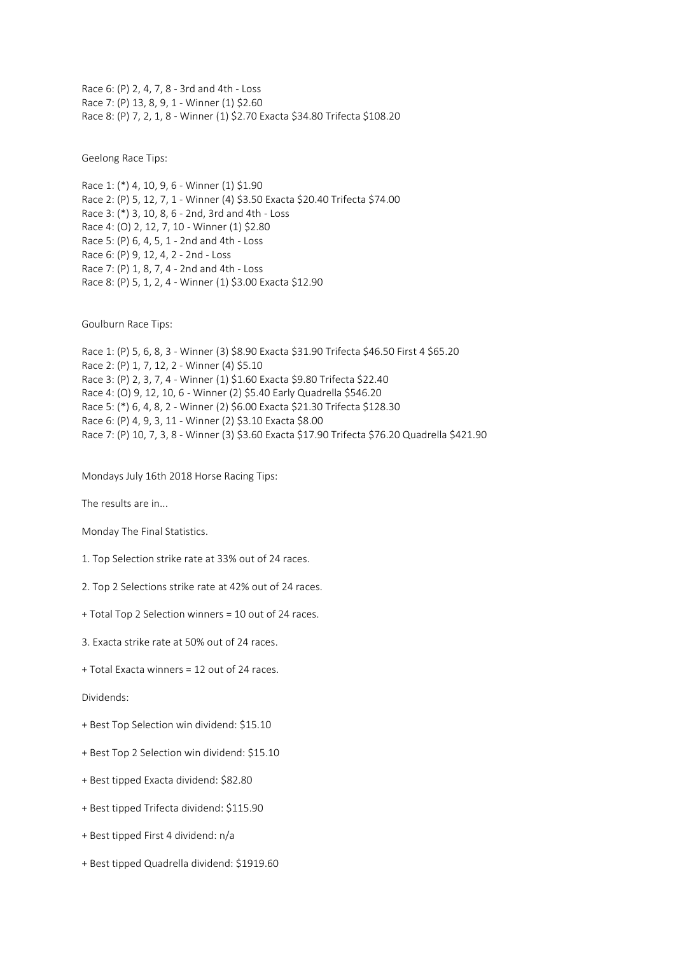Race 6: (P) 2, 4, 7, 8 - 3rd and 4th - Loss Race 7: (P) 13, 8, 9, 1 - Winner (1) \$2.60 Race 8: (P) 7, 2, 1, 8 - Winner (1) \$2.70 Exacta \$34.80 Trifecta \$108.20

Geelong Race Tips:

Race 1: (\*) 4, 10, 9, 6 - Winner (1) \$1.90 Race 2: (P) 5, 12, 7, 1 - Winner (4) \$3.50 Exacta \$20.40 Trifecta \$74.00 Race 3: (\*) 3, 10, 8, 6 - 2nd, 3rd and 4th - Loss Race 4: (O) 2, 12, 7, 10 - Winner (1) \$2.80 Race 5: (P) 6, 4, 5, 1 - 2nd and 4th - Loss Race 6: (P) 9, 12, 4, 2 - 2nd - Loss Race 7: (P) 1, 8, 7, 4 - 2nd and 4th - Loss Race 8: (P) 5, 1, 2, 4 - Winner (1) \$3.00 Exacta \$12.90

Goulburn Race Tips:

Race 1: (P) 5, 6, 8, 3 - Winner (3) \$8.90 Exacta \$31.90 Trifecta \$46.50 First 4 \$65.20 Race 2: (P) 1, 7, 12, 2 - Winner (4) \$5.10 Race 3: (P) 2, 3, 7, 4 - Winner (1) \$1.60 Exacta \$9.80 Trifecta \$22.40 Race 4: (O) 9, 12, 10, 6 - Winner (2) \$5.40 Early Quadrella \$546.20 Race 5: (\*) 6, 4, 8, 2 - Winner (2) \$6.00 Exacta \$21.30 Trifecta \$128.30 Race 6: (P) 4, 9, 3, 11 - Winner (2) \$3.10 Exacta \$8.00 Race 7: (P) 10, 7, 3, 8 - Winner (3) \$3.60 Exacta \$17.90 Trifecta \$76.20 Quadrella \$421.90

Mondays July 16th 2018 Horse Racing Tips:

The results are in...

Monday The Final Statistics.

1. Top Selection strike rate at 33% out of 24 races.

- 2. Top 2 Selections strike rate at 42% out of 24 races.
- + Total Top 2 Selection winners = 10 out of 24 races.
- 3. Exacta strike rate at 50% out of 24 races.
- + Total Exacta winners = 12 out of 24 races.

Dividends:

- + Best Top Selection win dividend: \$15.10
- + Best Top 2 Selection win dividend: \$15.10
- + Best tipped Exacta dividend: \$82.80
- + Best tipped Trifecta dividend: \$115.90
- + Best tipped First 4 dividend: n/a
- + Best tipped Quadrella dividend: \$1919.60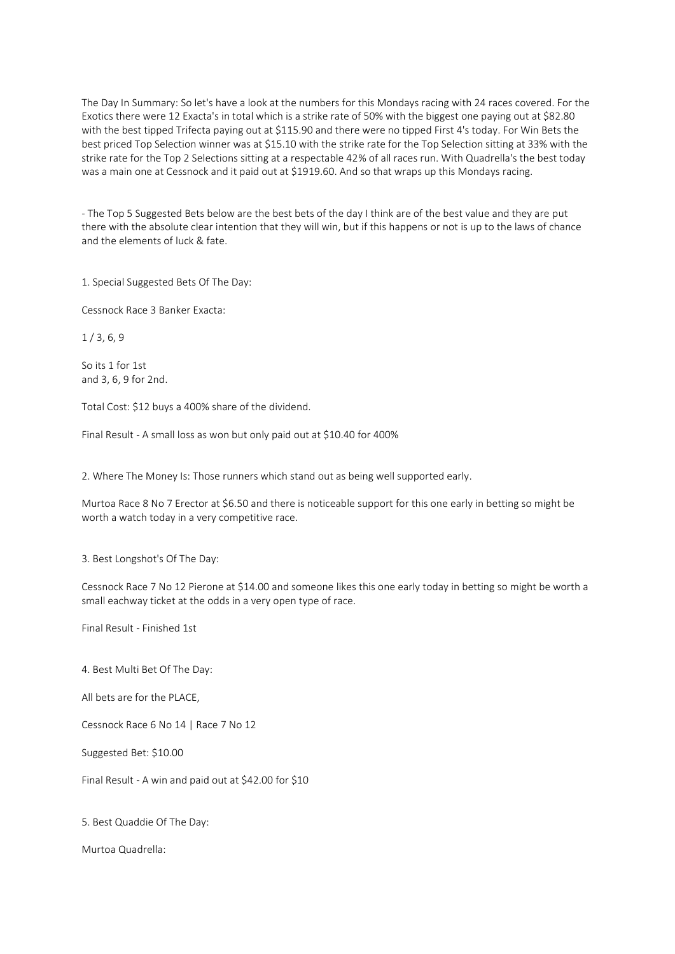The Day In Summary: So let's have a look at the numbers for this Mondays racing with 24 races covered. For the Exotics there were 12 Exacta's in total which is a strike rate of 50% with the biggest one paying out at \$82.80 with the best tipped Trifecta paying out at \$115.90 and there were no tipped First 4's today. For Win Bets the best priced Top Selection winner was at \$15.10 with the strike rate for the Top Selection sitting at 33% with the strike rate for the Top 2 Selections sitting at a respectable 42% of all races run. With Quadrella's the best today was a main one at Cessnock and it paid out at \$1919.60. And so that wraps up this Mondays racing.

- The Top 5 Suggested Bets below are the best bets of the day I think are of the best value and they are put there with the absolute clear intention that they will win, but if this happens or not is up to the laws of chance and the elements of luck & fate.

1. Special Suggested Bets Of The Day:

Cessnock Race 3 Banker Exacta:

 $1/3, 6, 9$ 

So its 1 for 1st and 3, 6, 9 for 2nd.

Total Cost: \$12 buys a 400% share of the dividend.

Final Result - A small loss as won but only paid out at \$10.40 for 400%

2. Where The Money Is: Those runners which stand out as being well supported early.

Murtoa Race 8 No 7 Erector at \$6.50 and there is noticeable support for this one early in betting so might be worth a watch today in a very competitive race.

3. Best Longshot's Of The Day:

Cessnock Race 7 No 12 Pierone at \$14.00 and someone likes this one early today in betting so might be worth a small eachway ticket at the odds in a very open type of race.

Final Result - Finished 1st

4. Best Multi Bet Of The Day:

All bets are for the PLACE,

Cessnock Race 6 No 14 | Race 7 No 12

Suggested Bet: \$10.00

Final Result - A win and paid out at \$42.00 for \$10

5. Best Quaddie Of The Day:

Murtoa Quadrella: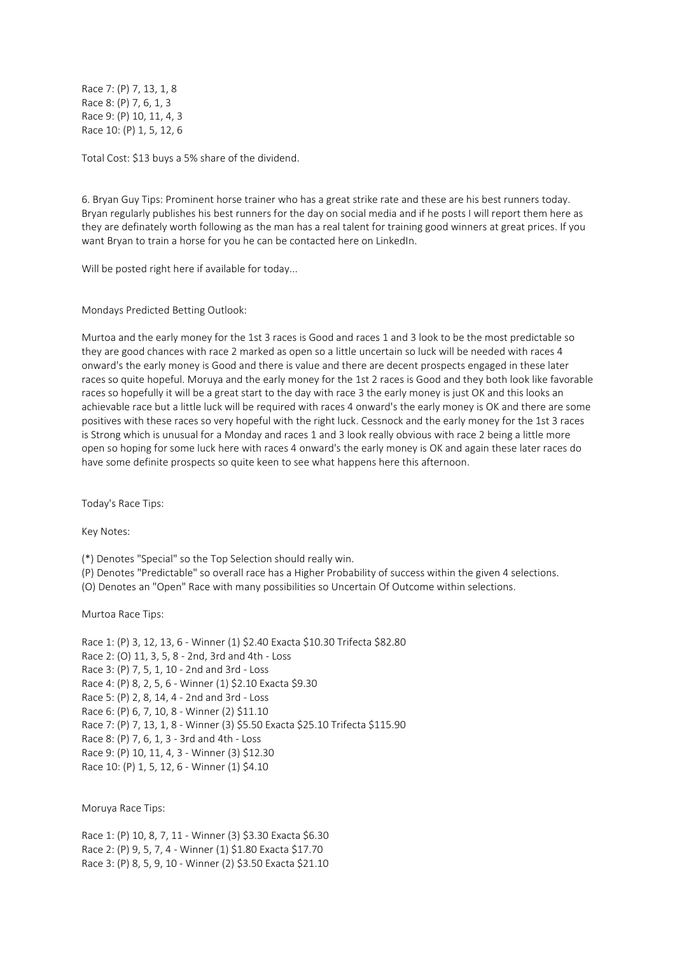Race 7: (P) 7, 13, 1, 8 Race 8: (P) 7, 6, 1, 3 Race 9: (P) 10, 11, 4, 3 Race 10: (P) 1, 5, 12, 6

Total Cost: \$13 buys a 5% share of the dividend.

6. Bryan Guy Tips: Prominent horse trainer who has a great strike rate and these are his best runners today. Bryan regularly publishes his best runners for the day on social media and if he posts I will report them here as they are definately worth following as the man has a real talent for training good winners at great prices. If you want Bryan to train a horse for you he can be contacted here on LinkedIn.

Will be posted right here if available for today...

Mondays Predicted Betting Outlook:

Murtoa and the early money for the 1st 3 races is Good and races 1 and 3 look to be the most predictable so they are good chances with race 2 marked as open so a little uncertain so luck will be needed with races 4 onward's the early money is Good and there is value and there are decent prospects engaged in these later races so quite hopeful. Moruya and the early money for the 1st 2 races is Good and they both look like favorable races so hopefully it will be a great start to the day with race 3 the early money is just OK and this looks an achievable race but a little luck will be required with races 4 onward's the early money is OK and there are some positives with these races so very hopeful with the right luck. Cessnock and the early money for the 1st 3 races is Strong which is unusual for a Monday and races 1 and 3 look really obvious with race 2 being a little more open so hoping for some luck here with races 4 onward's the early money is OK and again these later races do have some definite prospects so quite keen to see what happens here this afternoon.

Today's Race Tips:

Key Notes:

(\*) Denotes "Special" so the Top Selection should really win.

(P) Denotes "Predictable" so overall race has a Higher Probability of success within the given 4 selections.

(O) Denotes an "Open" Race with many possibilities so Uncertain Of Outcome within selections.

Murtoa Race Tips:

Race 1: (P) 3, 12, 13, 6 - Winner (1) \$2.40 Exacta \$10.30 Trifecta \$82.80 Race 2: (O) 11, 3, 5, 8 - 2nd, 3rd and 4th - Loss Race 3: (P) 7, 5, 1, 10 - 2nd and 3rd - Loss Race 4: (P) 8, 2, 5, 6 - Winner (1) \$2.10 Exacta \$9.30 Race 5: (P) 2, 8, 14, 4 - 2nd and 3rd - Loss Race 6: (P) 6, 7, 10, 8 - Winner (2) \$11.10 Race 7: (P) 7, 13, 1, 8 - Winner (3) \$5.50 Exacta \$25.10 Trifecta \$115.90 Race 8: (P) 7, 6, 1, 3 - 3rd and 4th - Loss Race 9: (P) 10, 11, 4, 3 - Winner (3) \$12.30 Race 10: (P) 1, 5, 12, 6 - Winner (1) \$4.10

Moruya Race Tips:

Race 1: (P) 10, 8, 7, 11 - Winner (3) \$3.30 Exacta \$6.30 Race 2: (P) 9, 5, 7, 4 - Winner (1) \$1.80 Exacta \$17.70 Race 3: (P) 8, 5, 9, 10 - Winner (2) \$3.50 Exacta \$21.10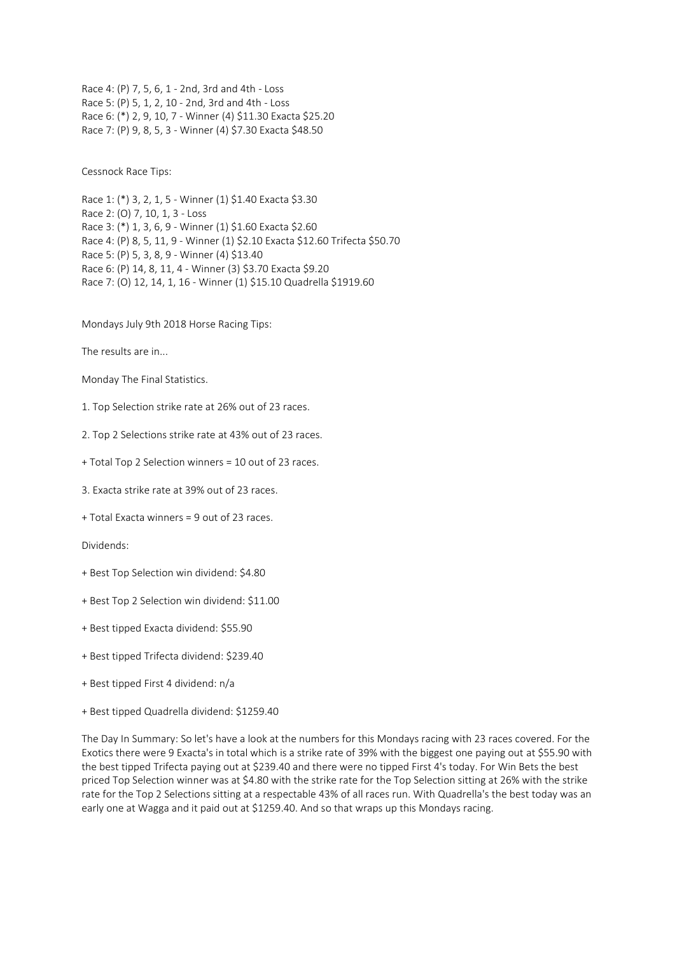Race 4: (P) 7, 5, 6, 1 - 2nd, 3rd and 4th - Loss Race 5: (P) 5, 1, 2, 10 - 2nd, 3rd and 4th - Loss Race 6: (\*) 2, 9, 10, 7 - Winner (4) \$11.30 Exacta \$25.20 Race 7: (P) 9, 8, 5, 3 - Winner (4) \$7.30 Exacta \$48.50

Cessnock Race Tips:

Race 1: (\*) 3, 2, 1, 5 - Winner (1) \$1.40 Exacta \$3.30 Race 2: (O) 7, 10, 1, 3 - Loss Race 3: (\*) 1, 3, 6, 9 - Winner (1) \$1.60 Exacta \$2.60 Race 4: (P) 8, 5, 11, 9 - Winner (1) \$2.10 Exacta \$12.60 Trifecta \$50.70 Race 5: (P) 5, 3, 8, 9 - Winner (4) \$13.40 Race 6: (P) 14, 8, 11, 4 - Winner (3) \$3.70 Exacta \$9.20 Race 7: (O) 12, 14, 1, 16 - Winner (1) \$15.10 Quadrella \$1919.60

Mondays July 9th 2018 Horse Racing Tips:

The results are in...

Monday The Final Statistics.

1. Top Selection strike rate at 26% out of 23 races.

2. Top 2 Selections strike rate at 43% out of 23 races.

+ Total Top 2 Selection winners = 10 out of 23 races.

3. Exacta strike rate at 39% out of 23 races.

+ Total Exacta winners = 9 out of 23 races.

Dividends:

- + Best Top Selection win dividend: \$4.80
- + Best Top 2 Selection win dividend: \$11.00
- + Best tipped Exacta dividend: \$55.90
- + Best tipped Trifecta dividend: \$239.40
- + Best tipped First 4 dividend: n/a
- + Best tipped Quadrella dividend: \$1259.40

The Day In Summary: So let's have a look at the numbers for this Mondays racing with 23 races covered. For the Exotics there were 9 Exacta's in total which is a strike rate of 39% with the biggest one paying out at \$55.90 with the best tipped Trifecta paying out at \$239.40 and there were no tipped First 4's today. For Win Bets the best priced Top Selection winner was at \$4.80 with the strike rate for the Top Selection sitting at 26% with the strike rate for the Top 2 Selections sitting at a respectable 43% of all races run. With Quadrella's the best today was an early one at Wagga and it paid out at \$1259.40. And so that wraps up this Mondays racing.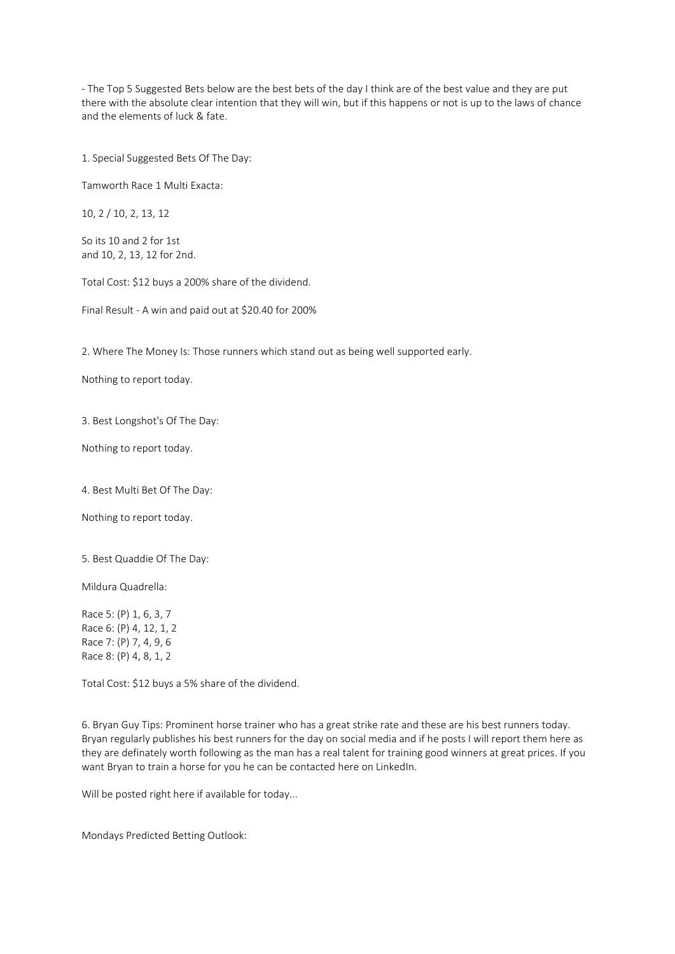- The Top 5 Suggested Bets below are the best bets of the day I think are of the best value and they are put there with the absolute clear intention that they will win, but if this happens or not is up to the laws of chance and the elements of luck & fate.

1. Special Suggested Bets Of The Day:

Tamworth Race 1 Multi Exacta:

10, 2 / 10, 2, 13, 12

So its 10 and 2 for 1st and 10, 2, 13, 12 for 2nd.

Total Cost: \$12 buys a 200% share of the dividend.

Final Result - A win and paid out at \$20.40 for 200%

2. Where The Money Is: Those runners which stand out as being well supported early.

Nothing to report today.

3. Best Longshot's Of The Day:

Nothing to report today.

4. Best Multi Bet Of The Day:

Nothing to report today.

5. Best Quaddie Of The Day:

Mildura Quadrella:

Race 5: (P) 1, 6, 3, 7 Race 6: (P) 4, 12, 1, 2 Race 7: (P) 7, 4, 9, 6 Race 8: (P) 4, 8, 1, 2

Total Cost: \$12 buys a 5% share of the dividend.

6. Bryan Guy Tips: Prominent horse trainer who has a great strike rate and these are his best runners today. Bryan regularly publishes his best runners for the day on social media and if he posts I will report them here as they are definately worth following as the man has a real talent for training good winners at great prices. If you want Bryan to train a horse for you he can be contacted here on LinkedIn.

Will be posted right here if available for today...

Mondays Predicted Betting Outlook: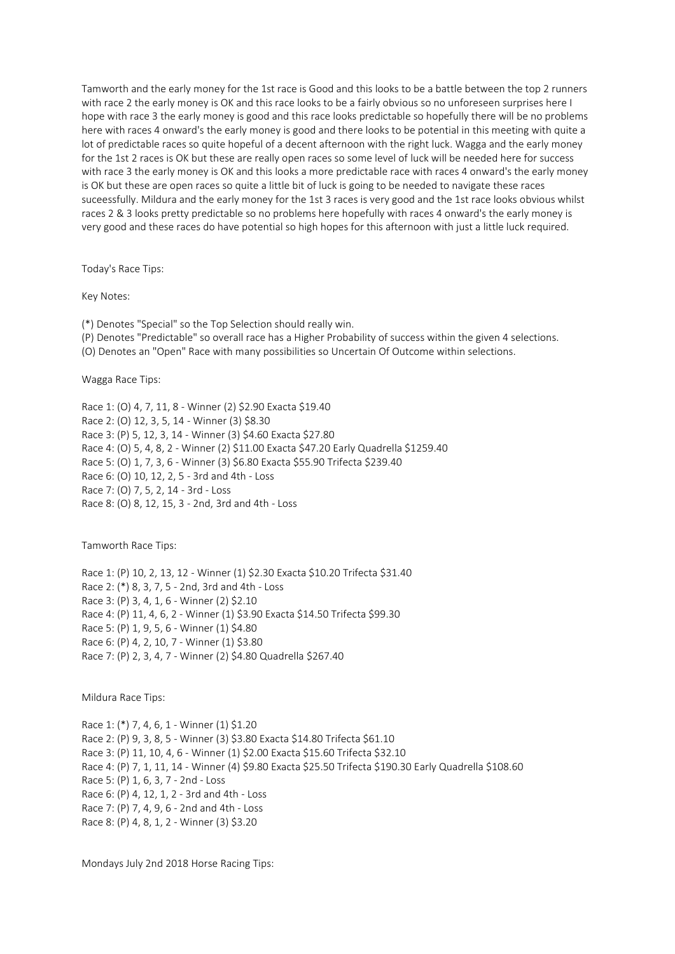Tamworth and the early money for the 1st race is Good and this looks to be a battle between the top 2 runners with race 2 the early money is OK and this race looks to be a fairly obvious so no unforeseen surprises here I hope with race 3 the early money is good and this race looks predictable so hopefully there will be no problems here with races 4 onward's the early money is good and there looks to be potential in this meeting with quite a lot of predictable races so quite hopeful of a decent afternoon with the right luck. Wagga and the early money for the 1st 2 races is OK but these are really open races so some level of luck will be needed here for success with race 3 the early money is OK and this looks a more predictable race with races 4 onward's the early money is OK but these are open races so quite a little bit of luck is going to be needed to navigate these races suceessfully. Mildura and the early money for the 1st 3 races is very good and the 1st race looks obvious whilst races 2 & 3 looks pretty predictable so no problems here hopefully with races 4 onward's the early money is very good and these races do have potential so high hopes for this afternoon with just a little luck required.

Today's Race Tips:

Key Notes:

(\*) Denotes "Special" so the Top Selection should really win.

(P) Denotes "Predictable" so overall race has a Higher Probability of success within the given 4 selections.

(O) Denotes an "Open" Race with many possibilities so Uncertain Of Outcome within selections.

Wagga Race Tips:

Race 1: (O) 4, 7, 11, 8 - Winner (2) \$2.90 Exacta \$19.40 Race 2: (O) 12, 3, 5, 14 - Winner (3) \$8.30 Race 3: (P) 5, 12, 3, 14 - Winner (3) \$4.60 Exacta \$27.80 Race 4: (O) 5, 4, 8, 2 - Winner (2) \$11.00 Exacta \$47.20 Early Quadrella \$1259.40 Race 5: (O) 1, 7, 3, 6 - Winner (3) \$6.80 Exacta \$55.90 Trifecta \$239.40 Race 6: (O) 10, 12, 2, 5 - 3rd and 4th - Loss Race 7: (O) 7, 5, 2, 14 - 3rd - Loss Race 8: (O) 8, 12, 15, 3 - 2nd, 3rd and 4th - Loss

Tamworth Race Tips:

Race 1: (P) 10, 2, 13, 12 - Winner (1) \$2.30 Exacta \$10.20 Trifecta \$31.40 Race 2: (\*) 8, 3, 7, 5 - 2nd, 3rd and 4th - Loss Race 3: (P) 3, 4, 1, 6 - Winner (2) \$2.10 Race 4: (P) 11, 4, 6, 2 - Winner (1) \$3.90 Exacta \$14.50 Trifecta \$99.30 Race 5: (P) 1, 9, 5, 6 - Winner (1) \$4.80 Race 6: (P) 4, 2, 10, 7 - Winner (1) \$3.80 Race 7: (P) 2, 3, 4, 7 - Winner (2) \$4.80 Quadrella \$267.40

Mildura Race Tips:

Race 1: (\*) 7, 4, 6, 1 - Winner (1) \$1.20 Race 2: (P) 9, 3, 8, 5 - Winner (3) \$3.80 Exacta \$14.80 Trifecta \$61.10 Race 3: (P) 11, 10, 4, 6 - Winner (1) \$2.00 Exacta \$15.60 Trifecta \$32.10 Race 4: (P) 7, 1, 11, 14 - Winner (4) \$9.80 Exacta \$25.50 Trifecta \$190.30 Early Quadrella \$108.60 Race 5: (P) 1, 6, 3, 7 - 2nd - Loss Race 6: (P) 4, 12, 1, 2 - 3rd and 4th - Loss Race 7: (P) 7, 4, 9, 6 - 2nd and 4th - Loss Race 8: (P) 4, 8, 1, 2 - Winner (3) \$3.20

Mondays July 2nd 2018 Horse Racing Tips: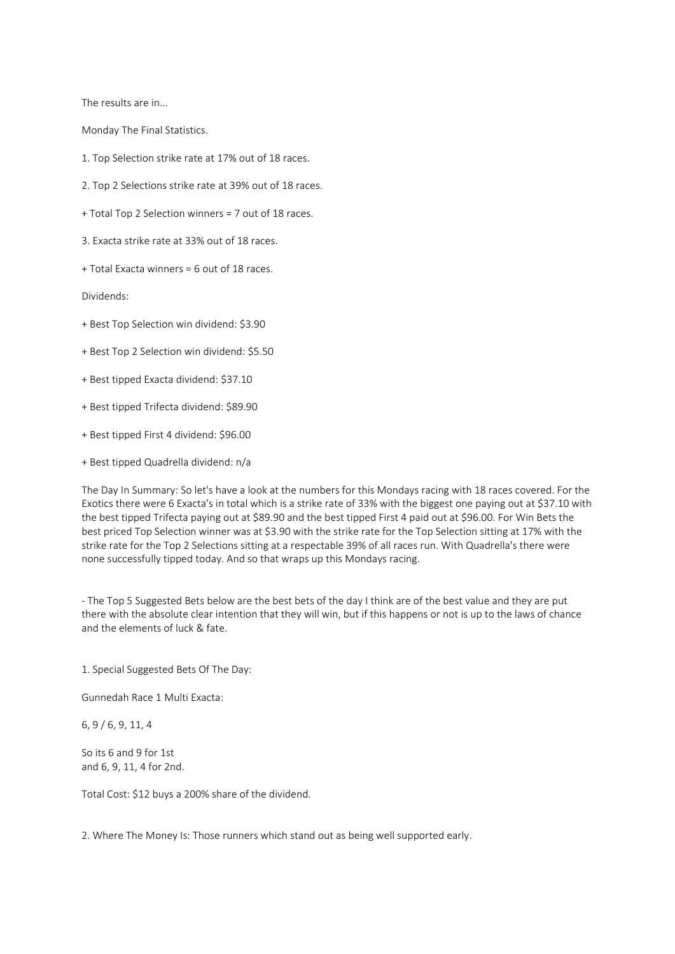The results are in...

Monday The Final Statistics.

1. Top Selection strike rate at 17% out of 18 races.

2. Top 2 Selections strike rate at 39% out of 18 races.

+ Total Top 2 Selection winners = 7 out of 18 races.

3. Exacta strike rate at 33% out of 18 races.

+ Total Exacta winners = 6 out of 18 races.

Dividends:

+ Best Top Selection win dividend: \$3.90

+ Best Top 2 Selection win dividend: \$5.50

+ Best tipped Exacta dividend: \$37.10

+ Best tipped Trifecta dividend: \$89.90

+ Best tipped First 4 dividend: \$96.00

+ Best tipped Quadrella dividend: n/a

The Day In Summary: So let's have a look at the numbers for this Mondays racing with 18 races covered. For the Exotics there were 6 Exacta's in total which is a strike rate of 33% with the biggest one paying out at \$37.10 with the best tipped Trifecta paying out at \$89.90 and the best tipped First 4 paid out at \$96.00. For Win Bets the best priced Top Selection winner was at \$3.90 with the strike rate for the Top Selection sitting at 17% with the strike rate for the Top 2 Selections sitting at a respectable 39% of all races run. With Quadrella's there were none successfully tipped today. And so that wraps up this Mondays racing.

- The Top 5 Suggested Bets below are the best bets of the day I think are of the best value and they are put there with the absolute clear intention that they will win, but if this happens or not is up to the laws of chance and the elements of luck & fate.

1. Special Suggested Bets Of The Day:

Gunnedah Race 1 Multi Exacta:

6, 9 / 6, 9, 11, 4

So its 6 and 9 for 1st and 6, 9, 11, 4 for 2nd.

Total Cost: \$12 buys a 200% share of the dividend.

2. Where The Money Is: Those runners which stand out as being well supported early.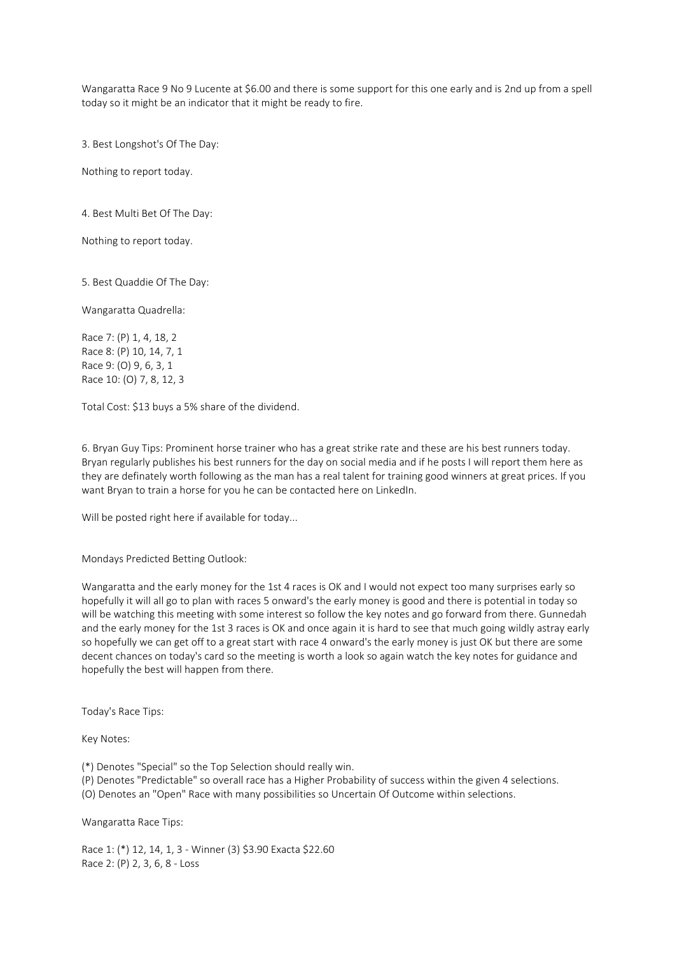Wangaratta Race 9 No 9 Lucente at \$6.00 and there is some support for this one early and is 2nd up from a spell today so it might be an indicator that it might be ready to fire.

3. Best Longshot's Of The Day:

Nothing to report today.

4. Best Multi Bet Of The Day:

Nothing to report today.

5. Best Quaddie Of The Day:

Wangaratta Quadrella:

Race 7: (P) 1, 4, 18, 2 Race 8: (P) 10, 14, 7, 1 Race 9: (O) 9, 6, 3, 1 Race 10: (O) 7, 8, 12, 3

Total Cost: \$13 buys a 5% share of the dividend.

6. Bryan Guy Tips: Prominent horse trainer who has a great strike rate and these are his best runners today. Bryan regularly publishes his best runners for the day on social media and if he posts I will report them here as they are definately worth following as the man has a real talent for training good winners at great prices. If you want Bryan to train a horse for you he can be contacted here on LinkedIn.

Will be posted right here if available for today...

Mondays Predicted Betting Outlook:

Wangaratta and the early money for the 1st 4 races is OK and I would not expect too many surprises early so hopefully it will all go to plan with races 5 onward's the early money is good and there is potential in today so will be watching this meeting with some interest so follow the key notes and go forward from there. Gunnedah and the early money for the 1st 3 races is OK and once again it is hard to see that much going wildly astray early so hopefully we can get off to a great start with race 4 onward's the early money is just OK but there are some decent chances on today's card so the meeting is worth a look so again watch the key notes for guidance and hopefully the best will happen from there.

Today's Race Tips:

Key Notes:

(\*) Denotes "Special" so the Top Selection should really win.

(P) Denotes "Predictable" so overall race has a Higher Probability of success within the given 4 selections.

(O) Denotes an "Open" Race with many possibilities so Uncertain Of Outcome within selections.

Wangaratta Race Tips:

Race 1: (\*) 12, 14, 1, 3 - Winner (3) \$3.90 Exacta \$22.60 Race 2: (P) 2, 3, 6, 8 - Loss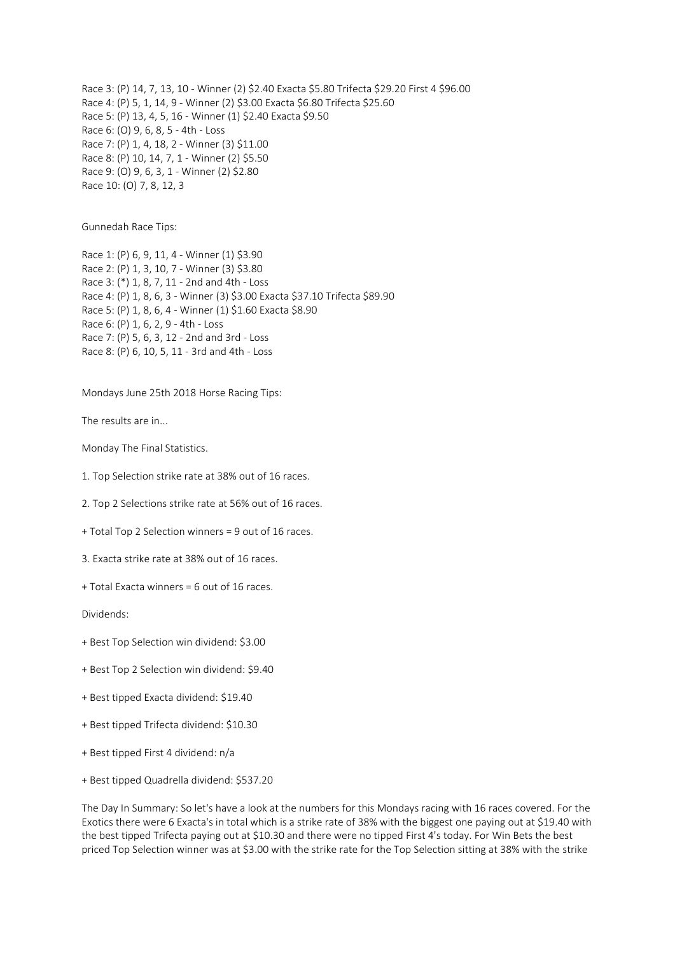Race 3: (P) 14, 7, 13, 10 - Winner (2) \$2.40 Exacta \$5.80 Trifecta \$29.20 First 4 \$96.00 Race 4: (P) 5, 1, 14, 9 - Winner (2) \$3.00 Exacta \$6.80 Trifecta \$25.60 Race 5: (P) 13, 4, 5, 16 - Winner (1) \$2.40 Exacta \$9.50 Race 6: (O) 9, 6, 8, 5 - 4th - Loss Race 7: (P) 1, 4, 18, 2 - Winner (3) \$11.00 Race 8: (P) 10, 14, 7, 1 - Winner (2) \$5.50 Race 9: (O) 9, 6, 3, 1 - Winner (2) \$2.80 Race 10: (O) 7, 8, 12, 3

Gunnedah Race Tips:

Race 1: (P) 6, 9, 11, 4 - Winner (1) \$3.90 Race 2: (P) 1, 3, 10, 7 - Winner (3) \$3.80 Race 3: (\*) 1, 8, 7, 11 - 2nd and 4th - Loss Race 4: (P) 1, 8, 6, 3 - Winner (3) \$3.00 Exacta \$37.10 Trifecta \$89.90 Race 5: (P) 1, 8, 6, 4 - Winner (1) \$1.60 Exacta \$8.90 Race 6: (P) 1, 6, 2, 9 - 4th - Loss Race 7: (P) 5, 6, 3, 12 - 2nd and 3rd - Loss Race 8: (P) 6, 10, 5, 11 - 3rd and 4th - Loss

Mondays June 25th 2018 Horse Racing Tips:

The results are in...

Monday The Final Statistics.

1. Top Selection strike rate at 38% out of 16 races.

2. Top 2 Selections strike rate at 56% out of 16 races.

+ Total Top 2 Selection winners = 9 out of 16 races.

3. Exacta strike rate at 38% out of 16 races.

+ Total Exacta winners = 6 out of 16 races.

Dividends:

+ Best Top Selection win dividend: \$3.00

+ Best Top 2 Selection win dividend: \$9.40

+ Best tipped Exacta dividend: \$19.40

+ Best tipped Trifecta dividend: \$10.30

+ Best tipped First 4 dividend: n/a

+ Best tipped Quadrella dividend: \$537.20

The Day In Summary: So let's have a look at the numbers for this Mondays racing with 16 races covered. For the Exotics there were 6 Exacta's in total which is a strike rate of 38% with the biggest one paying out at \$19.40 with the best tipped Trifecta paying out at \$10.30 and there were no tipped First 4's today. For Win Bets the best priced Top Selection winner was at \$3.00 with the strike rate for the Top Selection sitting at 38% with the strike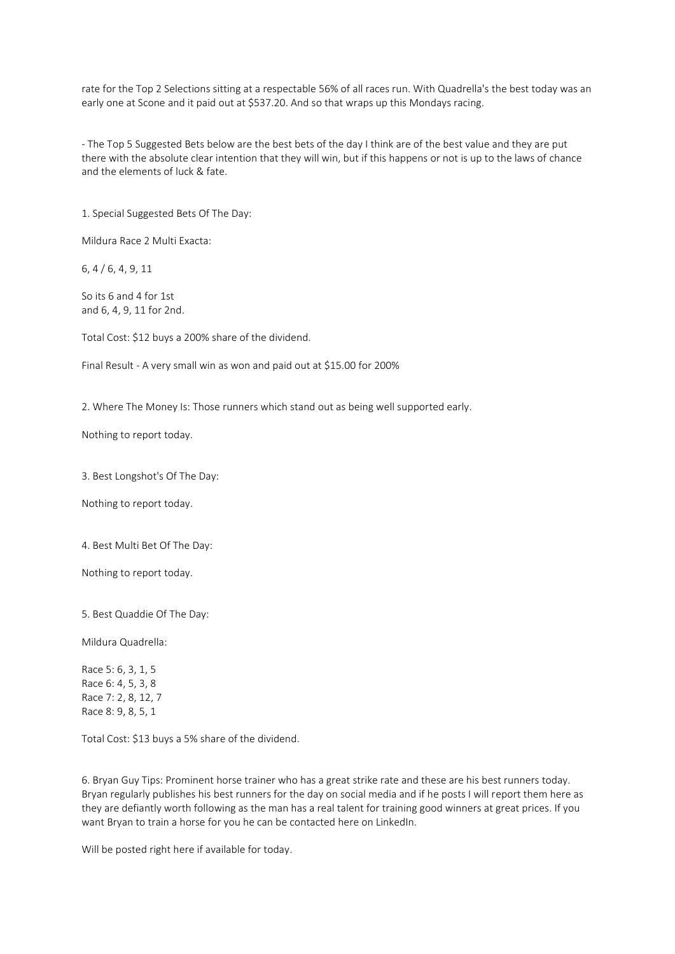rate for the Top 2 Selections sitting at a respectable 56% of all races run. With Quadrella's the best today was an early one at Scone and it paid out at \$537.20. And so that wraps up this Mondays racing.

- The Top 5 Suggested Bets below are the best bets of the day I think are of the best value and they are put there with the absolute clear intention that they will win, but if this happens or not is up to the laws of chance and the elements of luck & fate.

1. Special Suggested Bets Of The Day:

Mildura Race 2 Multi Exacta:

6, 4 / 6, 4, 9, 11

So its 6 and 4 for 1st and 6, 4, 9, 11 for 2nd.

Total Cost: \$12 buys a 200% share of the dividend.

Final Result - A very small win as won and paid out at \$15.00 for 200%

2. Where The Money Is: Those runners which stand out as being well supported early.

Nothing to report today.

3. Best Longshot's Of The Day:

Nothing to report today.

4. Best Multi Bet Of The Day:

Nothing to report today.

5. Best Quaddie Of The Day:

Mildura Quadrella:

Race 5: 6, 3, 1, 5 Race 6: 4, 5, 3, 8 Race 7: 2, 8, 12, 7 Race 8: 9, 8, 5, 1

Total Cost: \$13 buys a 5% share of the dividend.

6. Bryan Guy Tips: Prominent horse trainer who has a great strike rate and these are his best runners today. Bryan regularly publishes his best runners for the day on social media and if he posts I will report them here as they are defiantly worth following as the man has a real talent for training good winners at great prices. If you want Bryan to train a horse for you he can be contacted here on LinkedIn.

Will be posted right here if available for today.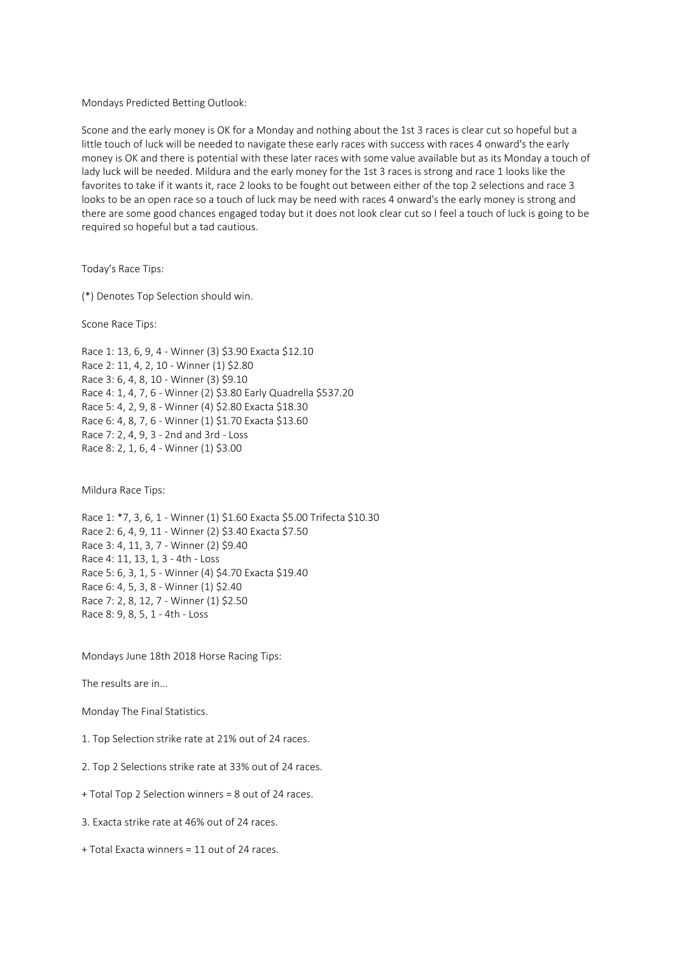Mondays Predicted Betting Outlook:

Scone and the early money is OK for a Monday and nothing about the 1st 3 races is clear cut so hopeful but a little touch of luck will be needed to navigate these early races with success with races 4 onward's the early money is OK and there is potential with these later races with some value available but as its Monday a touch of lady luck will be needed. Mildura and the early money for the 1st 3 races is strong and race 1 looks like the favorites to take if it wants it, race 2 looks to be fought out between either of the top 2 selections and race 3 looks to be an open race so a touch of luck may be need with races 4 onward's the early money is strong and there are some good chances engaged today but it does not look clear cut so I feel a touch of luck is going to be required so hopeful but a tad cautious.

Today's Race Tips:

(\*) Denotes Top Selection should win.

Scone Race Tips:

Race 1: 13, 6, 9, 4 - Winner (3) \$3.90 Exacta \$12.10 Race 2: 11, 4, 2, 10 - Winner (1) \$2.80 Race 3: 6, 4, 8, 10 - Winner (3) \$9.10 Race 4: 1, 4, 7, 6 - Winner (2) \$3.80 Early Quadrella \$537.20 Race 5: 4, 2, 9, 8 - Winner (4) \$2.80 Exacta \$18.30 Race 6: 4, 8, 7, 6 - Winner (1) \$1.70 Exacta \$13.60 Race 7: 2, 4, 9, 3 - 2nd and 3rd - Loss Race 8: 2, 1, 6, 4 - Winner (1) \$3.00

Mildura Race Tips:

Race 1: \*7, 3, 6, 1 - Winner (1) \$1.60 Exacta \$5.00 Trifecta \$10.30 Race 2: 6, 4, 9, 11 - Winner (2) \$3.40 Exacta \$7.50 Race 3: 4, 11, 3, 7 - Winner (2) \$9.40 Race 4: 11, 13, 1, 3 - 4th - Loss Race 5: 6, 3, 1, 5 - Winner (4) \$4.70 Exacta \$19.40 Race 6: 4, 5, 3, 8 - Winner (1) \$2.40 Race 7: 2, 8, 12, 7 - Winner (1) \$2.50 Race 8: 9, 8, 5, 1 - 4th - Loss

Mondays June 18th 2018 Horse Racing Tips:

The results are in...

Monday The Final Statistics.

1. Top Selection strike rate at 21% out of 24 races.

2. Top 2 Selections strike rate at 33% out of 24 races.

+ Total Top 2 Selection winners = 8 out of 24 races.

3. Exacta strike rate at 46% out of 24 races.

+ Total Exacta winners = 11 out of 24 races.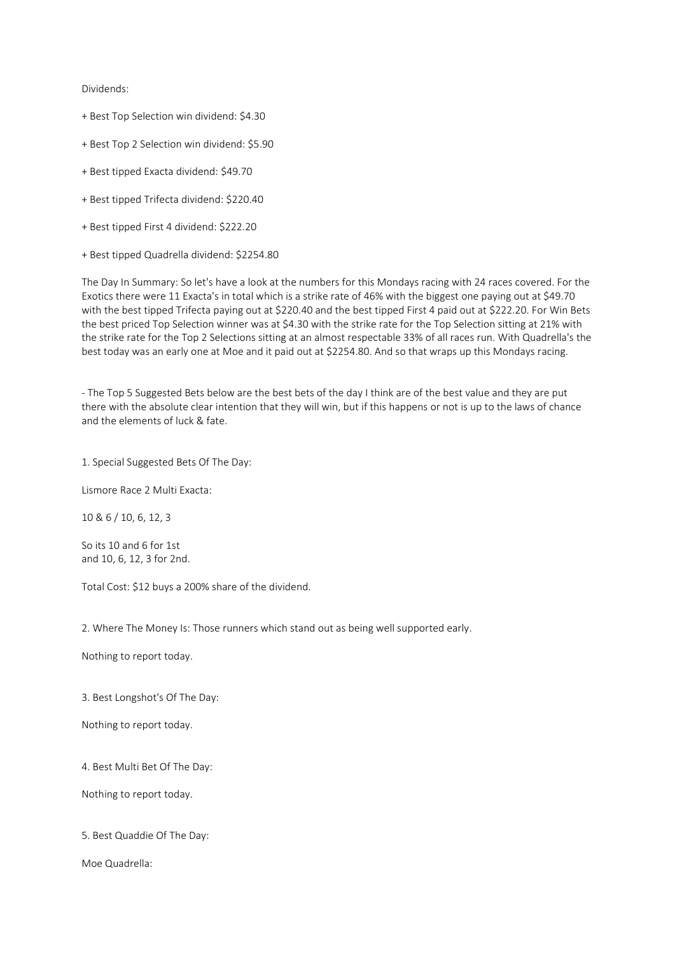## Dividends:

- + Best Top Selection win dividend: \$4.30
- + Best Top 2 Selection win dividend: \$5.90
- + Best tipped Exacta dividend: \$49.70
- + Best tipped Trifecta dividend: \$220.40
- + Best tipped First 4 dividend: \$222.20
- + Best tipped Quadrella dividend: \$2254.80

The Day In Summary: So let's have a look at the numbers for this Mondays racing with 24 races covered. For the Exotics there were 11 Exacta's in total which is a strike rate of 46% with the biggest one paying out at \$49.70 with the best tipped Trifecta paying out at \$220.40 and the best tipped First 4 paid out at \$222.20. For Win Bets the best priced Top Selection winner was at \$4.30 with the strike rate for the Top Selection sitting at 21% with the strike rate for the Top 2 Selections sitting at an almost respectable 33% of all races run. With Quadrella's the best today was an early one at Moe and it paid out at \$2254.80. And so that wraps up this Mondays racing.

- The Top 5 Suggested Bets below are the best bets of the day I think are of the best value and they are put there with the absolute clear intention that they will win, but if this happens or not is up to the laws of chance and the elements of luck & fate.

1. Special Suggested Bets Of The Day:

Lismore Race 2 Multi Exacta:

10 & 6 / 10, 6, 12, 3

So its 10 and 6 for 1st and 10, 6, 12, 3 for 2nd.

Total Cost: \$12 buys a 200% share of the dividend.

2. Where The Money Is: Those runners which stand out as being well supported early.

Nothing to report today.

3. Best Longshot's Of The Day:

Nothing to report today.

4. Best Multi Bet Of The Day:

Nothing to report today.

5. Best Quaddie Of The Day:

Moe Quadrella: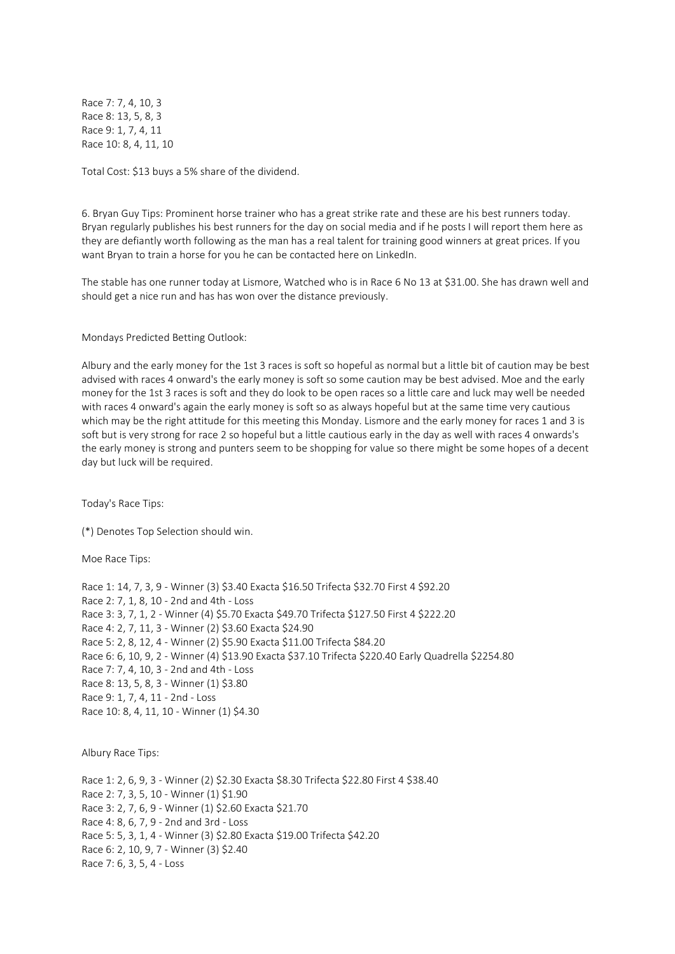Race 7: 7, 4, 10, 3 Race 8: 13, 5, 8, 3 Race 9: 1, 7, 4, 11 Race 10: 8, 4, 11, 10

Total Cost: \$13 buys a 5% share of the dividend.

6. Bryan Guy Tips: Prominent horse trainer who has a great strike rate and these are his best runners today. Bryan regularly publishes his best runners for the day on social media and if he posts I will report them here as they are defiantly worth following as the man has a real talent for training good winners at great prices. If you want Bryan to train a horse for you he can be contacted here on LinkedIn.

The stable has one runner today at Lismore, Watched who is in Race 6 No 13 at \$31.00. She has drawn well and should get a nice run and has has won over the distance previously.

Mondays Predicted Betting Outlook:

Albury and the early money for the 1st 3 races is soft so hopeful as normal but a little bit of caution may be best advised with races 4 onward's the early money is soft so some caution may be best advised. Moe and the early money for the 1st 3 races is soft and they do look to be open races so a little care and luck may well be needed with races 4 onward's again the early money is soft so as always hopeful but at the same time very cautious which may be the right attitude for this meeting this Monday. Lismore and the early money for races 1 and 3 is soft but is very strong for race 2 so hopeful but a little cautious early in the day as well with races 4 onwards's the early money is strong and punters seem to be shopping for value so there might be some hopes of a decent day but luck will be required.

Today's Race Tips:

(\*) Denotes Top Selection should win.

Moe Race Tips:

Race 1: 14, 7, 3, 9 - Winner (3) \$3.40 Exacta \$16.50 Trifecta \$32.70 First 4 \$92.20 Race 2: 7, 1, 8, 10 - 2nd and 4th - Loss Race 3: 3, 7, 1, 2 - Winner (4) \$5.70 Exacta \$49.70 Trifecta \$127.50 First 4 \$222.20 Race 4: 2, 7, 11, 3 - Winner (2) \$3.60 Exacta \$24.90 Race 5: 2, 8, 12, 4 - Winner (2) \$5.90 Exacta \$11.00 Trifecta \$84.20 Race 6: 6, 10, 9, 2 - Winner (4) \$13.90 Exacta \$37.10 Trifecta \$220.40 Early Quadrella \$2254.80 Race 7: 7, 4, 10, 3 - 2nd and 4th - Loss Race 8: 13, 5, 8, 3 - Winner (1) \$3.80 Race 9: 1, 7, 4, 11 - 2nd - Loss Race 10: 8, 4, 11, 10 - Winner (1) \$4.30

Albury Race Tips:

Race 1: 2, 6, 9, 3 - Winner (2) \$2.30 Exacta \$8.30 Trifecta \$22.80 First 4 \$38.40 Race 2: 7, 3, 5, 10 - Winner (1) \$1.90 Race 3: 2, 7, 6, 9 - Winner (1) \$2.60 Exacta \$21.70 Race 4: 8, 6, 7, 9 - 2nd and 3rd - Loss Race 5: 5, 3, 1, 4 - Winner (3) \$2.80 Exacta \$19.00 Trifecta \$42.20 Race 6: 2, 10, 9, 7 - Winner (3) \$2.40 Race 7: 6, 3, 5, 4 - Loss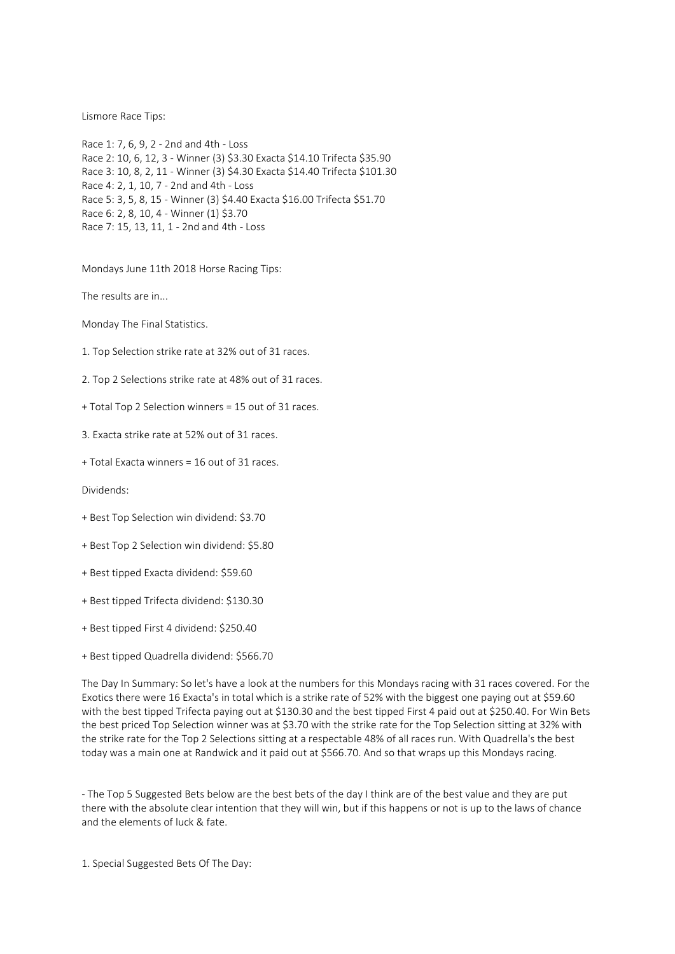## Lismore Race Tips:

Race 1: 7, 6, 9, 2 - 2nd and 4th - Loss Race 2: 10, 6, 12, 3 - Winner (3) \$3.30 Exacta \$14.10 Trifecta \$35.90 Race 3: 10, 8, 2, 11 - Winner (3) \$4.30 Exacta \$14.40 Trifecta \$101.30 Race 4: 2, 1, 10, 7 - 2nd and 4th - Loss Race 5: 3, 5, 8, 15 - Winner (3) \$4.40 Exacta \$16.00 Trifecta \$51.70 Race 6: 2, 8, 10, 4 - Winner (1) \$3.70 Race 7: 15, 13, 11, 1 - 2nd and 4th - Loss

Mondays June 11th 2018 Horse Racing Tips:

The results are in...

Monday The Final Statistics.

1. Top Selection strike rate at 32% out of 31 races.

2. Top 2 Selections strike rate at 48% out of 31 races.

+ Total Top 2 Selection winners = 15 out of 31 races.

3. Exacta strike rate at 52% out of 31 races.

+ Total Exacta winners = 16 out of 31 races.

Dividends:

- + Best Top Selection win dividend: \$3.70
- + Best Top 2 Selection win dividend: \$5.80
- + Best tipped Exacta dividend: \$59.60
- + Best tipped Trifecta dividend: \$130.30
- + Best tipped First 4 dividend: \$250.40
- + Best tipped Quadrella dividend: \$566.70

The Day In Summary: So let's have a look at the numbers for this Mondays racing with 31 races covered. For the Exotics there were 16 Exacta's in total which is a strike rate of 52% with the biggest one paying out at \$59.60 with the best tipped Trifecta paying out at \$130.30 and the best tipped First 4 paid out at \$250.40. For Win Bets the best priced Top Selection winner was at \$3.70 with the strike rate for the Top Selection sitting at 32% with the strike rate for the Top 2 Selections sitting at a respectable 48% of all races run. With Quadrella's the best today was a main one at Randwick and it paid out at \$566.70. And so that wraps up this Mondays racing.

- The Top 5 Suggested Bets below are the best bets of the day I think are of the best value and they are put there with the absolute clear intention that they will win, but if this happens or not is up to the laws of chance and the elements of luck & fate.

1. Special Suggested Bets Of The Day: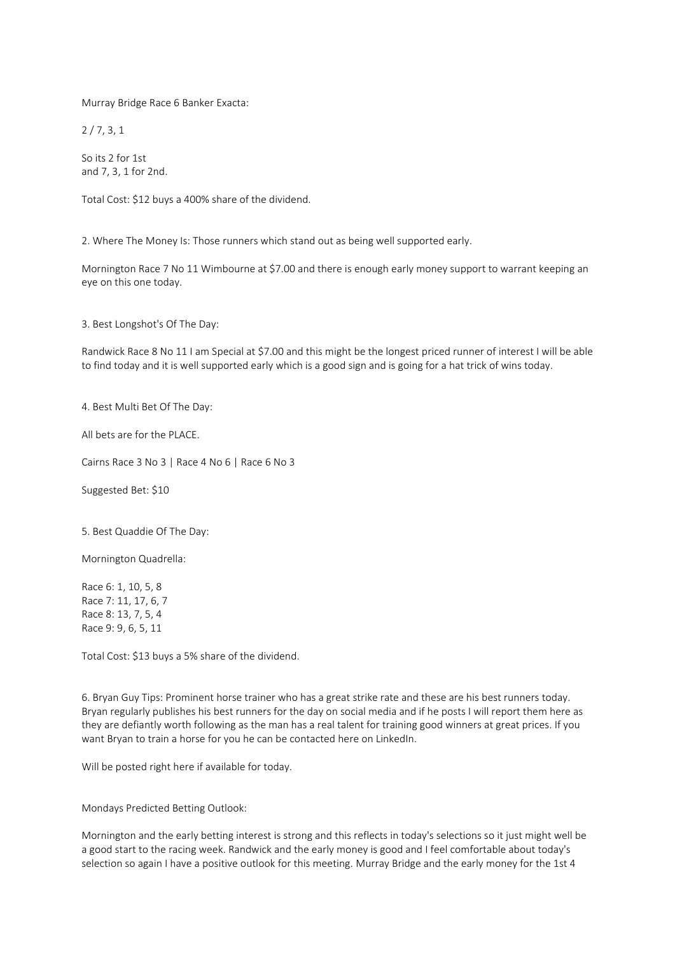Murray Bridge Race 6 Banker Exacta:

2 / 7, 3, 1

So its 2 for 1st and 7, 3, 1 for 2nd.

Total Cost: \$12 buys a 400% share of the dividend.

2. Where The Money Is: Those runners which stand out as being well supported early.

Mornington Race 7 No 11 Wimbourne at \$7.00 and there is enough early money support to warrant keeping an eye on this one today.

3. Best Longshot's Of The Day:

Randwick Race 8 No 11 I am Special at \$7.00 and this might be the longest priced runner of interest I will be able to find today and it is well supported early which is a good sign and is going for a hat trick of wins today.

4. Best Multi Bet Of The Day:

All bets are for the PLACE.

Cairns Race 3 No 3 | Race 4 No 6 | Race 6 No 3

Suggested Bet: \$10

5. Best Quaddie Of The Day:

Mornington Quadrella:

Race 6: 1, 10, 5, 8 Race 7: 11, 17, 6, 7 Race 8: 13, 7, 5, 4 Race 9: 9, 6, 5, 11

Total Cost: \$13 buys a 5% share of the dividend.

6. Bryan Guy Tips: Prominent horse trainer who has a great strike rate and these are his best runners today. Bryan regularly publishes his best runners for the day on social media and if he posts I will report them here as they are defiantly worth following as the man has a real talent for training good winners at great prices. If you want Bryan to train a horse for you he can be contacted here on LinkedIn.

Will be posted right here if available for today.

Mondays Predicted Betting Outlook:

Mornington and the early betting interest is strong and this reflects in today's selections so it just might well be a good start to the racing week. Randwick and the early money is good and I feel comfortable about today's selection so again I have a positive outlook for this meeting. Murray Bridge and the early money for the 1st 4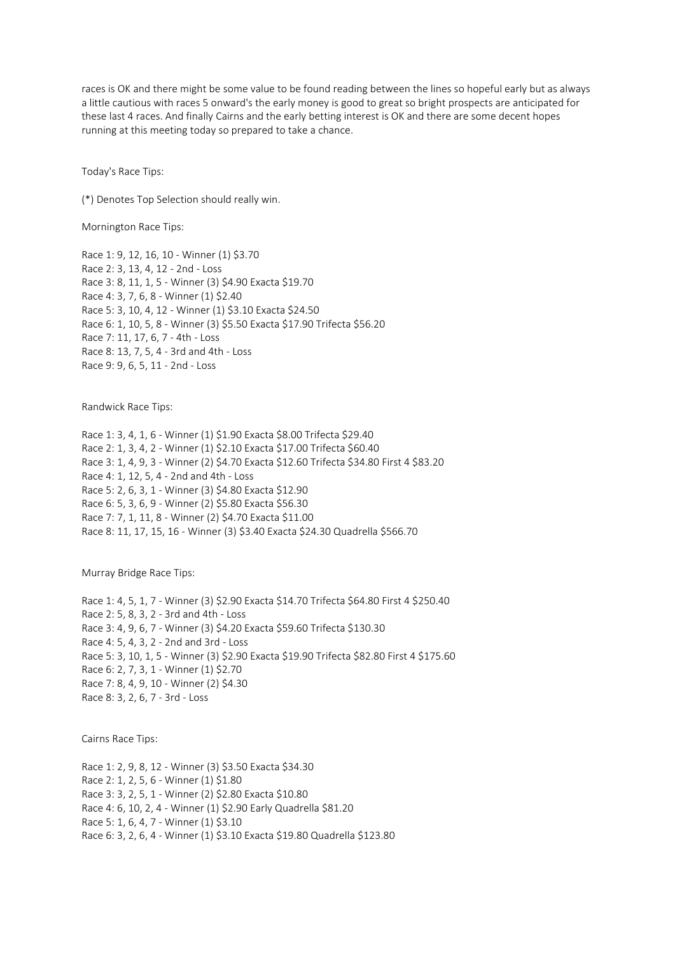races is OK and there might be some value to be found reading between the lines so hopeful early but as always a little cautious with races 5 onward's the early money is good to great so bright prospects are anticipated for these last 4 races. And finally Cairns and the early betting interest is OK and there are some decent hopes running at this meeting today so prepared to take a chance.

Today's Race Tips:

(\*) Denotes Top Selection should really win.

Mornington Race Tips:

Race 1: 9, 12, 16, 10 - Winner (1) \$3.70 Race 2: 3, 13, 4, 12 - 2nd - Loss Race 3: 8, 11, 1, 5 - Winner (3) \$4.90 Exacta \$19.70 Race 4: 3, 7, 6, 8 - Winner (1) \$2.40 Race 5: 3, 10, 4, 12 - Winner (1) \$3.10 Exacta \$24.50 Race 6: 1, 10, 5, 8 - Winner (3) \$5.50 Exacta \$17.90 Trifecta \$56.20 Race 7: 11, 17, 6, 7 - 4th - Loss Race 8: 13, 7, 5, 4 - 3rd and 4th - Loss Race 9: 9, 6, 5, 11 - 2nd - Loss

Randwick Race Tips:

Race 1: 3, 4, 1, 6 - Winner (1) \$1.90 Exacta \$8.00 Trifecta \$29.40 Race 2: 1, 3, 4, 2 - Winner (1) \$2.10 Exacta \$17.00 Trifecta \$60.40 Race 3: 1, 4, 9, 3 - Winner (2) \$4.70 Exacta \$12.60 Trifecta \$34.80 First 4 \$83.20 Race 4: 1, 12, 5, 4 - 2nd and 4th - Loss Race 5: 2, 6, 3, 1 - Winner (3) \$4.80 Exacta \$12.90 Race 6: 5, 3, 6, 9 - Winner (2) \$5.80 Exacta \$56.30 Race 7: 7, 1, 11, 8 - Winner (2) \$4.70 Exacta \$11.00 Race 8: 11, 17, 15, 16 - Winner (3) \$3.40 Exacta \$24.30 Quadrella \$566.70

Murray Bridge Race Tips:

Race 1: 4, 5, 1, 7 - Winner (3) \$2.90 Exacta \$14.70 Trifecta \$64.80 First 4 \$250.40 Race 2: 5, 8, 3, 2 - 3rd and 4th - Loss Race 3: 4, 9, 6, 7 - Winner (3) \$4.20 Exacta \$59.60 Trifecta \$130.30 Race 4: 5, 4, 3, 2 - 2nd and 3rd - Loss Race 5: 3, 10, 1, 5 - Winner (3) \$2.90 Exacta \$19.90 Trifecta \$82.80 First 4 \$175.60 Race 6: 2, 7, 3, 1 - Winner (1) \$2.70 Race 7: 8, 4, 9, 10 - Winner (2) \$4.30 Race 8: 3, 2, 6, 7 - 3rd - Loss

Cairns Race Tips:

Race 1: 2, 9, 8, 12 - Winner (3) \$3.50 Exacta \$34.30 Race 2: 1, 2, 5, 6 - Winner (1) \$1.80 Race 3: 3, 2, 5, 1 - Winner (2) \$2.80 Exacta \$10.80 Race 4: 6, 10, 2, 4 - Winner (1) \$2.90 Early Quadrella \$81.20 Race 5: 1, 6, 4, 7 - Winner (1) \$3.10 Race 6: 3, 2, 6, 4 - Winner (1) \$3.10 Exacta \$19.80 Quadrella \$123.80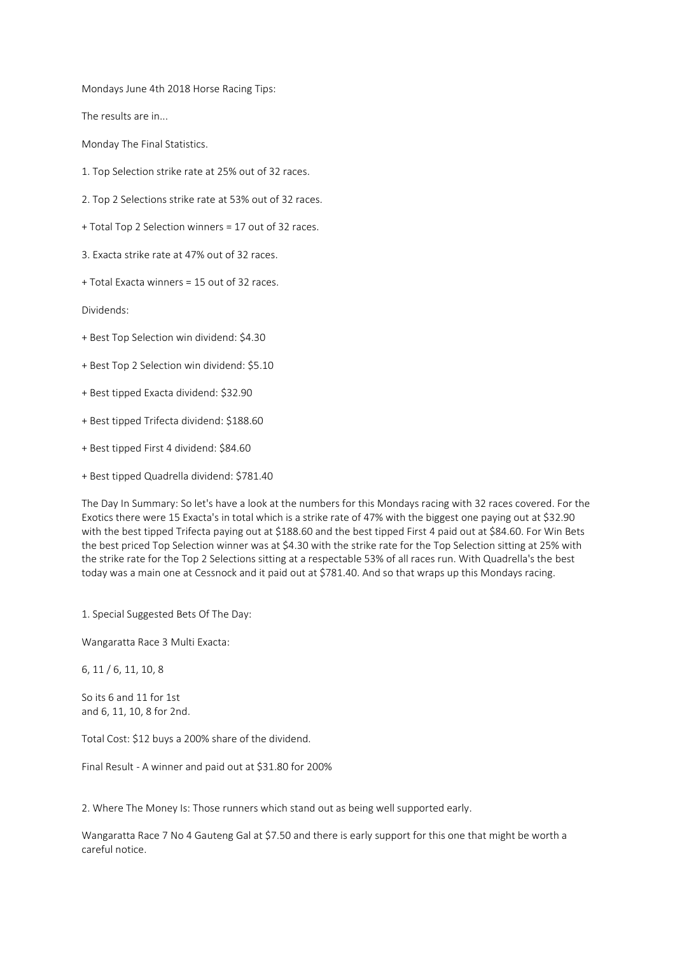Mondays June 4th 2018 Horse Racing Tips:

The results are in...

Monday The Final Statistics.

- 1. Top Selection strike rate at 25% out of 32 races.
- 2. Top 2 Selections strike rate at 53% out of 32 races.
- + Total Top 2 Selection winners = 17 out of 32 races.

3. Exacta strike rate at 47% out of 32 races.

+ Total Exacta winners = 15 out of 32 races.

Dividends:

- + Best Top Selection win dividend: \$4.30
- + Best Top 2 Selection win dividend: \$5.10
- + Best tipped Exacta dividend: \$32.90
- + Best tipped Trifecta dividend: \$188.60
- + Best tipped First 4 dividend: \$84.60
- + Best tipped Quadrella dividend: \$781.40

The Day In Summary: So let's have a look at the numbers for this Mondays racing with 32 races covered. For the Exotics there were 15 Exacta's in total which is a strike rate of 47% with the biggest one paying out at \$32.90 with the best tipped Trifecta paying out at \$188.60 and the best tipped First 4 paid out at \$84.60. For Win Bets the best priced Top Selection winner was at \$4.30 with the strike rate for the Top Selection sitting at 25% with the strike rate for the Top 2 Selections sitting at a respectable 53% of all races run. With Quadrella's the best today was a main one at Cessnock and it paid out at \$781.40. And so that wraps up this Mondays racing.

1. Special Suggested Bets Of The Day:

Wangaratta Race 3 Multi Exacta:

6, 11 / 6, 11, 10, 8

So its 6 and 11 for 1st and 6, 11, 10, 8 for 2nd.

Total Cost: \$12 buys a 200% share of the dividend.

Final Result - A winner and paid out at \$31.80 for 200%

2. Where The Money Is: Those runners which stand out as being well supported early.

Wangaratta Race 7 No 4 Gauteng Gal at \$7.50 and there is early support for this one that might be worth a careful notice.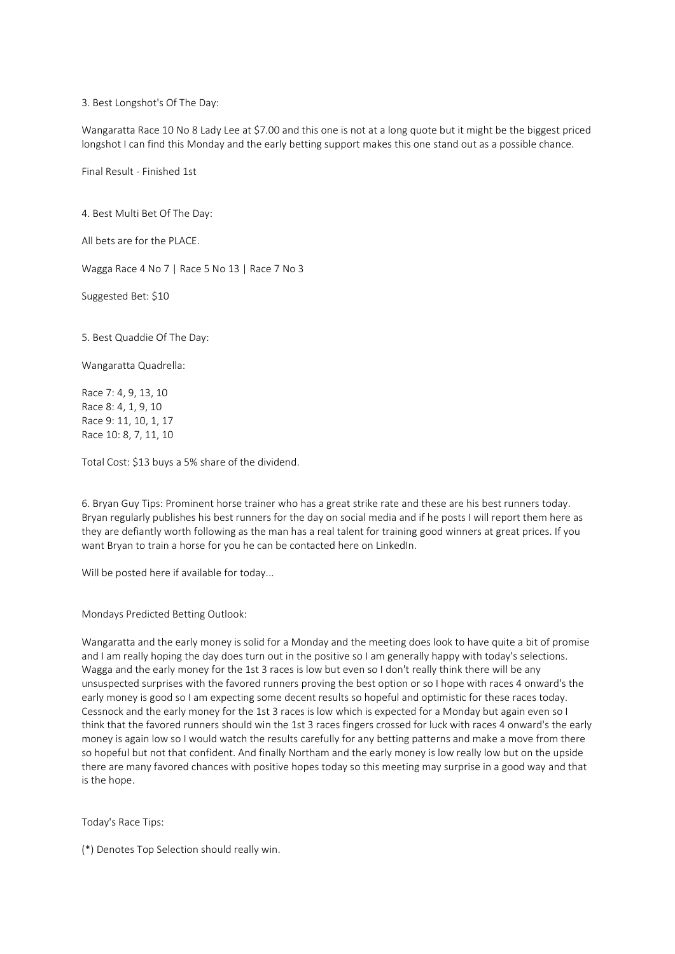3. Best Longshot's Of The Day:

Wangaratta Race 10 No 8 Lady Lee at \$7.00 and this one is not at a long quote but it might be the biggest priced longshot I can find this Monday and the early betting support makes this one stand out as a possible chance.

Final Result - Finished 1st

4. Best Multi Bet Of The Day:

All bets are for the PLACE.

Wagga Race 4 No 7 | Race 5 No 13 | Race 7 No 3

Suggested Bet: \$10

5. Best Quaddie Of The Day:

Wangaratta Quadrella:

Race 7: 4, 9, 13, 10 Race 8: 4, 1, 9, 10 Race 9: 11, 10, 1, 17 Race 10: 8, 7, 11, 10

Total Cost: \$13 buys a 5% share of the dividend.

6. Bryan Guy Tips: Prominent horse trainer who has a great strike rate and these are his best runners today. Bryan regularly publishes his best runners for the day on social media and if he posts I will report them here as they are defiantly worth following as the man has a real talent for training good winners at great prices. If you want Bryan to train a horse for you he can be contacted here on LinkedIn.

Will be posted here if available for today...

Mondays Predicted Betting Outlook:

Wangaratta and the early money is solid for a Monday and the meeting does look to have quite a bit of promise and I am really hoping the day does turn out in the positive so I am generally happy with today's selections. Wagga and the early money for the 1st 3 races is low but even so I don't really think there will be any unsuspected surprises with the favored runners proving the best option or so I hope with races 4 onward's the early money is good so I am expecting some decent results so hopeful and optimistic for these races today. Cessnock and the early money for the 1st 3 races is low which is expected for a Monday but again even so I think that the favored runners should win the 1st 3 races fingers crossed for luck with races 4 onward's the early money is again low so I would watch the results carefully for any betting patterns and make a move from there so hopeful but not that confident. And finally Northam and the early money is low really low but on the upside there are many favored chances with positive hopes today so this meeting may surprise in a good way and that is the hope.

Today's Race Tips:

(\*) Denotes Top Selection should really win.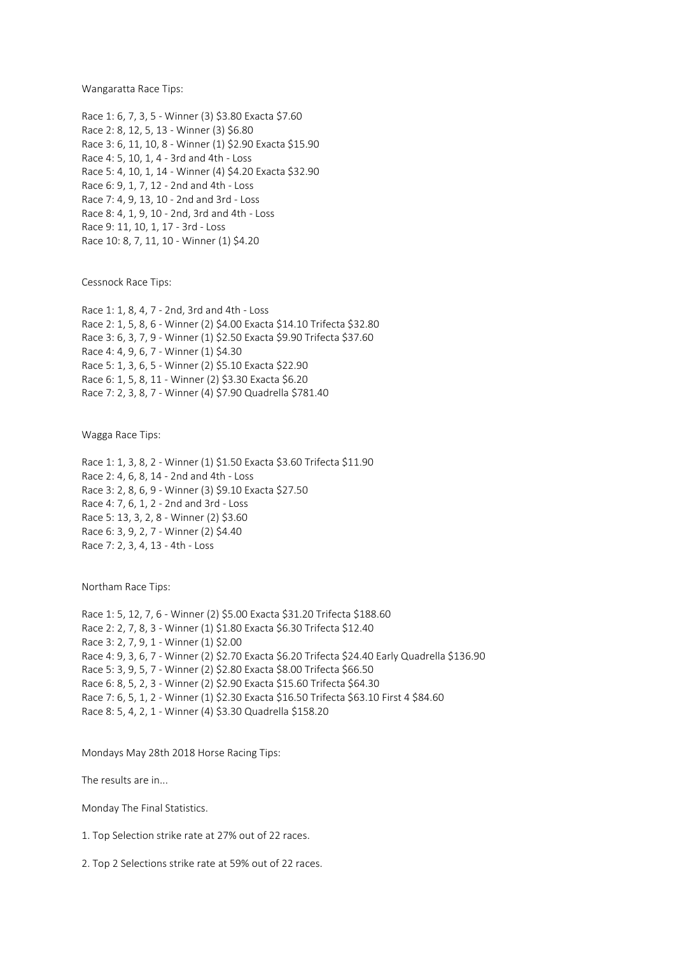Wangaratta Race Tips:

Race 1: 6, 7, 3, 5 - Winner (3) \$3.80 Exacta \$7.60 Race 2: 8, 12, 5, 13 - Winner (3) \$6.80 Race 3: 6, 11, 10, 8 - Winner (1) \$2.90 Exacta \$15.90 Race 4: 5, 10, 1, 4 - 3rd and 4th - Loss Race 5: 4, 10, 1, 14 - Winner (4) \$4.20 Exacta \$32.90 Race 6: 9, 1, 7, 12 - 2nd and 4th - Loss Race 7: 4, 9, 13, 10 - 2nd and 3rd - Loss Race 8: 4, 1, 9, 10 - 2nd, 3rd and 4th - Loss Race 9: 11, 10, 1, 17 - 3rd - Loss Race 10: 8, 7, 11, 10 - Winner (1) \$4.20

Cessnock Race Tips:

Race 1: 1, 8, 4, 7 - 2nd, 3rd and 4th - Loss Race 2: 1, 5, 8, 6 - Winner (2) \$4.00 Exacta \$14.10 Trifecta \$32.80 Race 3: 6, 3, 7, 9 - Winner (1) \$2.50 Exacta \$9.90 Trifecta \$37.60 Race 4: 4, 9, 6, 7 - Winner (1) \$4.30 Race 5: 1, 3, 6, 5 - Winner (2) \$5.10 Exacta \$22.90 Race 6: 1, 5, 8, 11 - Winner (2) \$3.30 Exacta \$6.20 Race 7: 2, 3, 8, 7 - Winner (4) \$7.90 Quadrella \$781.40

Wagga Race Tips:

Race 1: 1, 3, 8, 2 - Winner (1) \$1.50 Exacta \$3.60 Trifecta \$11.90 Race 2: 4, 6, 8, 14 - 2nd and 4th - Loss Race 3: 2, 8, 6, 9 - Winner (3) \$9.10 Exacta \$27.50 Race 4: 7, 6, 1, 2 - 2nd and 3rd - Loss Race 5: 13, 3, 2, 8 - Winner (2) \$3.60 Race 6: 3, 9, 2, 7 - Winner (2) \$4.40 Race 7: 2, 3, 4, 13 - 4th - Loss

Northam Race Tips:

Race 1: 5, 12, 7, 6 - Winner (2) \$5.00 Exacta \$31.20 Trifecta \$188.60 Race 2: 2, 7, 8, 3 - Winner (1) \$1.80 Exacta \$6.30 Trifecta \$12.40 Race 3: 2, 7, 9, 1 - Winner (1) \$2.00 Race 4: 9, 3, 6, 7 - Winner (2) \$2.70 Exacta \$6.20 Trifecta \$24.40 Early Quadrella \$136.90 Race 5: 3, 9, 5, 7 - Winner (2) \$2.80 Exacta \$8.00 Trifecta \$66.50 Race 6: 8, 5, 2, 3 - Winner (2) \$2.90 Exacta \$15.60 Trifecta \$64.30 Race 7: 6, 5, 1, 2 - Winner (1) \$2.30 Exacta \$16.50 Trifecta \$63.10 First 4 \$84.60 Race 8: 5, 4, 2, 1 - Winner (4) \$3.30 Quadrella \$158.20

Mondays May 28th 2018 Horse Racing Tips:

The results are in...

Monday The Final Statistics.

1. Top Selection strike rate at 27% out of 22 races.

2. Top 2 Selections strike rate at 59% out of 22 races.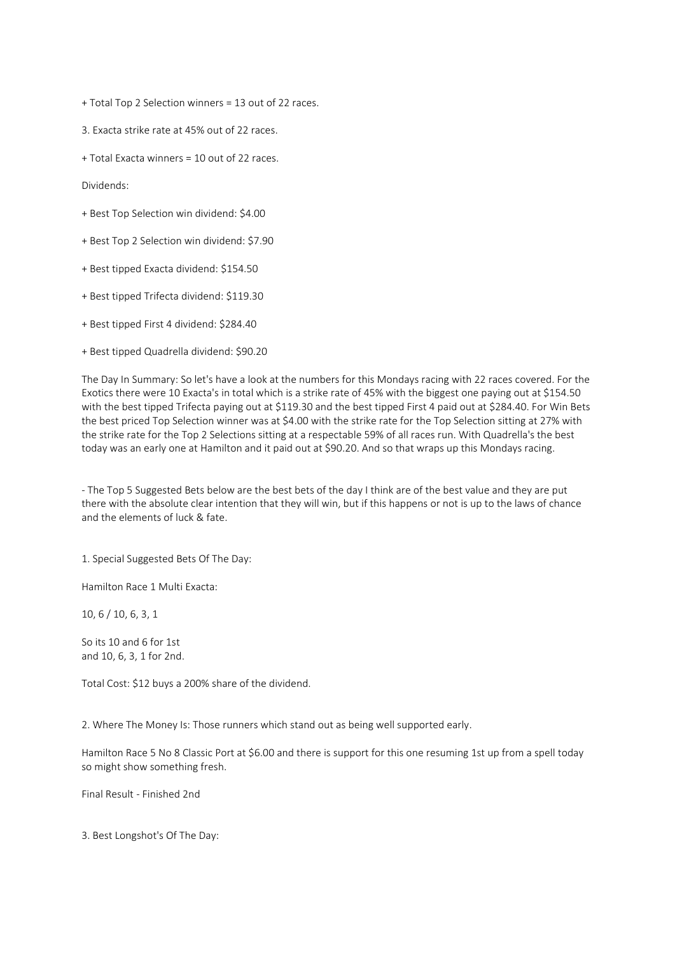+ Total Top 2 Selection winners = 13 out of 22 races.

3. Exacta strike rate at 45% out of 22 races.

+ Total Exacta winners = 10 out of 22 races.

Dividends:

- + Best Top Selection win dividend: \$4.00
- + Best Top 2 Selection win dividend: \$7.90
- + Best tipped Exacta dividend: \$154.50
- + Best tipped Trifecta dividend: \$119.30
- + Best tipped First 4 dividend: \$284.40
- + Best tipped Quadrella dividend: \$90.20

The Day In Summary: So let's have a look at the numbers for this Mondays racing with 22 races covered. For the Exotics there were 10 Exacta's in total which is a strike rate of 45% with the biggest one paying out at \$154.50 with the best tipped Trifecta paying out at \$119.30 and the best tipped First 4 paid out at \$284.40. For Win Bets the best priced Top Selection winner was at \$4.00 with the strike rate for the Top Selection sitting at 27% with the strike rate for the Top 2 Selections sitting at a respectable 59% of all races run. With Quadrella's the best today was an early one at Hamilton and it paid out at \$90.20. And so that wraps up this Mondays racing.

- The Top 5 Suggested Bets below are the best bets of the day I think are of the best value and they are put there with the absolute clear intention that they will win, but if this happens or not is up to the laws of chance and the elements of luck & fate.

1. Special Suggested Bets Of The Day:

Hamilton Race 1 Multi Exacta:

10, 6 / 10, 6, 3, 1

So its 10 and 6 for 1st and 10, 6, 3, 1 for 2nd.

Total Cost: \$12 buys a 200% share of the dividend.

2. Where The Money Is: Those runners which stand out as being well supported early.

Hamilton Race 5 No 8 Classic Port at \$6.00 and there is support for this one resuming 1st up from a spell today so might show something fresh.

Final Result - Finished 2nd

3. Best Longshot's Of The Day: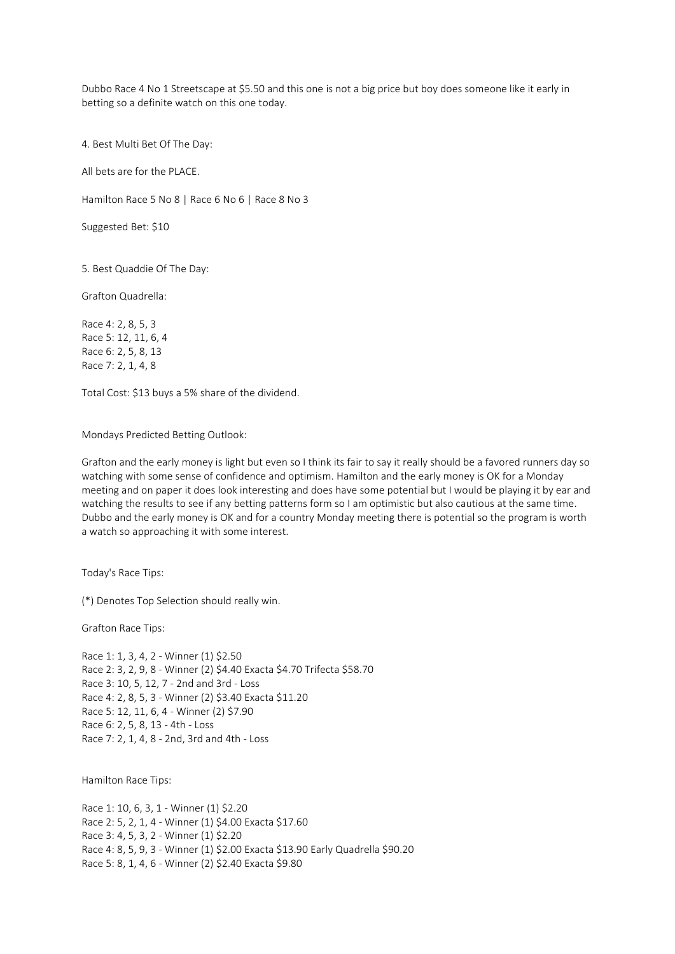Dubbo Race 4 No 1 Streetscape at \$5.50 and this one is not a big price but boy does someone like it early in betting so a definite watch on this one today.

4. Best Multi Bet Of The Day:

All bets are for the PLACE.

Hamilton Race 5 No 8 | Race 6 No 6 | Race 8 No 3

Suggested Bet: \$10

5. Best Quaddie Of The Day:

Grafton Quadrella:

Race 4: 2, 8, 5, 3 Race 5: 12, 11, 6, 4 Race 6: 2, 5, 8, 13 Race 7: 2, 1, 4, 8

Total Cost: \$13 buys a 5% share of the dividend.

Mondays Predicted Betting Outlook:

Grafton and the early money is light but even so I think its fair to say it really should be a favored runners day so watching with some sense of confidence and optimism. Hamilton and the early money is OK for a Monday meeting and on paper it does look interesting and does have some potential but I would be playing it by ear and watching the results to see if any betting patterns form so I am optimistic but also cautious at the same time. Dubbo and the early money is OK and for a country Monday meeting there is potential so the program is worth a watch so approaching it with some interest.

Today's Race Tips:

(\*) Denotes Top Selection should really win.

Grafton Race Tips:

Race 1: 1, 3, 4, 2 - Winner (1) \$2.50 Race 2: 3, 2, 9, 8 - Winner (2) \$4.40 Exacta \$4.70 Trifecta \$58.70 Race 3: 10, 5, 12, 7 - 2nd and 3rd - Loss Race 4: 2, 8, 5, 3 - Winner (2) \$3.40 Exacta \$11.20 Race 5: 12, 11, 6, 4 - Winner (2) \$7.90 Race 6: 2, 5, 8, 13 - 4th - Loss Race 7: 2, 1, 4, 8 - 2nd, 3rd and 4th - Loss

Hamilton Race Tips:

Race 1: 10, 6, 3, 1 - Winner (1) \$2.20 Race 2: 5, 2, 1, 4 - Winner (1) \$4.00 Exacta \$17.60 Race 3: 4, 5, 3, 2 - Winner (1) \$2.20 Race 4: 8, 5, 9, 3 - Winner (1) \$2.00 Exacta \$13.90 Early Quadrella \$90.20 Race 5: 8, 1, 4, 6 - Winner (2) \$2.40 Exacta \$9.80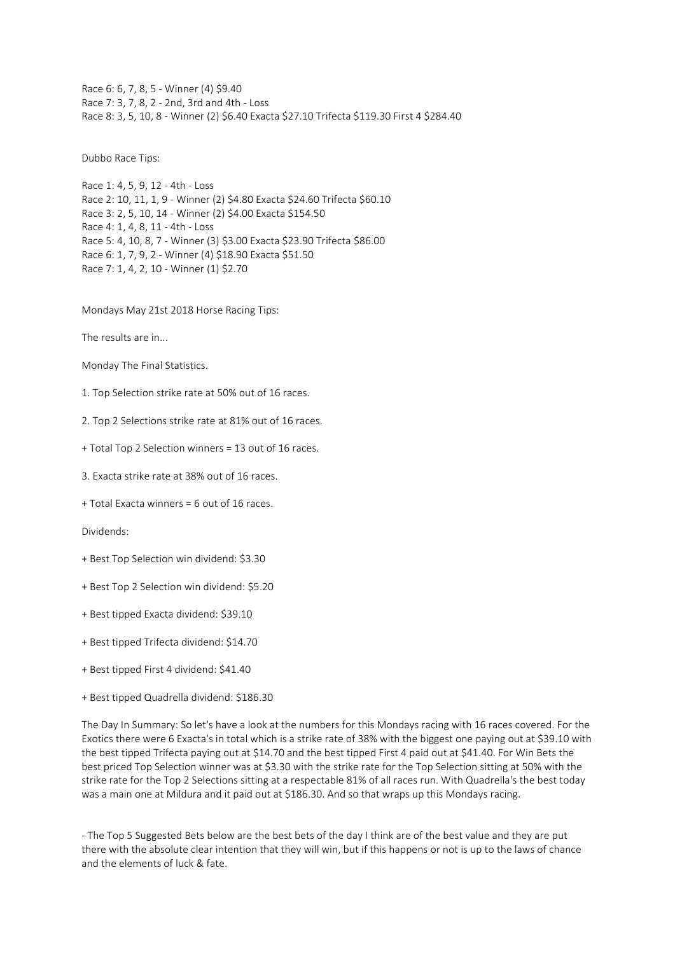Race 6: 6, 7, 8, 5 - Winner (4) \$9.40 Race 7: 3, 7, 8, 2 - 2nd, 3rd and 4th - Loss Race 8: 3, 5, 10, 8 - Winner (2) \$6.40 Exacta \$27.10 Trifecta \$119.30 First 4 \$284.40

Dubbo Race Tips:

Race 1: 4, 5, 9, 12 - 4th - Loss Race 2: 10, 11, 1, 9 - Winner (2) \$4.80 Exacta \$24.60 Trifecta \$60.10 Race 3: 2, 5, 10, 14 - Winner (2) \$4.00 Exacta \$154.50 Race 4: 1, 4, 8, 11 - 4th - Loss Race 5: 4, 10, 8, 7 - Winner (3) \$3.00 Exacta \$23.90 Trifecta \$86.00 Race 6: 1, 7, 9, 2 - Winner (4) \$18.90 Exacta \$51.50 Race 7: 1, 4, 2, 10 - Winner (1) \$2.70

Mondays May 21st 2018 Horse Racing Tips:

The results are in...

Monday The Final Statistics.

1. Top Selection strike rate at 50% out of 16 races.

2. Top 2 Selections strike rate at 81% out of 16 races.

+ Total Top 2 Selection winners = 13 out of 16 races.

3. Exacta strike rate at 38% out of 16 races.

+ Total Exacta winners = 6 out of 16 races.

Dividends:

- + Best Top Selection win dividend: \$3.30
- + Best Top 2 Selection win dividend: \$5.20
- + Best tipped Exacta dividend: \$39.10
- + Best tipped Trifecta dividend: \$14.70
- + Best tipped First 4 dividend: \$41.40
- + Best tipped Quadrella dividend: \$186.30

The Day In Summary: So let's have a look at the numbers for this Mondays racing with 16 races covered. For the Exotics there were 6 Exacta's in total which is a strike rate of 38% with the biggest one paying out at \$39.10 with the best tipped Trifecta paying out at \$14.70 and the best tipped First 4 paid out at \$41.40. For Win Bets the best priced Top Selection winner was at \$3.30 with the strike rate for the Top Selection sitting at 50% with the strike rate for the Top 2 Selections sitting at a respectable 81% of all races run. With Quadrella's the best today was a main one at Mildura and it paid out at \$186.30. And so that wraps up this Mondays racing.

- The Top 5 Suggested Bets below are the best bets of the day I think are of the best value and they are put there with the absolute clear intention that they will win, but if this happens or not is up to the laws of chance and the elements of luck & fate.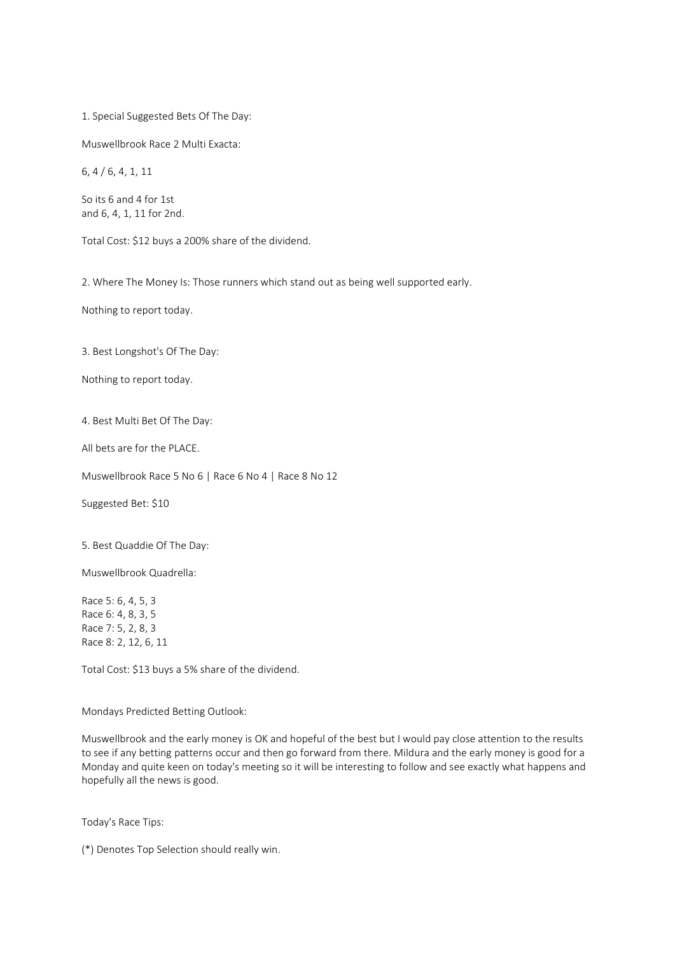1. Special Suggested Bets Of The Day:

Muswellbrook Race 2 Multi Exacta:

6, 4 / 6, 4, 1, 11

So its 6 and 4 for 1st and 6, 4, 1, 11 for 2nd.

Total Cost: \$12 buys a 200% share of the dividend.

2. Where The Money Is: Those runners which stand out as being well supported early.

Nothing to report today.

3. Best Longshot's Of The Day:

Nothing to report today.

4. Best Multi Bet Of The Day:

All bets are for the PLACE.

Muswellbrook Race 5 No 6 | Race 6 No 4 | Race 8 No 12

Suggested Bet: \$10

5. Best Quaddie Of The Day:

Muswellbrook Quadrella:

Race 5: 6, 4, 5, 3 Race 6: 4, 8, 3, 5 Race 7: 5, 2, 8, 3 Race 8: 2, 12, 6, 11

Total Cost: \$13 buys a 5% share of the dividend.

Mondays Predicted Betting Outlook:

Muswellbrook and the early money is OK and hopeful of the best but I would pay close attention to the results to see if any betting patterns occur and then go forward from there. Mildura and the early money is good for a Monday and quite keen on today's meeting so it will be interesting to follow and see exactly what happens and hopefully all the news is good.

Today's Race Tips:

(\*) Denotes Top Selection should really win.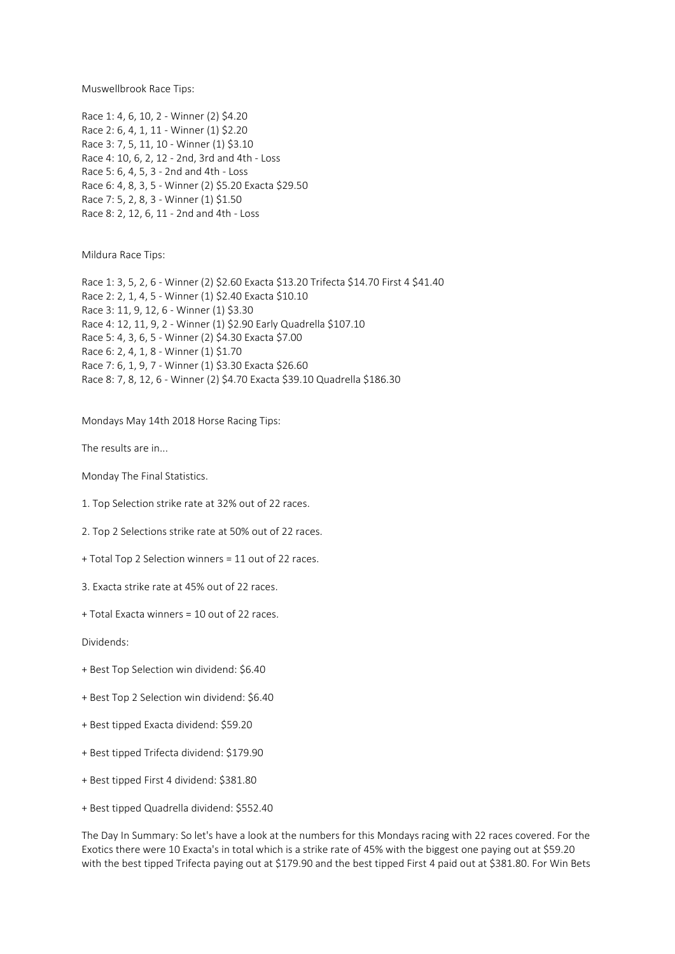Muswellbrook Race Tips:

Race 1: 4, 6, 10, 2 - Winner (2) \$4.20 Race 2: 6, 4, 1, 11 - Winner (1) \$2.20 Race 3: 7, 5, 11, 10 - Winner (1) \$3.10 Race 4: 10, 6, 2, 12 - 2nd, 3rd and 4th - Loss Race 5: 6, 4, 5, 3 - 2nd and 4th - Loss Race 6: 4, 8, 3, 5 - Winner (2) \$5.20 Exacta \$29.50 Race 7: 5, 2, 8, 3 - Winner (1) \$1.50 Race 8: 2, 12, 6, 11 - 2nd and 4th - Loss

Mildura Race Tips:

Race 1: 3, 5, 2, 6 - Winner (2) \$2.60 Exacta \$13.20 Trifecta \$14.70 First 4 \$41.40 Race 2: 2, 1, 4, 5 - Winner (1) \$2.40 Exacta \$10.10 Race 3: 11, 9, 12, 6 - Winner (1) \$3.30 Race 4: 12, 11, 9, 2 - Winner (1) \$2.90 Early Quadrella \$107.10 Race 5: 4, 3, 6, 5 - Winner (2) \$4.30 Exacta \$7.00 Race 6: 2, 4, 1, 8 - Winner (1) \$1.70 Race 7: 6, 1, 9, 7 - Winner (1) \$3.30 Exacta \$26.60 Race 8: 7, 8, 12, 6 - Winner (2) \$4.70 Exacta \$39.10 Quadrella \$186.30

Mondays May 14th 2018 Horse Racing Tips:

The results are in...

Monday The Final Statistics.

1. Top Selection strike rate at 32% out of 22 races.

2. Top 2 Selections strike rate at 50% out of 22 races.

+ Total Top 2 Selection winners = 11 out of 22 races.

3. Exacta strike rate at 45% out of 22 races.

+ Total Exacta winners = 10 out of 22 races.

Dividends:

- + Best Top Selection win dividend: \$6.40
- + Best Top 2 Selection win dividend: \$6.40
- + Best tipped Exacta dividend: \$59.20
- + Best tipped Trifecta dividend: \$179.90
- + Best tipped First 4 dividend: \$381.80
- + Best tipped Quadrella dividend: \$552.40

The Day In Summary: So let's have a look at the numbers for this Mondays racing with 22 races covered. For the Exotics there were 10 Exacta's in total which is a strike rate of 45% with the biggest one paying out at \$59.20 with the best tipped Trifecta paying out at \$179.90 and the best tipped First 4 paid out at \$381.80. For Win Bets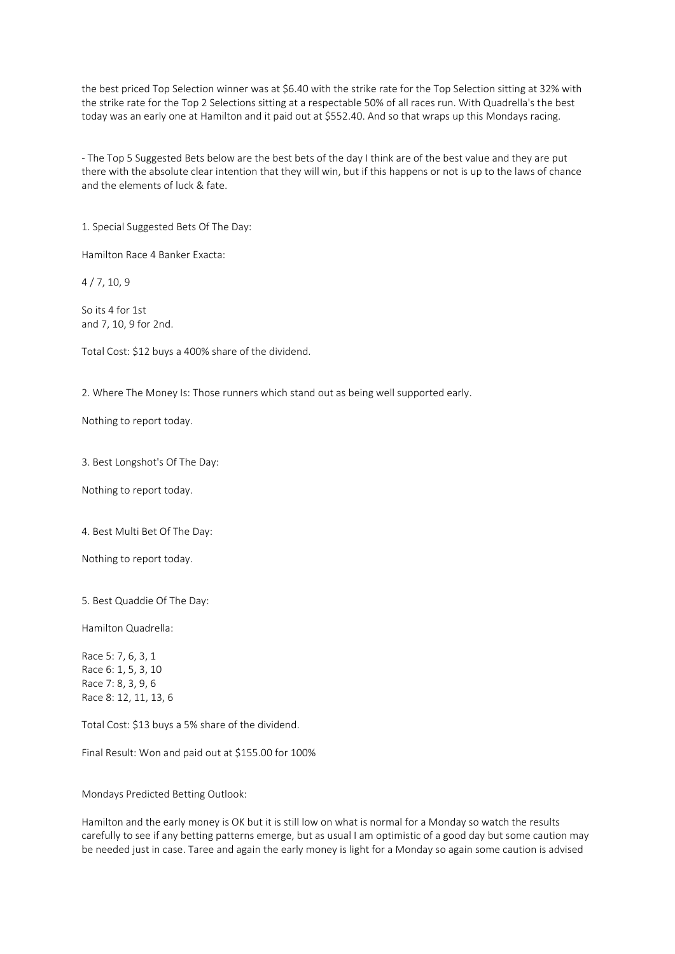the best priced Top Selection winner was at \$6.40 with the strike rate for the Top Selection sitting at 32% with the strike rate for the Top 2 Selections sitting at a respectable 50% of all races run. With Quadrella's the best today was an early one at Hamilton and it paid out at \$552.40. And so that wraps up this Mondays racing.

- The Top 5 Suggested Bets below are the best bets of the day I think are of the best value and they are put there with the absolute clear intention that they will win, but if this happens or not is up to the laws of chance and the elements of luck & fate.

1. Special Suggested Bets Of The Day:

Hamilton Race 4 Banker Exacta:

4 / 7, 10, 9

So its 4 for 1st and 7, 10, 9 for 2nd.

Total Cost: \$12 buys a 400% share of the dividend.

2. Where The Money Is: Those runners which stand out as being well supported early.

Nothing to report today.

3. Best Longshot's Of The Day:

Nothing to report today.

4. Best Multi Bet Of The Day:

Nothing to report today.

5. Best Quaddie Of The Day:

Hamilton Quadrella:

Race 5: 7, 6, 3, 1 Race 6: 1, 5, 3, 10 Race 7: 8, 3, 9, 6 Race 8: 12, 11, 13, 6

Total Cost: \$13 buys a 5% share of the dividend.

Final Result: Won and paid out at \$155.00 for 100%

Mondays Predicted Betting Outlook:

Hamilton and the early money is OK but it is still low on what is normal for a Monday so watch the results carefully to see if any betting patterns emerge, but as usual I am optimistic of a good day but some caution may be needed just in case. Taree and again the early money is light for a Monday so again some caution is advised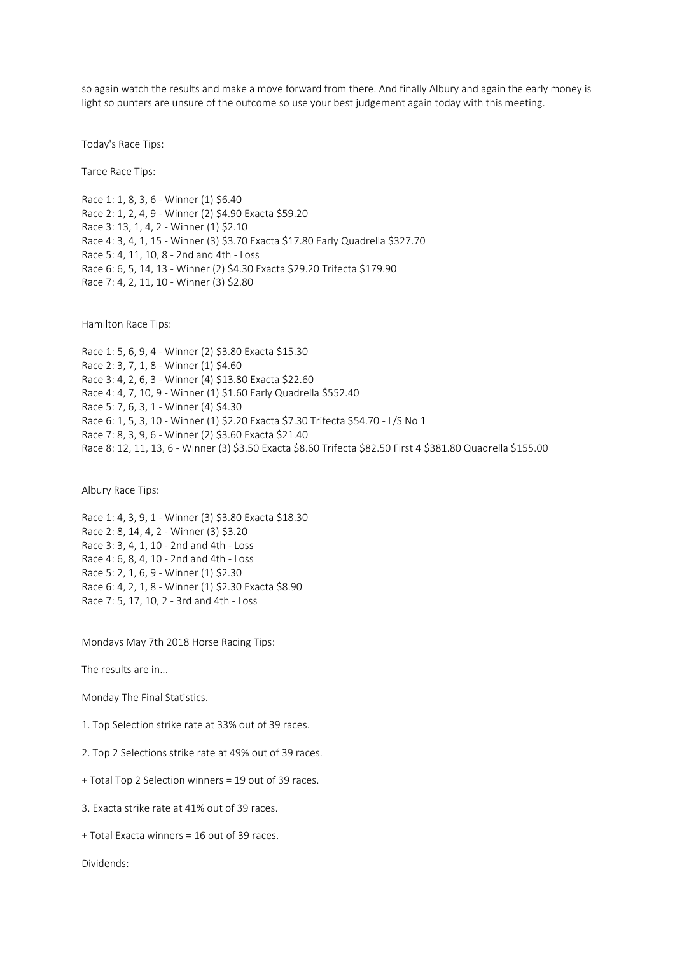so again watch the results and make a move forward from there. And finally Albury and again the early money is light so punters are unsure of the outcome so use your best judgement again today with this meeting.

Today's Race Tips:

Taree Race Tips:

Race 1: 1, 8, 3, 6 - Winner (1) \$6.40 Race 2: 1, 2, 4, 9 - Winner (2) \$4.90 Exacta \$59.20 Race 3: 13, 1, 4, 2 - Winner (1) \$2.10 Race 4: 3, 4, 1, 15 - Winner (3) \$3.70 Exacta \$17.80 Early Quadrella \$327.70 Race 5: 4, 11, 10, 8 - 2nd and 4th - Loss Race 6: 6, 5, 14, 13 - Winner (2) \$4.30 Exacta \$29.20 Trifecta \$179.90 Race 7: 4, 2, 11, 10 - Winner (3) \$2.80

Hamilton Race Tips:

Race 1: 5, 6, 9, 4 - Winner (2) \$3.80 Exacta \$15.30 Race 2: 3, 7, 1, 8 - Winner (1) \$4.60 Race 3: 4, 2, 6, 3 - Winner (4) \$13.80 Exacta \$22.60 Race 4: 4, 7, 10, 9 - Winner (1) \$1.60 Early Quadrella \$552.40 Race 5: 7, 6, 3, 1 - Winner (4) \$4.30 Race 6: 1, 5, 3, 10 - Winner (1) \$2.20 Exacta \$7.30 Trifecta \$54.70 - L/S No 1 Race 7: 8, 3, 9, 6 - Winner (2) \$3.60 Exacta \$21.40 Race 8: 12, 11, 13, 6 - Winner (3) \$3.50 Exacta \$8.60 Trifecta \$82.50 First 4 \$381.80 Quadrella \$155.00

Albury Race Tips:

Race 1: 4, 3, 9, 1 - Winner (3) \$3.80 Exacta \$18.30 Race 2: 8, 14, 4, 2 - Winner (3) \$3.20 Race 3: 3, 4, 1, 10 - 2nd and 4th - Loss Race 4: 6, 8, 4, 10 - 2nd and 4th - Loss Race 5: 2, 1, 6, 9 - Winner (1) \$2.30 Race 6: 4, 2, 1, 8 - Winner (1) \$2.30 Exacta \$8.90 Race 7: 5, 17, 10, 2 - 3rd and 4th - Loss

Mondays May 7th 2018 Horse Racing Tips:

The results are in...

Monday The Final Statistics.

1. Top Selection strike rate at 33% out of 39 races.

2. Top 2 Selections strike rate at 49% out of 39 races.

+ Total Top 2 Selection winners = 19 out of 39 races.

3. Exacta strike rate at 41% out of 39 races.

+ Total Exacta winners = 16 out of 39 races.

Dividends: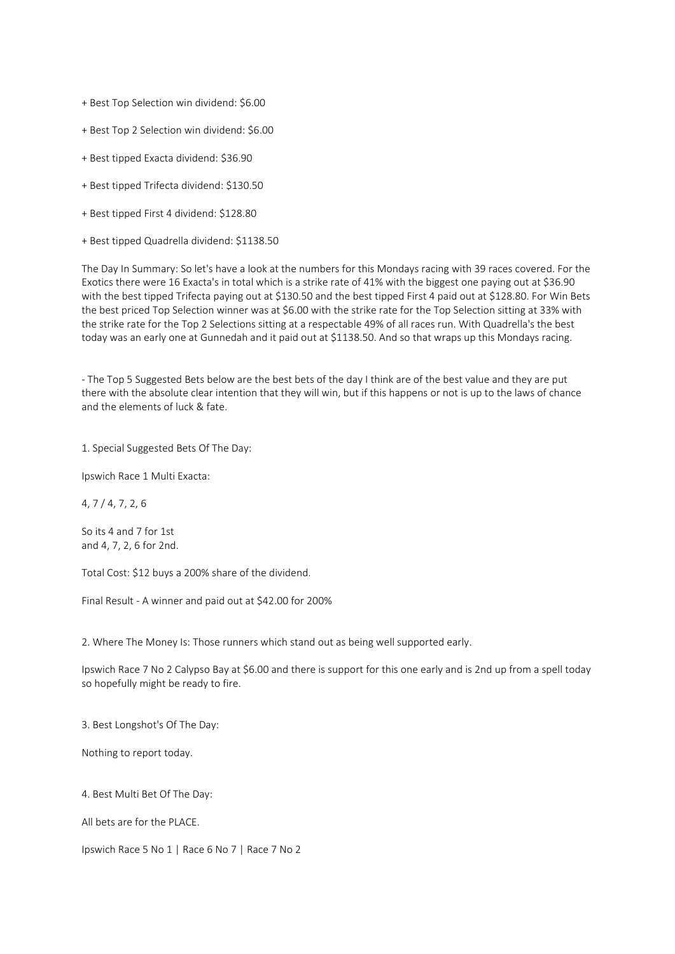+ Best Top Selection win dividend: \$6.00

+ Best Top 2 Selection win dividend: \$6.00

- + Best tipped Exacta dividend: \$36.90
- + Best tipped Trifecta dividend: \$130.50
- + Best tipped First 4 dividend: \$128.80
- + Best tipped Quadrella dividend: \$1138.50

The Day In Summary: So let's have a look at the numbers for this Mondays racing with 39 races covered. For the Exotics there were 16 Exacta's in total which is a strike rate of 41% with the biggest one paying out at \$36.90 with the best tipped Trifecta paying out at \$130.50 and the best tipped First 4 paid out at \$128.80. For Win Bets the best priced Top Selection winner was at \$6.00 with the strike rate for the Top Selection sitting at 33% with the strike rate for the Top 2 Selections sitting at a respectable 49% of all races run. With Quadrella's the best today was an early one at Gunnedah and it paid out at \$1138.50. And so that wraps up this Mondays racing.

- The Top 5 Suggested Bets below are the best bets of the day I think are of the best value and they are put there with the absolute clear intention that they will win, but if this happens or not is up to the laws of chance and the elements of luck & fate.

1. Special Suggested Bets Of The Day:

Ipswich Race 1 Multi Exacta:

4, 7 / 4, 7, 2, 6

So its 4 and 7 for 1st and 4, 7, 2, 6 for 2nd.

Total Cost: \$12 buys a 200% share of the dividend.

Final Result - A winner and paid out at \$42.00 for 200%

2. Where The Money Is: Those runners which stand out as being well supported early.

Ipswich Race 7 No 2 Calypso Bay at \$6.00 and there is support for this one early and is 2nd up from a spell today so hopefully might be ready to fire.

3. Best Longshot's Of The Day:

Nothing to report today.

4. Best Multi Bet Of The Day:

All bets are for the PLACE.

Ipswich Race 5 No 1 | Race 6 No 7 | Race 7 No 2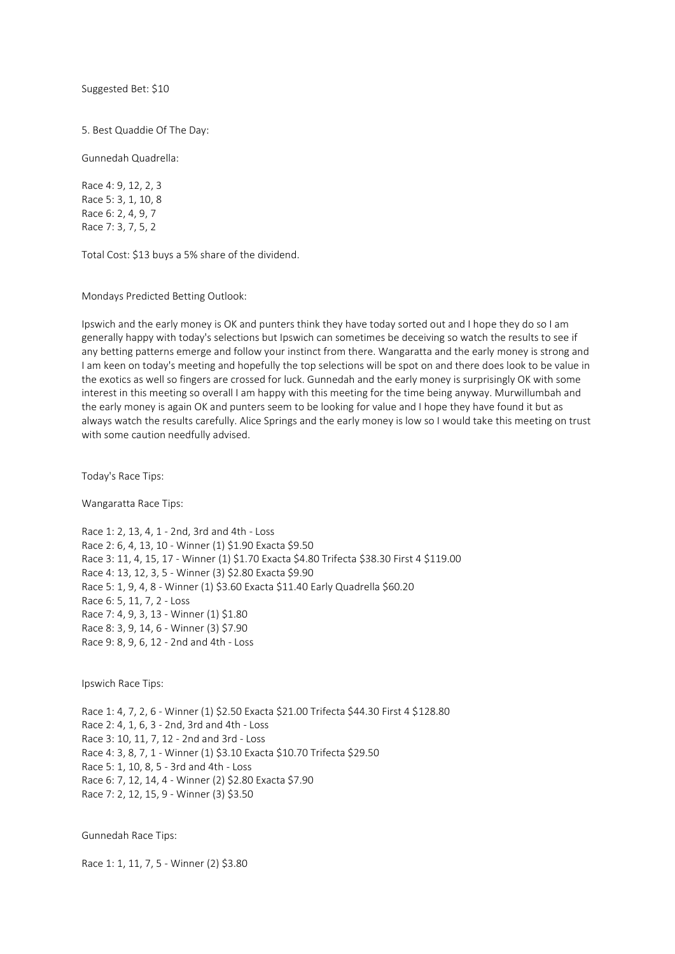Suggested Bet: \$10

5. Best Quaddie Of The Day:

Gunnedah Quadrella:

Race 4: 9, 12, 2, 3 Race 5: 3, 1, 10, 8 Race 6: 2, 4, 9, 7 Race 7: 3, 7, 5, 2

Total Cost: \$13 buys a 5% share of the dividend.

Mondays Predicted Betting Outlook:

Ipswich and the early money is OK and punters think they have today sorted out and I hope they do so I am generally happy with today's selections but Ipswich can sometimes be deceiving so watch the results to see if any betting patterns emerge and follow your instinct from there. Wangaratta and the early money is strong and I am keen on today's meeting and hopefully the top selections will be spot on and there does look to be value in the exotics as well so fingers are crossed for luck. Gunnedah and the early money is surprisingly OK with some interest in this meeting so overall I am happy with this meeting for the time being anyway. Murwillumbah and the early money is again OK and punters seem to be looking for value and I hope they have found it but as always watch the results carefully. Alice Springs and the early money is low so I would take this meeting on trust with some caution needfully advised.

Today's Race Tips:

Wangaratta Race Tips:

Race 1: 2, 13, 4, 1 - 2nd, 3rd and 4th - Loss Race 2: 6, 4, 13, 10 - Winner (1) \$1.90 Exacta \$9.50 Race 3: 11, 4, 15, 17 - Winner (1) \$1.70 Exacta \$4.80 Trifecta \$38.30 First 4 \$119.00 Race 4: 13, 12, 3, 5 - Winner (3) \$2.80 Exacta \$9.90 Race 5: 1, 9, 4, 8 - Winner (1) \$3.60 Exacta \$11.40 Early Quadrella \$60.20 Race 6: 5, 11, 7, 2 - Loss Race 7: 4, 9, 3, 13 - Winner (1) \$1.80 Race 8: 3, 9, 14, 6 - Winner (3) \$7.90 Race 9: 8, 9, 6, 12 - 2nd and 4th - Loss

Ipswich Race Tips:

Race 1: 4, 7, 2, 6 - Winner (1) \$2.50 Exacta \$21.00 Trifecta \$44.30 First 4 \$128.80 Race 2: 4, 1, 6, 3 - 2nd, 3rd and 4th - Loss Race 3: 10, 11, 7, 12 - 2nd and 3rd - Loss Race 4: 3, 8, 7, 1 - Winner (1) \$3.10 Exacta \$10.70 Trifecta \$29.50 Race 5: 1, 10, 8, 5 - 3rd and 4th - Loss Race 6: 7, 12, 14, 4 - Winner (2) \$2.80 Exacta \$7.90 Race 7: 2, 12, 15, 9 - Winner (3) \$3.50

Gunnedah Race Tips:

Race 1: 1, 11, 7, 5 - Winner (2) \$3.80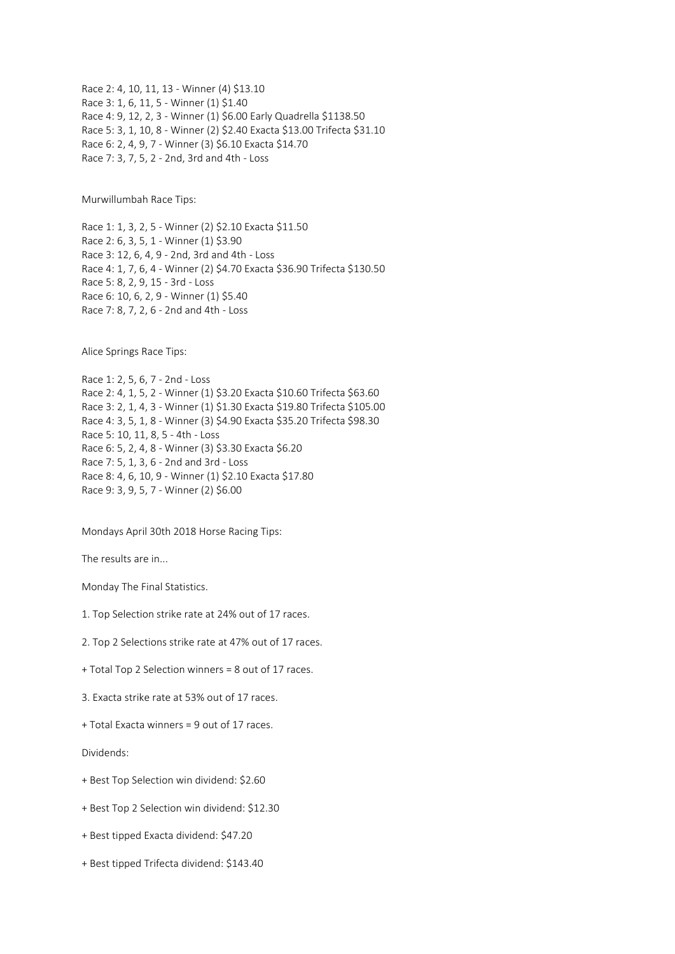Race 2: 4, 10, 11, 13 - Winner (4) \$13.10 Race 3: 1, 6, 11, 5 - Winner (1) \$1.40 Race 4: 9, 12, 2, 3 - Winner (1) \$6.00 Early Quadrella \$1138.50 Race 5: 3, 1, 10, 8 - Winner (2) \$2.40 Exacta \$13.00 Trifecta \$31.10 Race 6: 2, 4, 9, 7 - Winner (3) \$6.10 Exacta \$14.70 Race 7: 3, 7, 5, 2 - 2nd, 3rd and 4th - Loss

Murwillumbah Race Tips:

Race 1: 1, 3, 2, 5 - Winner (2) \$2.10 Exacta \$11.50 Race 2: 6, 3, 5, 1 - Winner (1) \$3.90 Race 3: 12, 6, 4, 9 - 2nd, 3rd and 4th - Loss Race 4: 1, 7, 6, 4 - Winner (2) \$4.70 Exacta \$36.90 Trifecta \$130.50 Race 5: 8, 2, 9, 15 - 3rd - Loss Race 6: 10, 6, 2, 9 - Winner (1) \$5.40 Race 7: 8, 7, 2, 6 - 2nd and 4th - Loss

Alice Springs Race Tips:

Race 1: 2, 5, 6, 7 - 2nd - Loss Race 2: 4, 1, 5, 2 - Winner (1) \$3.20 Exacta \$10.60 Trifecta \$63.60 Race 3: 2, 1, 4, 3 - Winner (1) \$1.30 Exacta \$19.80 Trifecta \$105.00 Race 4: 3, 5, 1, 8 - Winner (3) \$4.90 Exacta \$35.20 Trifecta \$98.30 Race 5: 10, 11, 8, 5 - 4th - Loss Race 6: 5, 2, 4, 8 - Winner (3) \$3.30 Exacta \$6.20 Race 7: 5, 1, 3, 6 - 2nd and 3rd - Loss Race 8: 4, 6, 10, 9 - Winner (1) \$2.10 Exacta \$17.80 Race 9: 3, 9, 5, 7 - Winner (2) \$6.00

Mondays April 30th 2018 Horse Racing Tips:

The results are in...

Monday The Final Statistics.

- 1. Top Selection strike rate at 24% out of 17 races.
- 2. Top 2 Selections strike rate at 47% out of 17 races.
- + Total Top 2 Selection winners = 8 out of 17 races.
- 3. Exacta strike rate at 53% out of 17 races.
- + Total Exacta winners = 9 out of 17 races.

Dividends:

- + Best Top Selection win dividend: \$2.60
- + Best Top 2 Selection win dividend: \$12.30
- + Best tipped Exacta dividend: \$47.20
- + Best tipped Trifecta dividend: \$143.40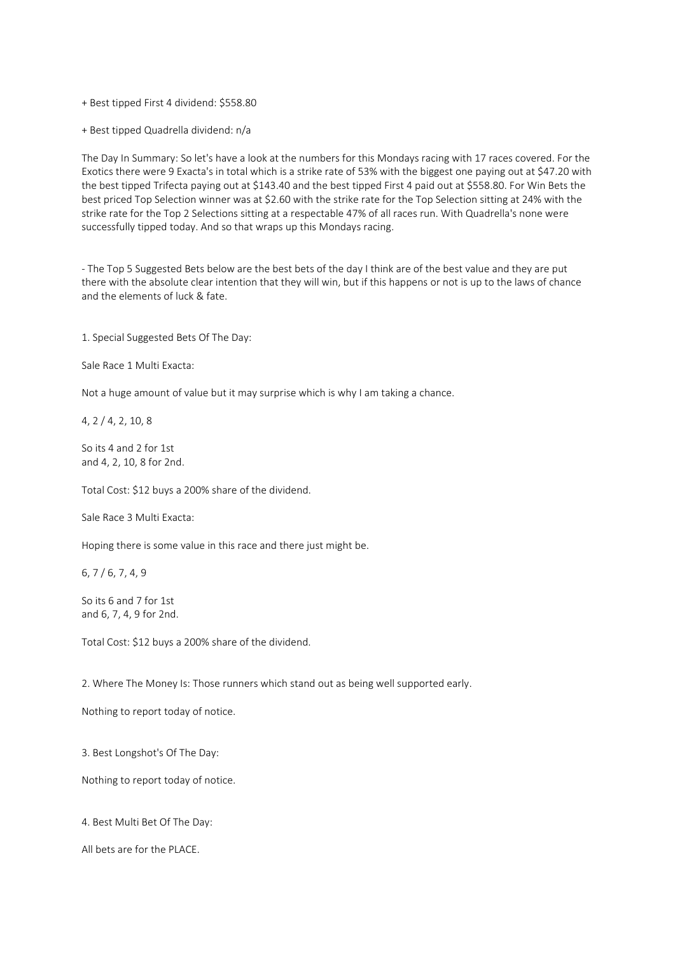+ Best tipped First 4 dividend: \$558.80

+ Best tipped Quadrella dividend: n/a

The Day In Summary: So let's have a look at the numbers for this Mondays racing with 17 races covered. For the Exotics there were 9 Exacta's in total which is a strike rate of 53% with the biggest one paying out at \$47.20 with the best tipped Trifecta paying out at \$143.40 and the best tipped First 4 paid out at \$558.80. For Win Bets the best priced Top Selection winner was at \$2.60 with the strike rate for the Top Selection sitting at 24% with the strike rate for the Top 2 Selections sitting at a respectable 47% of all races run. With Quadrella's none were successfully tipped today. And so that wraps up this Mondays racing.

- The Top 5 Suggested Bets below are the best bets of the day I think are of the best value and they are put there with the absolute clear intention that they will win, but if this happens or not is up to the laws of chance and the elements of luck & fate.

1. Special Suggested Bets Of The Day:

Sale Race 1 Multi Exacta:

Not a huge amount of value but it may surprise which is why I am taking a chance.

4, 2 / 4, 2, 10, 8

So its 4 and 2 for 1st and 4, 2, 10, 8 for 2nd.

Total Cost: \$12 buys a 200% share of the dividend.

Sale Race 3 Multi Exacta:

Hoping there is some value in this race and there just might be.

6, 7 / 6, 7, 4, 9

So its 6 and 7 for 1st and 6, 7, 4, 9 for 2nd.

Total Cost: \$12 buys a 200% share of the dividend.

2. Where The Money Is: Those runners which stand out as being well supported early.

Nothing to report today of notice.

3. Best Longshot's Of The Day:

Nothing to report today of notice.

4. Best Multi Bet Of The Day:

All bets are for the PLACE.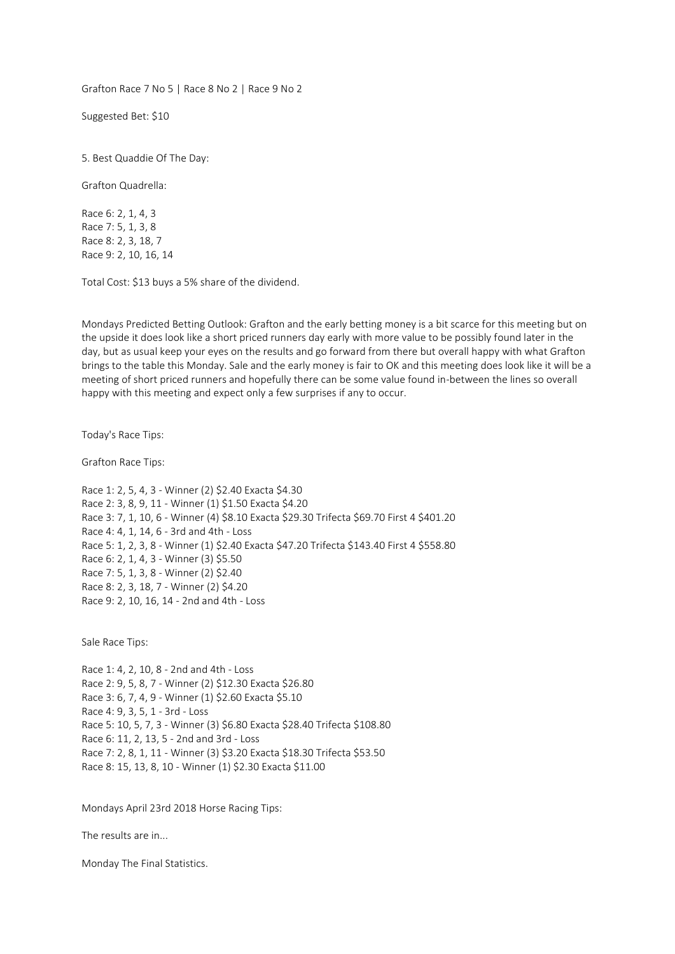Grafton Race 7 No 5 | Race 8 No 2 | Race 9 No 2

Suggested Bet: \$10

5. Best Quaddie Of The Day:

Grafton Quadrella:

Race 6: 2, 1, 4, 3 Race 7: 5, 1, 3, 8 Race 8: 2, 3, 18, 7 Race 9: 2, 10, 16, 14

Total Cost: \$13 buys a 5% share of the dividend.

Mondays Predicted Betting Outlook: Grafton and the early betting money is a bit scarce for this meeting but on the upside it does look like a short priced runners day early with more value to be possibly found later in the day, but as usual keep your eyes on the results and go forward from there but overall happy with what Grafton brings to the table this Monday. Sale and the early money is fair to OK and this meeting does look like it will be a meeting of short priced runners and hopefully there can be some value found in-between the lines so overall happy with this meeting and expect only a few surprises if any to occur.

Today's Race Tips:

Grafton Race Tips:

Race 1: 2, 5, 4, 3 - Winner (2) \$2.40 Exacta \$4.30 Race 2: 3, 8, 9, 11 - Winner (1) \$1.50 Exacta \$4.20 Race 3: 7, 1, 10, 6 - Winner (4) \$8.10 Exacta \$29.30 Trifecta \$69.70 First 4 \$401.20 Race 4: 4, 1, 14, 6 - 3rd and 4th - Loss Race 5: 1, 2, 3, 8 - Winner (1) \$2.40 Exacta \$47.20 Trifecta \$143.40 First 4 \$558.80 Race 6: 2, 1, 4, 3 - Winner (3) \$5.50 Race 7: 5, 1, 3, 8 - Winner (2) \$2.40 Race 8: 2, 3, 18, 7 - Winner (2) \$4.20 Race 9: 2, 10, 16, 14 - 2nd and 4th - Loss

Sale Race Tips:

Race 1: 4, 2, 10, 8 - 2nd and 4th - Loss Race 2: 9, 5, 8, 7 - Winner (2) \$12.30 Exacta \$26.80 Race 3: 6, 7, 4, 9 - Winner (1) \$2.60 Exacta \$5.10 Race 4: 9, 3, 5, 1 - 3rd - Loss Race 5: 10, 5, 7, 3 - Winner (3) \$6.80 Exacta \$28.40 Trifecta \$108.80 Race 6: 11, 2, 13, 5 - 2nd and 3rd - Loss Race 7: 2, 8, 1, 11 - Winner (3) \$3.20 Exacta \$18.30 Trifecta \$53.50 Race 8: 15, 13, 8, 10 - Winner (1) \$2.30 Exacta \$11.00

Mondays April 23rd 2018 Horse Racing Tips:

The results are in...

Monday The Final Statistics.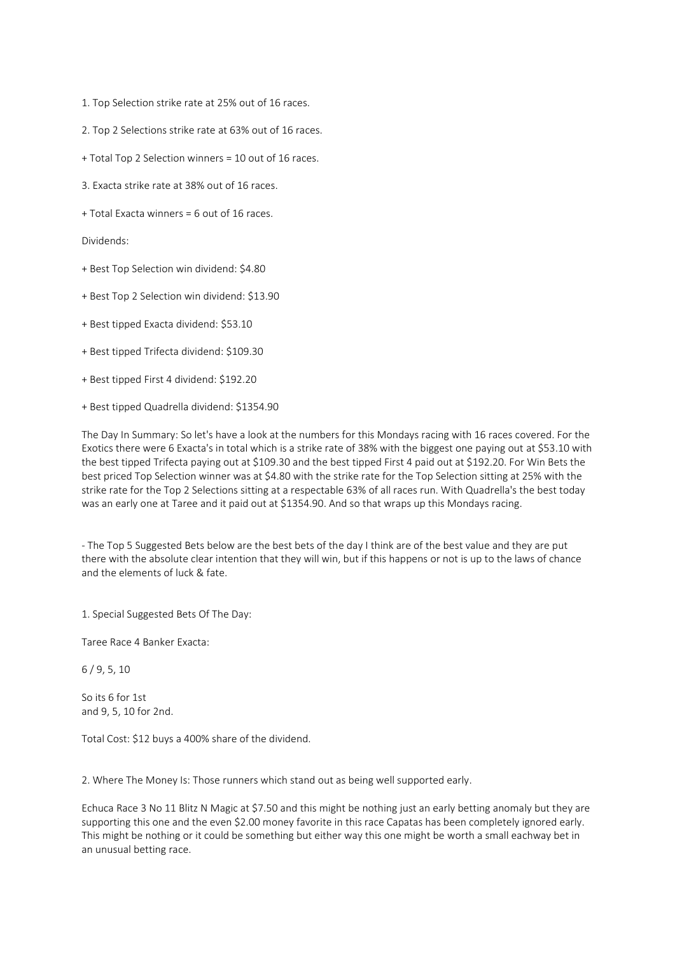- 1. Top Selection strike rate at 25% out of 16 races.
- 2. Top 2 Selections strike rate at 63% out of 16 races.
- + Total Top 2 Selection winners = 10 out of 16 races.
- 3. Exacta strike rate at 38% out of 16 races.
- + Total Exacta winners = 6 out of 16 races.

Dividends:

- + Best Top Selection win dividend: \$4.80
- + Best Top 2 Selection win dividend: \$13.90
- + Best tipped Exacta dividend: \$53.10
- + Best tipped Trifecta dividend: \$109.30
- + Best tipped First 4 dividend: \$192.20
- + Best tipped Quadrella dividend: \$1354.90

The Day In Summary: So let's have a look at the numbers for this Mondays racing with 16 races covered. For the Exotics there were 6 Exacta's in total which is a strike rate of 38% with the biggest one paying out at \$53.10 with the best tipped Trifecta paying out at \$109.30 and the best tipped First 4 paid out at \$192.20. For Win Bets the best priced Top Selection winner was at \$4.80 with the strike rate for the Top Selection sitting at 25% with the strike rate for the Top 2 Selections sitting at a respectable 63% of all races run. With Quadrella's the best today was an early one at Taree and it paid out at \$1354.90. And so that wraps up this Mondays racing.

- The Top 5 Suggested Bets below are the best bets of the day I think are of the best value and they are put there with the absolute clear intention that they will win, but if this happens or not is up to the laws of chance and the elements of luck & fate.

1. Special Suggested Bets Of The Day:

Taree Race 4 Banker Exacta:

6 / 9, 5, 10

So its 6 for 1st and 9, 5, 10 for 2nd.

Total Cost: \$12 buys a 400% share of the dividend.

2. Where The Money Is: Those runners which stand out as being well supported early.

Echuca Race 3 No 11 Blitz N Magic at \$7.50 and this might be nothing just an early betting anomaly but they are supporting this one and the even \$2.00 money favorite in this race Capatas has been completely ignored early. This might be nothing or it could be something but either way this one might be worth a small eachway bet in an unusual betting race.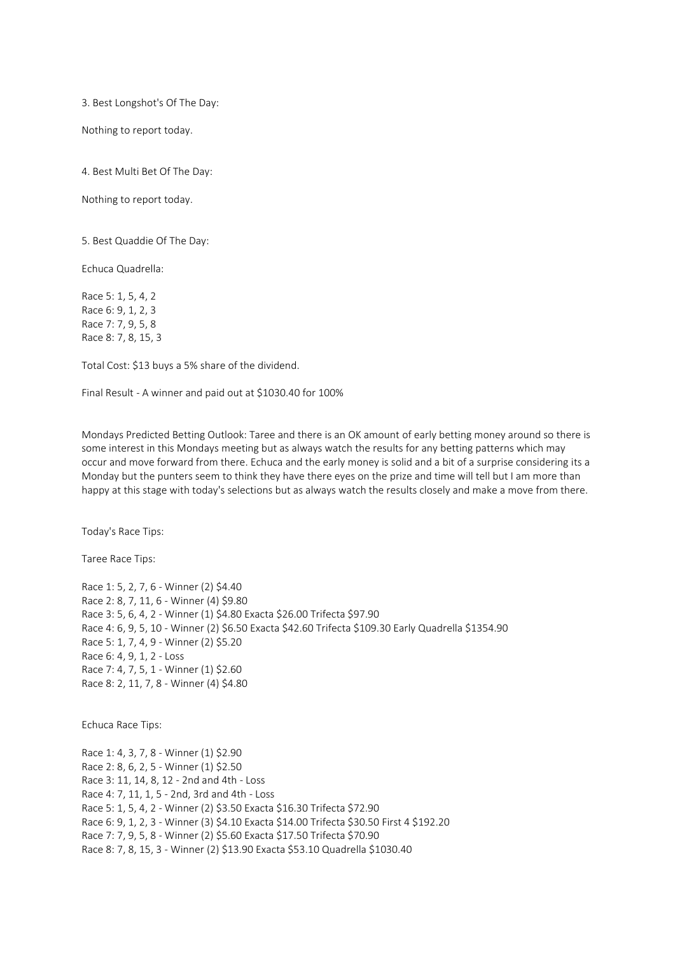3. Best Longshot's Of The Day:

Nothing to report today.

4. Best Multi Bet Of The Day:

Nothing to report today.

5. Best Quaddie Of The Day:

Echuca Quadrella:

Race 5: 1, 5, 4, 2 Race 6: 9, 1, 2, 3 Race 7: 7, 9, 5, 8 Race 8: 7, 8, 15, 3

Total Cost: \$13 buys a 5% share of the dividend.

Final Result - A winner and paid out at \$1030.40 for 100%

Mondays Predicted Betting Outlook: Taree and there is an OK amount of early betting money around so there is some interest in this Mondays meeting but as always watch the results for any betting patterns which may occur and move forward from there. Echuca and the early money is solid and a bit of a surprise considering its a Monday but the punters seem to think they have there eyes on the prize and time will tell but I am more than happy at this stage with today's selections but as always watch the results closely and make a move from there.

Today's Race Tips:

Taree Race Tips:

Race 1: 5, 2, 7, 6 - Winner (2) \$4.40 Race 2: 8, 7, 11, 6 - Winner (4) \$9.80 Race 3: 5, 6, 4, 2 - Winner (1) \$4.80 Exacta \$26.00 Trifecta \$97.90 Race 4: 6, 9, 5, 10 - Winner (2) \$6.50 Exacta \$42.60 Trifecta \$109.30 Early Quadrella \$1354.90 Race 5: 1, 7, 4, 9 - Winner (2) \$5.20 Race 6: 4, 9, 1, 2 - Loss Race 7: 4, 7, 5, 1 - Winner (1) \$2.60 Race 8: 2, 11, 7, 8 - Winner (4) \$4.80

Echuca Race Tips:

Race 1: 4, 3, 7, 8 - Winner (1) \$2.90 Race 2: 8, 6, 2, 5 - Winner (1) \$2.50 Race 3: 11, 14, 8, 12 - 2nd and 4th - Loss Race 4: 7, 11, 1, 5 - 2nd, 3rd and 4th - Loss Race 5: 1, 5, 4, 2 - Winner (2) \$3.50 Exacta \$16.30 Trifecta \$72.90 Race 6: 9, 1, 2, 3 - Winner (3) \$4.10 Exacta \$14.00 Trifecta \$30.50 First 4 \$192.20 Race 7: 7, 9, 5, 8 - Winner (2) \$5.60 Exacta \$17.50 Trifecta \$70.90 Race 8: 7, 8, 15, 3 - Winner (2) \$13.90 Exacta \$53.10 Quadrella \$1030.40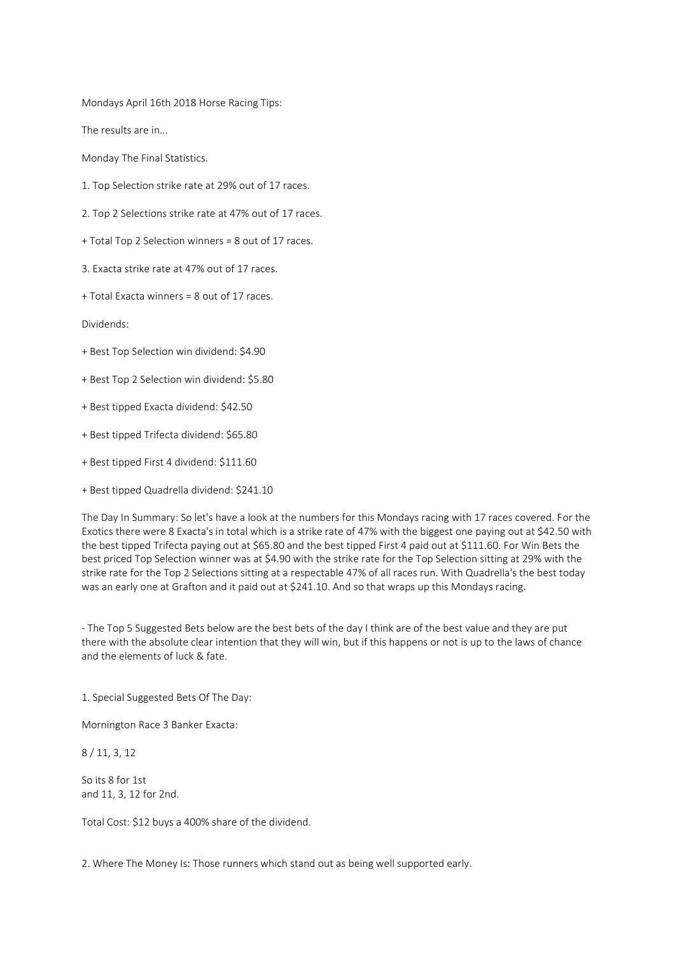Mondays April 16th 2018 Horse Racing Tips:

The results are in...

Monday The Final Statistics.

- 1. Top Selection strike rate at 29% out of 17 races.
- 2. Top 2 Selections strike rate at 47% out of 17 races.
- + Total Top 2 Selection winners = 8 out of 17 races.
- 3. Exacta strike rate at 47% out of 17 races.
- + Total Exacta winners = 8 out of 17 races.

Dividends:

- + Best Top Selection win dividend: \$4.90
- + Best Top 2 Selection win dividend: \$5.80
- + Best tipped Exacta dividend: \$42.50
- + Best tipped Trifecta dividend: \$65.80
- + Best tipped First 4 dividend: \$111.60
- + Best tipped Quadrella dividend: \$241.10

The Day In Summary: So let's have a look at the numbers for this Mondays racing with 17 races covered. For the Exotics there were 8 Exacta's in total which is a strike rate of 47% with the biggest one paying out at \$42.50 with the best tipped Trifecta paying out at \$65.80 and the best tipped First 4 paid out at \$111.60. For Win Bets the best priced Top Selection winner was at \$4.90 with the strike rate for the Top Selection sitting at 29% with the strike rate for the Top 2 Selections sitting at a respectable 47% of all races run. With Quadrella's the best today was an early one at Grafton and it paid out at \$241.10. And so that wraps up this Mondays racing.

- The Top 5 Suggested Bets below are the best bets of the day I think are of the best value and they are put there with the absolute clear intention that they will win, but if this happens or not is up to the laws of chance and the elements of luck & fate.

1. Special Suggested Bets Of The Day:

Mornington Race 3 Banker Exacta:

8 / 11, 3, 12

So its 8 for 1st and 11, 3, 12 for 2nd.

Total Cost: \$12 buys a 400% share of the dividend.

2. Where The Money Is: Those runners which stand out as being well supported early.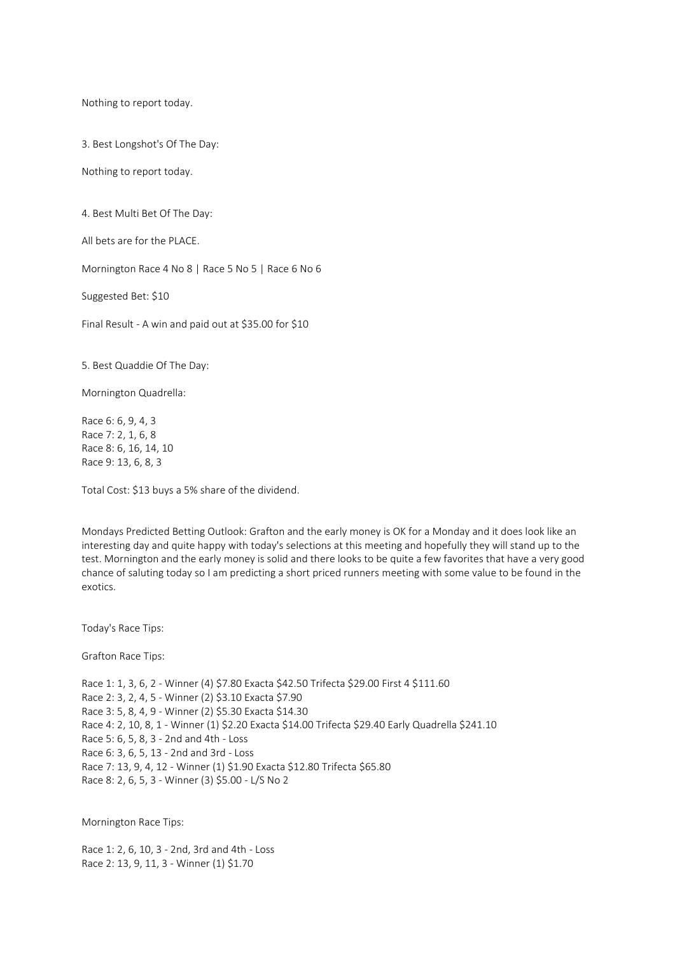Nothing to report today.

3. Best Longshot's Of The Day:

Nothing to report today.

4. Best Multi Bet Of The Day:

All bets are for the PLACE.

Mornington Race 4 No 8 | Race 5 No 5 | Race 6 No 6

Suggested Bet: \$10

Final Result - A win and paid out at \$35.00 for \$10

5. Best Quaddie Of The Day:

Mornington Quadrella:

Race 6: 6, 9, 4, 3 Race 7: 2, 1, 6, 8 Race 8: 6, 16, 14, 10 Race 9: 13, 6, 8, 3

Total Cost: \$13 buys a 5% share of the dividend.

Mondays Predicted Betting Outlook: Grafton and the early money is OK for a Monday and it does look like an interesting day and quite happy with today's selections at this meeting and hopefully they will stand up to the test. Mornington and the early money is solid and there looks to be quite a few favorites that have a very good chance of saluting today so I am predicting a short priced runners meeting with some value to be found in the exotics.

Today's Race Tips:

Grafton Race Tips:

Race 1: 1, 3, 6, 2 - Winner (4) \$7.80 Exacta \$42.50 Trifecta \$29.00 First 4 \$111.60 Race 2: 3, 2, 4, 5 - Winner (2) \$3.10 Exacta \$7.90 Race 3: 5, 8, 4, 9 - Winner (2) \$5.30 Exacta \$14.30 Race 4: 2, 10, 8, 1 - Winner (1) \$2.20 Exacta \$14.00 Trifecta \$29.40 Early Quadrella \$241.10 Race 5: 6, 5, 8, 3 - 2nd and 4th - Loss Race 6: 3, 6, 5, 13 - 2nd and 3rd - Loss Race 7: 13, 9, 4, 12 - Winner (1) \$1.90 Exacta \$12.80 Trifecta \$65.80 Race 8: 2, 6, 5, 3 - Winner (3) \$5.00 - L/S No 2

Mornington Race Tips:

Race 1: 2, 6, 10, 3 - 2nd, 3rd and 4th - Loss Race 2: 13, 9, 11, 3 - Winner (1) \$1.70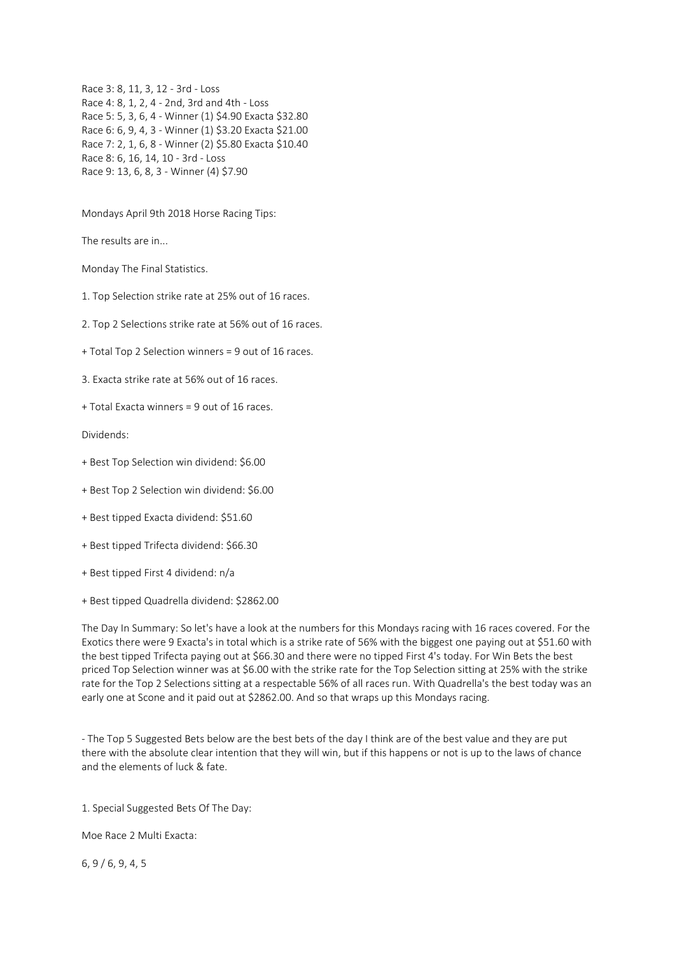Race 3: 8, 11, 3, 12 - 3rd - Loss Race 4: 8, 1, 2, 4 - 2nd, 3rd and 4th - Loss Race 5: 5, 3, 6, 4 - Winner (1) \$4.90 Exacta \$32.80 Race 6: 6, 9, 4, 3 - Winner (1) \$3.20 Exacta \$21.00 Race 7: 2, 1, 6, 8 - Winner (2) \$5.80 Exacta \$10.40 Race 8: 6, 16, 14, 10 - 3rd - Loss Race 9: 13, 6, 8, 3 - Winner (4) \$7.90

Mondays April 9th 2018 Horse Racing Tips:

The results are in...

Monday The Final Statistics.

1. Top Selection strike rate at 25% out of 16 races.

2. Top 2 Selections strike rate at 56% out of 16 races.

+ Total Top 2 Selection winners = 9 out of 16 races.

3. Exacta strike rate at 56% out of 16 races.

+ Total Exacta winners = 9 out of 16 races.

Dividends:

- + Best Top Selection win dividend: \$6.00
- + Best Top 2 Selection win dividend: \$6.00
- + Best tipped Exacta dividend: \$51.60
- + Best tipped Trifecta dividend: \$66.30
- + Best tipped First 4 dividend: n/a
- + Best tipped Quadrella dividend: \$2862.00

The Day In Summary: So let's have a look at the numbers for this Mondays racing with 16 races covered. For the Exotics there were 9 Exacta's in total which is a strike rate of 56% with the biggest one paying out at \$51.60 with the best tipped Trifecta paying out at \$66.30 and there were no tipped First 4's today. For Win Bets the best priced Top Selection winner was at \$6.00 with the strike rate for the Top Selection sitting at 25% with the strike rate for the Top 2 Selections sitting at a respectable 56% of all races run. With Quadrella's the best today was an early one at Scone and it paid out at \$2862.00. And so that wraps up this Mondays racing.

- The Top 5 Suggested Bets below are the best bets of the day I think are of the best value and they are put there with the absolute clear intention that they will win, but if this happens or not is up to the laws of chance and the elements of luck & fate.

1. Special Suggested Bets Of The Day:

Moe Race 2 Multi Exacta:

6, 9 / 6, 9, 4, 5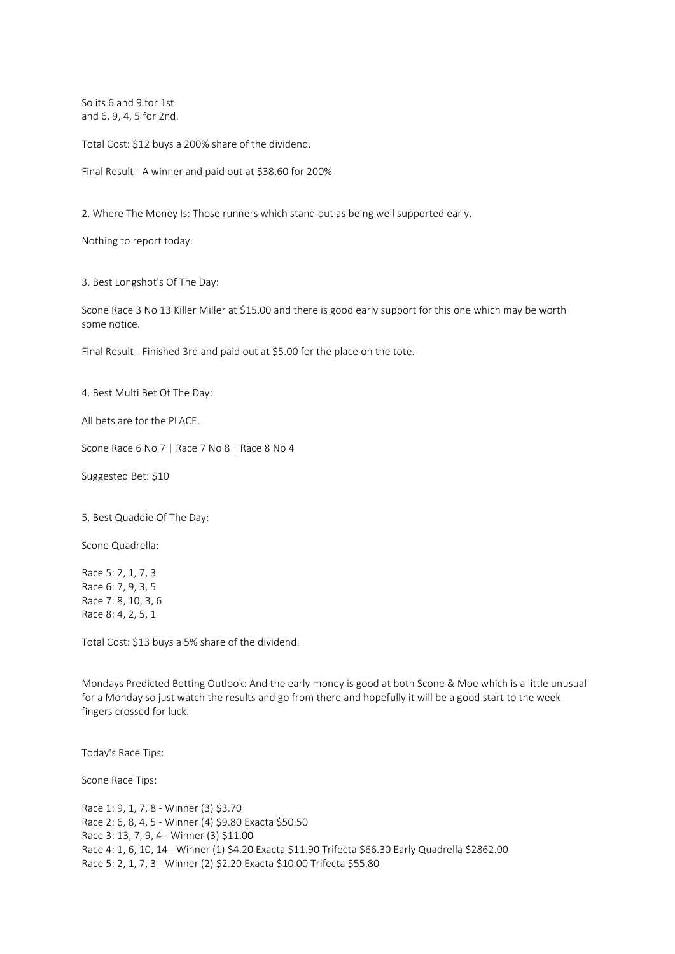So its 6 and 9 for 1st and 6, 9, 4, 5 for 2nd.

Total Cost: \$12 buys a 200% share of the dividend.

Final Result - A winner and paid out at \$38.60 for 200%

2. Where The Money Is: Those runners which stand out as being well supported early.

Nothing to report today.

3. Best Longshot's Of The Day:

Scone Race 3 No 13 Killer Miller at \$15.00 and there is good early support for this one which may be worth some notice.

Final Result - Finished 3rd and paid out at \$5.00 for the place on the tote.

4. Best Multi Bet Of The Day:

All bets are for the PLACE.

Scone Race 6 No 7 | Race 7 No 8 | Race 8 No 4

Suggested Bet: \$10

5. Best Quaddie Of The Day:

Scone Quadrella:

Race 5: 2, 1, 7, 3 Race 6: 7, 9, 3, 5 Race 7: 8, 10, 3, 6 Race 8: 4, 2, 5, 1

Total Cost: \$13 buys a 5% share of the dividend.

Mondays Predicted Betting Outlook: And the early money is good at both Scone & Moe which is a little unusual for a Monday so just watch the results and go from there and hopefully it will be a good start to the week fingers crossed for luck.

Today's Race Tips:

Scone Race Tips:

Race 1: 9, 1, 7, 8 - Winner (3) \$3.70 Race 2: 6, 8, 4, 5 - Winner (4) \$9.80 Exacta \$50.50 Race 3: 13, 7, 9, 4 - Winner (3) \$11.00 Race 4: 1, 6, 10, 14 - Winner (1) \$4.20 Exacta \$11.90 Trifecta \$66.30 Early Quadrella \$2862.00 Race 5: 2, 1, 7, 3 - Winner (2) \$2.20 Exacta \$10.00 Trifecta \$55.80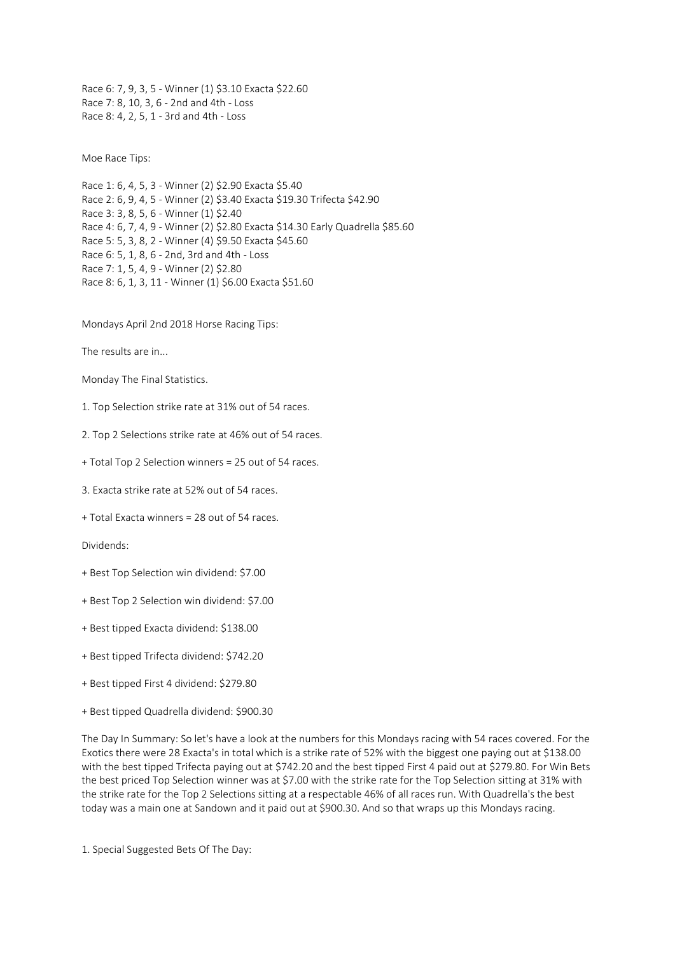Race 6: 7, 9, 3, 5 - Winner (1) \$3.10 Exacta \$22.60 Race 7: 8, 10, 3, 6 - 2nd and 4th - Loss Race 8: 4, 2, 5, 1 - 3rd and 4th - Loss

Moe Race Tips:

Race 1: 6, 4, 5, 3 - Winner (2) \$2.90 Exacta \$5.40 Race 2: 6, 9, 4, 5 - Winner (2) \$3.40 Exacta \$19.30 Trifecta \$42.90 Race 3: 3, 8, 5, 6 - Winner (1) \$2.40 Race 4: 6, 7, 4, 9 - Winner (2) \$2.80 Exacta \$14.30 Early Quadrella \$85.60 Race 5: 5, 3, 8, 2 - Winner (4) \$9.50 Exacta \$45.60 Race 6: 5, 1, 8, 6 - 2nd, 3rd and 4th - Loss Race 7: 1, 5, 4, 9 - Winner (2) \$2.80 Race 8: 6, 1, 3, 11 - Winner (1) \$6.00 Exacta \$51.60

Mondays April 2nd 2018 Horse Racing Tips:

The results are in...

Monday The Final Statistics.

1. Top Selection strike rate at 31% out of 54 races.

2. Top 2 Selections strike rate at 46% out of 54 races.

+ Total Top 2 Selection winners = 25 out of 54 races.

3. Exacta strike rate at 52% out of 54 races.

+ Total Exacta winners = 28 out of 54 races.

Dividends:

- + Best Top Selection win dividend: \$7.00
- + Best Top 2 Selection win dividend: \$7.00
- + Best tipped Exacta dividend: \$138.00
- + Best tipped Trifecta dividend: \$742.20
- + Best tipped First 4 dividend: \$279.80
- + Best tipped Quadrella dividend: \$900.30

The Day In Summary: So let's have a look at the numbers for this Mondays racing with 54 races covered. For the Exotics there were 28 Exacta's in total which is a strike rate of 52% with the biggest one paying out at \$138.00 with the best tipped Trifecta paying out at \$742.20 and the best tipped First 4 paid out at \$279.80. For Win Bets the best priced Top Selection winner was at \$7.00 with the strike rate for the Top Selection sitting at 31% with the strike rate for the Top 2 Selections sitting at a respectable 46% of all races run. With Quadrella's the best today was a main one at Sandown and it paid out at \$900.30. And so that wraps up this Mondays racing.

1. Special Suggested Bets Of The Day: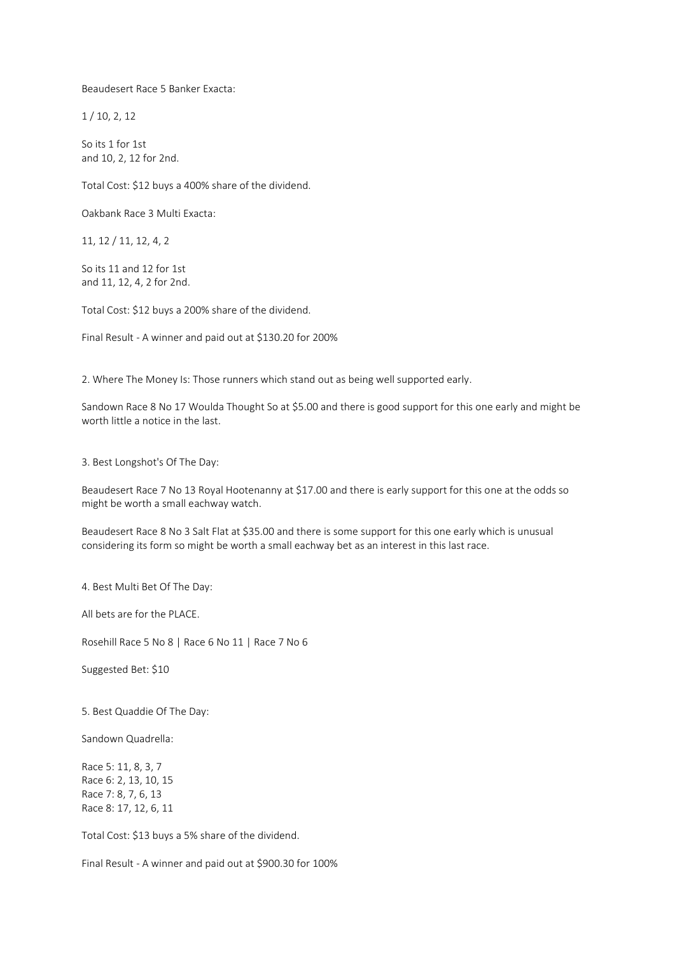Beaudesert Race 5 Banker Exacta:

1 / 10, 2, 12

So its 1 for 1st and 10, 2, 12 for 2nd.

Total Cost: \$12 buys a 400% share of the dividend.

Oakbank Race 3 Multi Exacta:

11, 12 / 11, 12, 4, 2

So its 11 and 12 for 1st and 11, 12, 4, 2 for 2nd.

Total Cost: \$12 buys a 200% share of the dividend.

Final Result - A winner and paid out at \$130.20 for 200%

2. Where The Money Is: Those runners which stand out as being well supported early.

Sandown Race 8 No 17 Woulda Thought So at \$5.00 and there is good support for this one early and might be worth little a notice in the last.

3. Best Longshot's Of The Day:

Beaudesert Race 7 No 13 Royal Hootenanny at \$17.00 and there is early support for this one at the odds so might be worth a small eachway watch.

Beaudesert Race 8 No 3 Salt Flat at \$35.00 and there is some support for this one early which is unusual considering its form so might be worth a small eachway bet as an interest in this last race.

4. Best Multi Bet Of The Day:

All bets are for the PLACE.

Rosehill Race 5 No 8 | Race 6 No 11 | Race 7 No 6

Suggested Bet: \$10

5. Best Quaddie Of The Day:

Sandown Quadrella:

Race 5: 11, 8, 3, 7 Race 6: 2, 13, 10, 15 Race 7: 8, 7, 6, 13 Race 8: 17, 12, 6, 11

Total Cost: \$13 buys a 5% share of the dividend.

Final Result - A winner and paid out at \$900.30 for 100%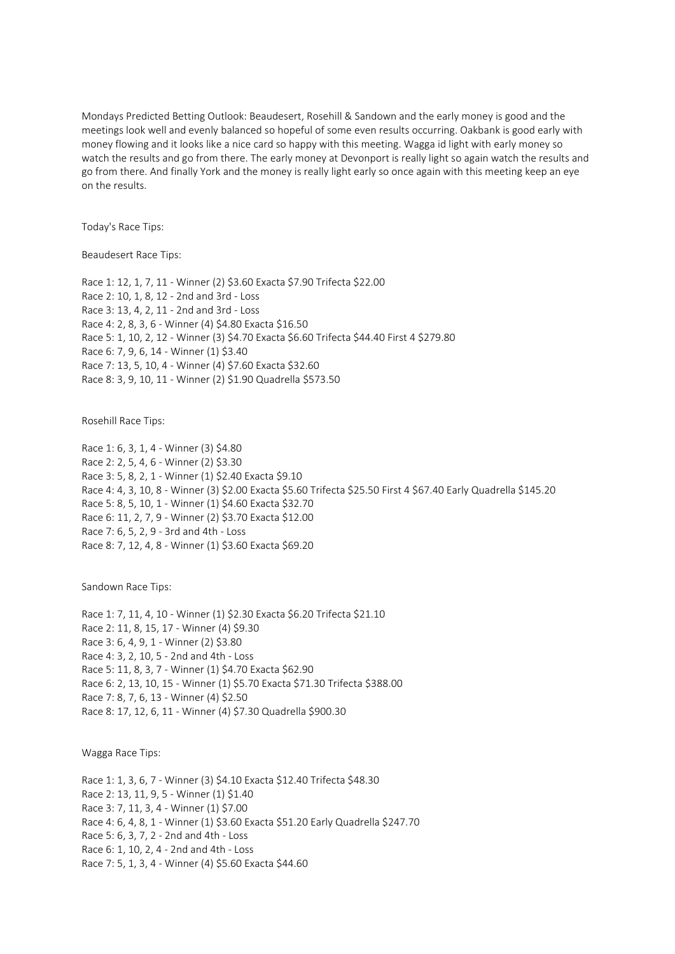Mondays Predicted Betting Outlook: Beaudesert, Rosehill & Sandown and the early money is good and the meetings look well and evenly balanced so hopeful of some even results occurring. Oakbank is good early with money flowing and it looks like a nice card so happy with this meeting. Wagga id light with early money so watch the results and go from there. The early money at Devonport is really light so again watch the results and go from there. And finally York and the money is really light early so once again with this meeting keep an eye on the results.

Today's Race Tips:

Beaudesert Race Tips:

Race 1: 12, 1, 7, 11 - Winner (2) \$3.60 Exacta \$7.90 Trifecta \$22.00 Race 2: 10, 1, 8, 12 - 2nd and 3rd - Loss Race 3: 13, 4, 2, 11 - 2nd and 3rd - Loss Race 4: 2, 8, 3, 6 - Winner (4) \$4.80 Exacta \$16.50 Race 5: 1, 10, 2, 12 - Winner (3) \$4.70 Exacta \$6.60 Trifecta \$44.40 First 4 \$279.80 Race 6: 7, 9, 6, 14 - Winner (1) \$3.40 Race 7: 13, 5, 10, 4 - Winner (4) \$7.60 Exacta \$32.60 Race 8: 3, 9, 10, 11 - Winner (2) \$1.90 Quadrella \$573.50

Rosehill Race Tips:

Race 1: 6, 3, 1, 4 - Winner (3) \$4.80 Race 2: 2, 5, 4, 6 - Winner (2) \$3.30 Race 3: 5, 8, 2, 1 - Winner (1) \$2.40 Exacta \$9.10 Race 4: 4, 3, 10, 8 - Winner (3) \$2.00 Exacta \$5.60 Trifecta \$25.50 First 4 \$67.40 Early Quadrella \$145.20 Race 5: 8, 5, 10, 1 - Winner (1) \$4.60 Exacta \$32.70 Race 6: 11, 2, 7, 9 - Winner (2) \$3.70 Exacta \$12.00 Race 7: 6, 5, 2, 9 - 3rd and 4th - Loss Race 8: 7, 12, 4, 8 - Winner (1) \$3.60 Exacta \$69.20

Sandown Race Tips:

Race 1: 7, 11, 4, 10 - Winner (1) \$2.30 Exacta \$6.20 Trifecta \$21.10 Race 2: 11, 8, 15, 17 - Winner (4) \$9.30 Race 3: 6, 4, 9, 1 - Winner (2) \$3.80 Race 4: 3, 2, 10, 5 - 2nd and 4th - Loss Race 5: 11, 8, 3, 7 - Winner (1) \$4.70 Exacta \$62.90 Race 6: 2, 13, 10, 15 - Winner (1) \$5.70 Exacta \$71.30 Trifecta \$388.00 Race 7: 8, 7, 6, 13 - Winner (4) \$2.50 Race 8: 17, 12, 6, 11 - Winner (4) \$7.30 Quadrella \$900.30

Wagga Race Tips:

Race 1: 1, 3, 6, 7 - Winner (3) \$4.10 Exacta \$12.40 Trifecta \$48.30 Race 2: 13, 11, 9, 5 - Winner (1) \$1.40 Race 3: 7, 11, 3, 4 - Winner (1) \$7.00 Race 4: 6, 4, 8, 1 - Winner (1) \$3.60 Exacta \$51.20 Early Quadrella \$247.70 Race 5: 6, 3, 7, 2 - 2nd and 4th - Loss Race 6: 1, 10, 2, 4 - 2nd and 4th - Loss Race 7: 5, 1, 3, 4 - Winner (4) \$5.60 Exacta \$44.60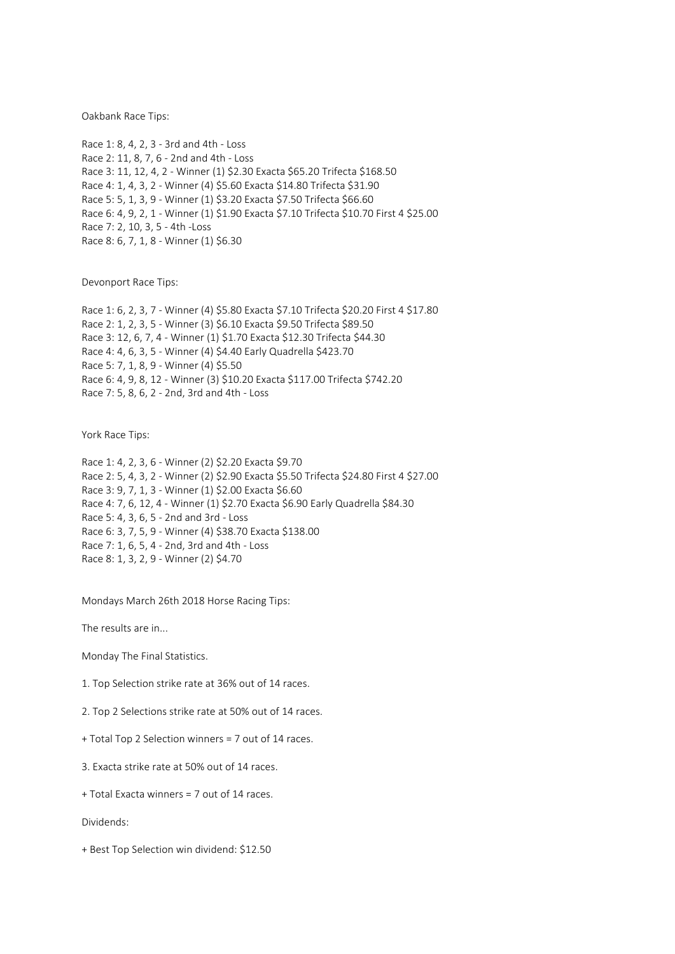Oakbank Race Tips:

Race 1: 8, 4, 2, 3 - 3rd and 4th - Loss Race 2: 11, 8, 7, 6 - 2nd and 4th - Loss Race 3: 11, 12, 4, 2 - Winner (1) \$2.30 Exacta \$65.20 Trifecta \$168.50 Race 4: 1, 4, 3, 2 - Winner (4) \$5.60 Exacta \$14.80 Trifecta \$31.90 Race 5: 5, 1, 3, 9 - Winner (1) \$3.20 Exacta \$7.50 Trifecta \$66.60 Race 6: 4, 9, 2, 1 - Winner (1) \$1.90 Exacta \$7.10 Trifecta \$10.70 First 4 \$25.00 Race 7: 2, 10, 3, 5 - 4th -Loss Race 8: 6, 7, 1, 8 - Winner (1) \$6.30

Devonport Race Tips:

Race 1: 6, 2, 3, 7 - Winner (4) \$5.80 Exacta \$7.10 Trifecta \$20.20 First 4 \$17.80 Race 2: 1, 2, 3, 5 - Winner (3) \$6.10 Exacta \$9.50 Trifecta \$89.50 Race 3: 12, 6, 7, 4 - Winner (1) \$1.70 Exacta \$12.30 Trifecta \$44.30 Race 4: 4, 6, 3, 5 - Winner (4) \$4.40 Early Quadrella \$423.70 Race 5: 7, 1, 8, 9 - Winner (4) \$5.50 Race 6: 4, 9, 8, 12 - Winner (3) \$10.20 Exacta \$117.00 Trifecta \$742.20 Race 7: 5, 8, 6, 2 - 2nd, 3rd and 4th - Loss

York Race Tips:

Race 1: 4, 2, 3, 6 - Winner (2) \$2.20 Exacta \$9.70 Race 2: 5, 4, 3, 2 - Winner (2) \$2.90 Exacta \$5.50 Trifecta \$24.80 First 4 \$27.00 Race 3: 9, 7, 1, 3 - Winner (1) \$2.00 Exacta \$6.60 Race 4: 7, 6, 12, 4 - Winner (1) \$2.70 Exacta \$6.90 Early Quadrella \$84.30 Race 5: 4, 3, 6, 5 - 2nd and 3rd - Loss Race 6: 3, 7, 5, 9 - Winner (4) \$38.70 Exacta \$138.00 Race 7: 1, 6, 5, 4 - 2nd, 3rd and 4th - Loss Race 8: 1, 3, 2, 9 - Winner (2) \$4.70

Mondays March 26th 2018 Horse Racing Tips:

The results are in...

Monday The Final Statistics.

1. Top Selection strike rate at 36% out of 14 races.

2. Top 2 Selections strike rate at 50% out of 14 races.

+ Total Top 2 Selection winners = 7 out of 14 races.

3. Exacta strike rate at 50% out of 14 races.

+ Total Exacta winners = 7 out of 14 races.

Dividends:

+ Best Top Selection win dividend: \$12.50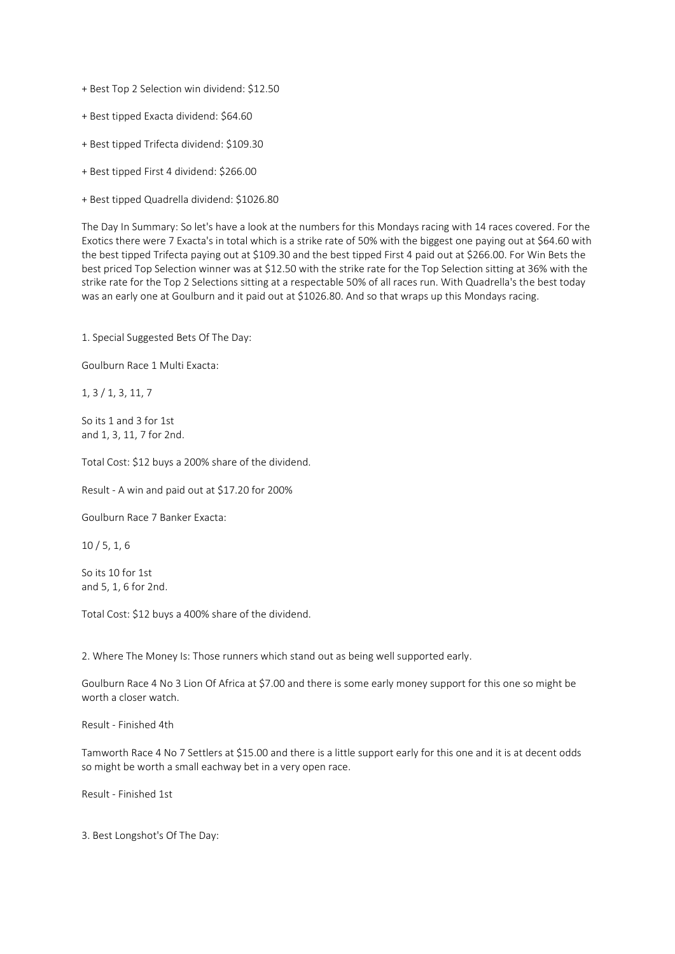+ Best Top 2 Selection win dividend: \$12.50

- + Best tipped Exacta dividend: \$64.60
- + Best tipped Trifecta dividend: \$109.30
- + Best tipped First 4 dividend: \$266.00
- + Best tipped Quadrella dividend: \$1026.80

The Day In Summary: So let's have a look at the numbers for this Mondays racing with 14 races covered. For the Exotics there were 7 Exacta's in total which is a strike rate of 50% with the biggest one paying out at \$64.60 with the best tipped Trifecta paying out at \$109.30 and the best tipped First 4 paid out at \$266.00. For Win Bets the best priced Top Selection winner was at \$12.50 with the strike rate for the Top Selection sitting at 36% with the strike rate for the Top 2 Selections sitting at a respectable 50% of all races run. With Quadrella's the best today was an early one at Goulburn and it paid out at \$1026.80. And so that wraps up this Mondays racing.

1. Special Suggested Bets Of The Day:

Goulburn Race 1 Multi Exacta:

1, 3 / 1, 3, 11, 7

So its 1 and 3 for 1st and 1, 3, 11, 7 for 2nd.

Total Cost: \$12 buys a 200% share of the dividend.

Result - A win and paid out at \$17.20 for 200%

Goulburn Race 7 Banker Exacta:

10 / 5, 1, 6

So its 10 for 1st and 5, 1, 6 for 2nd.

Total Cost: \$12 buys a 400% share of the dividend.

2. Where The Money Is: Those runners which stand out as being well supported early.

Goulburn Race 4 No 3 Lion Of Africa at \$7.00 and there is some early money support for this one so might be worth a closer watch.

Result - Finished 4th

Tamworth Race 4 No 7 Settlers at \$15.00 and there is a little support early for this one and it is at decent odds so might be worth a small eachway bet in a very open race.

Result - Finished 1st

3. Best Longshot's Of The Day: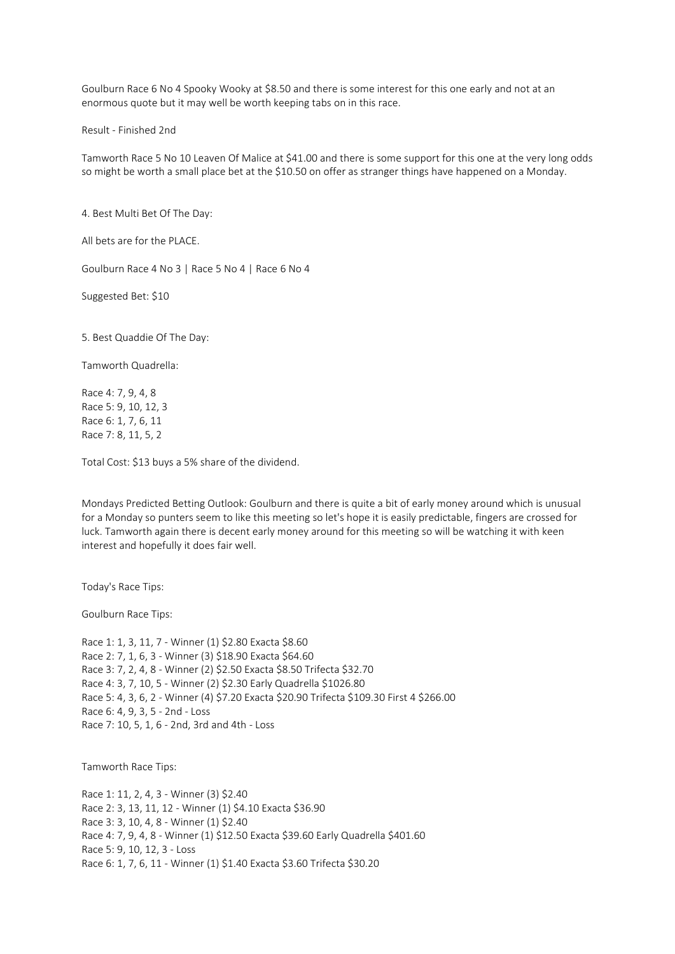Goulburn Race 6 No 4 Spooky Wooky at \$8.50 and there is some interest for this one early and not at an enormous quote but it may well be worth keeping tabs on in this race.

Result - Finished 2nd

Tamworth Race 5 No 10 Leaven Of Malice at \$41.00 and there is some support for this one at the very long odds so might be worth a small place bet at the \$10.50 on offer as stranger things have happened on a Monday.

4. Best Multi Bet Of The Day:

All bets are for the PLACE.

Goulburn Race 4 No 3 | Race 5 No 4 | Race 6 No 4

Suggested Bet: \$10

5. Best Quaddie Of The Day:

Tamworth Quadrella:

Race 4: 7, 9, 4, 8 Race 5: 9, 10, 12, 3 Race 6: 1, 7, 6, 11 Race 7: 8, 11, 5, 2

Total Cost: \$13 buys a 5% share of the dividend.

Mondays Predicted Betting Outlook: Goulburn and there is quite a bit of early money around which is unusual for a Monday so punters seem to like this meeting so let's hope it is easily predictable, fingers are crossed for luck. Tamworth again there is decent early money around for this meeting so will be watching it with keen interest and hopefully it does fair well.

Today's Race Tips:

Goulburn Race Tips:

Race 1: 1, 3, 11, 7 - Winner (1) \$2.80 Exacta \$8.60 Race 2: 7, 1, 6, 3 - Winner (3) \$18.90 Exacta \$64.60 Race 3: 7, 2, 4, 8 - Winner (2) \$2.50 Exacta \$8.50 Trifecta \$32.70 Race 4: 3, 7, 10, 5 - Winner (2) \$2.30 Early Quadrella \$1026.80 Race 5: 4, 3, 6, 2 - Winner (4) \$7.20 Exacta \$20.90 Trifecta \$109.30 First 4 \$266.00 Race 6: 4, 9, 3, 5 - 2nd - Loss Race 7: 10, 5, 1, 6 - 2nd, 3rd and 4th - Loss

Tamworth Race Tips:

Race 1: 11, 2, 4, 3 - Winner (3) \$2.40 Race 2: 3, 13, 11, 12 - Winner (1) \$4.10 Exacta \$36.90 Race 3: 3, 10, 4, 8 - Winner (1) \$2.40 Race 4: 7, 9, 4, 8 - Winner (1) \$12.50 Exacta \$39.60 Early Quadrella \$401.60 Race 5: 9, 10, 12, 3 - Loss Race 6: 1, 7, 6, 11 - Winner (1) \$1.40 Exacta \$3.60 Trifecta \$30.20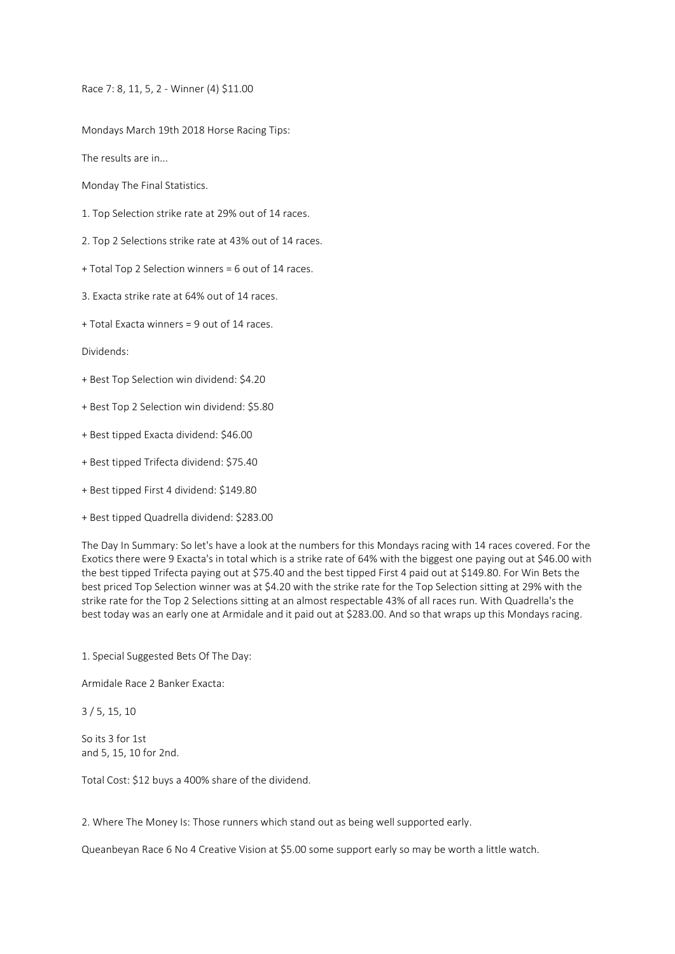Race 7: 8, 11, 5, 2 - Winner (4) \$11.00

Mondays March 19th 2018 Horse Racing Tips:

The results are in...

Monday The Final Statistics.

1. Top Selection strike rate at 29% out of 14 races.

2. Top 2 Selections strike rate at 43% out of 14 races.

+ Total Top 2 Selection winners = 6 out of 14 races.

3. Exacta strike rate at 64% out of 14 races.

+ Total Exacta winners = 9 out of 14 races.

Dividends:

+ Best Top Selection win dividend: \$4.20

+ Best Top 2 Selection win dividend: \$5.80

+ Best tipped Exacta dividend: \$46.00

+ Best tipped Trifecta dividend: \$75.40

+ Best tipped First 4 dividend: \$149.80

+ Best tipped Quadrella dividend: \$283.00

The Day In Summary: So let's have a look at the numbers for this Mondays racing with 14 races covered. For the Exotics there were 9 Exacta's in total which is a strike rate of 64% with the biggest one paying out at \$46.00 with the best tipped Trifecta paying out at \$75.40 and the best tipped First 4 paid out at \$149.80. For Win Bets the best priced Top Selection winner was at \$4.20 with the strike rate for the Top Selection sitting at 29% with the strike rate for the Top 2 Selections sitting at an almost respectable 43% of all races run. With Quadrella's the best today was an early one at Armidale and it paid out at \$283.00. And so that wraps up this Mondays racing.

1. Special Suggested Bets Of The Day:

Armidale Race 2 Banker Exacta:

3 / 5, 15, 10

So its 3 for 1st and 5, 15, 10 for 2nd.

Total Cost: \$12 buys a 400% share of the dividend.

2. Where The Money Is: Those runners which stand out as being well supported early.

Queanbeyan Race 6 No 4 Creative Vision at \$5.00 some support early so may be worth a little watch.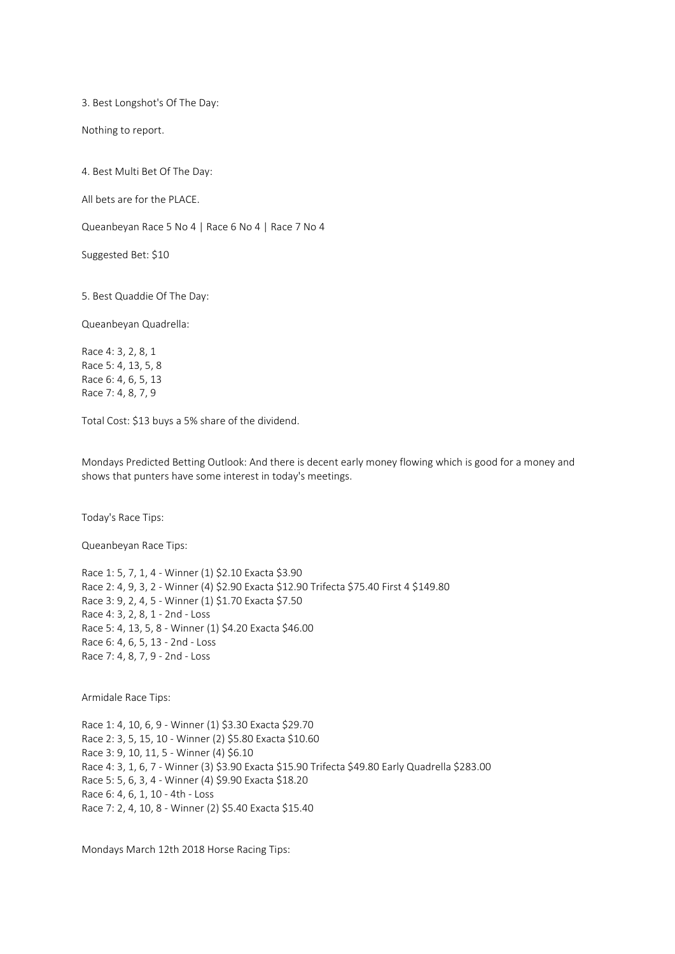3. Best Longshot's Of The Day:

Nothing to report.

4. Best Multi Bet Of The Day:

All bets are for the PLACE.

Queanbeyan Race 5 No 4 | Race 6 No 4 | Race 7 No 4

Suggested Bet: \$10

5. Best Quaddie Of The Day:

Queanbeyan Quadrella:

Race 4: 3, 2, 8, 1 Race 5: 4, 13, 5, 8 Race 6: 4, 6, 5, 13 Race 7: 4, 8, 7, 9

Total Cost: \$13 buys a 5% share of the dividend.

Mondays Predicted Betting Outlook: And there is decent early money flowing which is good for a money and shows that punters have some interest in today's meetings.

Today's Race Tips:

Queanbeyan Race Tips:

Race 1: 5, 7, 1, 4 - Winner (1) \$2.10 Exacta \$3.90 Race 2: 4, 9, 3, 2 - Winner (4) \$2.90 Exacta \$12.90 Trifecta \$75.40 First 4 \$149.80 Race 3: 9, 2, 4, 5 - Winner (1) \$1.70 Exacta \$7.50 Race 4: 3, 2, 8, 1 - 2nd - Loss Race 5: 4, 13, 5, 8 - Winner (1) \$4.20 Exacta \$46.00 Race 6: 4, 6, 5, 13 - 2nd - Loss Race 7: 4, 8, 7, 9 - 2nd - Loss

Armidale Race Tips:

Race 1: 4, 10, 6, 9 - Winner (1) \$3.30 Exacta \$29.70 Race 2: 3, 5, 15, 10 - Winner (2) \$5.80 Exacta \$10.60 Race 3: 9, 10, 11, 5 - Winner (4) \$6.10 Race 4: 3, 1, 6, 7 - Winner (3) \$3.90 Exacta \$15.90 Trifecta \$49.80 Early Quadrella \$283.00 Race 5: 5, 6, 3, 4 - Winner (4) \$9.90 Exacta \$18.20 Race 6: 4, 6, 1, 10 - 4th - Loss Race 7: 2, 4, 10, 8 - Winner (2) \$5.40 Exacta \$15.40

Mondays March 12th 2018 Horse Racing Tips: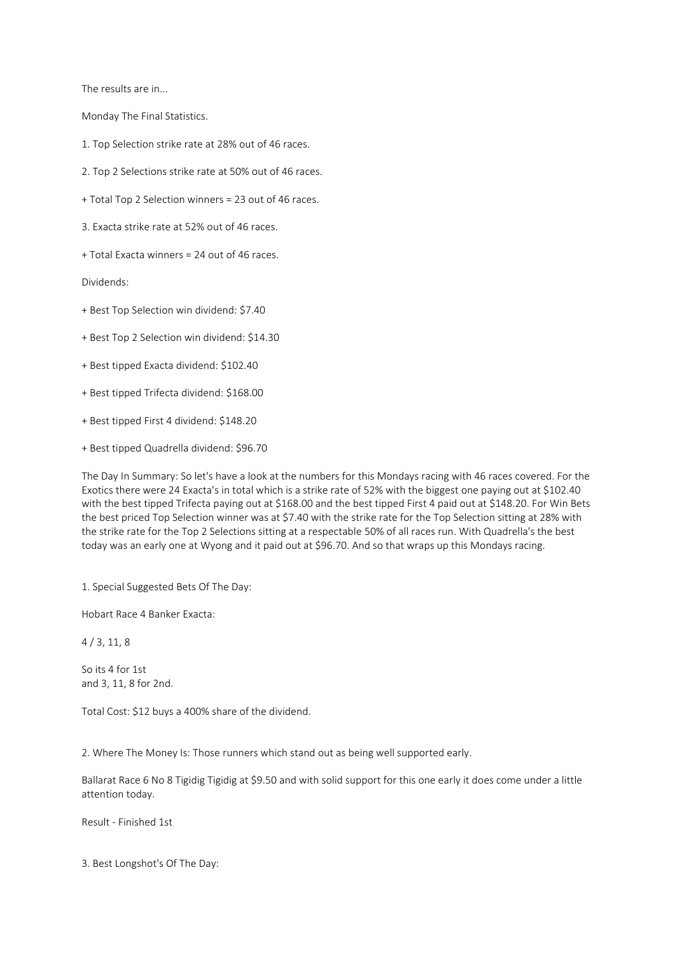The results are in...

Monday The Final Statistics.

- 1. Top Selection strike rate at 28% out of 46 races.
- 2. Top 2 Selections strike rate at 50% out of 46 races.
- + Total Top 2 Selection winners = 23 out of 46 races.
- 3. Exacta strike rate at 52% out of 46 races.
- + Total Exacta winners = 24 out of 46 races.

Dividends:

- + Best Top Selection win dividend: \$7.40
- + Best Top 2 Selection win dividend: \$14.30
- + Best tipped Exacta dividend: \$102.40
- + Best tipped Trifecta dividend: \$168.00
- + Best tipped First 4 dividend: \$148.20
- + Best tipped Quadrella dividend: \$96.70

The Day In Summary: So let's have a look at the numbers for this Mondays racing with 46 races covered. For the Exotics there were 24 Exacta's in total which is a strike rate of 52% with the biggest one paying out at \$102.40 with the best tipped Trifecta paying out at \$168.00 and the best tipped First 4 paid out at \$148.20. For Win Bets the best priced Top Selection winner was at \$7.40 with the strike rate for the Top Selection sitting at 28% with the strike rate for the Top 2 Selections sitting at a respectable 50% of all races run. With Quadrella's the best today was an early one at Wyong and it paid out at \$96.70. And so that wraps up this Mondays racing.

1. Special Suggested Bets Of The Day:

Hobart Race 4 Banker Exacta:

4 / 3, 11, 8

So its 4 for 1st and 3, 11, 8 for 2nd.

Total Cost: \$12 buys a 400% share of the dividend.

2. Where The Money Is: Those runners which stand out as being well supported early.

Ballarat Race 6 No 8 Tigidig Tigidig at \$9.50 and with solid support for this one early it does come under a little attention today.

Result - Finished 1st

3. Best Longshot's Of The Day: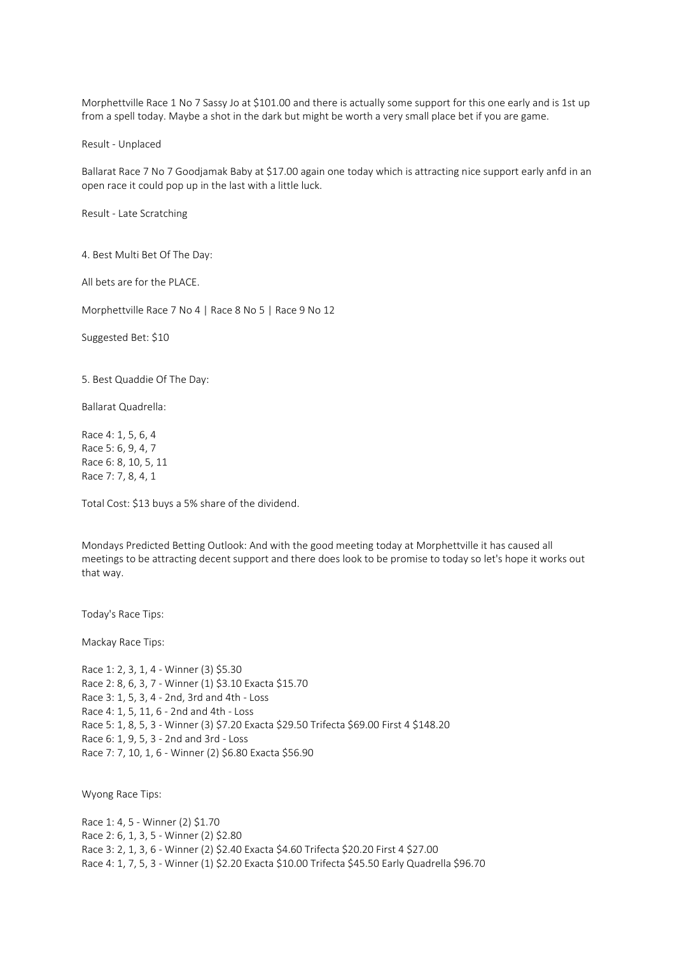Morphettville Race 1 No 7 Sassy Jo at \$101.00 and there is actually some support for this one early and is 1st up from a spell today. Maybe a shot in the dark but might be worth a very small place bet if you are game.

Result - Unplaced

Ballarat Race 7 No 7 Goodjamak Baby at \$17.00 again one today which is attracting nice support early anfd in an open race it could pop up in the last with a little luck.

Result - Late Scratching

4. Best Multi Bet Of The Day:

All bets are for the PLACE.

Morphettville Race 7 No 4 | Race 8 No 5 | Race 9 No 12

Suggested Bet: \$10

5. Best Quaddie Of The Day:

Ballarat Quadrella:

Race 4: 1, 5, 6, 4 Race 5: 6, 9, 4, 7 Race 6: 8, 10, 5, 11 Race 7: 7, 8, 4, 1

Total Cost: \$13 buys a 5% share of the dividend.

Mondays Predicted Betting Outlook: And with the good meeting today at Morphettville it has caused all meetings to be attracting decent support and there does look to be promise to today so let's hope it works out that way.

Today's Race Tips:

Mackay Race Tips:

Race 1: 2, 3, 1, 4 - Winner (3) \$5.30 Race 2: 8, 6, 3, 7 - Winner (1) \$3.10 Exacta \$15.70 Race 3: 1, 5, 3, 4 - 2nd, 3rd and 4th - Loss Race 4: 1, 5, 11, 6 - 2nd and 4th - Loss Race 5: 1, 8, 5, 3 - Winner (3) \$7.20 Exacta \$29.50 Trifecta \$69.00 First 4 \$148.20 Race 6: 1, 9, 5, 3 - 2nd and 3rd - Loss Race 7: 7, 10, 1, 6 - Winner (2) \$6.80 Exacta \$56.90

Wyong Race Tips:

Race 1: 4, 5 - Winner (2) \$1.70 Race 2: 6, 1, 3, 5 - Winner (2) \$2.80 Race 3: 2, 1, 3, 6 - Winner (2) \$2.40 Exacta \$4.60 Trifecta \$20.20 First 4 \$27.00 Race 4: 1, 7, 5, 3 - Winner (1) \$2.20 Exacta \$10.00 Trifecta \$45.50 Early Quadrella \$96.70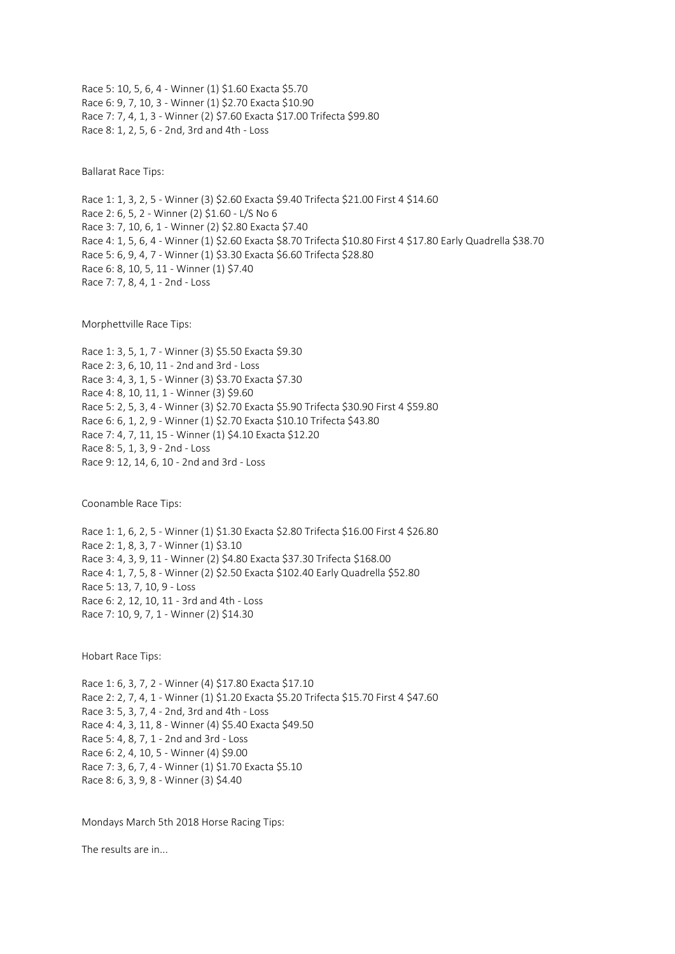Race 5: 10, 5, 6, 4 - Winner (1) \$1.60 Exacta \$5.70 Race 6: 9, 7, 10, 3 - Winner (1) \$2.70 Exacta \$10.90 Race 7: 7, 4, 1, 3 - Winner (2) \$7.60 Exacta \$17.00 Trifecta \$99.80 Race 8: 1, 2, 5, 6 - 2nd, 3rd and 4th - Loss

Ballarat Race Tips:

Race 1: 1, 3, 2, 5 - Winner (3) \$2.60 Exacta \$9.40 Trifecta \$21.00 First 4 \$14.60 Race 2: 6, 5, 2 - Winner (2) \$1.60 - L/S No 6 Race 3: 7, 10, 6, 1 - Winner (2) \$2.80 Exacta \$7.40 Race 4: 1, 5, 6, 4 - Winner (1) \$2.60 Exacta \$8.70 Trifecta \$10.80 First 4 \$17.80 Early Quadrella \$38.70 Race 5: 6, 9, 4, 7 - Winner (1) \$3.30 Exacta \$6.60 Trifecta \$28.80 Race 6: 8, 10, 5, 11 - Winner (1) \$7.40 Race 7: 7, 8, 4, 1 - 2nd - Loss

Morphettville Race Tips:

Race 1: 3, 5, 1, 7 - Winner (3) \$5.50 Exacta \$9.30 Race 2: 3, 6, 10, 11 - 2nd and 3rd - Loss Race 3: 4, 3, 1, 5 - Winner (3) \$3.70 Exacta \$7.30 Race 4: 8, 10, 11, 1 - Winner (3) \$9.60 Race 5: 2, 5, 3, 4 - Winner (3) \$2.70 Exacta \$5.90 Trifecta \$30.90 First 4 \$59.80 Race 6: 6, 1, 2, 9 - Winner (1) \$2.70 Exacta \$10.10 Trifecta \$43.80 Race 7: 4, 7, 11, 15 - Winner (1) \$4.10 Exacta \$12.20 Race 8: 5, 1, 3, 9 - 2nd - Loss Race 9: 12, 14, 6, 10 - 2nd and 3rd - Loss

Coonamble Race Tips:

Race 1: 1, 6, 2, 5 - Winner (1) \$1.30 Exacta \$2.80 Trifecta \$16.00 First 4 \$26.80 Race 2: 1, 8, 3, 7 - Winner (1) \$3.10 Race 3: 4, 3, 9, 11 - Winner (2) \$4.80 Exacta \$37.30 Trifecta \$168.00 Race 4: 1, 7, 5, 8 - Winner (2) \$2.50 Exacta \$102.40 Early Quadrella \$52.80 Race 5: 13, 7, 10, 9 - Loss Race 6: 2, 12, 10, 11 - 3rd and 4th - Loss Race 7: 10, 9, 7, 1 - Winner (2) \$14.30

Hobart Race Tips:

Race 1: 6, 3, 7, 2 - Winner (4) \$17.80 Exacta \$17.10 Race 2: 2, 7, 4, 1 - Winner (1) \$1.20 Exacta \$5.20 Trifecta \$15.70 First 4 \$47.60 Race 3: 5, 3, 7, 4 - 2nd, 3rd and 4th - Loss Race 4: 4, 3, 11, 8 - Winner (4) \$5.40 Exacta \$49.50 Race 5: 4, 8, 7, 1 - 2nd and 3rd - Loss Race 6: 2, 4, 10, 5 - Winner (4) \$9.00 Race 7: 3, 6, 7, 4 - Winner (1) \$1.70 Exacta \$5.10 Race 8: 6, 3, 9, 8 - Winner (3) \$4.40

Mondays March 5th 2018 Horse Racing Tips:

The results are in...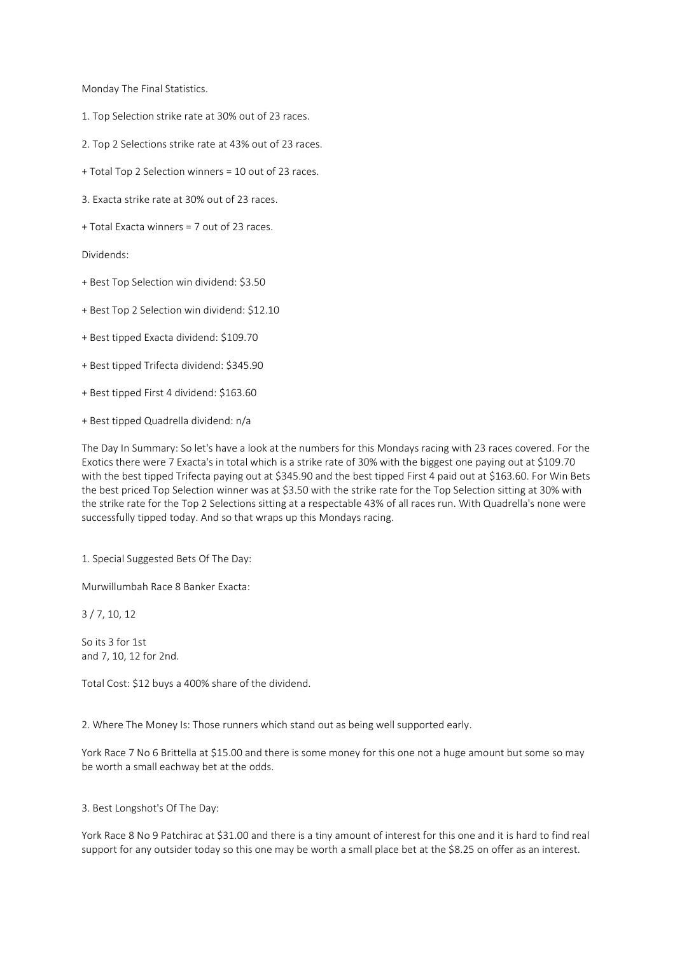Monday The Final Statistics.

- 1. Top Selection strike rate at 30% out of 23 races.
- 2. Top 2 Selections strike rate at 43% out of 23 races.
- + Total Top 2 Selection winners = 10 out of 23 races.
- 3. Exacta strike rate at 30% out of 23 races.
- + Total Exacta winners = 7 out of 23 races.

Dividends:

- + Best Top Selection win dividend: \$3.50
- + Best Top 2 Selection win dividend: \$12.10
- + Best tipped Exacta dividend: \$109.70
- + Best tipped Trifecta dividend: \$345.90
- + Best tipped First 4 dividend: \$163.60
- + Best tipped Quadrella dividend: n/a

The Day In Summary: So let's have a look at the numbers for this Mondays racing with 23 races covered. For the Exotics there were 7 Exacta's in total which is a strike rate of 30% with the biggest one paying out at \$109.70 with the best tipped Trifecta paying out at \$345.90 and the best tipped First 4 paid out at \$163.60. For Win Bets the best priced Top Selection winner was at \$3.50 with the strike rate for the Top Selection sitting at 30% with the strike rate for the Top 2 Selections sitting at a respectable 43% of all races run. With Quadrella's none were successfully tipped today. And so that wraps up this Mondays racing.

1. Special Suggested Bets Of The Day:

Murwillumbah Race 8 Banker Exacta:

3 / 7, 10, 12

So its 3 for 1st and 7, 10, 12 for 2nd.

Total Cost: \$12 buys a 400% share of the dividend.

2. Where The Money Is: Those runners which stand out as being well supported early.

York Race 7 No 6 Brittella at \$15.00 and there is some money for this one not a huge amount but some so may be worth a small eachway bet at the odds.

## 3. Best Longshot's Of The Day:

York Race 8 No 9 Patchirac at \$31.00 and there is a tiny amount of interest for this one and it is hard to find real support for any outsider today so this one may be worth a small place bet at the \$8.25 on offer as an interest.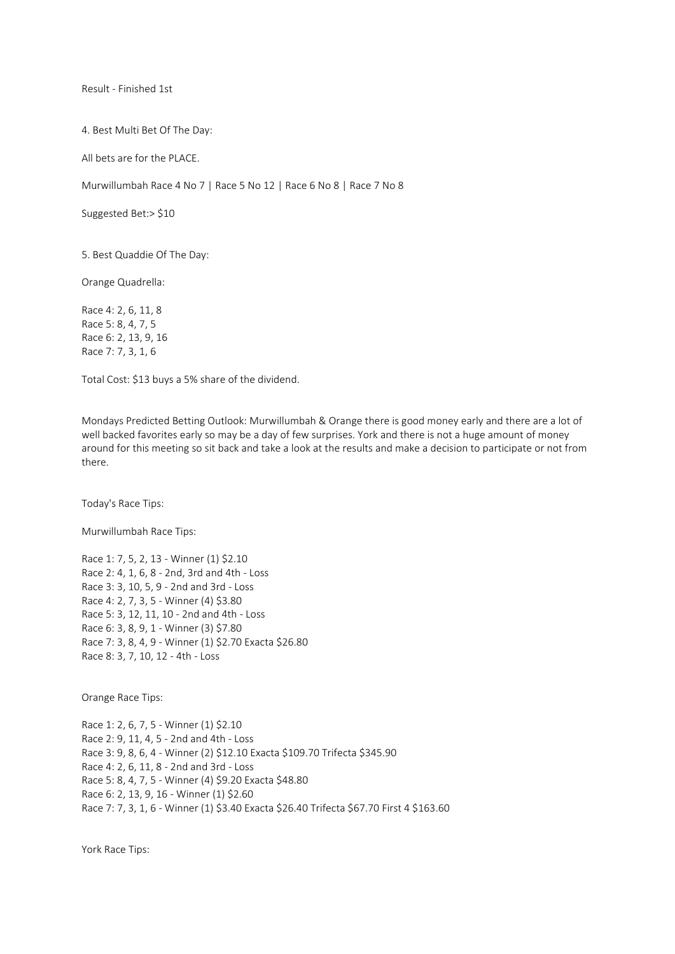Result - Finished 1st

4. Best Multi Bet Of The Day:

All bets are for the PLACE.

Murwillumbah Race 4 No 7 | Race 5 No 12 | Race 6 No 8 | Race 7 No 8

Suggested Bet:> \$10

5. Best Quaddie Of The Day:

Orange Quadrella:

Race 4: 2, 6, 11, 8 Race 5: 8, 4, 7, 5 Race 6: 2, 13, 9, 16 Race 7: 7, 3, 1, 6

Total Cost: \$13 buys a 5% share of the dividend.

Mondays Predicted Betting Outlook: Murwillumbah & Orange there is good money early and there are a lot of well backed favorites early so may be a day of few surprises. York and there is not a huge amount of money around for this meeting so sit back and take a look at the results and make a decision to participate or not from there.

Today's Race Tips:

Murwillumbah Race Tips:

Race 1: 7, 5, 2, 13 - Winner (1) \$2.10 Race 2: 4, 1, 6, 8 - 2nd, 3rd and 4th - Loss Race 3: 3, 10, 5, 9 - 2nd and 3rd - Loss Race 4: 2, 7, 3, 5 - Winner (4) \$3.80 Race 5: 3, 12, 11, 10 - 2nd and 4th - Loss Race 6: 3, 8, 9, 1 - Winner (3) \$7.80 Race 7: 3, 8, 4, 9 - Winner (1) \$2.70 Exacta \$26.80 Race 8: 3, 7, 10, 12 - 4th - Loss

Orange Race Tips:

Race 1: 2, 6, 7, 5 - Winner (1) \$2.10 Race 2: 9, 11, 4, 5 - 2nd and 4th - Loss Race 3: 9, 8, 6, 4 - Winner (2) \$12.10 Exacta \$109.70 Trifecta \$345.90 Race 4: 2, 6, 11, 8 - 2nd and 3rd - Loss Race 5: 8, 4, 7, 5 - Winner (4) \$9.20 Exacta \$48.80 Race 6: 2, 13, 9, 16 - Winner (1) \$2.60 Race 7: 7, 3, 1, 6 - Winner (1) \$3.40 Exacta \$26.40 Trifecta \$67.70 First 4 \$163.60

York Race Tips: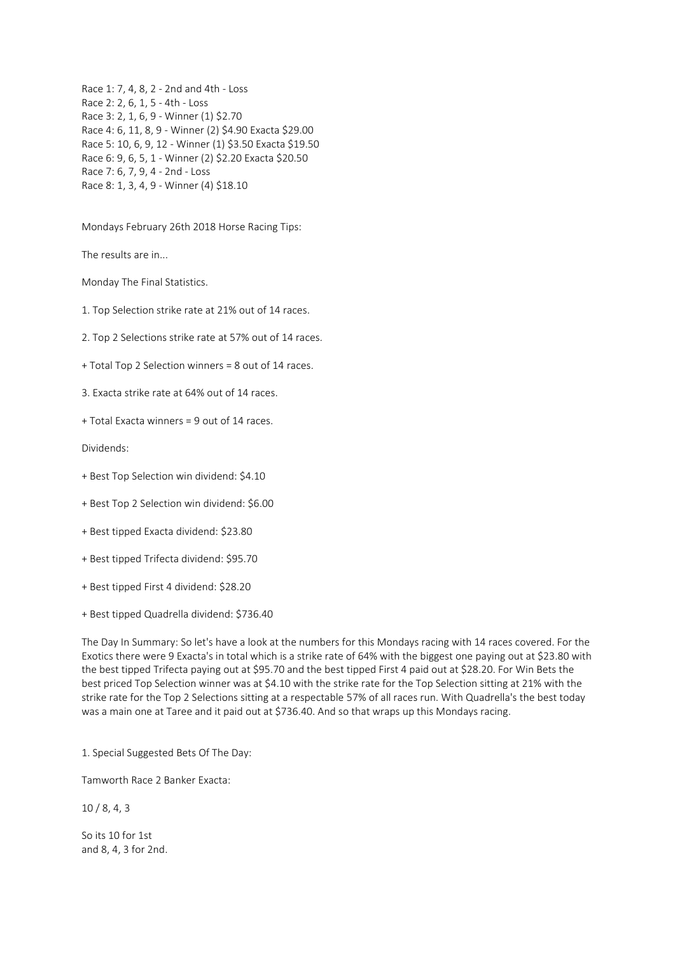Race 1: 7, 4, 8, 2 - 2nd and 4th - Loss Race 2: 2, 6, 1, 5 - 4th - Loss Race 3: 2, 1, 6, 9 - Winner (1) \$2.70 Race 4: 6, 11, 8, 9 - Winner (2) \$4.90 Exacta \$29.00 Race 5: 10, 6, 9, 12 - Winner (1) \$3.50 Exacta \$19.50 Race 6: 9, 6, 5, 1 - Winner (2) \$2.20 Exacta \$20.50 Race 7: 6, 7, 9, 4 - 2nd - Loss Race 8: 1, 3, 4, 9 - Winner (4) \$18.10

Mondays February 26th 2018 Horse Racing Tips:

The results are in...

Monday The Final Statistics.

1. Top Selection strike rate at 21% out of 14 races.

2. Top 2 Selections strike rate at 57% out of 14 races.

+ Total Top 2 Selection winners = 8 out of 14 races.

3. Exacta strike rate at 64% out of 14 races.

+ Total Exacta winners = 9 out of 14 races.

Dividends:

+ Best Top Selection win dividend: \$4.10

+ Best Top 2 Selection win dividend: \$6.00

+ Best tipped Exacta dividend: \$23.80

+ Best tipped Trifecta dividend: \$95.70

+ Best tipped First 4 dividend: \$28.20

+ Best tipped Quadrella dividend: \$736.40

The Day In Summary: So let's have a look at the numbers for this Mondays racing with 14 races covered. For the Exotics there were 9 Exacta's in total which is a strike rate of 64% with the biggest one paying out at \$23.80 with the best tipped Trifecta paying out at \$95.70 and the best tipped First 4 paid out at \$28.20. For Win Bets the best priced Top Selection winner was at \$4.10 with the strike rate for the Top Selection sitting at 21% with the strike rate for the Top 2 Selections sitting at a respectable 57% of all races run. With Quadrella's the best today was a main one at Taree and it paid out at \$736.40. And so that wraps up this Mondays racing.

1. Special Suggested Bets Of The Day:

Tamworth Race 2 Banker Exacta:

10 / 8, 4, 3

So its 10 for 1st and 8, 4, 3 for 2nd.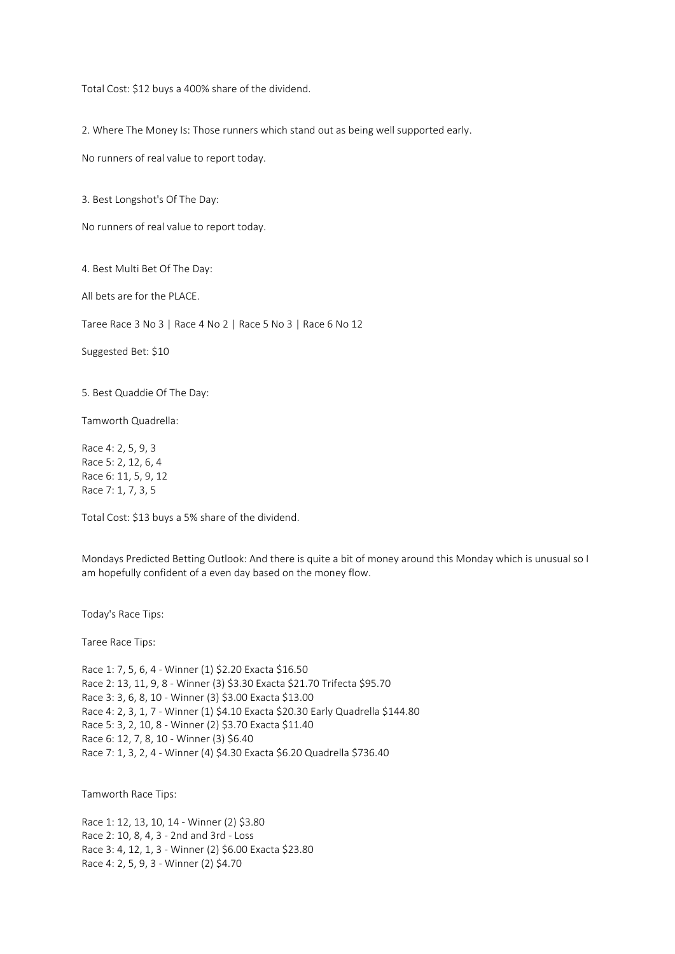Total Cost: \$12 buys a 400% share of the dividend.

2. Where The Money Is: Those runners which stand out as being well supported early.

No runners of real value to report today.

3. Best Longshot's Of The Day:

No runners of real value to report today.

4. Best Multi Bet Of The Day:

All bets are for the PLACE.

Taree Race 3 No 3 | Race 4 No 2 | Race 5 No 3 | Race 6 No 12

Suggested Bet: \$10

5. Best Quaddie Of The Day:

Tamworth Quadrella:

Race 4: 2, 5, 9, 3 Race 5: 2, 12, 6, 4 Race 6: 11, 5, 9, 12 Race 7: 1, 7, 3, 5

Total Cost: \$13 buys a 5% share of the dividend.

Mondays Predicted Betting Outlook: And there is quite a bit of money around this Monday which is unusual so I am hopefully confident of a even day based on the money flow.

Today's Race Tips:

Taree Race Tips:

Race 1: 7, 5, 6, 4 - Winner (1) \$2.20 Exacta \$16.50 Race 2: 13, 11, 9, 8 - Winner (3) \$3.30 Exacta \$21.70 Trifecta \$95.70 Race 3: 3, 6, 8, 10 - Winner (3) \$3.00 Exacta \$13.00 Race 4: 2, 3, 1, 7 - Winner (1) \$4.10 Exacta \$20.30 Early Quadrella \$144.80 Race 5: 3, 2, 10, 8 - Winner (2) \$3.70 Exacta \$11.40 Race 6: 12, 7, 8, 10 - Winner (3) \$6.40 Race 7: 1, 3, 2, 4 - Winner (4) \$4.30 Exacta \$6.20 Quadrella \$736.40

Tamworth Race Tips:

Race 1: 12, 13, 10, 14 - Winner (2) \$3.80 Race 2: 10, 8, 4, 3 - 2nd and 3rd - Loss Race 3: 4, 12, 1, 3 - Winner (2) \$6.00 Exacta \$23.80 Race 4: 2, 5, 9, 3 - Winner (2) \$4.70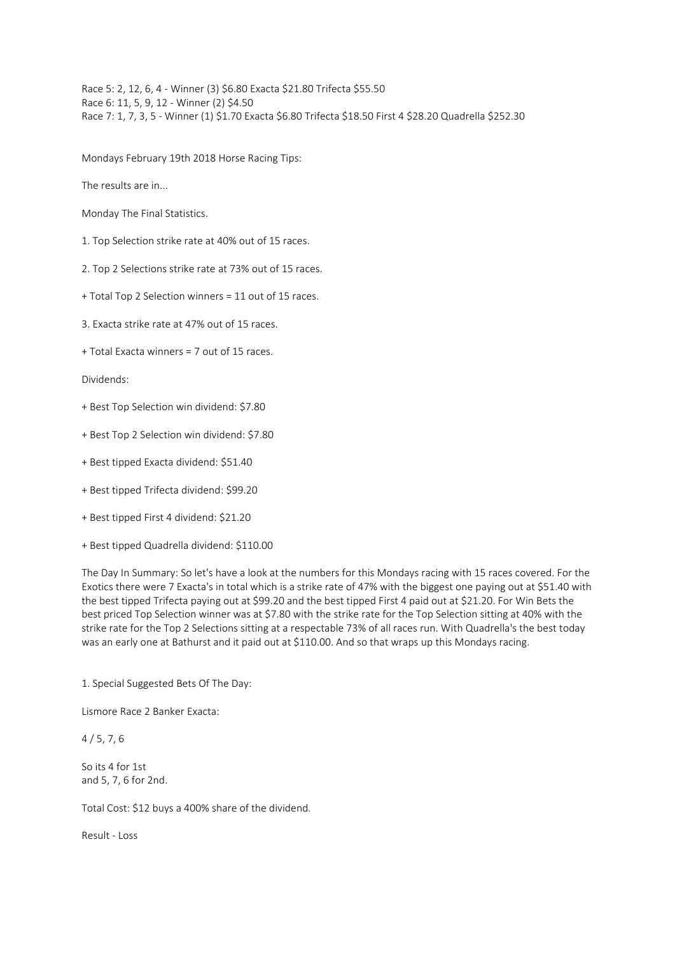Race 5: 2, 12, 6, 4 - Winner (3) \$6.80 Exacta \$21.80 Trifecta \$55.50 Race 6: 11, 5, 9, 12 - Winner (2) \$4.50 Race 7: 1, 7, 3, 5 - Winner (1) \$1.70 Exacta \$6.80 Trifecta \$18.50 First 4 \$28.20 Quadrella \$252.30

Mondays February 19th 2018 Horse Racing Tips:

The results are in...

Monday The Final Statistics.

1. Top Selection strike rate at 40% out of 15 races.

2. Top 2 Selections strike rate at 73% out of 15 races.

+ Total Top 2 Selection winners = 11 out of 15 races.

3. Exacta strike rate at 47% out of 15 races.

+ Total Exacta winners = 7 out of 15 races.

Dividends:

- + Best Top Selection win dividend: \$7.80
- + Best Top 2 Selection win dividend: \$7.80
- + Best tipped Exacta dividend: \$51.40
- + Best tipped Trifecta dividend: \$99.20
- + Best tipped First 4 dividend: \$21.20
- + Best tipped Quadrella dividend: \$110.00

The Day In Summary: So let's have a look at the numbers for this Mondays racing with 15 races covered. For the Exotics there were 7 Exacta's in total which is a strike rate of 47% with the biggest one paying out at \$51.40 with the best tipped Trifecta paying out at \$99.20 and the best tipped First 4 paid out at \$21.20. For Win Bets the best priced Top Selection winner was at \$7.80 with the strike rate for the Top Selection sitting at 40% with the strike rate for the Top 2 Selections sitting at a respectable 73% of all races run. With Quadrella's the best today was an early one at Bathurst and it paid out at \$110.00. And so that wraps up this Mondays racing.

1. Special Suggested Bets Of The Day:

Lismore Race 2 Banker Exacta:

4 / 5, 7, 6

So its 4 for 1st and 5, 7, 6 for 2nd.

Total Cost: \$12 buys a 400% share of the dividend.

Result - Loss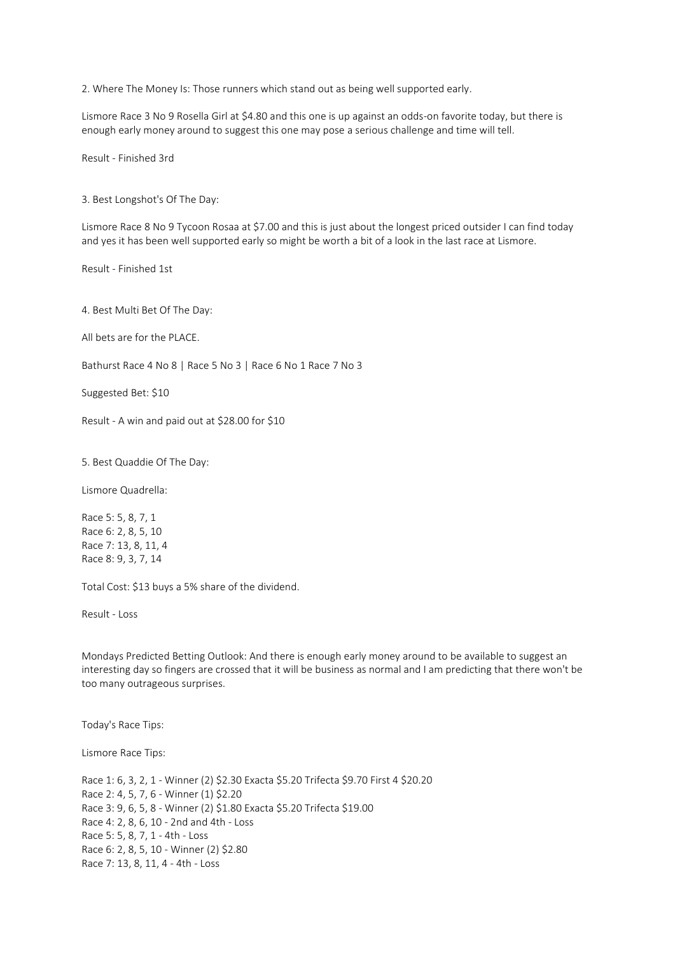2. Where The Money Is: Those runners which stand out as being well supported early.

Lismore Race 3 No 9 Rosella Girl at \$4.80 and this one is up against an odds-on favorite today, but there is enough early money around to suggest this one may pose a serious challenge and time will tell.

Result - Finished 3rd

3. Best Longshot's Of The Day:

Lismore Race 8 No 9 Tycoon Rosaa at \$7.00 and this is just about the longest priced outsider I can find today and yes it has been well supported early so might be worth a bit of a look in the last race at Lismore.

Result - Finished 1st

4. Best Multi Bet Of The Day:

All bets are for the PLACE.

Bathurst Race 4 No 8 | Race 5 No 3 | Race 6 No 1 Race 7 No 3

Suggested Bet: \$10

Result - A win and paid out at \$28.00 for \$10

5. Best Quaddie Of The Day:

Lismore Quadrella:

Race 5: 5, 8, 7, 1 Race 6: 2, 8, 5, 10 Race 7: 13, 8, 11, 4 Race 8: 9, 3, 7, 14

Total Cost: \$13 buys a 5% share of the dividend.

Result - Loss

Mondays Predicted Betting Outlook: And there is enough early money around to be available to suggest an interesting day so fingers are crossed that it will be business as normal and I am predicting that there won't be too many outrageous surprises.

Today's Race Tips:

Lismore Race Tips:

Race 1: 6, 3, 2, 1 - Winner (2) \$2.30 Exacta \$5.20 Trifecta \$9.70 First 4 \$20.20 Race 2: 4, 5, 7, 6 - Winner (1) \$2.20 Race 3: 9, 6, 5, 8 - Winner (2) \$1.80 Exacta \$5.20 Trifecta \$19.00 Race 4: 2, 8, 6, 10 - 2nd and 4th - Loss Race 5: 5, 8, 7, 1 - 4th - Loss Race 6: 2, 8, 5, 10 - Winner (2) \$2.80 Race 7: 13, 8, 11, 4 - 4th - Loss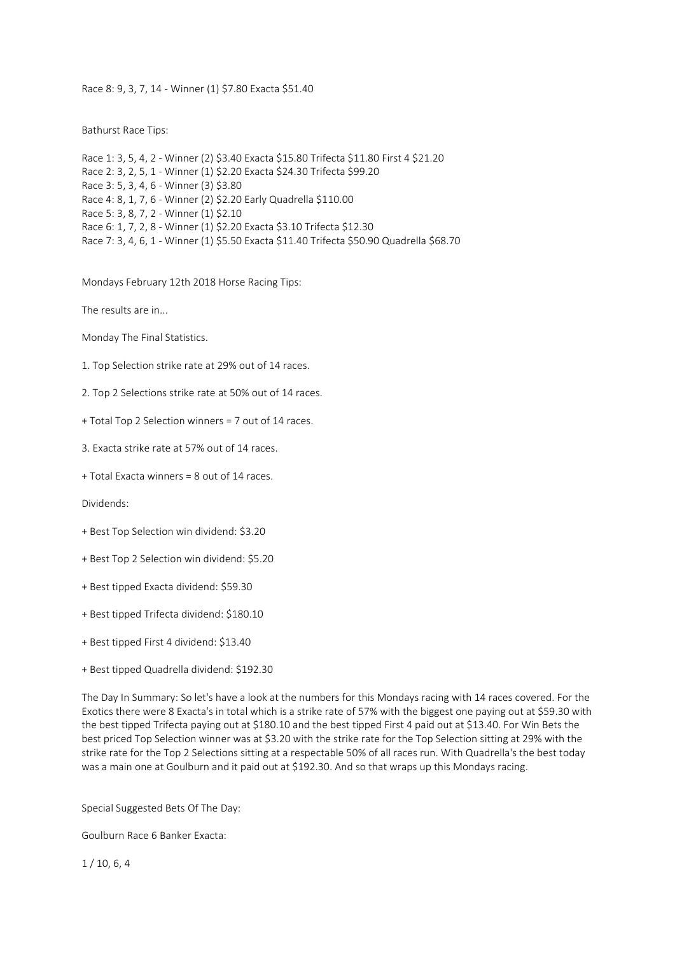Race 8: 9, 3, 7, 14 - Winner (1) \$7.80 Exacta \$51.40

Bathurst Race Tips:

Race 1: 3, 5, 4, 2 - Winner (2) \$3.40 Exacta \$15.80 Trifecta \$11.80 First 4 \$21.20 Race 2: 3, 2, 5, 1 - Winner (1) \$2.20 Exacta \$24.30 Trifecta \$99.20 Race 3: 5, 3, 4, 6 - Winner (3) \$3.80 Race 4: 8, 1, 7, 6 - Winner (2) \$2.20 Early Quadrella \$110.00 Race 5: 3, 8, 7, 2 - Winner (1) \$2.10 Race 6: 1, 7, 2, 8 - Winner (1) \$2.20 Exacta \$3.10 Trifecta \$12.30 Race 7: 3, 4, 6, 1 - Winner (1) \$5.50 Exacta \$11.40 Trifecta \$50.90 Quadrella \$68.70

Mondays February 12th 2018 Horse Racing Tips:

The results are in...

Monday The Final Statistics.

1. Top Selection strike rate at 29% out of 14 races.

2. Top 2 Selections strike rate at 50% out of 14 races.

+ Total Top 2 Selection winners = 7 out of 14 races.

3. Exacta strike rate at 57% out of 14 races.

+ Total Exacta winners = 8 out of 14 races.

Dividends:

+ Best Top Selection win dividend: \$3.20

+ Best Top 2 Selection win dividend: \$5.20

+ Best tipped Exacta dividend: \$59.30

+ Best tipped Trifecta dividend: \$180.10

+ Best tipped First 4 dividend: \$13.40

+ Best tipped Quadrella dividend: \$192.30

The Day In Summary: So let's have a look at the numbers for this Mondays racing with 14 races covered. For the Exotics there were 8 Exacta's in total which is a strike rate of 57% with the biggest one paying out at \$59.30 with the best tipped Trifecta paying out at \$180.10 and the best tipped First 4 paid out at \$13.40. For Win Bets the best priced Top Selection winner was at \$3.20 with the strike rate for the Top Selection sitting at 29% with the strike rate for the Top 2 Selections sitting at a respectable 50% of all races run. With Quadrella's the best today was a main one at Goulburn and it paid out at \$192.30. And so that wraps up this Mondays racing.

Special Suggested Bets Of The Day:

Goulburn Race 6 Banker Exacta:

1 / 10, 6, 4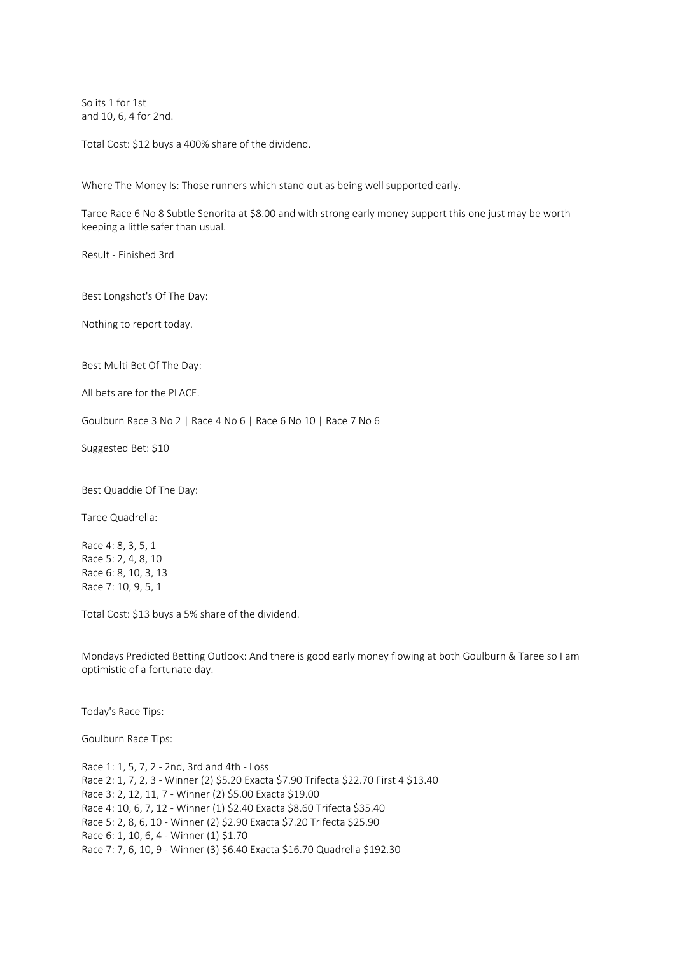So its 1 for 1st and 10, 6, 4 for 2nd.

Total Cost: \$12 buys a 400% share of the dividend.

Where The Money Is: Those runners which stand out as being well supported early.

Taree Race 6 No 8 Subtle Senorita at \$8.00 and with strong early money support this one just may be worth keeping a little safer than usual.

Result - Finished 3rd

Best Longshot's Of The Day:

Nothing to report today.

Best Multi Bet Of The Day:

All bets are for the PLACE.

Goulburn Race 3 No 2 | Race 4 No 6 | Race 6 No 10 | Race 7 No 6

Suggested Bet: \$10

Best Quaddie Of The Day:

Taree Quadrella:

Race 4: 8, 3, 5, 1 Race 5: 2, 4, 8, 10 Race 6: 8, 10, 3, 13 Race 7: 10, 9, 5, 1

Total Cost: \$13 buys a 5% share of the dividend.

Mondays Predicted Betting Outlook: And there is good early money flowing at both Goulburn & Taree so I am optimistic of a fortunate day.

Today's Race Tips:

Goulburn Race Tips:

Race 1: 1, 5, 7, 2 - 2nd, 3rd and 4th - Loss Race 2: 1, 7, 2, 3 - Winner (2) \$5.20 Exacta \$7.90 Trifecta \$22.70 First 4 \$13.40 Race 3: 2, 12, 11, 7 - Winner (2) \$5.00 Exacta \$19.00 Race 4: 10, 6, 7, 12 - Winner (1) \$2.40 Exacta \$8.60 Trifecta \$35.40 Race 5: 2, 8, 6, 10 - Winner (2) \$2.90 Exacta \$7.20 Trifecta \$25.90 Race 6: 1, 10, 6, 4 - Winner (1) \$1.70 Race 7: 7, 6, 10, 9 - Winner (3) \$6.40 Exacta \$16.70 Quadrella \$192.30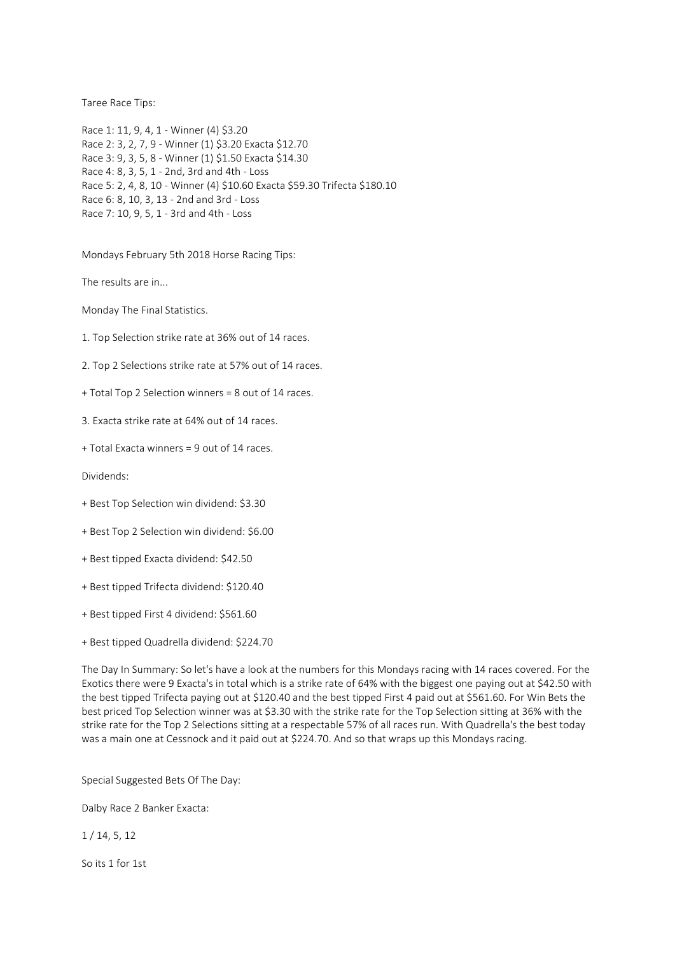Taree Race Tips:

Race 1: 11, 9, 4, 1 - Winner (4) \$3.20 Race 2: 3, 2, 7, 9 - Winner (1) \$3.20 Exacta \$12.70 Race 3: 9, 3, 5, 8 - Winner (1) \$1.50 Exacta \$14.30 Race 4: 8, 3, 5, 1 - 2nd, 3rd and 4th - Loss Race 5: 2, 4, 8, 10 - Winner (4) \$10.60 Exacta \$59.30 Trifecta \$180.10 Race 6: 8, 10, 3, 13 - 2nd and 3rd - Loss Race 7: 10, 9, 5, 1 - 3rd and 4th - Loss

Mondays February 5th 2018 Horse Racing Tips:

The results are in...

Monday The Final Statistics.

1. Top Selection strike rate at 36% out of 14 races.

2. Top 2 Selections strike rate at 57% out of 14 races.

+ Total Top 2 Selection winners = 8 out of 14 races.

3. Exacta strike rate at 64% out of 14 races.

+ Total Exacta winners = 9 out of 14 races.

Dividends:

- + Best Top Selection win dividend: \$3.30
- + Best Top 2 Selection win dividend: \$6.00
- + Best tipped Exacta dividend: \$42.50
- + Best tipped Trifecta dividend: \$120.40
- + Best tipped First 4 dividend: \$561.60
- + Best tipped Quadrella dividend: \$224.70

The Day In Summary: So let's have a look at the numbers for this Mondays racing with 14 races covered. For the Exotics there were 9 Exacta's in total which is a strike rate of 64% with the biggest one paying out at \$42.50 with the best tipped Trifecta paying out at \$120.40 and the best tipped First 4 paid out at \$561.60. For Win Bets the best priced Top Selection winner was at \$3.30 with the strike rate for the Top Selection sitting at 36% with the strike rate for the Top 2 Selections sitting at a respectable 57% of all races run. With Quadrella's the best today was a main one at Cessnock and it paid out at \$224.70. And so that wraps up this Mondays racing.

Special Suggested Bets Of The Day:

Dalby Race 2 Banker Exacta:

1 / 14, 5, 12

So its 1 for 1st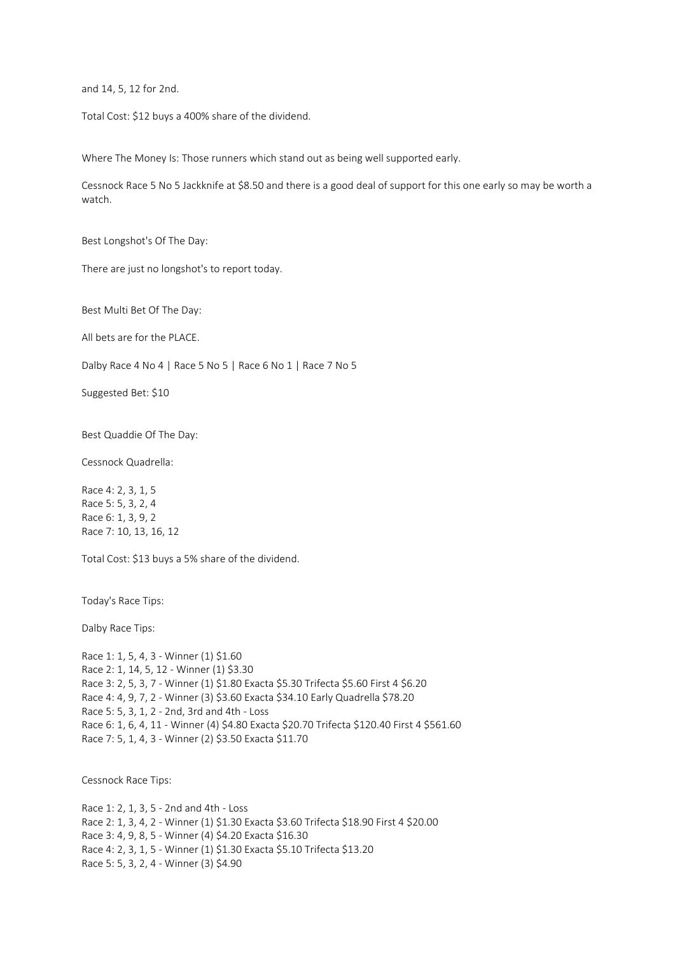and 14, 5, 12 for 2nd.

Total Cost: \$12 buys a 400% share of the dividend.

Where The Money Is: Those runners which stand out as being well supported early.

Cessnock Race 5 No 5 Jackknife at \$8.50 and there is a good deal of support for this one early so may be worth a watch.

Best Longshot's Of The Day:

There are just no longshot's to report today.

Best Multi Bet Of The Day:

All bets are for the PLACE.

Dalby Race 4 No 4 | Race 5 No 5 | Race 6 No 1 | Race 7 No 5

Suggested Bet: \$10

Best Quaddie Of The Day:

Cessnock Quadrella:

Race 4: 2, 3, 1, 5 Race 5: 5, 3, 2, 4 Race 6: 1, 3, 9, 2 Race 7: 10, 13, 16, 12

Total Cost: \$13 buys a 5% share of the dividend.

Today's Race Tips:

Dalby Race Tips:

Race 1: 1, 5, 4, 3 - Winner (1) \$1.60 Race 2: 1, 14, 5, 12 - Winner (1) \$3.30 Race 3: 2, 5, 3, 7 - Winner (1) \$1.80 Exacta \$5.30 Trifecta \$5.60 First 4 \$6.20 Race 4: 4, 9, 7, 2 - Winner (3) \$3.60 Exacta \$34.10 Early Quadrella \$78.20 Race 5: 5, 3, 1, 2 - 2nd, 3rd and 4th - Loss Race 6: 1, 6, 4, 11 - Winner (4) \$4.80 Exacta \$20.70 Trifecta \$120.40 First 4 \$561.60 Race 7: 5, 1, 4, 3 - Winner (2) \$3.50 Exacta \$11.70

Cessnock Race Tips:

Race 1: 2, 1, 3, 5 - 2nd and 4th - Loss Race 2: 1, 3, 4, 2 - Winner (1) \$1.30 Exacta \$3.60 Trifecta \$18.90 First 4 \$20.00 Race 3: 4, 9, 8, 5 - Winner (4) \$4.20 Exacta \$16.30 Race 4: 2, 3, 1, 5 - Winner (1) \$1.30 Exacta \$5.10 Trifecta \$13.20 Race 5: 5, 3, 2, 4 - Winner (3) \$4.90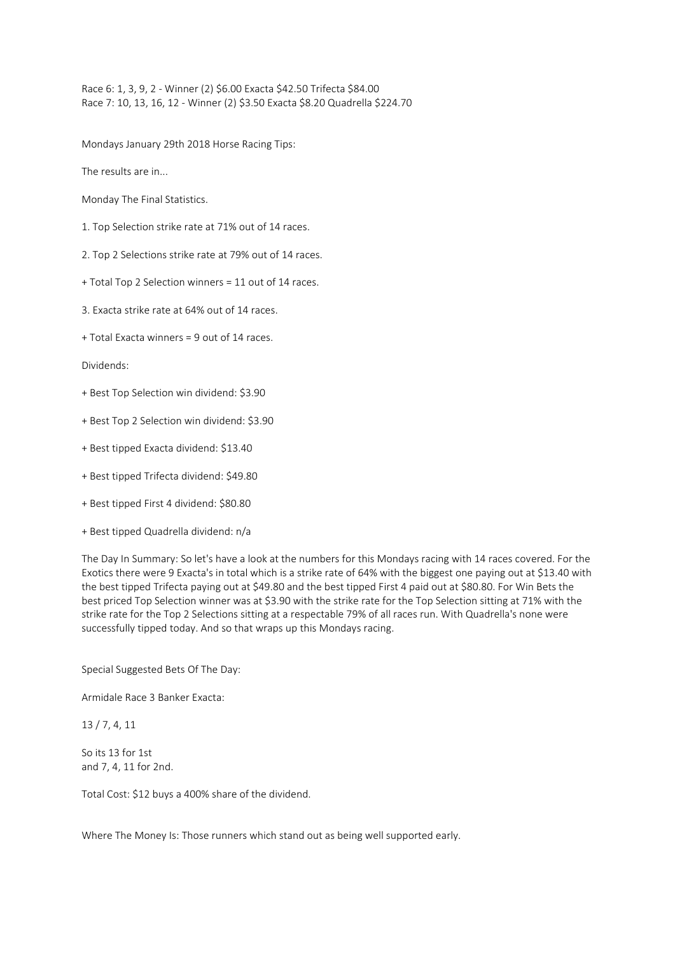Race 6: 1, 3, 9, 2 - Winner (2) \$6.00 Exacta \$42.50 Trifecta \$84.00 Race 7: 10, 13, 16, 12 - Winner (2) \$3.50 Exacta \$8.20 Quadrella \$224.70

Mondays January 29th 2018 Horse Racing Tips:

The results are in...

Monday The Final Statistics.

- 1. Top Selection strike rate at 71% out of 14 races.
- 2. Top 2 Selections strike rate at 79% out of 14 races.
- + Total Top 2 Selection winners = 11 out of 14 races.
- 3. Exacta strike rate at 64% out of 14 races.
- + Total Exacta winners = 9 out of 14 races.

Dividends:

- + Best Top Selection win dividend: \$3.90
- + Best Top 2 Selection win dividend: \$3.90
- + Best tipped Exacta dividend: \$13.40
- + Best tipped Trifecta dividend: \$49.80
- + Best tipped First 4 dividend: \$80.80
- + Best tipped Quadrella dividend: n/a

The Day In Summary: So let's have a look at the numbers for this Mondays racing with 14 races covered. For the Exotics there were 9 Exacta's in total which is a strike rate of 64% with the biggest one paying out at \$13.40 with the best tipped Trifecta paying out at \$49.80 and the best tipped First 4 paid out at \$80.80. For Win Bets the best priced Top Selection winner was at \$3.90 with the strike rate for the Top Selection sitting at 71% with the strike rate for the Top 2 Selections sitting at a respectable 79% of all races run. With Quadrella's none were successfully tipped today. And so that wraps up this Mondays racing.

Special Suggested Bets Of The Day:

Armidale Race 3 Banker Exacta:

13 / 7, 4, 11

So its 13 for 1st and 7, 4, 11 for 2nd.

Total Cost: \$12 buys a 400% share of the dividend.

Where The Money Is: Those runners which stand out as being well supported early.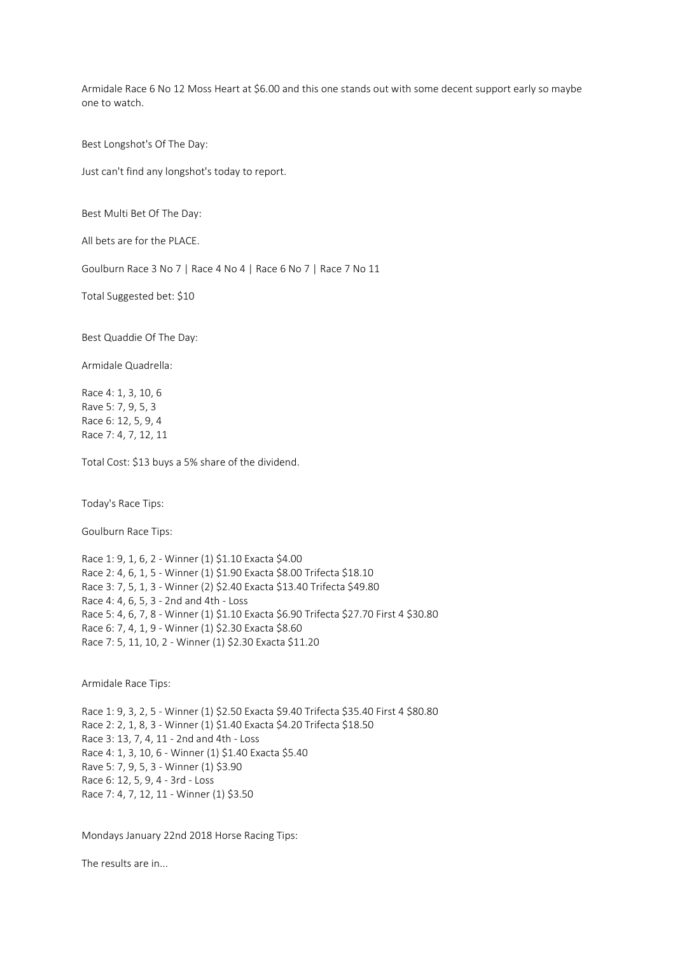Armidale Race 6 No 12 Moss Heart at \$6.00 and this one stands out with some decent support early so maybe one to watch.

Best Longshot's Of The Day:

Just can't find any longshot's today to report.

Best Multi Bet Of The Day:

All bets are for the PLACE.

Goulburn Race 3 No 7 | Race 4 No 4 | Race 6 No 7 | Race 7 No 11

Total Suggested bet: \$10

Best Quaddie Of The Day:

Armidale Quadrella:

Race 4: 1, 3, 10, 6 Rave 5: 7, 9, 5, 3 Race 6: 12, 5, 9, 4 Race 7: 4, 7, 12, 11

Total Cost: \$13 buys a 5% share of the dividend.

Today's Race Tips:

Goulburn Race Tips:

Race 1: 9, 1, 6, 2 - Winner (1) \$1.10 Exacta \$4.00 Race 2: 4, 6, 1, 5 - Winner (1) \$1.90 Exacta \$8.00 Trifecta \$18.10 Race 3: 7, 5, 1, 3 - Winner (2) \$2.40 Exacta \$13.40 Trifecta \$49.80 Race 4: 4, 6, 5, 3 - 2nd and 4th - Loss Race 5: 4, 6, 7, 8 - Winner (1) \$1.10 Exacta \$6.90 Trifecta \$27.70 First 4 \$30.80 Race 6: 7, 4, 1, 9 - Winner (1) \$2.30 Exacta \$8.60 Race 7: 5, 11, 10, 2 - Winner (1) \$2.30 Exacta \$11.20

Armidale Race Tips:

Race 1: 9, 3, 2, 5 - Winner (1) \$2.50 Exacta \$9.40 Trifecta \$35.40 First 4 \$80.80 Race 2: 2, 1, 8, 3 - Winner (1) \$1.40 Exacta \$4.20 Trifecta \$18.50 Race 3: 13, 7, 4, 11 - 2nd and 4th - Loss Race 4: 1, 3, 10, 6 - Winner (1) \$1.40 Exacta \$5.40 Rave 5: 7, 9, 5, 3 - Winner (1) \$3.90 Race 6: 12, 5, 9, 4 - 3rd - Loss Race 7: 4, 7, 12, 11 - Winner (1) \$3.50

Mondays January 22nd 2018 Horse Racing Tips:

The results are in...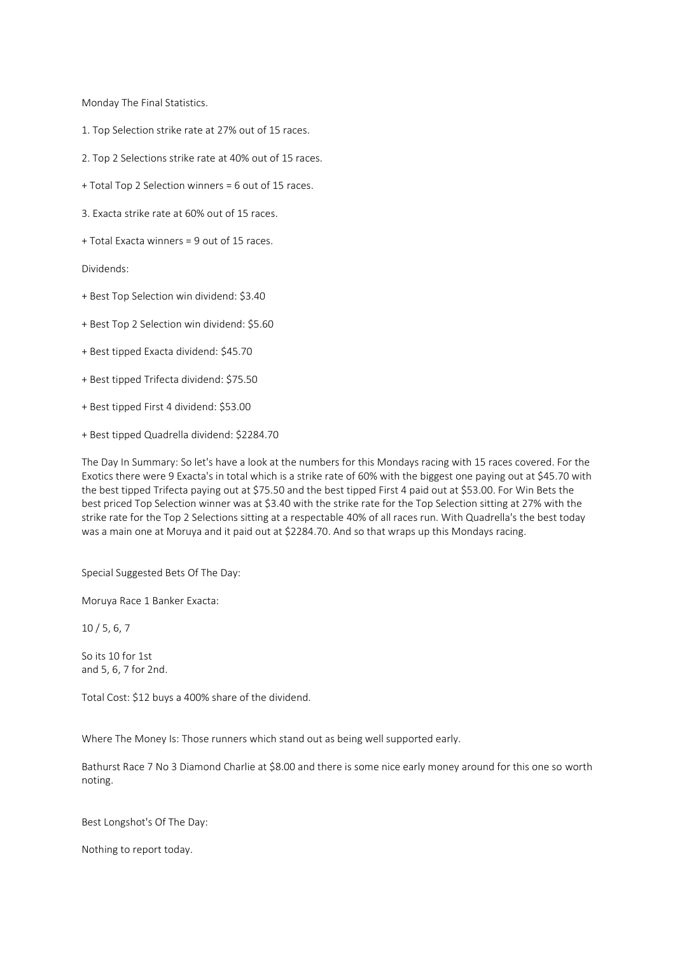Monday The Final Statistics.

- 1. Top Selection strike rate at 27% out of 15 races.
- 2. Top 2 Selections strike rate at 40% out of 15 races.
- + Total Top 2 Selection winners = 6 out of 15 races.
- 3. Exacta strike rate at 60% out of 15 races.
- + Total Exacta winners = 9 out of 15 races.

Dividends:

- + Best Top Selection win dividend: \$3.40
- + Best Top 2 Selection win dividend: \$5.60
- + Best tipped Exacta dividend: \$45.70
- + Best tipped Trifecta dividend: \$75.50
- + Best tipped First 4 dividend: \$53.00
- + Best tipped Quadrella dividend: \$2284.70

The Day In Summary: So let's have a look at the numbers for this Mondays racing with 15 races covered. For the Exotics there were 9 Exacta's in total which is a strike rate of 60% with the biggest one paying out at \$45.70 with the best tipped Trifecta paying out at \$75.50 and the best tipped First 4 paid out at \$53.00. For Win Bets the best priced Top Selection winner was at \$3.40 with the strike rate for the Top Selection sitting at 27% with the strike rate for the Top 2 Selections sitting at a respectable 40% of all races run. With Quadrella's the best today was a main one at Moruya and it paid out at \$2284.70. And so that wraps up this Mondays racing.

Special Suggested Bets Of The Day:

Moruya Race 1 Banker Exacta:

10 / 5, 6, 7

So its 10 for 1st and 5, 6, 7 for 2nd.

Total Cost: \$12 buys a 400% share of the dividend.

Where The Money Is: Those runners which stand out as being well supported early.

Bathurst Race 7 No 3 Diamond Charlie at \$8.00 and there is some nice early money around for this one so worth noting.

Best Longshot's Of The Day:

Nothing to report today.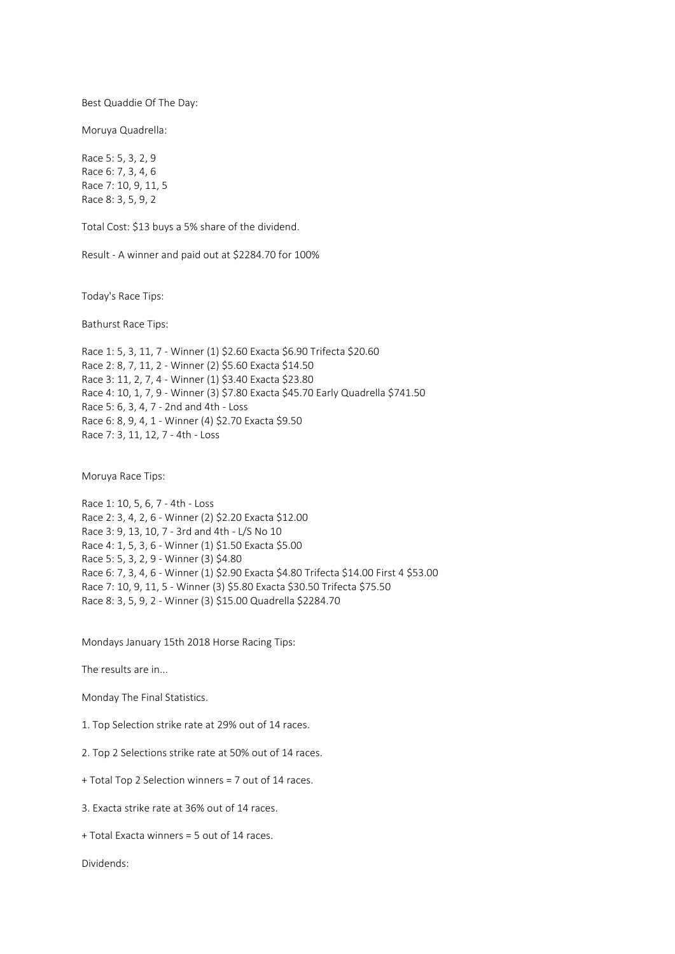Best Quaddie Of The Day:

Moruya Quadrella:

Race 5: 5, 3, 2, 9 Race 6: 7, 3, 4, 6 Race 7: 10, 9, 11, 5 Race 8: 3, 5, 9, 2

Total Cost: \$13 buys a 5% share of the dividend.

Result - A winner and paid out at \$2284.70 for 100%

Today's Race Tips:

Bathurst Race Tips:

Race 1: 5, 3, 11, 7 - Winner (1) \$2.60 Exacta \$6.90 Trifecta \$20.60 Race 2: 8, 7, 11, 2 - Winner (2) \$5.60 Exacta \$14.50 Race 3: 11, 2, 7, 4 - Winner (1) \$3.40 Exacta \$23.80 Race 4: 10, 1, 7, 9 - Winner (3) \$7.80 Exacta \$45.70 Early Quadrella \$741.50 Race 5: 6, 3, 4, 7 - 2nd and 4th - Loss Race 6: 8, 9, 4, 1 - Winner (4) \$2.70 Exacta \$9.50 Race 7: 3, 11, 12, 7 - 4th - Loss

Moruya Race Tips:

Race 1: 10, 5, 6, 7 - 4th - Loss Race 2: 3, 4, 2, 6 - Winner (2) \$2.20 Exacta \$12.00 Race 3: 9, 13, 10, 7 - 3rd and 4th - L/S No 10 Race 4: 1, 5, 3, 6 - Winner (1) \$1.50 Exacta \$5.00 Race 5: 5, 3, 2, 9 - Winner (3) \$4.80 Race 6: 7, 3, 4, 6 - Winner (1) \$2.90 Exacta \$4.80 Trifecta \$14.00 First 4 \$53.00 Race 7: 10, 9, 11, 5 - Winner (3) \$5.80 Exacta \$30.50 Trifecta \$75.50 Race 8: 3, 5, 9, 2 - Winner (3) \$15.00 Quadrella \$2284.70

Mondays January 15th 2018 Horse Racing Tips:

The results are in...

Monday The Final Statistics.

1. Top Selection strike rate at 29% out of 14 races.

2. Top 2 Selections strike rate at 50% out of 14 races.

+ Total Top 2 Selection winners = 7 out of 14 races.

3. Exacta strike rate at 36% out of 14 races.

+ Total Exacta winners = 5 out of 14 races.

Dividends: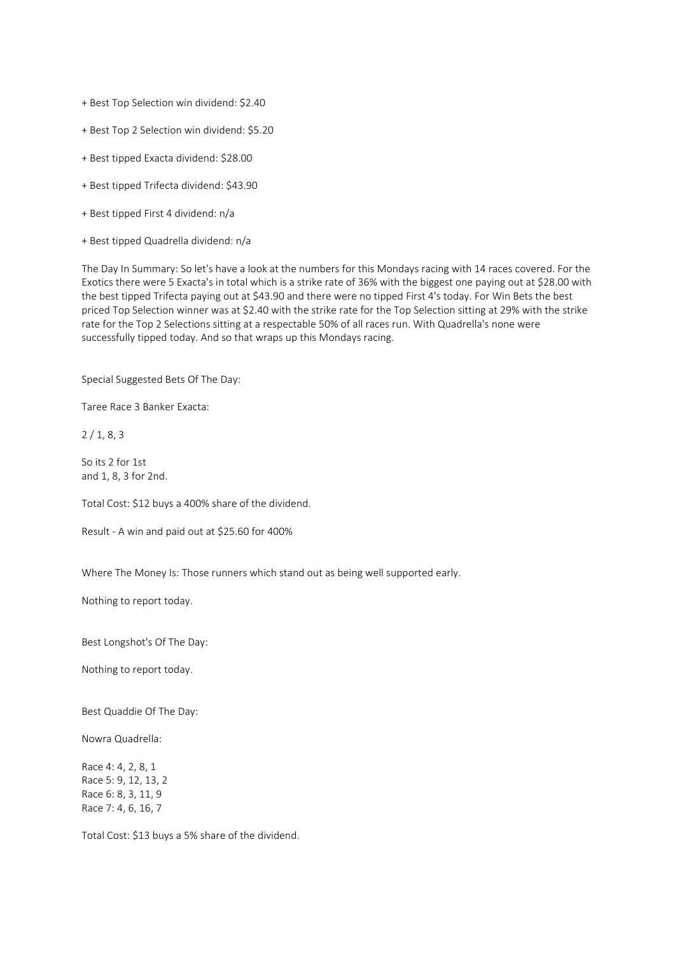+ Best Top Selection win dividend: \$2.40

+ Best Top 2 Selection win dividend: \$5.20

- + Best tipped Exacta dividend: \$28.00
- + Best tipped Trifecta dividend: \$43.90
- + Best tipped First 4 dividend: n/a
- + Best tipped Quadrella dividend: n/a

The Day In Summary: So let's have a look at the numbers for this Mondays racing with 14 races covered. For the Exotics there were 5 Exacta's in total which is a strike rate of 36% with the biggest one paying out at \$28.00 with the best tipped Trifecta paying out at \$43.90 and there were no tipped First 4's today. For Win Bets the best priced Top Selection winner was at \$2.40 with the strike rate for the Top Selection sitting at 29% with the strike rate for the Top 2 Selections sitting at a respectable 50% of all races run. With Quadrella's none were successfully tipped today. And so that wraps up this Mondays racing.

Special Suggested Bets Of The Day:

Taree Race 3 Banker Exacta:

2 / 1, 8, 3

So its 2 for 1st and 1, 8, 3 for 2nd.

Total Cost: \$12 buys a 400% share of the dividend.

Result - A win and paid out at \$25.60 for 400%

Where The Money Is: Those runners which stand out as being well supported early.

Nothing to report today.

Best Longshot's Of The Day:

Nothing to report today.

Best Quaddie Of The Day:

Nowra Quadrella:

Race 4: 4, 2, 8, 1 Race 5: 9, 12, 13, 2 Race 6: 8, 3, 11, 9 Race 7: 4, 6, 16, 7

Total Cost: \$13 buys a 5% share of the dividend.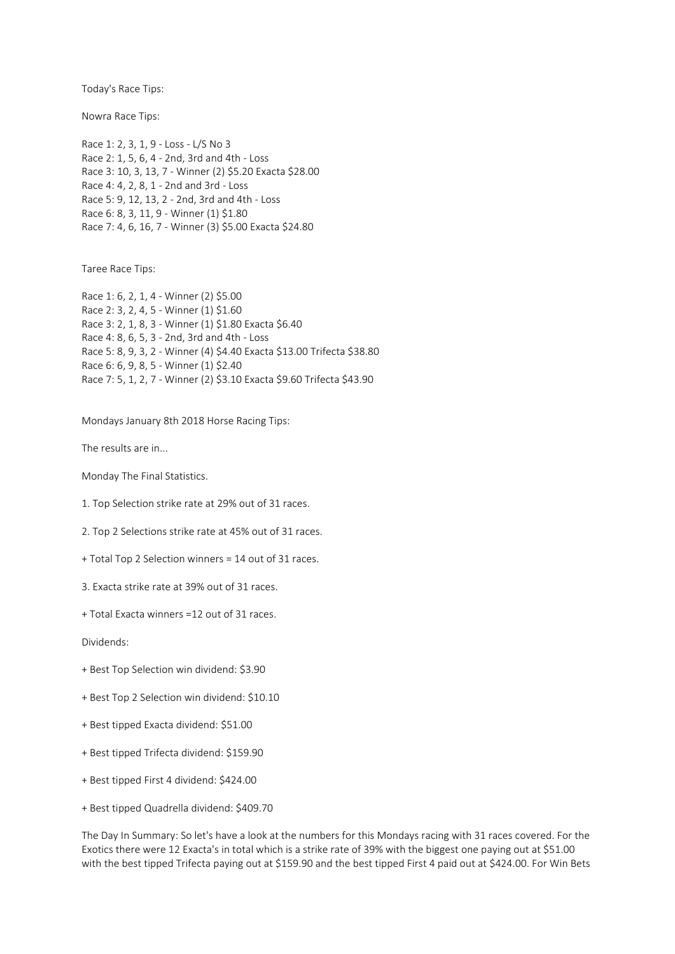Today's Race Tips:

Nowra Race Tips:

Race 1: 2, 3, 1, 9 - Loss - L/S No 3 Race 2: 1, 5, 6, 4 - 2nd, 3rd and 4th - Loss Race 3: 10, 3, 13, 7 - Winner (2) \$5.20 Exacta \$28.00 Race 4: 4, 2, 8, 1 - 2nd and 3rd - Loss Race 5: 9, 12, 13, 2 - 2nd, 3rd and 4th - Loss Race 6: 8, 3, 11, 9 - Winner (1) \$1.80 Race 7: 4, 6, 16, 7 - Winner (3) \$5.00 Exacta \$24.80

Taree Race Tips:

Race 1: 6, 2, 1, 4 - Winner (2) \$5.00 Race 2: 3, 2, 4, 5 - Winner (1) \$1.60 Race 3: 2, 1, 8, 3 - Winner (1) \$1.80 Exacta \$6.40 Race 4: 8, 6, 5, 3 - 2nd, 3rd and 4th - Loss Race 5: 8, 9, 3, 2 - Winner (4) \$4.40 Exacta \$13.00 Trifecta \$38.80 Race 6: 6, 9, 8, 5 - Winner (1) \$2.40 Race 7: 5, 1, 2, 7 - Winner (2) \$3.10 Exacta \$9.60 Trifecta \$43.90

Mondays January 8th 2018 Horse Racing Tips:

The results are in...

Monday The Final Statistics.

1. Top Selection strike rate at 29% out of 31 races.

2. Top 2 Selections strike rate at 45% out of 31 races.

+ Total Top 2 Selection winners = 14 out of 31 races.

3. Exacta strike rate at 39% out of 31 races.

+ Total Exacta winners =12 out of 31 races.

Dividends:

- + Best Top Selection win dividend: \$3.90
- + Best Top 2 Selection win dividend: \$10.10
- + Best tipped Exacta dividend: \$51.00
- + Best tipped Trifecta dividend: \$159.90
- + Best tipped First 4 dividend: \$424.00
- + Best tipped Quadrella dividend: \$409.70

The Day In Summary: So let's have a look at the numbers for this Mondays racing with 31 races covered. For the Exotics there were 12 Exacta's in total which is a strike rate of 39% with the biggest one paying out at \$51.00 with the best tipped Trifecta paying out at \$159.90 and the best tipped First 4 paid out at \$424.00. For Win Bets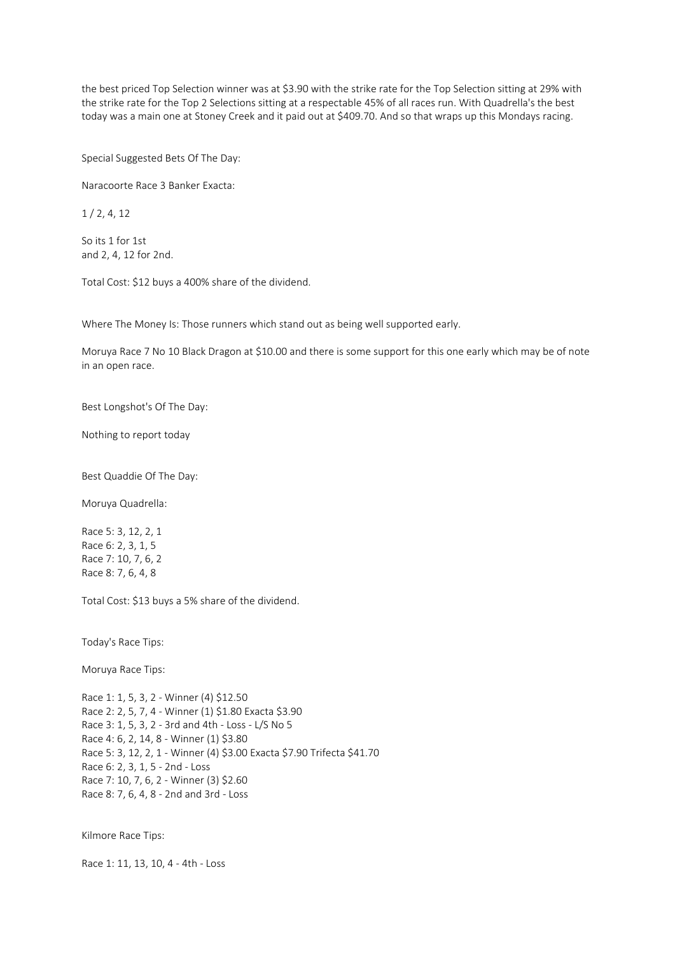the best priced Top Selection winner was at \$3.90 with the strike rate for the Top Selection sitting at 29% with the strike rate for the Top 2 Selections sitting at a respectable 45% of all races run. With Quadrella's the best today was a main one at Stoney Creek and it paid out at \$409.70. And so that wraps up this Mondays racing.

Special Suggested Bets Of The Day:

Naracoorte Race 3 Banker Exacta:

1 / 2, 4, 12

So its 1 for 1st and 2, 4, 12 for 2nd.

Total Cost: \$12 buys a 400% share of the dividend.

Where The Money Is: Those runners which stand out as being well supported early.

Moruya Race 7 No 10 Black Dragon at \$10.00 and there is some support for this one early which may be of note in an open race.

Best Longshot's Of The Day:

Nothing to report today

Best Quaddie Of The Day:

Moruya Quadrella:

Race 5: 3, 12, 2, 1 Race 6: 2, 3, 1, 5 Race 7: 10, 7, 6, 2 Race 8: 7, 6, 4, 8

Total Cost: \$13 buys a 5% share of the dividend.

Today's Race Tips:

Moruya Race Tips:

Race 1: 1, 5, 3, 2 - Winner (4) \$12.50 Race 2: 2, 5, 7, 4 - Winner (1) \$1.80 Exacta \$3.90 Race 3: 1, 5, 3, 2 - 3rd and 4th - Loss - L/S No 5 Race 4: 6, 2, 14, 8 - Winner (1) \$3.80 Race 5: 3, 12, 2, 1 - Winner (4) \$3.00 Exacta \$7.90 Trifecta \$41.70 Race 6: 2, 3, 1, 5 - 2nd - Loss Race 7: 10, 7, 6, 2 - Winner (3) \$2.60 Race 8: 7, 6, 4, 8 - 2nd and 3rd - Loss

Kilmore Race Tips:

Race 1: 11, 13, 10, 4 - 4th - Loss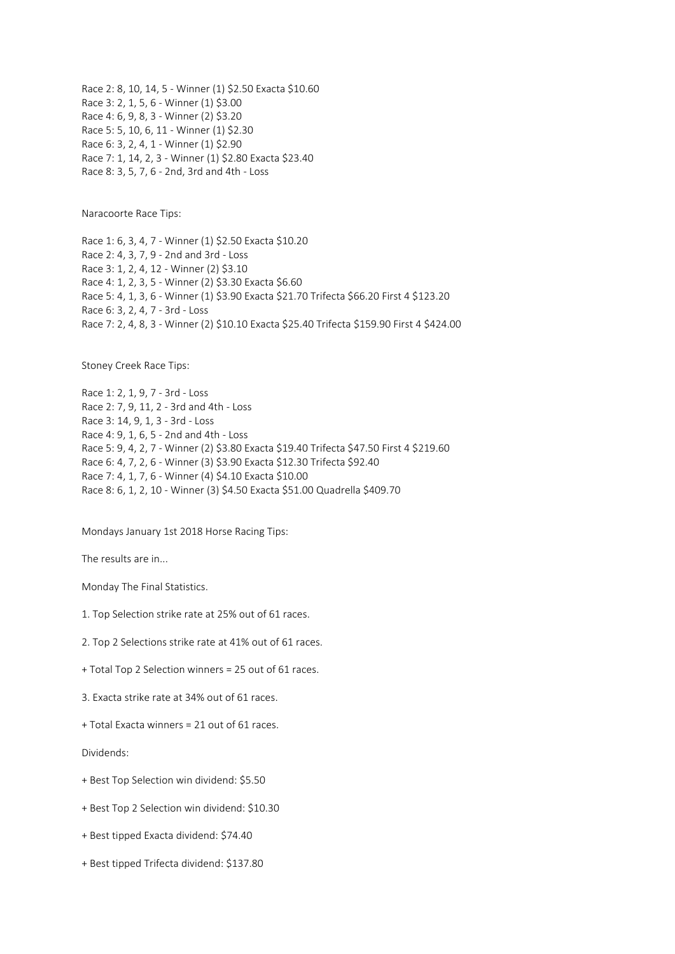Race 2: 8, 10, 14, 5 - Winner (1) \$2.50 Exacta \$10.60 Race 3: 2, 1, 5, 6 - Winner (1) \$3.00 Race 4: 6, 9, 8, 3 - Winner (2) \$3.20 Race 5: 5, 10, 6, 11 - Winner (1) \$2.30 Race 6: 3, 2, 4, 1 - Winner (1) \$2.90 Race 7: 1, 14, 2, 3 - Winner (1) \$2.80 Exacta \$23.40 Race 8: 3, 5, 7, 6 - 2nd, 3rd and 4th - Loss

Naracoorte Race Tips:

Race 1: 6, 3, 4, 7 - Winner (1) \$2.50 Exacta \$10.20 Race 2: 4, 3, 7, 9 - 2nd and 3rd - Loss Race 3: 1, 2, 4, 12 - Winner (2) \$3.10 Race 4: 1, 2, 3, 5 - Winner (2) \$3.30 Exacta \$6.60 Race 5: 4, 1, 3, 6 - Winner (1) \$3.90 Exacta \$21.70 Trifecta \$66.20 First 4 \$123.20 Race 6: 3, 2, 4, 7 - 3rd - Loss Race 7: 2, 4, 8, 3 - Winner (2) \$10.10 Exacta \$25.40 Trifecta \$159.90 First 4 \$424.00

Stoney Creek Race Tips:

Race 1: 2, 1, 9, 7 - 3rd - Loss Race 2: 7, 9, 11, 2 - 3rd and 4th - Loss Race 3: 14, 9, 1, 3 - 3rd - Loss Race 4: 9, 1, 6, 5 - 2nd and 4th - Loss Race 5: 9, 4, 2, 7 - Winner (2) \$3.80 Exacta \$19.40 Trifecta \$47.50 First 4 \$219.60 Race 6: 4, 7, 2, 6 - Winner (3) \$3.90 Exacta \$12.30 Trifecta \$92.40 Race 7: 4, 1, 7, 6 - Winner (4) \$4.10 Exacta \$10.00 Race 8: 6, 1, 2, 10 - Winner (3) \$4.50 Exacta \$51.00 Quadrella \$409.70

Mondays January 1st 2018 Horse Racing Tips:

The results are in...

Monday The Final Statistics.

- 1. Top Selection strike rate at 25% out of 61 races.
- 2. Top 2 Selections strike rate at 41% out of 61 races.
- + Total Top 2 Selection winners = 25 out of 61 races.
- 3. Exacta strike rate at 34% out of 61 races.
- + Total Exacta winners = 21 out of 61 races.

Dividends:

- + Best Top Selection win dividend: \$5.50
- + Best Top 2 Selection win dividend: \$10.30
- + Best tipped Exacta dividend: \$74.40
- + Best tipped Trifecta dividend: \$137.80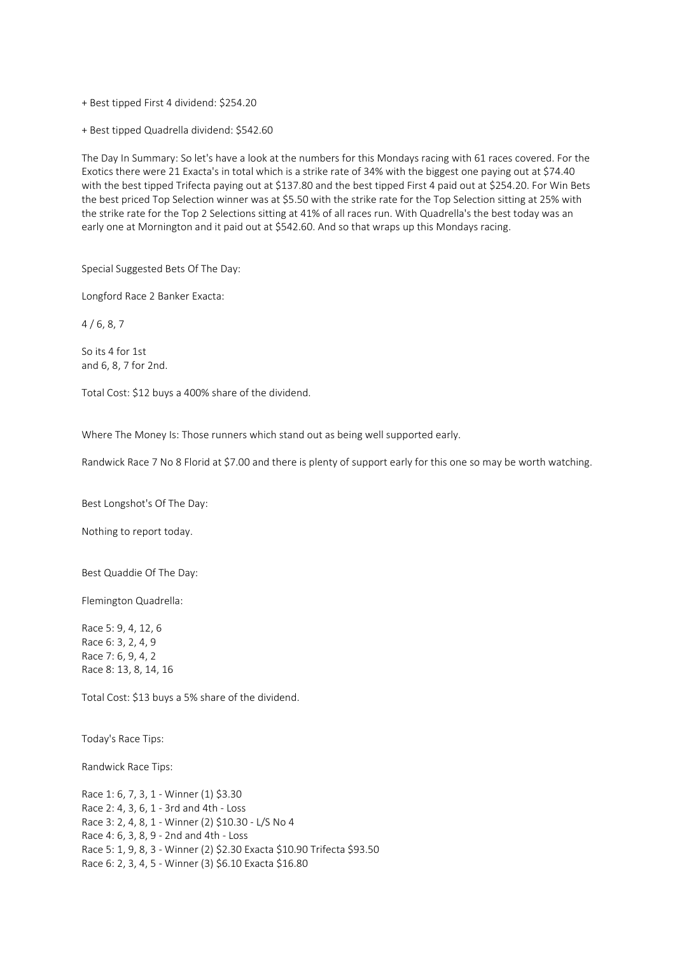+ Best tipped First 4 dividend: \$254.20

+ Best tipped Quadrella dividend: \$542.60

The Day In Summary: So let's have a look at the numbers for this Mondays racing with 61 races covered. For the Exotics there were 21 Exacta's in total which is a strike rate of 34% with the biggest one paying out at \$74.40 with the best tipped Trifecta paying out at \$137.80 and the best tipped First 4 paid out at \$254.20. For Win Bets the best priced Top Selection winner was at \$5.50 with the strike rate for the Top Selection sitting at 25% with the strike rate for the Top 2 Selections sitting at 41% of all races run. With Quadrella's the best today was an early one at Mornington and it paid out at \$542.60. And so that wraps up this Mondays racing.

Special Suggested Bets Of The Day:

Longford Race 2 Banker Exacta:

 $4/6, 8, 7$ 

So its 4 for 1st and 6, 8, 7 for 2nd.

Total Cost: \$12 buys a 400% share of the dividend.

Where The Money Is: Those runners which stand out as being well supported early.

Randwick Race 7 No 8 Florid at \$7.00 and there is plenty of support early for this one so may be worth watching.

Best Longshot's Of The Day:

Nothing to report today.

Best Quaddie Of The Day:

Flemington Quadrella:

Race 5: 9, 4, 12, 6 Race 6: 3, 2, 4, 9 Race 7: 6, 9, 4, 2 Race 8: 13, 8, 14, 16

Total Cost: \$13 buys a 5% share of the dividend.

Today's Race Tips:

Randwick Race Tips:

Race 1: 6, 7, 3, 1 - Winner (1) \$3.30 Race 2: 4, 3, 6, 1 - 3rd and 4th - Loss Race 3: 2, 4, 8, 1 - Winner (2) \$10.30 - L/S No 4 Race 4: 6, 3, 8, 9 - 2nd and 4th - Loss Race 5: 1, 9, 8, 3 - Winner (2) \$2.30 Exacta \$10.90 Trifecta \$93.50 Race 6: 2, 3, 4, 5 - Winner (3) \$6.10 Exacta \$16.80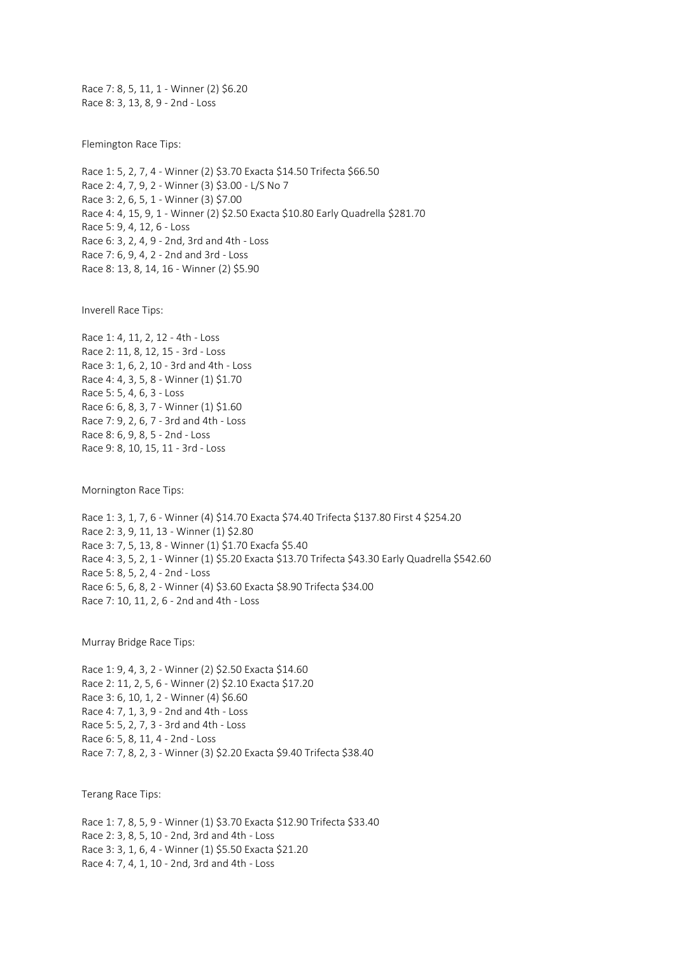Race 7: 8, 5, 11, 1 - Winner (2) \$6.20 Race 8: 3, 13, 8, 9 - 2nd - Loss

Flemington Race Tips:

Race 1: 5, 2, 7, 4 - Winner (2) \$3.70 Exacta \$14.50 Trifecta \$66.50 Race 2: 4, 7, 9, 2 - Winner (3) \$3.00 - L/S No 7 Race 3: 2, 6, 5, 1 - Winner (3) \$7.00 Race 4: 4, 15, 9, 1 - Winner (2) \$2.50 Exacta \$10.80 Early Quadrella \$281.70 Race 5: 9, 4, 12, 6 - Loss Race 6: 3, 2, 4, 9 - 2nd, 3rd and 4th - Loss Race 7: 6, 9, 4, 2 - 2nd and 3rd - Loss Race 8: 13, 8, 14, 16 - Winner (2) \$5.90

Inverell Race Tips:

Race 1: 4, 11, 2, 12 - 4th - Loss Race 2: 11, 8, 12, 15 - 3rd - Loss Race 3: 1, 6, 2, 10 - 3rd and 4th - Loss Race 4: 4, 3, 5, 8 - Winner (1) \$1.70 Race 5: 5, 4, 6, 3 - Loss Race 6: 6, 8, 3, 7 - Winner (1) \$1.60 Race 7: 9, 2, 6, 7 - 3rd and 4th - Loss Race 8: 6, 9, 8, 5 - 2nd - Loss Race 9: 8, 10, 15, 11 - 3rd - Loss

Mornington Race Tips:

Race 1: 3, 1, 7, 6 - Winner (4) \$14.70 Exacta \$74.40 Trifecta \$137.80 First 4 \$254.20 Race 2: 3, 9, 11, 13 - Winner (1) \$2.80 Race 3: 7, 5, 13, 8 - Winner (1) \$1.70 Exacfa \$5.40 Race 4: 3, 5, 2, 1 - Winner (1) \$5.20 Exacta \$13.70 Trifecta \$43.30 Early Quadrella \$542.60 Race 5: 8, 5, 2, 4 - 2nd - Loss Race 6: 5, 6, 8, 2 - Winner (4) \$3.60 Exacta \$8.90 Trifecta \$34.00 Race 7: 10, 11, 2, 6 - 2nd and 4th - Loss

Murray Bridge Race Tips:

Race 1: 9, 4, 3, 2 - Winner (2) \$2.50 Exacta \$14.60 Race 2: 11, 2, 5, 6 - Winner (2) \$2.10 Exacta \$17.20 Race 3: 6, 10, 1, 2 - Winner (4) \$6.60 Race 4: 7, 1, 3, 9 - 2nd and 4th - Loss Race 5: 5, 2, 7, 3 - 3rd and 4th - Loss Race 6: 5, 8, 11, 4 - 2nd - Loss Race 7: 7, 8, 2, 3 - Winner (3) \$2.20 Exacta \$9.40 Trifecta \$38.40

Terang Race Tips:

Race 1: 7, 8, 5, 9 - Winner (1) \$3.70 Exacta \$12.90 Trifecta \$33.40 Race 2: 3, 8, 5, 10 - 2nd, 3rd and 4th - Loss Race 3: 3, 1, 6, 4 - Winner (1) \$5.50 Exacta \$21.20 Race 4: 7, 4, 1, 10 - 2nd, 3rd and 4th - Loss